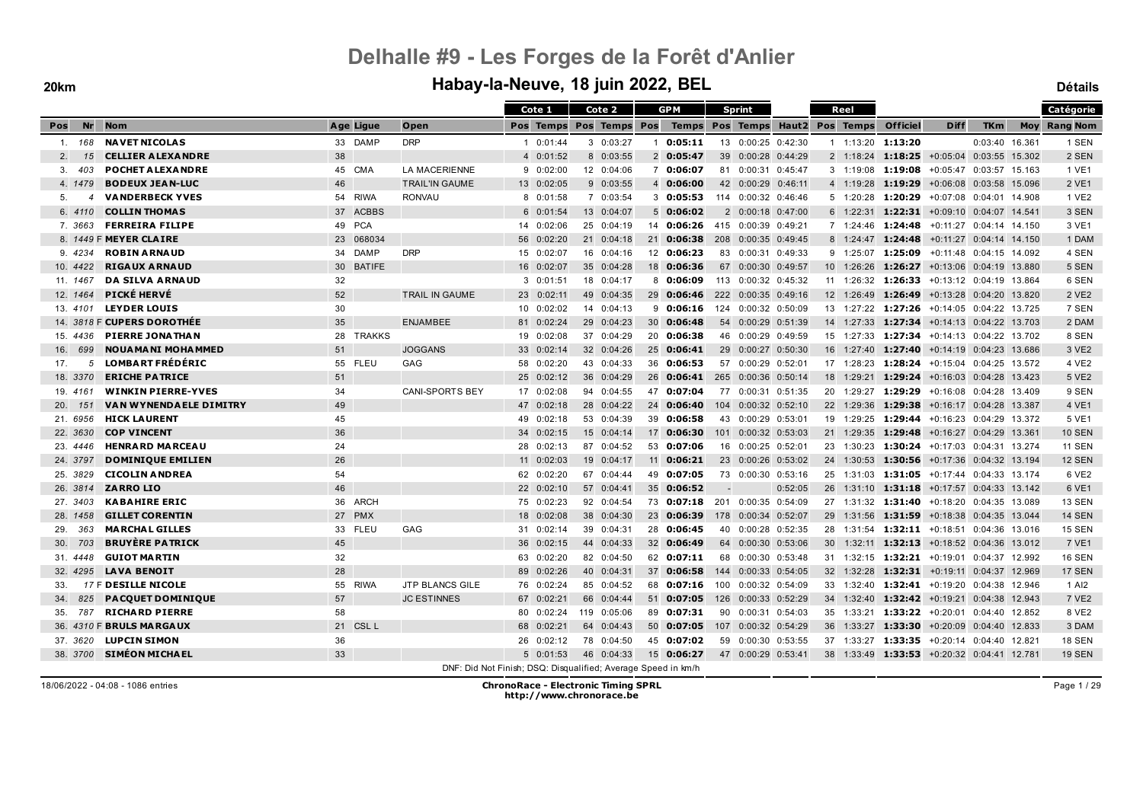### **20km Habay-la-Neuve, 18 juin 2022, BEL Détails**

|                       |                               |           |                                                               | Cote 1             | Cote 2        |    | <b>GPM</b>        |                          | <b>Sprint</b>       |         |                 | Reel      |                                                    |                         |                | Catégorie           |
|-----------------------|-------------------------------|-----------|---------------------------------------------------------------|--------------------|---------------|----|-------------------|--------------------------|---------------------|---------|-----------------|-----------|----------------------------------------------------|-------------------------|----------------|---------------------|
| Nr<br>Pos             | <b>Nom</b>                    | Age Ligue | Open                                                          | Pos Temps          | Pos Temps Pos |    | Temps Pos Temps   |                          |                     | Haut 2  |                 | Pos Temps | <b>Officiel</b>                                    | <b>Diff</b>             | <b>TKm</b>     | <b>Moy Rang Nom</b> |
| 168<br>$\mathbf{1}$ . | <b>NAVET NICOLAS</b>          | 33 DAMP   | <b>DRP</b>                                                    | $1 \quad 0:01:44$  | 30:03:27      |    | 0:05:11           |                          | 13 0:00:25 0:42:30  |         |                 |           | 1 1:13:20 1:13:20                                  |                         | 0:03:40 16.361 | 1 SEN               |
| 2.<br>15              | <b>CELLIER ALEXANDRE</b>      | 38        |                                                               | 4 0:01:52          | 8 0:03:55     |    | 2 0:05:47         |                          | 39 0:00:28 0:44:29  |         |                 |           | $2 \quad 1:18:24 \quad 1:18:25$                    | +0:05:04 0:03:55 15.302 |                | 2 SEN               |
| 3.<br>403             | <b>POCHET ALEXANDRE</b>       | 45 CMA    | <b>LA MACERIENNE</b>                                          | 90:02:00           | 12 0:04:06    |    | 7 0:06:07         | 81                       | 0:00:31 0:45:47     |         |                 |           | $3 \quad 1:19:08$ 1:19:08                          | +0:05:47 0:03:57 15.163 |                | 1 VE1               |
| 4. 1479               | <b>BODEUX JEAN-LUC</b>        | 46        | <b>TRAIL'IN GAUME</b>                                         | 13 0:02:05         | 90:03:55      |    | 4 0:06:00         |                          | 42 0:00:29 0:46:11  |         |                 |           | 4 1:19:28 1:19:29                                  | +0:06:08 0:03:58 15.096 |                | 2 VE1               |
| 5.                    | <b>VANDERBECK YVES</b>        | 54 RIWA   | <b>RONVAU</b>                                                 | 8 0:01:58          | 7 0:03:54     |    | $3 \quad 0:05:53$ |                          | 114 0:00:32 0:46:46 |         |                 |           | $5$ 1:20:28 <b>1:20:29</b>                         | +0:07:08 0:04:01 14.908 |                | 1 VE2               |
| 6. 4110               | <b>COLLIN THOMAS</b>          | 37 ACBBS  |                                                               | 6 0:01:54          | 13 0:04:07    |    | $5\quad 0:06:02$  |                          | 2 0:00:18 0:47:00   |         |                 |           | $6$ 1:22:31 <b>1:22:31</b>                         | +0:09:10 0:04:07 14.541 |                | 3 SEN               |
| 7.3663                | <b>FERREIRA FILIPE</b>        | 49 PCA    |                                                               | 14 0:02:06         | 25 0:04:19    | 14 | 0:06:26           |                          | 415 0:00:39 0:49:21 |         |                 |           | 7 1:24:46 1:24:48                                  | +0:11:27 0:04:14 14.150 |                | 3 VE1               |
|                       | 8. 1449 F MEYER CLAIRE        | 23 068034 |                                                               | 56 0:02:20         | 21 0:04:18    | 21 | 0:06:38           |                          | 208 0:00:35 0:49:45 |         |                 |           | 8 1:24:47 1:24:48                                  | +0:11:27 0:04:14 14.150 |                | 1 DAM               |
| 9.4234                | <b>ROBIN ARNAUD</b>           | 34 DAMP   | <b>DRP</b>                                                    | 15 0:02:07         | 16 0:04:16    |    | 12 0:06:23        |                          | 83 0:00:31 0:49:33  |         |                 |           | $9$ 1:25:07 <b>1:25:09</b>                         | +0:11:48 0:04:15 14.092 |                | 4 SEN               |
| 10. 4422              | <b>RIGAUX ARNAUD</b>          | 30 BATIFE |                                                               | 16 0:02:07         | 35 0:04:28    |    | 18 0:06:36        |                          | 67 0:00:30 0:49:57  |         |                 |           | 10 1:26:26 1:26:27                                 | +0:13:06 0:04:19 13.880 |                | 5 SEN               |
| 11. 1467              | <b>DA SILVA ARNAUD</b>        | 32        |                                                               | 3 0:01:51          | 18 0:04:17    |    | 8 0:06:09         |                          | 113 0:00:32 0:45:32 |         |                 |           | 11 1:26:32 1:26:33 +0:13:12 0:04:19 13.864         |                         |                | 6 SEN               |
| 12. 1464              | <b>PICKÉ HERVÉ</b>            | 52        | TRAIL IN GAUME                                                | 23 0:02:11         | 49 0:04:35    | 29 | 0:06:46           |                          | 222 0:00:35 0:49:16 |         |                 |           | 12 1:26:49 1:26:49 +0:13:28 0:04:20 13.820         |                         |                | 2 VE <sub>2</sub>   |
| 13.4101               | <b>LEYDER LOUIS</b>           | 30        |                                                               | 10 0:02:02         | 14 0:04:13    | 9  | 0:06:16           |                          | 124 0:00:32 0:50:09 |         |                 |           | 13 1:27:22 1:27:26 +0:14:05 0:04:22 13.725         |                         |                | 7 SEN               |
|                       | 14. 3818 F CUPERS DOROTHÉE    | 35        | <b>ENJAMBEE</b>                                               | 81 0:02:24         | 29 0:04:23    |    | 30 0:06:48        |                          | 54 0:00:29 0:51:39  |         |                 |           | 14 1:27:33 1:27:34 +0:14:13 0:04:22 13.703         |                         |                | 2 DAM               |
| 15.4436               | <b>PIERRE JONATHAN</b>        | 28 TRAKKS |                                                               | 19 0:02:08         | 37 0:04:29    |    | 20 0:06:38        |                          | 46 0:00:29 0:49:59  |         | 15              |           | 1:27:33 1:27:34                                    | +0:14:13 0:04:22 13.702 |                | 8 SEN               |
| 699<br>16.            | <b>NOUA MANI MOHA MMED</b>    | 51        | <b>JOGGANS</b>                                                | 33 0:02:14         | 32 0:04:26    |    | 25 0:06:41        |                          | 29 0:00:27 0:50:30  |         |                 |           | 16 1:27:40 1:27:40 +0:14:19 0:04:23 13.686         |                         |                | 3 VE2               |
| 17.<br>5              | <b>LOMBART FRÉDÉRIC</b>       | 55 FLEU   | GAG                                                           | 58 0:02:20         | 43 0:04:33    | 36 | 0:06:53           | 57                       | 0:00:29 0:52:01     |         | 17              |           | $1:28:23$ 1:28:24 +0:15:04 0:04:25 13.572          |                         |                | 4 VE2               |
| 18. 3370              | <b>ERICHE PATRICE</b>         | 51        |                                                               | 25 0:02:12         | 36 0:04:29    |    | 26 0:06:41        |                          | 265 0:00:36 0:50:14 |         | 18              |           | 1:29:21 1:29:24 +0:16:03 0:04:28 13.423            |                         |                | 5 VE2               |
| 19. 4161              | <b>WINKIN PIERRE-YVES</b>     | 34        | <b>CANI-SPORTS BEY</b>                                        | 17 0:02:08         | 94 0:04:55    | 47 | 0:07:04           | 77                       | 0:00:31 0:51:35     |         | 20              |           | 1:29:27 1:29:29                                    | +0:16:08 0:04:28 13.409 |                | 9 SEN               |
| 20.<br>151            | <b>VAN WYNENDAELE DIMITRY</b> | 49        |                                                               | 47 0:02:18         | 28 0:04:22    |    | 24 0:06:40        | 104                      | 0:00:32 0:52:10     |         |                 |           | 22 1:29:36 1:29:38                                 | +0:16:17 0:04:28 13.387 |                | 4 VE1               |
| 21. 6956              | <b>HICK LAURENT</b>           | 45        |                                                               | 49 0:02:18         | 53 0:04:39    |    | 39 0:06:58        |                          | 43 0:00:29 0:53:01  |         |                 |           | 19 1:29:25 1:29:44 +0:16:23 0:04:29 13.372         |                         |                | 5 VE1               |
| 22. 3630              | <b>COP VINCENT</b>            | 36        |                                                               | 34 0:02:15         | 15 0:04:14    |    | 17 0:06:30        |                          | 101 0:00:32 0:53:03 |         |                 |           | 21 1:29:35 1:29:48                                 | +0:16:27 0:04:29 13.361 |                | <b>10 SEN</b>       |
| 23. 4446              | <b>HENRARD MARCEAU</b>        | 24        |                                                               | 28 0:02:13         | 87 0:04:52    |    | 53 0:07:06        |                          | 16 0:00:25 0:52:01  |         | 23              |           | 1:30:23 1:30:24 +0:17:03 0:04:31 13.274            |                         |                | <b>11 SEN</b>       |
| 24. 3797              | <b>DOMINIQUE EMILIEN</b>      | 26        |                                                               | $11 \quad 0:02:03$ | 19 0:04:17    |    | 11 0:06:21        |                          | 23 0:00:26 0:53:02  |         |                 |           | 24 1:30:53 1:30:56 +0:17:36 0:04:32 13.194         |                         |                | <b>12 SEN</b>       |
| 25. 3829              | <b>CICOLIN ANDREA</b>         | 54        |                                                               | 62 0:02:20         | 67 0:04:44    |    | 49 0:07:05        |                          | 73 0:00:30 0:53:16  |         | 25              |           | $1:31:03$ 1:31:05 +0:17:44 0:04:33 13.174          |                         |                | 6 VE2               |
| 26. 3814              | <b>ZARROLIO</b>               | 46        |                                                               | 22 0:02:10         | 57 0:04:41    |    | 35 0:06:52        | $\overline{\phantom{a}}$ |                     | 0:52:05 |                 |           | 26 1:31:10 1:31:18 +0:17:57 0:04:33 13.142         |                         |                | 6 VE1               |
| 27. 3403              | <b>KABAHIRE ERIC</b>          | 36 ARCH   |                                                               | 75 0:02:23         | 92 0:04:54    |    | 73 0:07:18        | 201                      | $0:00:35$ $0:54:09$ |         | 27              |           | $1:31:32$ <b>1:31:40</b> $+0:18:20$ 0:04:35 13.089 |                         |                | 13 SEN              |
| 28. 1458              | <b>GILLET CORENTIN</b>        | 27 PMX    |                                                               | 18 0:02:08         | 38 0:04:30    | 23 | 0:06:39           | 178                      | 0:00:34 0:52:07     |         | 29              |           | 1:31:56 1:31:59 +0:18:38 0:04:35 13.044            |                         |                | <b>14 SEN</b>       |
| 363<br>29.            | <b>MARCHAL GILLES</b>         | 33 FLEU   | GAG                                                           | 31 0:02:14         | 39 0:04:31    |    | 28 0:06:45        | 40                       | 0:00:28 0:52:35     |         | 28              |           | $1:31:54$ <b>1:32:11</b> $+0:18:51$ 0:04:36 13.016 |                         |                | <b>15 SEN</b>       |
| 30.<br>703            | <b>BRUYÈRE PATRICK</b>        | 45        |                                                               | 36 0:02:15         | 44 0:04:33    |    | 32 0:06:49        |                          | 64 0:00:30 0:53:06  |         | 30              |           | 1:32:11 1:32:13 +0:18:52 0:04:36 13.012            |                         |                | 7 VE1               |
| 31.4448               | <b>GUIOT MARTIN</b>           | 32        |                                                               | 63 0:02:20         | 82 0:04:50    |    | 62 0:07:11        |                          | 68 0:00:30 0:53:48  |         | 31              |           | $1:32:15$ <b>1:32:21</b>                           | +0:19:01 0:04:37 12.992 |                | <b>16 SEN</b>       |
| 32.4295               | <b>LAVA BENOIT</b>            | 28        |                                                               | 89 0:02:26         | 40 0:04:31    |    | 37 0:06:58        |                          | 144 0:00:33 0:54:05 |         | 32 <sup>2</sup> |           | $1:32:28$ <b>1:32:31</b> $+0:19:11$ 0:04:37 12.969 |                         |                | <b>17 SEN</b>       |
| 33.                   | 17 F DESILLE NICOLE           | 55 RIWA   | <b>JTP BLANCS GILE</b>                                        | 76 0:02:24         | 85 0:04:52    |    | 68 0:07:16        | 100                      | 0:00:32 0:54:09     |         |                 |           | 33 1:32:40 1:32:41 +0:19:20 0:04:38 12.946         |                         |                | 1 AI2               |
| 825<br>34.            | PACQUET DOMINIQUE             | 57        | <b>JC ESTINNES</b>                                            | 67 0:02:21         | 66 0:04:44    |    | 51 0:07:05        |                          | 126 0:00:33 0:52:29 |         |                 |           | 34 1:32:40 1:32:42 +0:19:21 0:04:38 12.943         |                         |                | 7 VE2               |
| 787<br>35.            | <b>RICHARD PIERRE</b>         | 58        |                                                               | 80 0:02:24         | 119 0:05:06   |    | 89 0:07:31        | 90                       | $0:00:31$ $0:54:03$ |         | 35              |           | $1:33:21$ 1:33:22 +0:20:01 0:04:40 12.852          |                         |                | 8 VE2               |
|                       | 36. 4310 F BRULS MARGAUX      | 21 CSL L  |                                                               | 68 0:02:21         | 64 0:04:43    |    | 50 0:07:05        |                          | 107 0:00:32 0:54:29 |         | 36              |           | $1:33:27$ 1:33:30                                  | +0:20:09 0:04:40 12.833 |                | 3 DAM               |
| 37. 3620              | <b>LUPCIN SIMON</b>           | 36        |                                                               | 26 0:02:12         | 78 0:04:50    |    | 45 0:07:02        |                          | 59 0:00:30 0:53:55  |         | 37              |           | $1:33:27$ <b>1:33:35</b>                           | +0:20:14 0:04:40 12.821 |                | <b>18 SEN</b>       |
| 38. 3700              | <b>SIMEON MICHAEL</b>         | 33        |                                                               | 50:01:53           | 46 0:04:33    |    | 15 0:06:27        |                          | 47 0:00:29 0:53:41  |         |                 |           | 38 1:33:49 1:33:53 +0:20:32 0:04:41 12.781         |                         |                | <b>19 SEN</b>       |
|                       |                               |           | DNF: Did Not Finish; DSQ: Disqualified; Average Speed in km/h |                    |               |    |                   |                          |                     |         |                 |           |                                                    |                         |                |                     |

18/06/2022 - 04:08 - 1086 entries **ChronoRace - Electronic Timing SPRL**

**http://www.chronorace.be**

Page 1/29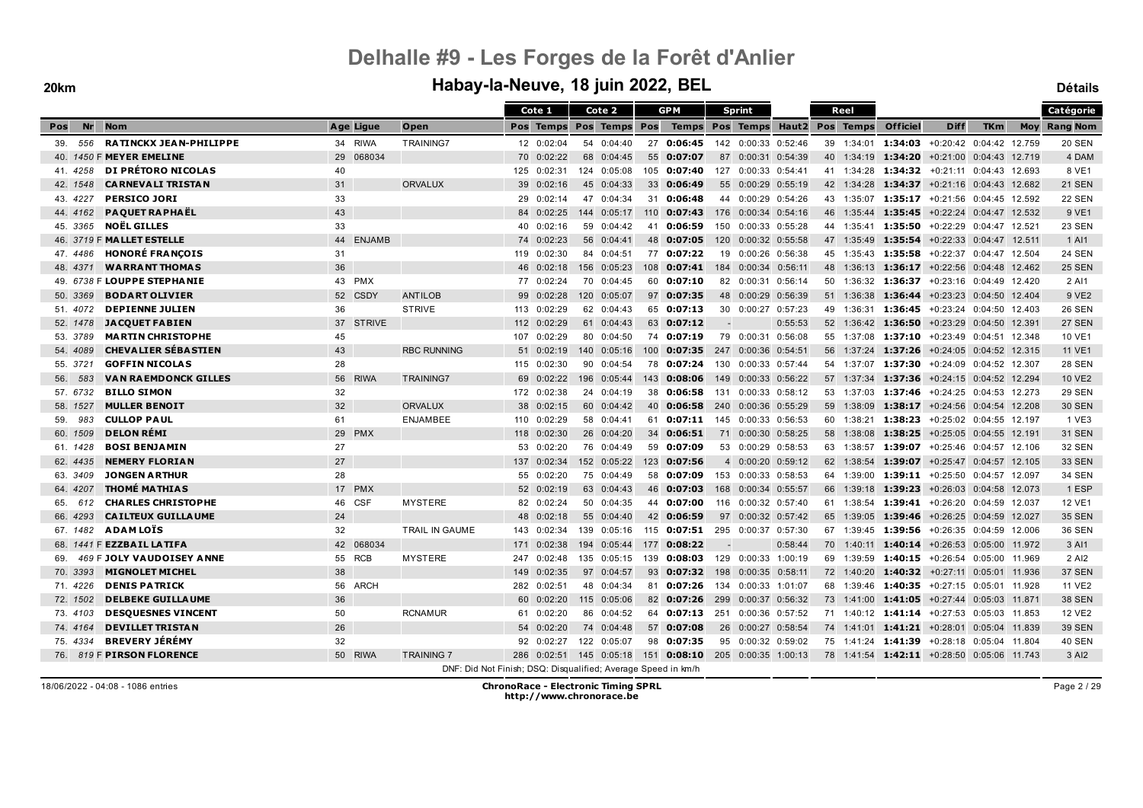|                                             |    |               |                                                               |     | Cote 1              |    | Cote 2        |     | <b>GPM</b>                      |                          | <b>Sprint</b>          |                   |    | Reel       |                                            |                         |            |        | Catégorie           |
|---------------------------------------------|----|---------------|---------------------------------------------------------------|-----|---------------------|----|---------------|-----|---------------------------------|--------------------------|------------------------|-------------------|----|------------|--------------------------------------------|-------------------------|------------|--------|---------------------|
| <b>Nr</b><br><b>Nom</b><br>Pos              |    | Age Ligue     | Open                                                          |     | Pos Temps           |    | Pos Temps Pos |     |                                 |                          | <b>Temps Pos Temps</b> | Haut <sub>2</sub> |    | Pos Temps  | <b>Officiel</b>                            | <b>Diff</b>             | <b>TKm</b> |        | <b>Moy Rang Nom</b> |
| <b>RATINCKX JEAN-PHILIPPE</b><br>556<br>39. |    | 34 RIWA       | <b>TRAINING7</b>                                              |     | 12 0:02:04          |    | 54 0:04:40    | 27  | 0:06:45                         |                          | 142 0:00:33 0:52:46    |                   |    | 39 1:34:01 | $1:34:03$ +0:20:42 0:04:42 12.759          |                         |            |        | <b>20 SEN</b>       |
| 40. 1450 F MEYER EMELINE                    |    | 29 068034     |                                                               |     | 70 0:02:22          |    | 68 0:04:45    |     | 55 0:07:07                      |                          | 87 0:00:31 0:54:39     |                   |    |            | 40 1:34:19 1:34:20 +0:21:00 0:04:43 12.719 |                         |            |        | 4 DAM               |
| DI PRÉTORO NICOLAS<br>41.4258               | 40 |               |                                                               | 125 | 0:02:31             |    | 124 0:05:08   | 105 | 0:07:40                         | 127                      | 0:00:33 0:54:41        |                   | 41 |            | 1:34:28 1:34:32                            | +0:21:11 0:04:43 12.693 |            |        | 8 VE1               |
| <b>CARNEVALI TRISTAN</b><br>42. 1548        | 31 |               | <b>ORVALUX</b>                                                |     | 39 0:02:16          |    | 45 0:04:33    |     | 33 0:06:49                      |                          | 55 0:00:29 0:55:19     |                   |    |            | 42 1:34:28 1:34:37 +0:21:16 0:04:43 12.682 |                         |            |        | <b>21 SEN</b>       |
| <b>PERSICO JORI</b><br>43. 4227             | 33 |               |                                                               |     | 29 0:02:14          |    | 47 0:04:34    |     | 31 0:06:48                      |                          | 44 0:00:29 0:54:26     |                   |    |            | 43 1:35:07 1:35:17 +0:21:56 0:04:45 12.592 |                         |            |        | <b>22 SEN</b>       |
| <b>PAQUET RAPHAËL</b><br>44.4162            | 43 |               |                                                               | 84  | 0:02:25             |    | 144 0:05:17   | 110 | 0:07:43                         |                          | 176 0:00:34 0:54:16    |                   | 46 |            | 1:35:44 1:35:45                            | +0:22:24 0:04:47 12.532 |            |        | 9 VE1               |
| <b>NOËL GILLES</b><br>45. 3365              | 33 |               |                                                               |     | 40 0:02:16          |    | 59 0:04:42    | 41  | 0:06:59                         |                          | 150 0:00:33 0:55:28    |                   |    |            | 44 1:35:41 1:35:50 +0:22:29 0:04:47 12.521 |                         |            |        | <b>23 SEN</b>       |
| 46. 3719 F MALLET ESTELLE                   | 44 | <b>ENJAMB</b> |                                                               |     | 74 0:02:23          |    | 56 0:04:41    |     | 48 0:07:05                      | 120                      | $0:00:32$ $0:55:58$    |                   | 47 | 1:35:49    | 1:35:54                                    | +0:22:33 0:04:47 12.511 |            |        | 1 AI1               |
| <b>HONORÉ FRANÇOIS</b><br>47.4486           | 31 |               |                                                               |     | 119 0:02:30         |    | 84 0:04:51    |     | 77 0:07:22                      | 19                       | 0:00:26 0:56:38        |                   | 45 |            | 1:35:43 1:35:58                            | +0:22:37 0:04:47 12.504 |            |        | <b>24 SEN</b>       |
| <b>WARRANT THOMAS</b><br>48.4371            | 36 |               |                                                               |     | 46 0:02:18          |    | 156 0:05:23   |     | $108$ 0:07:41                   |                          | 184 0:00:34 0:56:11    |                   |    |            | 48 1:36:13 1:36:17 +0:22:56 0:04:48 12.462 |                         |            |        | <b>25 SEN</b>       |
| 49. 6738 F LOUPPE STEPHANIE                 |    | 43 PMX        |                                                               |     | 77 0:02:24          |    | 70 0:04:45    |     | 60 0:07:10                      |                          | 82 0:00:31 0:56:14     |                   | 50 |            | 1:36:32 1:36:37 +0:23:16 0:04:49 12.420    |                         |            |        | 2 AI1               |
| <b>BODART OLIVIER</b><br>50. 3369           |    | 52 CSDY       | <b>ANTILOB</b>                                                |     | 99 0:02:28          |    | 120 0:05:07   |     | 97 0:07:35                      |                          | 48 0:00:29 0:56:39     |                   |    |            | 51 1:36:38 1:36:44 +0:23:23 0:04:50 12.404 |                         |            |        | 9 VE2               |
| <b>DEPIENNE JULIEN</b><br>51, 4072          | 36 |               | <b>STRIVE</b>                                                 |     | 113 0:02:29         |    | 62 0:04:43    |     | 65 0:07:13                      |                          | 30 0:00:27 0:57:23     |                   | 49 |            | 1:36:31 1:36:45 +0:23:24 0:04:50 12.403    |                         |            |        | <b>26 SEN</b>       |
| <b>JACQUET FABIEN</b><br>52. 1478           |    | 37 STRIVE     |                                                               |     | 112 0:02:29         |    | 61 0:04:43    |     | 63 0:07:12                      | $\overline{\phantom{a}}$ |                        | 0:55:53           |    |            | 52 1:36:42 1:36:50 +0:23:29 0:04:50 12.391 |                         |            |        | <b>27 SEN</b>       |
| <b>MARTIN CHRISTOPHE</b><br>53. 3789        | 45 |               |                                                               | 107 | 0:02:29             |    | 80 0:04:50    |     | 74 0:07:19                      |                          | 79 0:00:31 0:56:08     |                   | 55 |            | 1:37:08 1:37:10 +0:23:49 0:04:51 12.348    |                         |            |        | 10 VE1              |
| <b>CHEVALIER SÉBASTIEN</b><br>54.4089       | 43 |               | <b>RBC RUNNING</b>                                            |     | 51 0:02:19          |    | 140 0:05:16   | 100 | 0:07:35                         | 247                      | 0:00:36 0:54:51        |                   | 56 | 1:37:24    | 1:37:26                                    | +0:24:05 0:04:52 12.315 |            |        | 11 VE1              |
| <b>GOFFIN NICOLAS</b><br>55.3721            | 28 |               |                                                               |     | $115 \quad 0:02:30$ | 90 | 0:04:54       | 78  | 0:07:24                         | 130                      | $0:00:33$ $0:57:44$    |                   |    |            | 54 1:37:07 1:37:30 +0:24:09 0:04:52 12.307 |                         |            |        | <b>28 SEN</b>       |
| <b>VAN RAEMDONCK GILLES</b><br>583<br>56.   |    | 56 RIWA       | <b>TRAINING7</b>                                              |     | 69 0:02:22          |    | 196 0:05:44   | 143 | 0:08:06                         | 149                      | $0:00:33$ $0:56:22$    |                   | 57 |            | 1:37:34 1:37:36                            | +0:24:15 0:04:52 12.294 |            |        | <b>10 VE2</b>       |
| <b>BILLO SIMON</b><br>57.6732               | 32 |               |                                                               | 172 | 0:02:38             |    | 24 0:04:19    |     | 38 0:06:58                      | 131                      | 0:00:33 0:58:12        |                   | 53 | 1:37:03    | 1:37:46 +0:24:25 0:04:53 12.273            |                         |            |        | <b>29 SEN</b>       |
| <b>MULLER BENOIT</b><br>58. 1527            | 32 |               | <b>ORVALUX</b>                                                |     | 38 0:02:15          |    | 60 0:04:42    |     | 40 0:06:58                      | 240                      | $0:00:36$ $0:55:29$    |                   |    |            | 59 1:38:09 1:38:17 +0:24:56 0:04:54 12.208 |                         |            |        | <b>30 SEN</b>       |
| <b>CULLOP PAUL</b><br>983<br>59.            | 61 |               | <b>ENJAMBEE</b>                                               |     | 110 0:02:29         |    | 58 0:04:41    |     | 61 0:07:11                      |                          | 145 0:00:33 0:56:53    |                   | 60 |            | 1:38:21 1:38:23 +0:25:02 0:04:55 12.197    |                         |            |        | 1 VE3               |
| <b>DELON RÉMI</b><br>60. 1509               |    | 29 PMX        |                                                               |     | 118 0:02:30         |    | 26 0:04:20    | 34  | 0:06:51                         |                          | 71 0:00:30 0:58:25     |                   |    |            | 58 1:38:08 1:38:25                         | +0:25:05 0:04:55 12.191 |            |        | <b>31 SEN</b>       |
| <b>BOSI BENJAMIN</b><br>61. 1428            | 27 |               |                                                               | 53  | 0:02:20             |    | 76 0:04:49    |     | 59 0:07:09                      |                          | 53 0:00:29 0:58:53     |                   |    |            | 63 1:38:57 1:39:07 +0:25:46 0:04:57 12.106 |                         |            |        | <b>32 SEN</b>       |
| <b>NEMERY FLORIAN</b><br>62.4435            | 27 |               |                                                               | 137 | 0:02:34             |    | 152 0:05:22   |     | 123 0:07:56                     |                          | 4 0:00:20 0:59:12      |                   | 62 | 1:38:54    | 1:39:07                                    | +0:25:47 0:04:57 12.105 |            |        | <b>33 SEN</b>       |
| <b>JONGEN ARTHUR</b><br>63.3409             | 28 |               |                                                               |     | 55 0:02:20          |    | 75 0:04:49    |     | 58 0:07:09                      |                          | 153 0:00:33 0:58:53    |                   | 64 | 1:39:00    | 1:39:11                                    | +0:25:50 0:04:57 12.097 |            |        | <b>34 SEN</b>       |
| THOMÉ MATHIAS<br>64.4207                    |    | 17 PMX        |                                                               |     | 52 0:02:19          |    | 63 0:04:43    |     | 46 0:07:03                      |                          | 168 0:00:34 0:55:57    |                   | 66 |            | 1:39:18 1:39:23 +0:26:03 0:04:58 12.073    |                         |            |        | 1 ESP               |
| <b>CHARLES CHRISTOPHE</b><br>65.<br>612     |    | 46 CSF        | <b>MYSTERE</b>                                                |     | 82 0:02:24          |    | 50 0:04:35    | 44  | 0:07:00                         |                          | 116 0:00:32 0:57:40    |                   | 61 |            | 1:38:54 1:39:41 +0:26:20 0:04:59 12.037    |                         |            |        | <b>12 VE1</b>       |
| <b>CAILTEUX GUILLAUME</b><br>66.4293        | 24 |               |                                                               |     | 48 0:02:18          |    | 55 0:04:40    |     | 42 0:06:59                      | 97                       | 0:00:32 0:57:42        |                   | 65 |            | 1:39:05 1:39:46 +0:26:25 0:04:59 12.027    |                         |            |        | <b>35 SEN</b>       |
| <b>ADAMLOÏS</b><br>67. 1482                 | 32 |               | <b>TRAIL IN GAUME</b>                                         | 143 | 0:02:34             |    | 139 0:05:16   |     | $115$ 0:07:51                   | 295                      | 0:00:37 0:57:30        |                   | 67 |            | 1:39:45 1:39:56 +0:26:35 0:04:59 12.006    |                         |            |        | <b>36 SEN</b>       |
| 68. 1441 F EZZBAIL LATIFA                   |    | 42 068034     |                                                               |     | 171 0:02:38         |    | 194 0:05:44   | 177 | 0:08:22                         |                          |                        | 0:58:44           | 70 |            | 1:40:11 1:40:14                            | +0:26:53 0:05:00 11.972 |            |        | 3 AI1               |
| <b>469 F JOLY VAUDOISEY ANNE</b><br>69.     |    | 55 RCB        | <b>MYSTERE</b>                                                | 247 | 0:02:48             |    | 135 0:05:15   |     | 139 0:08:03                     |                          | 129 0:00:33 1:00:19    |                   |    | 69 1:39:59 | $1:40:15$ +0:26:54 0:05:00 11.969          |                         |            |        | 2 AI2               |
| <b>MIGNOLET MICHEL</b><br>70. 3393          | 38 |               |                                                               | 149 | 0:02:35             |    | 97 0:04:57    |     | 93 0:07:32                      | 198                      | $0:00:35$ $0:58:11$    |                   |    |            | 72 1:40:20 1:40:32                         | +0:27:11 0:05:01 11.936 |            |        | <b>37 SEN</b>       |
| <b>DENIS PATRICK</b><br>71.4226             |    | 56 ARCH       |                                                               |     | 282 0:02:51         |    | 48 0:04:34    |     | 81 0:07:26                      | 134                      | 0:00:33 1:01:07        |                   | 68 |            | 1:39:46 1:40:35 +0:27:15 0:05:01 11.928    |                         |            |        | <b>11 VE2</b>       |
| <b>DELBEKE GUILLAUME</b><br>72. 1502        | 36 |               |                                                               |     | 60 0:02:20          |    | 115 0:05:06   |     | 82 0:07:26                      | 299                      | 0:00:37 0:56:32        |                   |    |            | 73 1:41:00 1:41:05 +0:27:44 0:05:03 11.871 |                         |            |        | <b>38 SEN</b>       |
| <b>DESQUESNES VINCENT</b><br>73.4103        | 50 |               | <b>RCNAMUR</b>                                                | 61  | 0:02:20             |    | 86 0:04:52    |     | 64 0:07:13                      | 251                      | 0:00:36 0:57:52        |                   | 71 |            | $1:40:12$ 1:41:14 $+0:27:53$ 0:05:03       |                         |            | 11.853 | <b>12 VE2</b>       |
| <b>DEVILLET TRISTAN</b><br>74.4164          | 26 |               |                                                               |     | 54 0:02:20          |    | 74 0:04:48    |     | 57 0:07:08                      |                          | 26 0:00:27 0:58:54     |                   |    |            | 74 1:41:01 1:41:21 +0:28:01 0:05:04 11.839 |                         |            |        | <b>39 SEN</b>       |
| <b>BREVERY JÉRÉMY</b><br>75.4334            | 32 |               |                                                               | 92  | 0:02:27             |    | 122 0:05:07   |     | 98 0:07:35                      | 95                       | 0:00:32 0:59:02        |                   |    |            | 75 1:41:24 1:41:39 +0:28:18 0:05:04 11.804 |                         |            |        | <b>40 SEN</b>       |
| 76. 819 F PIRSON FLORENCE                   |    | 50 RIWA       | <b>TRAINING 7</b>                                             | 286 | 0:02:51             |    | 145 0:05:18   |     | 151 0:08:10 205 0:00:35 1:00:13 |                          |                        |                   |    |            | 78 1:41:54 1:42:11 +0:28:50 0:05:06 11.743 |                         |            |        | 3 AI2               |
|                                             |    |               | DNF: Did Not Finish; DSQ: Disqualified; Average Speed in km/h |     |                     |    |               |     |                                 |                          |                        |                   |    |            |                                            |                         |            |        |                     |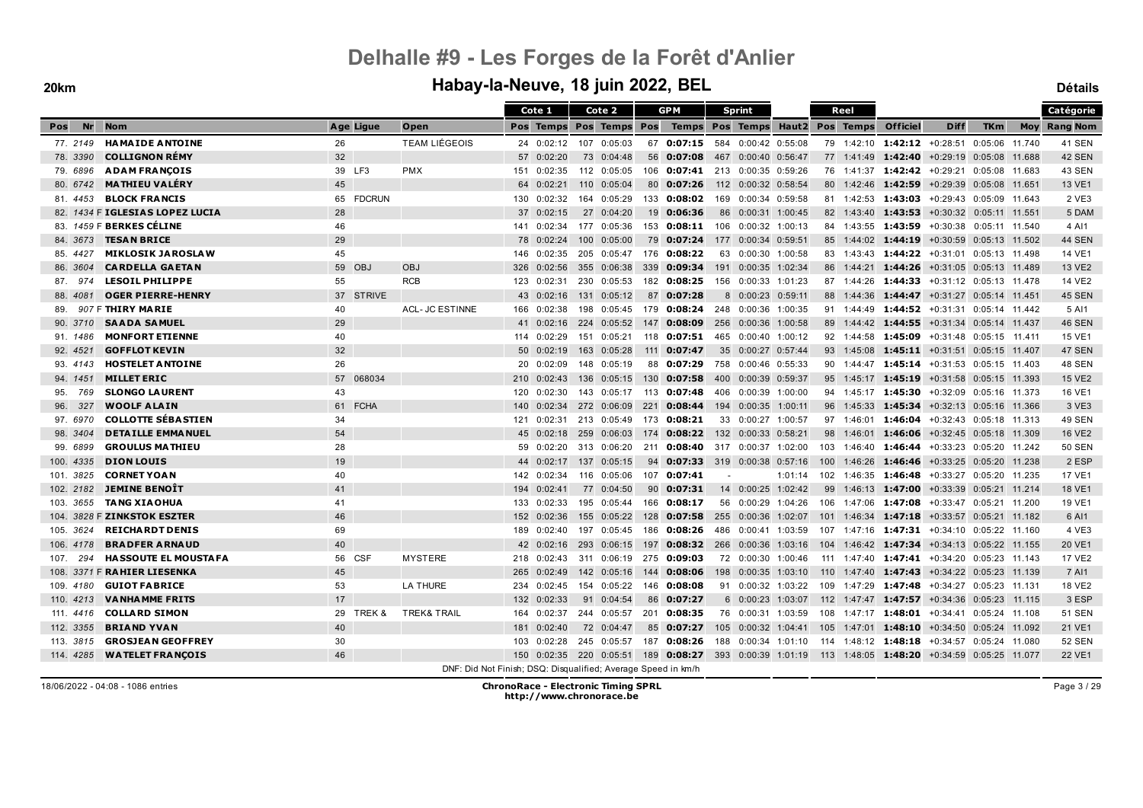|                         |                                 |                 |           |                                                               |     | Cote 1             |     | Cote 2                  |     | <b>GPM</b>                                                                                                |                          | <b>Sprint</b>       |         |     | Reel      |                                             |                         |            | Catégorie           |
|-------------------------|---------------------------------|-----------------|-----------|---------------------------------------------------------------|-----|--------------------|-----|-------------------------|-----|-----------------------------------------------------------------------------------------------------------|--------------------------|---------------------|---------|-----|-----------|---------------------------------------------|-------------------------|------------|---------------------|
| <b>Nr</b><br><b>Pos</b> | <b>Nom</b>                      |                 | Age Ligue | Open                                                          |     |                    |     | Pos Temps Pos Temps Pos |     | Temps Pos Temps Haut2                                                                                     |                          |                     |         |     | Pos Temps | <b>Officiel</b>                             | <b>Diff</b>             | <b>TKm</b> | <b>Moy Rang Nom</b> |
| 77. 2149                | <b>HAMAIDE ANTOINE</b>          | 26              |           | <b>TEAM LIÉGEOIS</b>                                          |     | 24 0:02:12         |     | 107 0:05:03             |     | 67 0:07:15 584 0:00:42 0:55:08                                                                            |                          |                     |         |     |           | 79 1:42:10 1:42:12 +0:28:51 0:05:06 11.740  |                         |            | 41 SEN              |
| 78. 3390                | <b>COLLIGNON RÉMY</b>           | 32 <sup>2</sup> |           |                                                               |     | 57 0:02:20         |     | 73 0:04:48              |     | 56 0:07:08                                                                                                | 467                      | 0:00:40 0:56:47     |         |     |           | 77 1:41:49 1:42:40 +0:29:19 0:05:08 11.688  |                         |            | 42 SEN              |
| 79.6896                 | <b>ADAM FRANÇOIS</b>            |                 | 39 LF3    | <b>PMX</b>                                                    | 151 | 0:02:35            |     | 112 0:05:05             |     | 106 0:07:41                                                                                               | 213                      | 0:00:35 0:59:26     |         | 76  |           | 1:41:37 1:42:42 +0:29:21 0:05:08 11.683     |                         |            | <b>43 SEN</b>       |
| 80. 6742                | <b>MATHIEU VALÉRY</b>           | 45              |           |                                                               | 64  | 0:02:21            |     | 110 0:05:04             |     | 80 0:07:26                                                                                                |                          | 112 0:00:32 0:58:54 |         |     |           | 80 1:42:46 1:42:59 +0:29:39 0:05:08 11.651  |                         |            | 13 VE1              |
| 81.4453                 | <b>BLOCK FRANCIS</b>            |                 | 65 FDCRUN |                                                               |     | 130 0:02:32        |     | 164 0:05:29             |     | 133 0:08:02                                                                                               |                          | 169 0:00:34 0:59:58 |         |     |           | 81 1:42:53 1:43:03 +0:29:43 0:05:09 11.643  |                         |            | 2 VE3               |
|                         | 82. 1434 F IGLESIAS LOPEZ LUCIA | 28              |           |                                                               | 37  | 0:02:15            |     | 27 0:04:20              |     | 19 0:06:36                                                                                                | 86                       | 0:00:31 1:00:45     |         |     |           | 82 1:43:40 1:43:53                          | +0:30:32 0:05:11 11.551 |            | 5 DAM               |
|                         | 83. 1459 F BERKES CÉLINE        | 46              |           |                                                               | 141 | 0:02:34            |     | 177 0:05:36             |     | 153 0:08:11 106 0:00:32 1:00:13                                                                           |                          |                     |         |     |           | 84 1:43:55 1:43:59 +0:30:38 0:05:11 11.540  |                         |            | 4 AI1               |
| 84. 3673                | <b>TESAN BRICE</b>              | 29              |           |                                                               |     | 78 0:02:24         |     | 100 0:05:00             | 79  | 0:07:24                                                                                                   | 177                      | 0:00:34 0:59:51     |         | 85  |           | 1:44:02 1:44:19                             | +0:30:59 0:05:13 11.502 |            | <b>44 SEN</b>       |
| 85.4427                 | <b>MIKLOSIK JAROSLAW</b>        | 45              |           |                                                               | 146 | 0:02:35            |     | 205 0:05:47             |     | 176 0:08:22                                                                                               |                          | 63 0:00:30 1:00:58  |         | 83  |           | 1:43:43 1:44:22 +0:31:01 0:05:13 11.498     |                         |            | 14 VE1              |
| 86. 3604                | <b>CARDELLA GAETAN</b>          |                 | 59 OBJ    | <b>OBJ</b>                                                    |     | 326 0:02:56        |     | 355 0:06:38             |     | 339 0:09:34                                                                                               |                          | 191 0:00:35 1:02:34 |         |     |           | 86 1:44:21 1:44:26 +0:31:05 0:05:13 11.489  |                         |            | <b>13 VE2</b>       |
| 87. 974                 | <b>LESOIL PHILIPPE</b>          | 55              |           | <b>RCB</b>                                                    | 123 | 0:02:31            |     | 230 0:05:53             |     | 182 0:08:25                                                                                               |                          | 156 0:00:33 1:01:23 |         |     |           | 87 1:44:26 1:44:33 +0:31:12 0:05:13 11.478  |                         |            | <b>14 VE2</b>       |
| 88.4081                 | <b>OGER PIERRE-HENRY</b>        |                 | 37 STRIVE |                                                               | 43  | 0:02:16            |     | 131 0:05:12             | 87  | 0:07:28                                                                                                   |                          | 8 0:00:23 0:59:11   |         | 88  |           | 1:44:36 1:44:47 +0:31:27 0:05:14 11.451     |                         |            | <b>45 SEN</b>       |
| 89.                     | 907 F THIRY MARIE               | 40              |           | <b>ACL- JC ESTINNE</b>                                        | 166 | 0:02:38            |     | 198 0:05:45             | 179 | $0:08:24$ 248 0:00:36 1:00:35                                                                             |                          |                     |         | 91  |           | 1:44:49 1:44:52 +0:31:31 0:05:14 11.442     |                         |            | 5 AI1               |
| 90. 3710                | <b>SAADA SAMUEL</b>             | 29              |           |                                                               |     | 41 0:02:16         |     | 224 0:05:52             |     | 147 0:08:09                                                                                               |                          | 256 0:00:36 1:00:58 |         | 89  |           | 1:44:42 1:44:55 +0:31:34 0:05:14 11.437     |                         |            | <b>46 SEN</b>       |
| 91. 1486                | <b>MONFORT ETIENNE</b>          | 40              |           |                                                               | 114 | 0:02:29            |     | 151 0:05:21             |     | 118 0:07:51                                                                                               |                          | 465 0:00:40 1:00:12 |         |     |           | 92 1:44:58 1:45:09 +0:31:48 0:05:15 11.411  |                         |            | 15 VE1              |
| 92. 4521                | <b>GOFFLOT KEVIN</b>            | 32              |           |                                                               |     | 50 0:02:19         |     | 163 0:05:28             | 111 | 0:07:47                                                                                                   | 35                       | 0:00:27 0:57:44     |         |     |           | 93 1:45:08 1:45:11 +0:31:51 0:05:15 11.407  |                         |            | <b>47 SEN</b>       |
| 93.4143                 | <b>HOSTELET ANTOINE</b>         | 26              |           |                                                               |     | $20 \quad 0.02:09$ |     | 148 0:05:19             | 88  | 0:07:29                                                                                                   | 758                      | 0:00:46 0:55:33     |         | 90  |           | 1:44:47 1:45:14 +0:31:53 0:05:15 11.403     |                         |            | <b>48 SEN</b>       |
| 94. 1451                | <b>MILLET ERIC</b>              |                 | 57 068034 |                                                               | 210 | 0:02:43            |     | 136 0:05:15             | 130 | 0:07:58                                                                                                   | 400                      | 0:00:39 0:59:37     |         | 95  |           | 1:45:17 1:45:19 +0:31:58 0:05:15 11.393     |                         |            | <b>15 VE2</b>       |
| 769<br>95.              | <b>SLONGO LAURENT</b>           | 43              |           |                                                               | 120 | 0:02:30            |     | 143 0:05:17             | 113 | 0:07:48                                                                                                   | 406                      | 0:00:39 1:00:00     |         |     |           | 94 1:45:17 1:45:30 +0:32:09 0:05:16 11.373  |                         |            | 16 VE1              |
| 327<br>96.              | <b>WOOLF ALAIN</b>              |                 | 61 FCHA   |                                                               |     | 140 0:02:34        |     | 272 0:06:09             | 221 | 0:08:44                                                                                                   |                          | 194 0:00:35 1:00:11 |         |     |           | 96 1:45:33 1:45:34 +0:32:13 0:05:16 11.366  |                         |            | 3 VE3               |
| 97.6970                 | <b>COLLOTTE SÉBASTIEN</b>       | 34              |           |                                                               | 121 | 0:02:31            |     |                         |     | 213 0:05:49 173 0:08:21                                                                                   |                          | 33 0:00:27 1:00:57  |         |     |           | 97 1:46:01 1:46:04 +0:32:43 0:05:18 11.313  |                         |            | <b>49 SEN</b>       |
| 98. 3404                | <b>DETAILLE EMMANUEL</b>        | 54              |           |                                                               | 45  | 0:02:18            |     | 259 0:06:03             | 174 | 0:08:22 132 0:00:33 0:58:21                                                                               |                          |                     |         |     |           | 98 1:46:01 1:46:06 +0:32:45 0:05:18 11.309  |                         |            | <b>16 VE2</b>       |
| 99.6899                 | <b>GROULUS MATHIEU</b>          | 28              |           |                                                               | 59  | 0:02:20            |     | 313 0:06:20             |     | 211 0:08:40 317 0:00:37 1:02:00                                                                           |                          |                     |         |     |           | 103 1:46:40 1:46:44 +0:33:23 0:05:20 11.242 |                         |            | <b>50 SEN</b>       |
| 100. 4335               | <b>DION LOUIS</b>               | 19              |           |                                                               | 44  | 0:02:17            |     | 137 0:05:15             |     | 94 0:07:33 319                                                                                            |                          | 0:00:38 0:57:16     |         | 100 |           | 1:46:26 1:46:46 +0:33:25 0:05:20 11.238     |                         |            | 2 ESP               |
| 101. 3825               | <b>CORNET YOAN</b>              | 40              |           |                                                               | 142 | 0:02:34            |     | 116 0:05:06             | 107 | 0:07:41                                                                                                   | $\overline{\phantom{a}}$ |                     | 1:01:14 | 102 |           | 1:46:35 1:46:48                             | +0:33:27 0:05:20 11.235 |            | 17 VE1              |
| 102. 2182               | <b>JEMINE BENOÏT</b>            | 41              |           |                                                               | 194 | 0:02:41            |     | 77 0:04:50              | 90  | 0:07:31                                                                                                   |                          | 14 0:00:25 1:02:42  |         |     |           | 99 1:46:13 1:47:00                          | +0:33:39 0:05:21 11.214 |            | <b>18 VE1</b>       |
| 103. 3655               | <b>TANG XIAOHUA</b>             | 41              |           |                                                               | 133 | 0:02:33            |     | 195 0:05:44             | 166 | 0:08:17                                                                                                   |                          | 56 0:00:29 1:04:26  |         |     |           | 106 1:47:06 1:47:08 +0:33:47 0:05:21 11.200 |                         |            | 19 VE1              |
|                         | 104. 3828 F ZINKSTOK ESZTER     | 46              |           |                                                               | 152 | 0:02:36            |     | 155 0:05:22             | 128 | 0:07:58                                                                                                   |                          | 255 0:00:36 1:02:07 |         |     |           | 101 1:46:34 1:47:18 +0:33:57 0:05:21 11.182 |                         |            | 6 AI1               |
| 105. 3624               | <b>REICHARDT DENIS</b>          | 69              |           |                                                               | 189 | 0:02:40            |     | 197 0:05:45             | 186 | 0:08:26                                                                                                   | 486                      | 0:00:41 1:03:59     |         |     |           | 107 1:47:16 1:47:31 +0:34:10 0:05:22 11.160 |                         |            | 4 VE3               |
| 106, 4178               | <b>BRADFER ARNAUD</b>           | 40              |           |                                                               |     | 42 0:02:16         | 293 | 0:06:15                 | 197 | 0:08:32                                                                                                   | 266                      | 0:00:36 1:03:16     |         |     |           | 104 1:46:42 1:47:34 +0:34:13 0:05:22 11.155 |                         |            | 20 VE1              |
| 294<br>107.             | <b>HASSOUTE EL MOUSTAFA</b>     |                 | 56 CSF    | <b>MYSTERE</b>                                                |     | 218 0:02:43        |     | 311 0:06:19             |     | 275 0:09:03                                                                                               |                          | 72 0:00:30 1:00:46  |         |     |           | 111 1:47:40 1:47:41 +0:34:20 0:05:23 11.143 |                         |            | <b>17 VE2</b>       |
|                         | 108. 3371 F RAHIER LIESENKA     | 45              |           |                                                               | 265 | 0:02:49            |     | 142 0:05:16             | 144 | 0:08:06                                                                                                   |                          | 198 0:00:35 1:03:10 |         |     |           | 110 1:47:40 1:47:43 +0:34:22 0:05:23 11.139 |                         |            | 7 AI1               |
| 109. 4180               | <b>GUIOT FABRICE</b>            | 53              |           | <b>LA THURE</b>                                               | 234 | 0:02:45            |     | 154 0:05:22             |     | 146 0:08:08                                                                                               |                          | 91 0:00:32 1:03:22  |         |     |           | 109 1:47:29 1:47:48 +0:34:27 0:05:23 11.131 |                         |            | <b>18 VE2</b>       |
| 110.4213                | <b>VANHAMME FRITS</b>           | 17              |           |                                                               | 132 | 0:02:33            |     | 91 0:04:54              | 86  | 0:07:27                                                                                                   |                          | 6 0:00:23 1:03:07   |         |     |           | 112 1:47:47 1:47:57 +0:34:36 0:05:23 11.115 |                         |            | 3 ESP               |
| 111, 4416               | <b>COLLARD SIMON</b>            | 29              | TREK &    | <b>TREK&amp; TRAIL</b>                                        | 164 | 0:02:37            |     | 244 0:05:57             | 201 | 0:08:35                                                                                                   |                          | 76 0:00:31 1:03:59  |         |     |           | 108 1:47:17 1:48:01 +0:34:41 0:05:24 11.108 |                         |            | <b>51 SEN</b>       |
| 112. 3355               | <b>BRIAND YVAN</b>              | 40              |           |                                                               | 181 | 0:02:40            |     | 72 0:04:47              |     | 85 0:07:27                                                                                                |                          | 105 0:00:32 1:04:41 |         |     |           | 105 1:47:01 1:48:10 +0:34:50 0:05:24 11.092 |                         |            | 21 VE1              |
| 113. 3815               | <b>GROSJEAN GEOFFREY</b>        | 30              |           |                                                               | 103 | 0:02:28            |     | 245 0:05:57             |     | 187 0:08:26                                                                                               |                          | 188 0:00:34 1:01:10 |         |     |           | 114 1:48:12 1:48:18 +0:34:57 0:05:24 11.080 |                         |            | <b>52 SEN</b>       |
| 114. 4285               | <b>WATELET FRANCOIS</b>         | 46              |           |                                                               | 150 |                    |     |                         |     | $0.02:35$ 220 $0.05:51$ 189 $0.08:27$ 393 0 $0.00:39$ 1:01:19 113 1:48:05 1:48:20 +0:34:59 0:05:25 11.077 |                          |                     |         |     |           |                                             |                         |            | 22 VE1              |
|                         |                                 |                 |           | DNF: Did Not Finish; DSQ: Disqualified; Average Speed in km/h |     |                    |     |                         |     |                                                                                                           |                          |                     |         |     |           |                                             |                         |            |                     |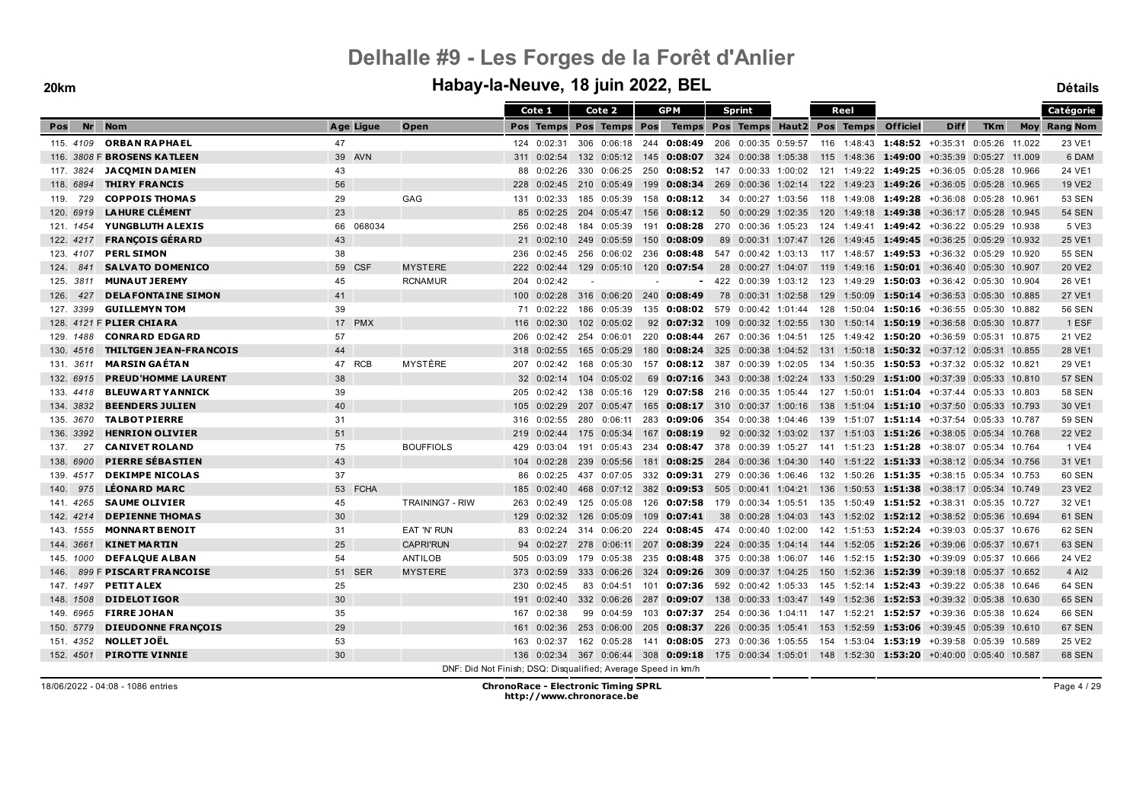#### **20km Habay-la-Neuve, 18 juin 2022, BEL Détails**

|                  |                               |           |                                                               |                  | Cote 1                  |     | Cote 2      |       | <b>GPM</b>                                                                              |                 | <b>Sprint</b>       |     | Reel |                                                                        |                         |            |        | Catégorie           |
|------------------|-------------------------------|-----------|---------------------------------------------------------------|------------------|-------------------------|-----|-------------|-------|-----------------------------------------------------------------------------------------|-----------------|---------------------|-----|------|------------------------------------------------------------------------|-------------------------|------------|--------|---------------------|
| <b>Nr</b><br>Pos | <b>Nom</b>                    | Age Ligue | Open                                                          |                  | Pos Temps Pos Temps Pos |     |             |       | Temps Pos Temps Haut2 Pos Temps                                                         |                 |                     |     |      | <b>Officiel</b>                                                        | <b>Diff</b>             | <b>TKm</b> |        | <b>Moy Rang Nom</b> |
| 115, 4109        | <b>ORBAN RAPHAEL</b>          | 47        |                                                               |                  | 124 0:02:31             |     | 306 0:06:18 |       | 244 0:08:49                                                                             |                 | 206 0:00:35 0:59:57 |     |      | 116 1:48:43 1:48:52 +0:35:31 0:05:26 11.022                            |                         |            |        | 23 VE1              |
|                  | 116. 3808 F BROSENS KATLEEN   | 39 AVN    |                                                               | 311              | 0:02:54                 |     | 132 0:05:12 | - 145 | 0:08:07 324 0:00:38 1:05:38                                                             |                 |                     |     |      | 115 1:48:36 1:49:00 +0:35:39 0:05:27 11.009                            |                         |            |        | 6 DAM               |
| 117. 3824        | <b>JACOMIN DAMIEN</b>         | 43        |                                                               | 88               | 0:02:26                 |     | 330 0:06:25 | 250   | $0:08:52$ 147                                                                           |                 | 0:00:33 1:00:02     |     |      | 121 1:49:22 1:49:25                                                    | +0:36:05 0:05:28 10.966 |            |        | 24 VE1              |
| 118. 6894        | <b>THIRY FRANCIS</b>          | 56        |                                                               | 228              | 0:02:45                 |     | 210 0:05:49 | 199   | 0:08:34                                                                                 | 269             | 0:00:36 1:02:14     |     |      | 122 1:49:23 1:49:26 +0:36:05 0:05:28 10.965                            |                         |            |        | <b>19 VE2</b>       |
| 729<br>119.      | <b>COPPOIS THOMAS</b>         | 29        | GAG                                                           | 131              | 0:02:33                 |     | 185 0:05:39 |       | 158 0:08:12                                                                             |                 | 34 0:00:27 1:03:56  |     |      | 118 1:49:08 1:49:28                                                    | +0:36:08 0:05:28 10.961 |            |        | 53 SEN              |
| 120, 6919        | <b>LAHURE CLÉMENT</b>         | 23        |                                                               | 85               | 0:02:25                 |     | 204 0:05:47 | 156   | 0:08:12                                                                                 | 50 <sup>°</sup> | 0:00:29 1:02:35     | 120 |      | 1:49:18 1:49:38                                                        | +0:36:17 0:05:28 10.945 |            |        | <b>54 SEN</b>       |
| 121, 1454        | YUNGBLUTH ALEXIS              | 66 068034 |                                                               | 256              | 0:02:48                 |     | 184 0:05:39 | 191   | 0:08:28                                                                                 |                 | 270 0:00:36 1:05:23 |     |      | 124 1:49:41 1:49:42 +0:36:22 0:05:29 10.938                            |                         |            |        | 5 VE3               |
| 122. 4217        | <b>FRANCOIS GÉRARD</b>        | 43        |                                                               |                  | 21 0:02:10              |     | 249 0:05:59 | 150   | 0:08:09                                                                                 | 89              | 0:00:31 1:07:47     | 126 |      | $1:49:45$ 1:49:45                                                      | +0:36:25 0:05:29 10.932 |            |        | 25 VE1              |
| 123. 4107        | <b>PERL SIMON</b>             | 38        |                                                               | 236              | 0:02:45                 |     | 256 0:06:02 | 236   | 0:08:48                                                                                 |                 | 547 0:00:42 1:03:13 |     |      | 117 1:48:57 1:49:53 +0:36:32 0:05:29                                   |                         |            | 10.920 | <b>55 SEN</b>       |
| 124.<br>841      | <b>SALVATO DOMENICO</b>       | 59 CSF    | <b>MYSTERE</b>                                                |                  | 222 0:02:44             |     | 129 0:05:10 |       | 120 0:07:54                                                                             |                 | 28 0:00:27 1:04:07  |     |      | 119 1:49:16 1:50:01 +0:36:40 0:05:30 10.907                            |                         |            |        | 20 VE2              |
| 125. 3811        | <b>MUNAUT JEREMY</b>          | 45        | <b>RCNAMUR</b>                                                |                  | 204 0:02:42             |     |             |       |                                                                                         |                 | 422 0:00:39 1:03:12 |     |      | 123  1:49:29 <b>1:50:03</b> +0:36:42  0:05:30  10.904                  |                         |            |        | 26 VE1              |
| 427<br>126.      | <b>DELAFONTAINE SIMON</b>     | 41        |                                                               | 100 <sup>°</sup> | 0:02:28                 |     | 316 0:06:20 |       | 240 0:08:49                                                                             |                 | 78 0:00:31 1:02:58  |     |      | 129 1:50:09 1:50:14 +0:36:53 0:05:30 10.885                            |                         |            |        | 27 VE1              |
| 127. 3399        | <b>GUILLEMYN TOM</b>          | 39        |                                                               | 71               | 0:02:22                 |     | 186 0:05:39 | 135   | $0:08:02$ 579                                                                           |                 | 0:00:42 1:01:44     |     |      | 128 1:50:04 1:50:16 +0:36:55 0:05:30 10.882                            |                         |            |        | 56 SEN              |
|                  | 128. 4121 F PLIER CHIARA      | 17 PMX    |                                                               | 116              | 0:02:30                 |     | 102 0:05:02 |       | 92 0:07:32                                                                              | 109             | 0:00:32 1:02:55     |     |      | 130 1:50:14 1:50:19                                                    | +0:36:58 0:05:30 10.877 |            |        | 1 ESF               |
| 129. 1488        | <b>CONRARD EDGARD</b>         | 57        |                                                               | 206              | 0:02:42                 |     | 254 0:06:01 |       | 220 0:08:44                                                                             | 267             | 0:00:36 1:04:51     |     |      | 125 1:49:42 1:50:20                                                    | +0:36:59 0:05:31 10.875 |            |        | 21 VE2              |
| 130. 4516        | <b>THILTGEN JEAN-FRANCOIS</b> | 44        |                                                               | 318              | 0:02:55                 |     | 165 0:05:29 | 180   | 0:08:24                                                                                 | 325             | 0:00:38 1:04:52     |     |      | 131 1:50:18 1:50:32 +0:37:12 0:05:31 10.855                            |                         |            |        | 28 VE1              |
| 131. 3611        | <b>MARSIN GAÉTAN</b>          | 47 RCB    | MYSTÈRE                                                       | 207              | 0:02:42                 |     | 168 0:05:30 | 157   | $0:08:12$ 387                                                                           |                 | 0:00:39 1:02:05     |     |      | 134 1:50:35 1:50:53 +0:37:32 0:05:32 10.821                            |                         |            |        | 29 VE1              |
| 132. 6915        | <b>PREUD'HOMME LAURENT</b>    | 38        |                                                               |                  | 32 0:02:14              |     | 104 0:05:02 | 69    | 0:07:16                                                                                 | 343             | 0:00:38 1:02:24     |     |      | 133 1:50:29 1:51:00                                                    | +0:37:39 0:05:33 10.810 |            |        | <b>57 SEN</b>       |
| 133.4418         | <b>BLEUWART YANNICK</b>       | 39        |                                                               | 205              | 0:02:42                 | 138 | 0:05:16     | 129   | 0:07:58                                                                                 | 216             | 0:00:35 1:05:44     |     |      | 127 1:50:01 1:51:04 +0:37:44 0:05:33                                   |                         |            | 10.803 | <b>58 SEN</b>       |
| 134, 3832        | <b>BEENDERS JULIEN</b>        | 40        |                                                               |                  | 105 0:02:29             |     | 207 0:05:47 | 165   | $0:08:17$ 310 0:00:37 1:00:16                                                           |                 |                     |     |      | 138 1:51:04 1:51:10 +0:37:50 0:05:33 10.793                            |                         |            |        | 30 VE1              |
| 135. 3670        | <b>TALBOT PIERRE</b>          | 31        |                                                               | 316              | 0:02:55                 | 280 | 0:06:11     | 283   | 0:09:06                                                                                 |                 | 354 0:00:38 1:04:46 |     |      | 139 1:51:07 1:51:14 +0:37:54 0:05:33 10.787                            |                         |            |        | <b>59 SEN</b>       |
| 136, 3392        | <b>HENRION OLIVIER</b>        | 51        |                                                               | 219              | 0:02:44                 |     | 175 0:05:34 | 167   | 0:08:19                                                                                 |                 |                     |     |      | 92  0:00:32  1:03:02  137  1:51:03  1:51:26  +0:38:05  0:05:34  10.768 |                         |            |        | 22 VE2              |
| 137.<br>27       | <b>CANIVET ROLAND</b>         | 75        | <b>BOUFFIOLS</b>                                              | 429              | 0:03:04                 |     | 191 0:05:43 | 234   | 0:08:47                                                                                 | 378             | 0:00:39 1:05:27     |     |      | 141 1:51:23 1:51:28 +0:38:07 0:05:34 10.764                            |                         |            |        | 1 VE4               |
| 138, 6900        | <b>PIERRE SÉBASTIEN</b>       | 43        |                                                               | 104              | 0:02:28                 | 239 | 0:05:56     | 181   | 0:08:25                                                                                 | 284             | 0:00:36 1:04:30     |     |      | 140 1:51:22 1:51:33                                                    | +0:38:12 0:05:34 10.756 |            |        | 31 VE1              |
| 139. 4517        | <b>DEKIMPE NICOLAS</b>        | 37        |                                                               | 86               | 0:02:25                 | 437 | 0:07:05     |       | 332 0:09:31 279                                                                         |                 | 0:00:36 1:06:46     |     |      | 132 1:50:26 1:51:35                                                    | +0:38:15 0:05:34 10.753 |            |        | 60 SEN              |
| 975<br>140.      | <b>LÉONARD MARC</b>           | 53 FCHA   |                                                               | 185              | 0:02:40                 |     | 468 0:07:12 | 382   | 0:09:53                                                                                 | 505             | 0:00:41 1:04:21     |     |      | 136 1:50:53 1:51:38                                                    | +0:38:17 0:05:34 10.749 |            |        | 23 VE2              |
| 141.4265         | <b>SAUME OLIVIER</b>          | 45        | <b>TRAINING7 - RIW</b>                                        | 263              | 0:02:49                 |     | 125 0:05:08 | 126   | 0:07:58                                                                                 |                 | 179 0:00:34 1:05:51 |     |      | 135 1:50:49 1:51:52 +0:38:31 0:05:35 10.727                            |                         |            |        | 32 VE1              |
| 142, 4214        | <b>DEPIENNE THOMAS</b>        | 30        |                                                               | 129              | 0:02:32                 |     | 126 0:05:09 | 109   | 0:07:41                                                                                 | 38              | 0:00:28 1:04:03     |     |      | 143 1:52:02 1:52:12 +0:38:52 0:05:36 10.694                            |                         |            |        | <b>61 SEN</b>       |
| 143. 1555        | <b>MONNART BENOIT</b>         | 31        | EAT 'N' RUN                                                   | 83               | 0:02:24                 |     | 314 0:06:20 | 224   | 0:08:45                                                                                 | 474             | 0:00:40 1:02:00     |     |      | 142 1:51:53 1:52:24 +0:39:03 0:05:37 10.676                            |                         |            |        | 62 SEN              |
| 144, 3661        | <b>KINET MARTIN</b>           | 25        | <b>CAPRI'RUN</b>                                              |                  | 94 0:02:27              |     | 278 0:06:11 | 207   | 0:08:39                                                                                 |                 | 224 0:00:35 1:04:14 |     |      | 144 1:52:05 1:52:26 +0:39:06 0:05:37 10.671                            |                         |            |        | <b>63 SEN</b>       |
| 145. 1000        | <b>DEFALQUE ALBAN</b>         | 54        | ANTILOB                                                       | 505              | 0:03:09                 |     | 179 0:05:38 | 235   | 0:08:48                                                                                 |                 | 375 0:00:38 1:06:07 |     |      | 146 1:52:15 1:52:30 +0:39:09 0:05:37 10.666                            |                         |            |        | 24 VE2              |
| 146.             | 899 F PISCART FRANCOISE       | 51 SER    | <b>MYSTERE</b>                                                | 373              | 0:02:59                 |     | 333 0:06:26 | 324   | 0:09:26                                                                                 | 309             | 0:00:37 1:04:25     |     |      | 150 1:52:36 1:52:39 +0:39:18 0:05:37 10.652                            |                         |            |        | 4 AI2               |
| 147, 1497        | <b>PETIT ALEX</b>             | 25        |                                                               | 230              | 0:02:45                 |     | 83 0:04:51  | 101   | 0:07:36                                                                                 |                 | 592 0:00:42 1:05:33 |     |      | 145 1:52:14 1:52:43 +0:39:22 0:05:38 10.646                            |                         |            |        | 64 SEN              |
| 148, 1508        | <b>DIDELOTIGOR</b>            | 30        |                                                               | 191              | 0:02:40                 |     | 332 0:06:26 | 287   | 0:09:07                                                                                 | 138             | 0:00:33 1:03:47     |     |      | $149$ 1:52:36 <b>1:52:53</b> +0:39:32 0:05:38                          |                         |            | 10.630 | 65 SEN              |
| 149. 6965        | <b>FIRRE JOHAN</b>            | 35        |                                                               | 167              | 0:02:38                 |     | 99 0:04:59  | 103   | 0:07:37                                                                                 |                 | 254 0:00:36 1:04:11 |     |      | 147 1:52:21 1:52:57 +0:39:36 0:05:38 10.624                            |                         |            |        | 66 SEN              |
| 150. 5779        | <b>DIEUDONNE FRANÇOIS</b>     | 29        |                                                               | 161              | 0:02:36                 |     | 253 0:06:00 | 205   | 0:08:37                                                                                 | 226             | 0:00:35 1:05:41     |     |      | 153 1:52:59 1:53:06                                                    | +0:39:45 0:05:39 10.610 |            |        | <b>67 SEN</b>       |
| 151.4352         | <b>NOLLET JOËL</b>            | 53        |                                                               | 163              | 0:02:37                 |     | 162 0:05:28 | 141   | 0:08:05                                                                                 |                 | 273 0:00:36 1:05:55 |     |      | 154 1:53:04 1:53:19                                                    | +0:39:58 0:05:39 10.589 |            |        | 25 VE2              |
| 152, 4501        | <b>PIROTTE VINNIE</b>         | 30        |                                                               | 136              | 0:02:34                 |     |             |       | 367 0:06:44 308 0:09:18 175 0:00:34 1:05:01 148 1:52:30 1:53:20 +0:40:00 0:05:40 10.587 |                 |                     |     |      |                                                                        |                         |            |        | 68 SEN              |
|                  |                               |           | DNF: Did Not Finish; DSQ: Disqualified; Average Speed in km/h |                  |                         |     |             |       |                                                                                         |                 |                     |     |      |                                                                        |                         |            |        |                     |

18/06/2022 - 04:08 - 1086 entries **ChronoRace - Electronic Timing SPRL http://www.chronorace.be**

Page 4 / 29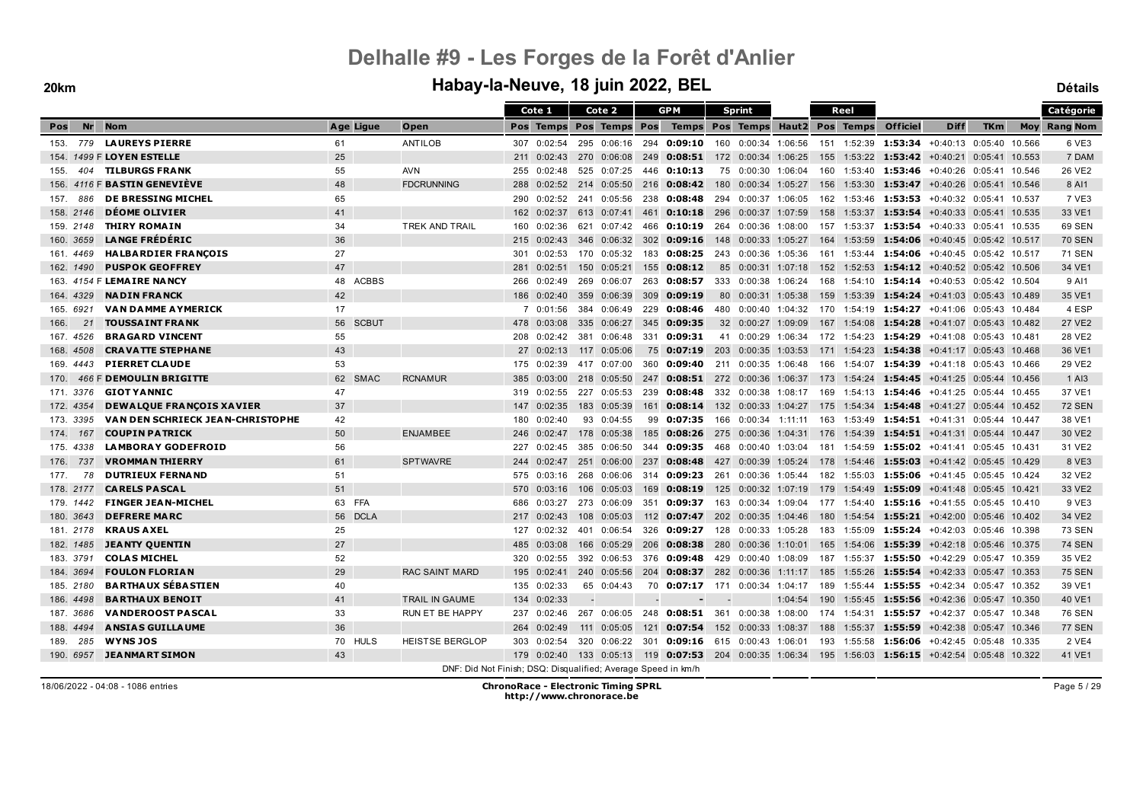### **20km Habay-la-Neuve, 18 juin 2022, BEL Détails**

|             |                                         |    |              |                                                               |     | Cote 1                  |     | Cote 2                |     | <b>GPM</b>                                                                                      |                          | Sprint              |         |     | Reel            |                                                                 |                           |            |        | Catégorie           |
|-------------|-----------------------------------------|----|--------------|---------------------------------------------------------------|-----|-------------------------|-----|-----------------------|-----|-------------------------------------------------------------------------------------------------|--------------------------|---------------------|---------|-----|-----------------|-----------------------------------------------------------------|---------------------------|------------|--------|---------------------|
| Nr<br>Pos   | <b>Nom</b>                              |    | Age Ligue    | Open                                                          |     | Pos Temps Pos Temps Pos |     |                       |     | Temps                                                                                           |                          | Pos Temps           |         |     | Haut2 Pos Temps | <b>Officiel</b>                                                 | <b>Diff</b>               | <b>TKm</b> |        | <b>Moy Rang Nom</b> |
| 153.<br>779 | <b>LAUREYS PIERRE</b>                   | 61 |              | ANTILOB                                                       |     | 307 0:02:54             |     | 295 0:06:16           | 294 | 0:09:10                                                                                         |                          | 160 0:00:34 1:06:56 |         |     | 151 1:52:39     | 1:53:34 +0:40:13 0:05:40 10.566                                 |                           |            |        | 6 VE3               |
|             | 154. 1499 F LOYEN ESTELLE               | 25 |              |                                                               |     | 211 0:02:43             |     | 270 0:06:08           | 249 | <b>0:08:51</b> 172 0:00:34 1:06:25                                                              |                          |                     |         |     |                 | 155 1:53:22 1:53:42 +0:40:21 0:05:41 10.553                     |                           |            |        | 7 DAM               |
| 404<br>155. | <b>TILBURGS FRANK</b>                   | 55 |              | <b>AVN</b>                                                    | 255 | 0:02:48                 |     | 525 0:07:25           | 446 | 0:10:13                                                                                         |                          | 75 0:00:30 1:06:04  |         | 160 |                 | 1:53:40 1:53:46                                                 | +0:40:26 0:05:41 10.546   |            |        | 26 VE2              |
| 156.        | 4116 F BASTIN GENEVIÈVE                 | 48 |              | <b>FDCRUNNING</b>                                             | 288 |                         |     | $0:02:52$ 214 0:05:50 |     | 216 0:08:42                                                                                     |                          | 180 0:00:34 1:05:27 |         | 156 |                 | 1:53:30 1:53:47 +0:40:26 0:05:41 10.546                         |                           |            |        | 8 AI1               |
| 886<br>157. | <b>DE BRESSING MICHEL</b>               | 65 |              |                                                               | 290 |                         |     | 0:02:52 241 0:05:56   |     | 238 0:08:48                                                                                     |                          | 294 0:00:37 1:06:05 |         | 162 |                 | 1:53:46 1:53:53 +0:40:32 0:05:41 10.537                         |                           |            |        | 7 VE3               |
| 158. 2146   | <b>DÉOME OLIVIER</b>                    | 41 |              |                                                               | 162 | 0:02:37                 |     | 613 0:07:41           | 461 | <b>0:10:18</b> 296 0:00:37 1:07:59                                                              |                          |                     |         | 158 |                 | $1:53:37$ <b>1:53:54</b>                                        | +0:40:33 0:05:41 10.535   |            |        | 33 VE1              |
| 159. 2148   | <b>THIRY ROMAIN</b>                     | 34 |              | TREK AND TRAIL                                                | 160 | 0:02:36                 |     | 621 0:07:42           | 466 | $0:10:19$ 264 0:00:36 1:08:00                                                                   |                          |                     |         |     | 157 1:53:37     | 1:53:54 +0:40:33 0:05:41 10.535                                 |                           |            |        | <b>69 SEN</b>       |
| 160. 3659   | <b>LANGE FRÉDÉRIC</b>                   | 36 |              |                                                               | 215 | 0:02:43                 |     | 346 0:06:32           | 302 | 0:09:16                                                                                         | 148                      | 0:00:33 1:05:27     |         | 164 | 1:53:59         | 1:54:06                                                         | +0:40:45 0:05:42 10.517   |            |        | <b>70 SEN</b>       |
| 161. 4469   | <b>HALBARDIER FRANÇOIS</b>              | 27 |              |                                                               | 301 | 0:02:53                 |     | 170 0:05:32           | 183 | 0:08:25                                                                                         | 243                      | 0:00:36 1:05:36     |         | 161 |                 | 1:53:44 1:54:06                                                 | +0:40:45 0:05:42 10.517   |            |        | <b>71 SEN</b>       |
| 162, 1490   | <b>PUSPOK GEOFFREY</b>                  | 47 |              |                                                               |     | 281 0:02:51             |     | 150 0:05:21           |     | 155 0:08:12                                                                                     |                          | 85 0:00:31 1:07:18  |         |     |                 | 152 1:52:53 1:54:12 +0:40:52 0:05:42 10.506                     |                           |            |        | 34 VE1              |
|             | 163. 4154 F LEMAIRE NANCY               |    | 48 ACBBS     |                                                               | 266 | 0:02:49                 |     | 269 0:06:07           | 263 | 0:08:57                                                                                         |                          | 333 0:00:38 1:06:24 |         |     |                 | 168 1:54:10 1:54:14 +0:40:53 0:05:42 10.504                     |                           |            |        | 9 AI1               |
| 164, 4329   | <b>NADIN FRANCK</b>                     | 42 |              |                                                               | 186 | 0:02:40                 |     | 359 0:06:39           | 309 | 0:09:19                                                                                         |                          | 80 0:00:31 1:05:38  |         |     |                 | 159 1:53:39 1:54:24 +0:41:03 0:05:43 10.489                     |                           |            |        | 35 VE1              |
| 165. 6921   | <b>VAN DAMME AYMERICK</b>               | 17 |              |                                                               | 7   | 0:01:56                 |     | 384 0:06:49           | 229 | 0:08:46                                                                                         |                          | 480 0:00:40 1:04:32 |         |     |                 | 170 1:54:19 1:54:27 +0:41:06 0:05:43 10.484                     |                           |            |        | 4 ESP               |
| 21<br>166.  | <b>TOUSSAINT FRANK</b>                  | 56 | <b>SCBUT</b> |                                                               | 478 | 0:03:08                 |     | 335 0:06:27           | 345 | 0:09:35                                                                                         |                          | 32 0:00:27 1:09:09  |         |     |                 | 167 1:54:08 1:54:28                                             | +0:41:07 0:05:43 10.482   |            |        | <b>27 VE2</b>       |
| 167. 4526   | <b>BRAGARD VINCENT</b>                  | 55 |              |                                                               | 208 | 0:02:42                 | 381 | 0:06:48               | 331 | 0:09:31                                                                                         |                          | 41 0:00:29 1:06:34  |         |     |                 | 172 1:54:23 1:54:29                                             | +0:41:08 0:05:43 10.481   |            |        | 28 VE2              |
| 168. 4508   | <b>CRAVATTE STEPHANE</b>                | 43 |              |                                                               | 27  | 0:02:13                 |     | 117 0:05:06           |     | 75 0:07:19                                                                                      |                          | 203 0:00:35 1:03:53 |         |     |                 | 171 1:54:23 1:54:38                                             | +0:41:17 0:05:43 10.468   |            |        | 36 VE1              |
| 169.4443    | <b>PIERRET CLAUDE</b>                   | 53 |              |                                                               | 175 | 0:02:39                 |     | 417 0:07:00           |     | 360 0:09:40                                                                                     | 211                      | 0:00:35 1:06:48     |         | 166 |                 | 1:54:07 1:54:39                                                 | $+0.41:18$ 0:05:43 10.466 |            |        | 29 VE2              |
| 170.        | 466 F DEMOULIN BRIGITTE                 | 62 | <b>SMAC</b>  | <b>RCNAMUR</b>                                                | 385 | 0:03:00                 |     | 218 0:05:50           | 247 | $0:08:51$ 272 0:00:36 1:06:37                                                                   |                          |                     |         | 173 |                 | 1:54:24 1:54:45                                                 | +0:41:25 0:05:44 10.456   |            |        | $1$ AI <sub>3</sub> |
| 171.3376    | <b>GIOT YANNIC</b>                      | 47 |              |                                                               | 319 | 0:02:55                 |     | 227 0:05:53           | 239 | 0:08:48                                                                                         |                          | 332 0:00:38 1:08:17 |         |     |                 | 169  1:54:13 <b>1:54:46</b>                                     | +0:41:25 0:05:44 10.455   |            |        | 37 VE1              |
| 172. 4354   | <b>DEWALQUE FRANÇOIS XAVIER</b>         | 37 |              |                                                               |     | 147 0:02:35             |     | 183 0:05:39           | 161 | 0:08:14                                                                                         |                          | 132 0:00:33 1:04:27 |         | 175 |                 | 1:54:34 1:54:48                                                 | +0:41:27 0:05:44 10.452   |            |        | <b>72 SEN</b>       |
| 173. 3395   | <b>VAN DEN SCHRIECK JEAN-CHRISTOPHE</b> | 42 |              |                                                               |     | 180 0:02:40             |     | 93 0:04:55            |     | 99 0:07:35                                                                                      |                          |                     |         |     |                 | 166 0:00:34 1:11:11 163 1:53:49 1:54:51 +0:41:31 0:05:44 10.447 |                           |            |        | 38 VE1              |
| 174. 167    | <b>COUPIN PATRICK</b>                   | 50 |              | <b>ENJAMBEE</b>                                               |     | 246 0:02:47             |     | 178 0:05:38           | 185 | $0:08:26$ 275 0:00:36 1:04:31                                                                   |                          |                     |         |     |                 | 176 1:54:39 1:54:51 +0:41:31 0:05:44 10.447                     |                           |            |        | 30 VE2              |
| 175, 4338   | <b>LAMBORAY GODEFROID</b>               | 56 |              |                                                               | 227 | 0:02:45                 |     | 385 0:06:50           |     | 344 0:09:35 468 0:00:40 1:03:04                                                                 |                          |                     |         |     |                 | 181 1:54:59 1:55:02 +0:41:41 0:05:45 10.431                     |                           |            |        | 31 VE2              |
| 737<br>176. | <b>VROMMAN THIERRY</b>                  | 61 |              | <b>SPTWAVRE</b>                                               | 244 | 0:02:47                 |     | 251 0:06:00           | 237 | 0:08:48                                                                                         | 427                      | 0:00:39 1:05:24     |         |     |                 | 178 1:54:46 1:55:03                                             | $+0.41:42 \quad 0.05:45$  |            | 10.429 | 8 VE3               |
| 78<br>177.  | <b>DUTRIEUX FERNAND</b>                 | 51 |              |                                                               | 575 | 0:03:16                 | 268 | 0:06:06               |     | 314 0:09:23                                                                                     | 261                      | 0:00:36             | 1:05:44 | 182 |                 | 1:55:03 1:55:06                                                 | $+0:41:45$ 0:05:45 10.424 |            |        | 32 VE2              |
| 178. 2177   | <b>CARELS PASCAL</b>                    | 51 |              |                                                               | 570 | 0:03:16                 |     | 106 0:05:03           | 169 | 0:08:19                                                                                         |                          | 125 0:00:32 1:07:19 |         | 179 |                 | 1:54:49 1:55:09                                                 | +0:41:48 0:05:45 10.421   |            |        | 33 VE2              |
| 179. 1442   | <b>FINGER JEAN-MICHEL</b>               |    | 63 FFA       |                                                               | 686 | 0:03:27                 |     | 273 0:06:09           | 351 | 0:09:37                                                                                         | 163                      | 0:00:34 1:09:04     |         |     |                 | 177 1:54:40 1:55:16 +0:41:55 0:05:45 10.410                     |                           |            |        | 9 VE3               |
| 180. 3643   | <b>DEFRERE MARC</b>                     | 56 | <b>DCLA</b>  |                                                               | 217 | 0:02:43                 | 108 | 0:05:03               | 112 | $0:07:47$ 202 0:00:35 1:04:46                                                                   |                          |                     |         | 180 |                 | $1:54:54$ 1:55:21 $+0:42:00$ 0:05:46 10.402                     |                           |            |        | 34 VE2              |
| 181. 2178   | <b>KRAUS AXEL</b>                       | 25 |              |                                                               | 127 | 0:02:32                 | 401 | 0:06:54               |     | 326 0:09:27                                                                                     |                          | 128 0:00:33 1:05:28 |         | 183 |                 | 1:55:09 1:55:24 +0:42:03 0:05:46 10.398                         |                           |            |        | <b>73 SEN</b>       |
| 182. 1485   | <b>JEANTY QUENTIN</b>                   | 27 |              |                                                               | 485 | 0:03:08                 |     | 166 0:05:29           | 206 | $0:08:38$ 280                                                                                   |                          | 0:00:36 1:10:01     |         | 165 |                 | 1:54:06 1:55:39                                                 | +0:42:18 0:05:46 10.375   |            |        | <b>74 SEN</b>       |
| 183. 3791   | <b>COLAS MICHEL</b>                     | 52 |              |                                                               | 320 | 0:02:55                 |     | 392 0:06:53           |     | 376 0:09:48                                                                                     |                          | 429 0:00:40 1:08:09 |         |     |                 | 187 1:55:37 1:55:50 +0:42:29 0:05:47 10.359                     |                           |            |        | 35 VE2              |
| 184, 3694   | <b>FOULON FLORIAN</b>                   | 29 |              | <b>RAC SAINT MARD</b>                                         |     | 195 0:02:41             |     | 240 0:05:56           | 204 | 0:08:37                                                                                         |                          | 282 0:00:36 1:11:17 |         | 185 |                 | 1:55:26 1:55:54 +0:42:33 0:05:47 10.353                         |                           |            |        | <b>75 SEN</b>       |
| 185. 2180   | <b>BARTHAUX SÉBASTIEN</b>               | 40 |              |                                                               | 135 | 0:02:33                 |     | 65 0:04:43            |     | 70 0:07:17 171                                                                                  |                          | 0:00:34 1:04:17     |         | 189 |                 | 1:55:44 1:55:55 +0:42:34 0:05:47 10.352                         |                           |            |        | 39 VE1              |
| 186, 4498   | <b>BARTHAUX BENOIT</b>                  | 41 |              | TRAIL IN GAUME                                                |     | 134 0:02:33             |     |                       |     |                                                                                                 | $\overline{\phantom{a}}$ |                     | 1:04:54 | 190 |                 | 1:55:45 1:55:56 +0:42:36 0:05:47 10.350                         |                           |            |        | 40 VE1              |
| 187. 3686   | <b>VANDEROOST PASCAL</b>                | 33 |              | <b>RUN ET BE HAPPY</b>                                        | 237 | 0:02:46                 |     | 267 0:06:05           |     | 248 0:08:51                                                                                     | 361                      | 0:00:38 1:08:00     |         |     |                 | 174 1:54:31 1:55:57                                             | +0:42:37 0:05:47          |            | 10.348 | 76 SEN              |
| 188. 4494   | <b>ANSIAS GUILLAUME</b>                 | 36 |              |                                                               | 264 | 0:02:49                 |     | 111 0:05:05           |     | 121 0:07:54 152 0:00:33 1:08:37                                                                 |                          |                     |         |     |                 | 188 1:55:37 1:55:59 +0:42:38 0:05:47 10.346                     |                           |            |        | <b>77 SEN</b>       |
| 285<br>189. | <b>WYNSJOS</b>                          |    | 70 HULS      | <b>HEISTSE BERGLOP</b>                                        | 303 | 0:02:54                 |     | 320 0:06:22           | 301 | 0:09:16 615 0:00:43 1:06:01                                                                     |                          |                     |         | 193 |                 | 1:55:58 1:56:06 +0:42:45 0:05:48 10.335                         |                           |            |        | 2 VE4               |
| 190, 6957   | <b>JEANMART SIMON</b>                   | 43 |              |                                                               | 179 |                         |     |                       |     | 0:02:40 133 0:05:13 119 0:07:53 204 0:00:35 1:06:34 195 1:56:03 1:56:15 +0:42:54 0:05:48 10.322 |                          |                     |         |     |                 |                                                                 |                           |            |        | 41 VE1              |
|             |                                         |    |              | DNF: Did Not Finish; DSQ: Disqualified; Average Speed in km/h |     |                         |     |                       |     |                                                                                                 |                          |                     |         |     |                 |                                                                 |                           |            |        |                     |

18/06/2022 - 04:08 - 1086 entries **ChronoRace - Electronic Timing SPRL http://www.chronorace.be**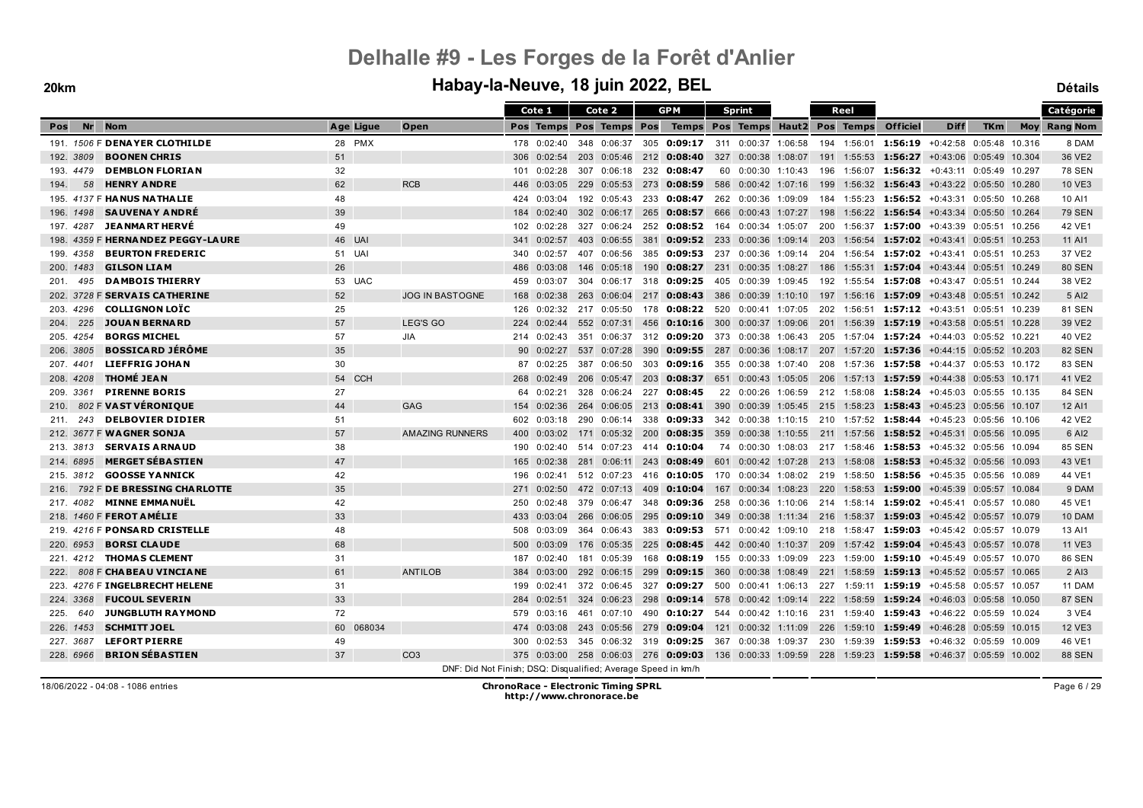|                  |                                    |              |                                                               |                 | Cote 1                  |     | Cote 2              |       | <b>GPM</b>                                                                                          |     | <b>Sprint</b>       |     | Reel        |                                                                                       |                          |            |        | Catégorie           |
|------------------|------------------------------------|--------------|---------------------------------------------------------------|-----------------|-------------------------|-----|---------------------|-------|-----------------------------------------------------------------------------------------------------|-----|---------------------|-----|-------------|---------------------------------------------------------------------------------------|--------------------------|------------|--------|---------------------|
| <b>Nr</b><br>Pos | <b>Nom</b>                         | Age Ligue    | Open                                                          |                 | Pos Temps Pos Temps Pos |     |                     |       | Temps Pos Temps Haut2 Pos Temps                                                                     |     |                     |     |             | <b>Officiel</b>                                                                       | <b>Diff</b>              | <b>TKm</b> |        | <b>Moy Rang Nom</b> |
|                  | 191. 1506 F DENAYER CLOTHILDE      | 28 PMX       |                                                               |                 | 178 0:02:40             |     | 348 0:06:37         |       | 305 0:09:17 311 0:00:37 1:06:58                                                                     |     |                     |     | 194 1:56:01 | 1:56:19 +0:42:58 0:05:48 10.316                                                       |                          |            |        | 8 DAM               |
| 192. 3809        | <b>BOONEN CHRIS</b>                | 51           |                                                               | 306             | 0:02:54                 |     | 203 0:05:46         |       | 212 0:08:40 327 0:00:38 1:08:07                                                                     |     |                     |     |             | 191 1:55:53 1:56:27 +0:43:06 0:05:49                                                  |                          |            | 10.304 | 36 VE2              |
| 193. 4479        | <b>DEMBLON FLORIAN</b>             | 32           |                                                               | 101             | 0:02:28                 |     | 307 0:06:18         | 232   | 0:08:47                                                                                             |     | 60 0:00:30 1:10:43  | 196 |             | $1:56:07$ 1:56:32 +0:43:11 0:05:49 10.297                                             |                          |            |        | <b>78 SEN</b>       |
| 58<br>194.       | <b>HENRY ANDRE</b>                 | 62           | <b>RCB</b>                                                    | 446             | 0:03:05                 |     | 229 0:05:53         | 273   | $0:08:59$ 586 0:00:42 1:07:16                                                                       |     |                     |     |             | 199 1:56:32 1:56:43 +0:43:22 0:05:50                                                  |                          |            | 10.280 | 10 VE3              |
| 195.             | 4137 F HANUS NATHALIE              | 48           |                                                               | 424             | 0:03:04                 |     | 192 0:05:43         | 233   | 0:08:47                                                                                             |     | 262 0:00:36 1:09:09 |     |             | 184 1:55:23 1:56:52 +0:43:31 0:05:50 10.268                                           |                          |            |        | 10 AI1              |
| 196. 1498        | <b>SAUVENAY ANDRÉ</b>              | 39           |                                                               | 184             | 0:02:40                 |     | $302 \quad 0:06:17$ | 265   | 0:08:57                                                                                             | 666 | $0:00:43$ 1:07:27   | 198 |             | 1:56:22 1:56:54                                                                       | $+0.43.34 \quad 0.05.50$ |            | 10.264 | <b>79 SEN</b>       |
| 197. 4287        | <b>JEANMARTHERVE</b>               | 49           |                                                               | 102             | 0:02:28                 |     | 327 0:06:24         |       | 252 0:08:52 164                                                                                     |     | 0:00:34 1:05:07     |     |             | 200 1:56:37 1:57:00 +0:43:39 0:05:51 10.256                                           |                          |            |        | 42 VE1              |
|                  | 198. 4359 F HERNA NDEZ PEGGY-LAURE | 46 UAI       |                                                               | 341             | 0:02:57                 |     | 403 0:06:55         | 381   | $0:09:52$ 233 0:00:36 1:09:14                                                                       |     |                     | 203 |             | 1:56:54 <b>1:57:02</b> +0:43:41 0:05:51 10.253                                        |                          |            |        | 11 AI1              |
| 4358<br>199.     | <b>BEURTON FREDERIC</b>            | 51 UAI       |                                                               | 340             | 0:02:57                 |     | 407 0:06:56         |       | 385 0:09:53 237 0:00:36 1:09:14                                                                     |     |                     |     |             | 204 1:56:54 1:57:02 +0:43:41 0:05:51                                                  |                          |            | 10.253 | 37 VE2              |
| 200. 1483        | <b>GILSON LIAM</b>                 | 26           |                                                               | 486             | 0:03:08                 |     | 146 0:05:18         | 190   | 0:08:27                                                                                             | 231 | 0:00:35 1:08:27     | 186 |             | 1:55:31 1:57:04                                                                       | +0:43:44 0:05:51         |            | 10.249 | <b>80 SEN</b>       |
| 201.<br>495      | <b>DAMBOIS THIERRY</b>             | 53 UAC       |                                                               | 459             | 0:03:07                 |     | 304 0:06:17         | 318   | $0:09:25$ 405 0:00:39 1:09:45                                                                       |     |                     |     |             | 192 1:55:54 1:57:08 +0:43:47 0:05:51 10.244                                           |                          |            |        | 38 VE2              |
|                  | 202. 3728 F SERVAIS CATHERINE      | 52           | <b>JOG IN BASTOGNE</b>                                        | 168             | 0:02:38                 |     | 263 0:06:04         | 217   | $0:08:43$ 386 0:00:39 1:10:10                                                                       |     |                     |     |             | 197 1:56:16 1:57:09                                                                   | +0:43:48 0:05:51 10.242  |            |        | 5 AI2               |
| 203. 4296        | <b>COLLIGNON LOTC</b>              | 25           |                                                               | 126             | 0:02:32                 |     | 217 0:05:50         |       | 178 0:08:22 520 0:00:41 1:07:05                                                                     |     |                     |     |             | 202 1:56:51 1:57:12 +0:43:51 0:05:51 10.239                                           |                          |            |        | <b>81 SEN</b>       |
| 225<br>204.      | <b>JOUAN BERNARD</b>               | 57           | LEG'S GO                                                      | 224             | 0:02:44                 |     | 552 0:07:31         | 456   | <b>0:10:16</b> 300 0:00:37 1:09:06                                                                  |     |                     |     |             | 201 1:56:39 1:57:19                                                                   | +0:43:58 0:05:51 10.228  |            |        | 39 VE2              |
| 205.<br>4254     | <b>BORGS MICHEL</b>                | 57           | JIA                                                           | 214             | 0:02:43                 | 351 | 0:06:37             |       | 312 0:09:20                                                                                         | 373 | 0:00:38 1:06:43     |     |             | 205 1:57:04 1:57:24 +0:44:03 0:05:52                                                  |                          |            | 10.221 | 40 VE2              |
| 206. 3805        | <b>BOSSICARD JÉRÔME</b>            | 35           |                                                               | 90 <sup>°</sup> | 0:02:27                 |     | 537 0:07:28         | 390   |                                                                                                     |     |                     |     |             | <b>0:09:55</b> 287 0:00:36 1:08:17 207 1:57:20 <b>1:57:36</b> +0:44:15 0:05:52 10.203 |                          |            |        | <b>82 SEN</b>       |
| 207.4401         | <b>LIEFFRIG JOHAN</b>              | 30           |                                                               | 87              | 0:02:25                 |     | 387 0:06:50         |       | 303 <b>0:09:16</b> 355 0:00:38 1:07:40                                                              |     |                     |     |             | 208 1:57:36 1:57:58 +0:44:37 0:05:53 10.172                                           |                          |            |        | <b>83 SEN</b>       |
| 208. 4208        | <b>THOMÉ JEAN</b>                  | 54 CCH       |                                                               | 268             | 0:02:49                 | 206 | 0:05:47             | 203   | <b>0:08:37</b> 651 0:00:43 1:05:05                                                                  |     |                     |     |             | 206 1:57:13 1:57:59 +0:44:38 0:05:53 10.171                                           |                          |            |        | 41 VE2              |
| 209. 3361        | <b>PIRENNE BORIS</b>               | 27           |                                                               | 64              | 0:02:21                 |     | 328 0:06:24         |       | 227 0:08:45                                                                                         |     | 22 0:00:26 1:06:59  |     |             | 212 1:58:08 1:58:24 +0:45:03 0:05:55 10.135                                           |                          |            |        | <b>84 SEN</b>       |
| 210.             | 802 F VAST VÉRONIQUE               | 44           | <b>GAG</b>                                                    | 154             | 0:02:36                 |     | 264 0:06:05         | 213   | 0:08:41                                                                                             |     | 390 0:00:39 1:05:45 |     |             | 215 1:58:23 1:58:43                                                                   | $+0.45.23$ 0.05.56       |            | 10.107 | 12 AI1              |
| 243<br>211.      | <b>DELBOVIER DIDIER</b>            | 51           |                                                               | 602             | 0:03:18                 | 290 | 0:06:14             | 338   | $0:09:33$ 342 0:00:38 1:10:15                                                                       |     |                     |     |             | 210 1:57:52 1:58:44 +0:45:23 0:05:56                                                  |                          |            | 10.106 | 42 VE2              |
|                  | 212. 3677 F WAGNER SONJA           | 57           | <b>AMAZING RUNNERS</b>                                        | 400             | 0:03:02                 |     | 171 0:05:32         | - 200 |                                                                                                     |     |                     |     |             | 211 1:57:56 1:58:52 +0:45:31 0:05:56 10.095                                           |                          |            |        | 6 AI2               |
| 213.3813         | <b>SERVAIS ARNAUD</b>              | 38           |                                                               | 190             | 0:02:40                 |     | 514 0:07:23         |       | 414 0:10:04                                                                                         |     | 74 0:00:30 1:08:03  |     |             | 217 1:58:46 1:58:53 +0:45:32 0:05:56 10.094                                           |                          |            |        | <b>85 SEN</b>       |
| 214. 6895        | <b>MERGET SÉBASTIEN</b>            | 47           |                                                               | 165             | 0:02:38                 |     | 281 0:06:11         | 243   | <b>0:08:49</b> 601 0:00:42 1:07:28 213 1:58:08 1:58:53 +0:45:32 0:05:56 10.093                      |     |                     |     |             |                                                                                       |                          |            |        | 43 VE1              |
| 215. 3812        | <b>GOOSSE YANNICK</b>              | 42           |                                                               | 196             | 0:02:41                 |     | 512 0:07:23         | 416   | 0:10:05                                                                                             |     | 170 0:00:34 1:08:02 |     |             | 219 1:58:50 1:58:56 +0:45:35 0:05:56 10.089                                           |                          |            |        | 44 VE1              |
| 216.             | 792 F DE BRESSING CHARLOTTE        | 35           |                                                               | 271             | 0:02:50                 |     | 472 0:07:13         | 409   | 0:10:04                                                                                             |     | 167 0:00:34 1:08:23 |     |             | 220 1:58:53 1:59:00 +0:45:39 0:05:57 10.084                                           |                          |            |        | 9 DAM               |
|                  | 217. 4082 MINNE EMMANUËL           | 42           |                                                               | 250             | 0:02:48                 |     | 379 0:06:47         | 348   | $0:09:36$ 258                                                                                       |     | 0:00:36 1:10:06     |     |             | 214 1:58:14 1:59:02 +0:45:41 0:05:57 10.080                                           |                          |            |        | 45 VE1              |
|                  | 218. 1460 F FEROT AMÉLIE           | 33           |                                                               | 433             | 0:03:04                 |     | 266 0:06:05         | 295   | $0:09:10$ 349                                                                                       |     | $0:00:38$ 1:11:34   |     | 216 1:58:37 | 1:59:03                                                                               | +0:45:42 0:05:57 10.079  |            |        | 10 DAM              |
|                  | 219. 4216 F PONSARD CRISTELLE      | 48           |                                                               | 508             | 0:03:09                 |     | 364 0:06:43         | 383   | 0:09:53 571                                                                                         |     | 0:00:42 1:09:10     |     |             | 218 1:58:47 1:59:03 +0:45:42 0:05:57 10.079                                           |                          |            |        | 13 AI1              |
| 220. 6953        | <b>BORSI CLAUDE</b>                | 68           |                                                               | 500             | 0:03:09                 |     | 176 0:05:35         | 225   | <b>0:08:45</b> 442 0:00:40 1:10:37                                                                  |     |                     | 209 |             | 1:57:42 1:59:04 +0:45:43 0:05:57 10.078                                               |                          |            |        | <b>11 VE3</b>       |
| 221.<br>4212     | <b>THOMAS CLEMENT</b>              | 31           |                                                               | 187             | 0:02:40                 | 181 | 0:05:39             | 168   | $0:08:19$ 155 0:00:33 1:09:09                                                                       |     |                     |     |             | 223 1:59:00 1:59:10 +0:45:49 0:05:57                                                  |                          |            | 10.070 | <b>86 SEN</b>       |
| 222.             | 808 F CHABEAU VINCIANE             | 61           | <b>ANTILOB</b>                                                | 384             | 0:03:00                 |     | 292 0:06:15         | 299   | $0:09:15$ 360                                                                                       |     | $0:00:38$ 1:08:49   | 221 | 1:58:59     | $1:59:13$ +0:45:52 0:05:57 10.065                                                     |                          |            |        | 2 AI3               |
|                  | 223. 4276 F INGELBRECHT HELENE     | 31           |                                                               | 199             | 0:02:41                 |     | 372 0:06:45         |       | 327 0:09:27                                                                                         |     |                     |     |             | 500 0:00:41 1:06:13 227 1:59:11 1:59:19 +0:45:58 0:05:57 10.057                       |                          |            |        | 11 DAM              |
| 224. 3368        | <b>FUCOUL SEVERIN</b>              | 33           |                                                               | 284             | 0:02:51                 |     | 324 0:06:23         | 298   |                                                                                                     |     |                     |     |             | <b>0:09:14</b> 578 0:00:42 1:09:14 222 1:58:59 <b>1:59:24</b> +0:46:03 0:05:58        |                          |            | 10.050 | <b>87 SEN</b>       |
| 225.<br>640      | <b>JUNGBLUTH RAYMOND</b>           | 72           |                                                               | 579             | 0:03:16                 |     | 461 0:07:10         |       | 490 0:10:27 544 0:00:42 1:10:16 231 1:59:40 1:59:43 +0:46:22 0:05:59 10.024                         |     |                     |     |             |                                                                                       |                          |            |        | 3 VE4               |
| 226, 1453        | <b>SCHMITT JOEL</b>                | 068034<br>60 |                                                               | 474             | 0:03:08                 |     | 243 0:05:56         | 279   | 0:09:04                                                                                             | 121 | $0:00:32$ 1:11:09   | 226 |             | 1:59:10 1:59:49                                                                       | $+0.46.28$ 0.05.59       |            | 10.015 | <b>12 VE3</b>       |
| 227.3687         | <b>LEFORT PIERRE</b>               | 49           |                                                               | 300             | 0:02:53                 |     | 345 0:06:32         |       | 319 0:09:25                                                                                         | 367 | 0:00:38 1:09:37     |     |             | 230 1:59:39 1:59:53 +0:46:32 0:05:59                                                  |                          |            | 10.009 | 46 VE1              |
| 228. 6966        | <b>BRION SÉBASTIEN</b>             | 37           | CO <sub>3</sub>                                               |                 |                         |     |                     |       | 375 0:03:00 258 0:06:03 276 0:09:03 136 0:00:33 1:09:59 228 1:59:23 1:59:58 +0:46:37 0:05:59 10.002 |     |                     |     |             |                                                                                       |                          |            |        | <b>88 SEN</b>       |
|                  |                                    |              | DNF: Did Not Finish; DSQ: Disqualified; Average Speed in km/h |                 |                         |     |                     |       |                                                                                                     |     |                     |     |             |                                                                                       |                          |            |        |                     |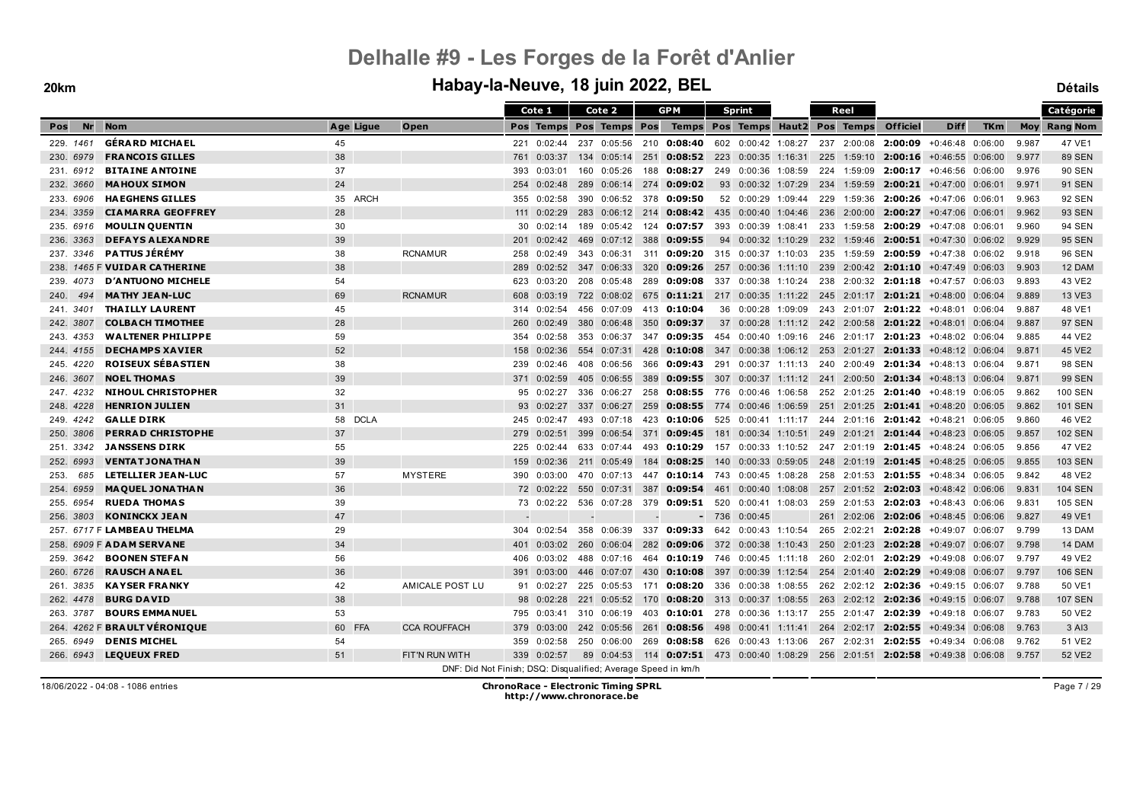|                  |                              |                   |                                                               |     | Cote 1              |     | Cote 2                  |     | <b>GPM</b>                                                                      |     | <b>Sprint</b>       |     | Reel        |                                                                                |                            |            |       | Catégorie           |
|------------------|------------------------------|-------------------|---------------------------------------------------------------|-----|---------------------|-----|-------------------------|-----|---------------------------------------------------------------------------------|-----|---------------------|-----|-------------|--------------------------------------------------------------------------------|----------------------------|------------|-------|---------------------|
| <b>Nr</b><br>Pos | <b>Nom</b>                   | Age Ligue         | Open                                                          |     |                     |     | Pos Temps Pos Temps Pos |     | Temps Pos Temps Haut2 Pos Temps                                                 |     |                     |     |             | Officiel                                                                       | <b>Diff</b>                | <b>TKm</b> |       | <b>Moy Rang Nom</b> |
| 229. 1461        | <b>GÉRARD MICHAEL</b>        | 45                |                                                               |     | 221 0:02:44         |     |                         |     | 237 0:05:56 210 0:08:40 602 0:00:42 1:08:27                                     |     |                     |     | 237 2:00:08 |                                                                                | $2:00:09$ +0:46:48 0:06:00 |            | 9.987 | 47 VE1              |
| 230, 6979        | <b>FRANCOIS GILLES</b>       | 38                |                                                               | 761 | 0:03:37             |     | 134 0:05:14             | 251 | $0:08:52$ 223 0:00:35 1:16:31                                                   |     |                     |     |             | 225 1:59:10 2:00:16 +0:46:55 0:06:00                                           |                            |            | 9.977 | <b>89 SEN</b>       |
| 231, 6912        | <b>BITAINE ANTOINE</b>       | 37                |                                                               | 393 | 0:03:01             |     | 160 0:05:26             | 188 | 0:08:27                                                                         |     | 249 0:00:36 1:08:59 |     | 224 1:59:09 |                                                                                | $2:00:17$ +0:46:56 0:06:00 |            | 9.976 | <b>90 SEN</b>       |
| 232, 3660        | <b>MAHOUX SIMON</b>          | 24                |                                                               | 254 | 0:02:48             |     | 289 0:06:14             | 274 | 0:09:02                                                                         |     | 93 0:00:32 1:07:29  |     |             | 234 1:59:59 2:00:21 +0:47:00 0:06:01                                           |                            |            | 9.971 | <b>91 SEN</b>       |
| 233.6906         | <b>HAEGHENS GILLES</b>       | 35 ARCH           |                                                               | 355 | 0:02:58             |     | 390 0:06:52 378         |     | 0:09:50                                                                         |     | 52 0:00:29 1:09:44  |     |             | 229 1:59:36 2:00:26 +0:47:06 0:06:01                                           |                            |            | 9.963 | 92 SEN              |
| 234, 3359        | <b>CIAMARRA GEOFFREY</b>     | 28                |                                                               |     | $111 \quad 0:02:29$ |     | 283 0:06:12 214         |     | 0:08:42                                                                         |     | 435 0:00:40 1:04:46 | 236 | 2:00:00     | 2:00:27                                                                        | $+0.47:06$ 0:06:01         |            | 9.962 | <b>93 SEN</b>       |
| 235. 6916        | <b>MOULIN QUENTIN</b>        | 30                |                                                               | 30  | 0:02:14             |     | 189 0:05:42             |     | 124 0:07:57                                                                     |     | 393 0:00:39 1:08:41 |     | 233 1:59:58 | 2:00:29                                                                        | +0:47:08 0:06:01           |            | 9.960 | <b>94 SEN</b>       |
| 236, 3363        | <b>DEFAYS ALEXANDRE</b>      | 39                |                                                               | 201 | 0:02:42             |     | 469 0:07:12 388         |     | 0:09:55                                                                         |     | 94 0:00:32 1:10:29  |     |             | 232 1:59:46 2:00:51 +0:47:30 0:06:02                                           |                            |            | 9.929 | 95 SEN              |
| 237. 3346        | <b>PATTUS JÉRÉMY</b>         | 38                | <b>RCNAMUR</b>                                                | 258 | 0:02:49             |     | 343 0:06:31             |     | 311 <b>0:09:20</b> 315 0:00:37 1:10:03                                          |     |                     |     | 235 1:59:59 | <b>2:00:59</b> $+0:47:38$ 0:06:02                                              |                            |            | 9.918 | <b>96 SEN</b>       |
|                  | 238. 1465 F VUIDAR CATHERINE | 38                |                                                               | 289 | 0:02:52             |     | 347 0:06:33             | 320 | $0:09:26$ 257 0:00:36 1:11:10                                                   |     |                     |     |             | 239 2:00:42 2:01:10 +0:47:49 0:06:03                                           |                            |            | 9.903 | 12 DAM              |
| 239, 4073        | <b>D'ANTUONO MICHELE</b>     | 54                |                                                               |     | 623 0:03:20         |     | 208 0:05:48             |     | 289 0:09:08 337 0:00:38 1:10:24                                                 |     |                     |     |             | 238 2:00:32 2:01:18 +0:47:57 0:06:03                                           |                            |            | 9.893 | 43 VE2              |
| 494<br>240.      | <b>MATHY JEAN-LUC</b>        | 69                | <b>RCNAMUR</b>                                                | 608 | 0:03:19             |     | 722 0:08:02             | 675 | <b>0:11:21</b> 217 0:00:35 1:11:22 245 2:01:17 2:01:21 +0:48:00 0:06:04         |     |                     |     |             |                                                                                |                            |            | 9.889 | 13 VE3              |
| 241. 3401        | <b>THAILLY LAURENT</b>       | 45                |                                                               |     | 314 0:02:54         |     | 456 0:07:09             |     | 413 0:10:04                                                                     |     | 36 0:00:28 1:09:09  |     |             | 243 2:01:07 2:01:22 +0:48:01 0:06:04                                           |                            |            | 9.887 | 48 VE1              |
| 242, 3807        | <b>COLBACH TIMOTHEE</b>      | 28                |                                                               | 260 | 0:02:49             |     | 380 0:06:48             | 350 | 0:09:37                                                                         |     |                     |     |             | 37 0:00:28 1:11:12 242 2:00:58 2:01:22 +0:48:01 0:06:04                        |                            |            | 9.887 | <b>97 SEN</b>       |
| 243.4353         | <b>WALTENER PHILIPPE</b>     | 59                |                                                               | 354 | 0:02:58             |     | 353 0:06:37             |     | 347 0:09:35 454 0:00:40 1:09:16                                                 |     |                     |     |             | 246 2:01:17 2:01:23 +0:48:02 0:06:04                                           |                            |            | 9.885 | 44 VE2              |
| 244, 4155        | <b>DECHAMPS XAVIER</b>       | 52                |                                                               | 158 | 0:02:36             |     | 554 0:07:31             | 428 | <b>0:10:08</b> 347 0:00:38 1:06:12 253 2:01:27 <b>2:01:33</b> +0:48:12 0:06:04  |     |                     |     |             |                                                                                |                            |            | 9.871 | 45 VE2              |
| 245. 4220        | <b>ROISEUX SÉBASTIEN</b>     | 38                |                                                               | 239 | 0:02:46             |     | 408 0:06:56             | 366 | <b>0:09:43</b> 291 0:00:37 1:11:13 240 2:00:49 2:01:34 +0:48:13 0:06:04         |     |                     |     |             |                                                                                |                            |            | 9.871 | 98 SEN              |
| 246, 3607        | <b>NOEL THOMAS</b>           | 39                |                                                               | 371 | 0:02:59             | 405 | 0:06:55                 | 389 |                                                                                 |     |                     |     |             | <b>0:09:55</b> 307 0:00:37 1:11:12 241 2:00:50 <b>2:01:34</b> +0:48:13 0:06:04 |                            |            | 9.871 | <b>99 SEN</b>       |
| 247. 4232        | <b>NIHOUL CHRISTOPHER</b>    | 32                |                                                               |     | 95 0:02:27          |     | 336 0:06:27             |     | 258 0:08:55 776 0:00:46 1:06:58                                                 |     |                     |     |             | 252 2:01:25 2:01:40 +0:48:19 0:06:05                                           |                            |            | 9.862 | <b>100 SEN</b>      |
| 248. 4228        | <b>HENRION JULIEN</b>        | 31                |                                                               | 93  | 0:02:27             |     | 337 0:06:27             | 259 | $0:08:55$ 774                                                                   |     | 0:00:46 1:06:59     |     | 251 2:01:25 |                                                                                | $2:01:41$ +0:48:20 0:06:05 |            | 9.862 | <b>101 SEN</b>      |
| 249. 4242        | <b>GALLE DIRK</b>            | 58<br><b>DCLA</b> |                                                               |     | 245 0:02:47         | 493 | 0:07:18                 | 423 | 0:10:06                                                                         | 525 | 0:00:41 1:11:17     |     |             | 244 2:01:16 2:01:42 +0:48:21 0:06:05                                           |                            |            | 9.860 | 46 VE2              |
| 250, 3806        | <b>PERRAD CHRISTOPHE</b>     | 37                |                                                               |     | 279 0:02:51         |     | 399 0:06:54             |     | 371 <b>0:09:45</b>                                                              |     | 181 0:00:34 1:10:51 |     |             | 249 2:01:21 2:01:44 +0:48:23 0:06:05                                           |                            |            | 9.857 | <b>102 SEN</b>      |
| 251, 3342        | <b>JANSSENS DIRK</b>         | 55                |                                                               | 225 | 0:02:44             |     | 633 0:07:44             | 493 | <b>0:10:29</b> 157 0:00:33 1:10:52                                              |     |                     |     |             | 247 2:01:19 2:01:45 +0:48:24 0:06:05                                           |                            |            | 9.856 | 47 VE2              |
| 252. 6993        | <b>VENTAT JONATHAN</b>       | 39                |                                                               | 159 | 0:02:36             |     | 211 0:05:49             | 184 | $0:08:25$ 140 0:00:33 0:59:05                                                   |     |                     |     |             | 248 2:01:19 2:01:45 +0:48:25 0:06:05                                           |                            |            | 9.855 | <b>103 SEN</b>      |
| 685<br>253.      | <b>LETELLIER JEAN-LUC</b>    | 57                | <b>MYSTERE</b>                                                | 390 | 0:03:00             |     | 470 0:07:13             |     | 447 0:10:14 743 0:00:45 1:08:28                                                 |     |                     |     |             | 258 2:01:53 2:01:55 +0:48:34 0:06:05                                           |                            |            | 9.842 | 48 VE2              |
| 254. 6959        | <b>MAQUEL JONATHAN</b>       | 36                |                                                               |     | 72 0:02:22          |     | 550 0:07:31             |     | 387 0:09:54 461 0:00:40 1:08:08                                                 |     |                     |     |             | 257 2:01:52 2:02:03 +0:48:42 0:06:06                                           |                            |            | 9.831 | <b>104 SEN</b>      |
| 255. 6954        | <b>RUEDA THOMAS</b>          | 39                |                                                               |     |                     |     |                         |     | 73  0:02:22  536  0:07:28  379  0:09:51  520  0:00:41  1:08:03                  |     |                     |     |             | 259 2:01:53 2:02:03 +0:48:43 0:06:06                                           |                            |            | 9.831 | 105 SEN             |
| 256, 3803        | <b>KONINCKX JEAN</b>         | 47                |                                                               |     |                     |     |                         |     |                                                                                 |     | $-7360:0:00:45$     |     | 261 2:02:06 | 2:02:06                                                                        | $+0.48:45$ 0:06:06         |            | 9.827 | 49 VE1              |
|                  | 257. 6717 F LAMBEAU THELMA   | 29                |                                                               | 304 | 0:02:54             |     | 358 0:06:39             | 337 | $0:09:33$ 642 0:00:43 1:10:54                                                   |     |                     | 265 | 2:02:21     | 2:02:28                                                                        | +0:49:07 0:06:07           |            | 9.799 | 13 DAM              |
|                  | 258. 6909 F ADAM SERVANE     | 34                |                                                               | 401 |                     |     | $0:03:02$ 260 0:06:04   |     | 282 0:09:06 372 0:00:38 1:10:43                                                 |     |                     |     |             | 250 2:01:23 2:02:28                                                            | +0:49:07 0:06:07           |            | 9.798 | 14 DAM              |
| 259. 3642        | <b>BOONEN STEFAN</b>         | 56                |                                                               | 406 | 0:03:02             |     | 488 0:07:16             |     | 464 0:10:19 746 0:00:45 1:11:18                                                 |     |                     |     | 260 2:02:01 | 2:02:29                                                                        | +0:49:08 0:06:07           |            | 9.797 | 49 VE2              |
| 260. 6726        | <b>RAUSCH ANAEL</b>          | 36                |                                                               | 391 | 0:03:00             | 446 | 0:07:07                 | 430 | 0:10:08                                                                         | 397 | 0:00:39 1:12:54     |     |             | 254 2:01:40 2:02:29                                                            | $+0.49.08$ 0.06:07         |            | 9.797 | <b>106 SEN</b>      |
| 261.3835         | <b>KAYSER FRANKY</b>         | 42                | AMICALE POST LU                                               |     | 91 0:02:27          |     | 225 0:05:53             |     | 171 <b>0:08:20</b> 336 0:00:38 1:08:55                                          |     |                     |     |             | 262 2:02:12 2:02:36 +0:49:15 0:06:07                                           |                            |            | 9.788 | 50 VE1              |
| 262. 4478        | <b>BURG DAVID</b>            | 38                |                                                               | 98  | 0:02:28             |     | 221 0:05:52             | 170 | <b>0:08:20</b> 313 0:00:37 1:08:55                                              |     |                     |     |             | 263 2:02:12 2:02:36                                                            | +0:49:15 0:06:07           |            | 9.788 | <b>107 SEN</b>      |
| 263. 3787        | <b>BOURS EMMANUEL</b>        | 53                |                                                               | 795 | 0:03:41             |     | 310 0:06:19             |     | 403 0:10:01 278 0:00:36 1:13:17 255 2:01:47 2:02:39 +0:49:18 0:06:07            |     |                     |     |             |                                                                                |                            |            | 9.783 | 50 VE2              |
|                  | 264. 4262 F BRAULT VERONIQUE | 60 FFA            | <b>CCA ROUFFACH</b>                                           | 379 | 0:03:00             |     | 242 0:05:56             | 261 | <b>0:08:56</b> 498 0:00:41 1:11:41                                              |     |                     |     |             | 264 2:02:17 2:02:55                                                            | $+0.49.34$ 0.06.08         |            | 9.763 | 3 AI3               |
| 265. 6949        | <b>DENIS MICHEL</b>          | 54                |                                                               | 359 | 0:02:58             |     | 250 0:06:00             | 269 | 0:08:58                                                                         |     | 626 0:00:43 1:13:06 |     | 267 2:02:31 |                                                                                | $2:02:55$ +0:49:34 0:06:08 |            | 9.762 | 51 VE2              |
| 266, 6943        | <b>LEQUEUX FRED</b>          | 51                | FIT'N RUN WITH                                                |     | 339 0:02:57         |     |                         |     | 89 0:04:53 114 0:07:51 473 0:00:40 1:08:29 256 2:01:51 2:02:58 +0:49:38 0:06:08 |     |                     |     |             |                                                                                |                            |            | 9.757 | 52 VE2              |
|                  |                              |                   | DNF: Did Not Finish; DSQ: Disqualified; Average Speed in km/h |     |                     |     |                         |     |                                                                                 |     |                     |     |             |                                                                                |                            |            |       |                     |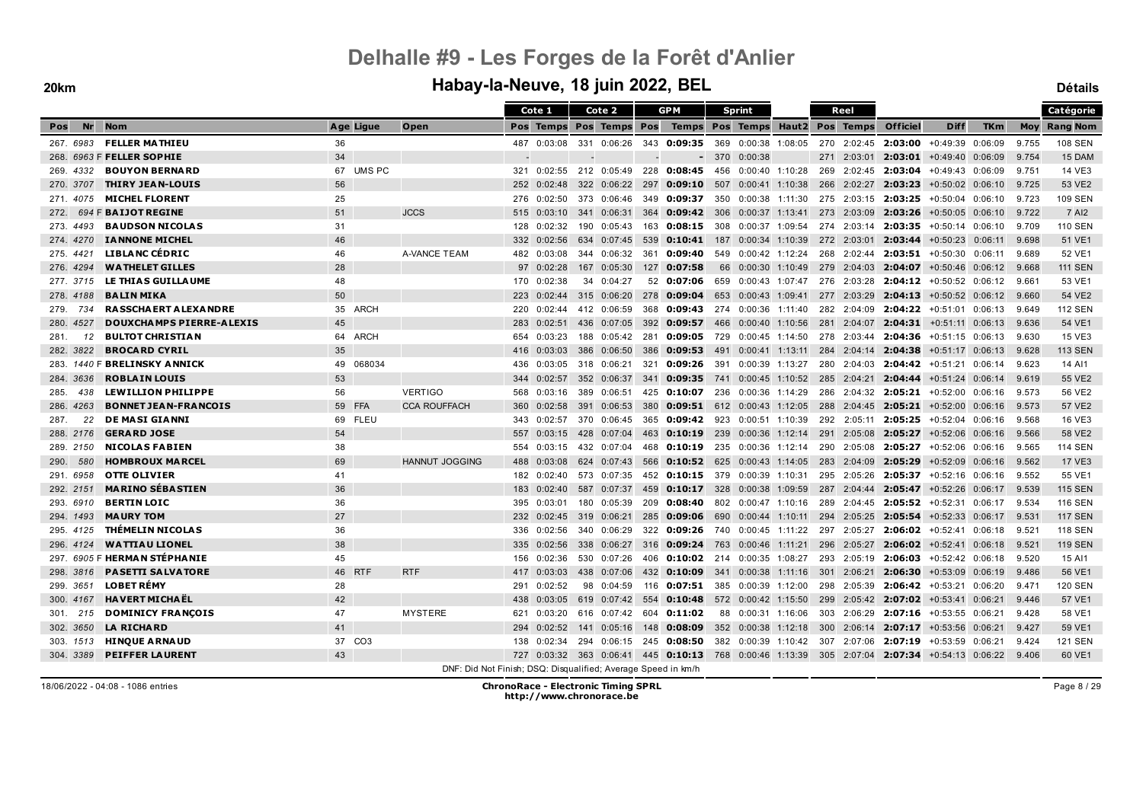#### **20km Habay-la-Neuve, 18 juin 2022, BEL Détails**

|                  |                                 |              |                       | Cote 1                                                        | Cote 2                                                                                       | <b>GPM</b>             |               | <b>Sprint</b>                                                           |     | Reel        |                                                        |                             |            |       | Catégorie           |
|------------------|---------------------------------|--------------|-----------------------|---------------------------------------------------------------|----------------------------------------------------------------------------------------------|------------------------|---------------|-------------------------------------------------------------------------|-----|-------------|--------------------------------------------------------|-----------------------------|------------|-------|---------------------|
| <b>Nr</b><br>Pos | <b>Nom</b>                      | Age Ligue    | Open                  |                                                               | Pos Temps Pos Temps Pos                                                                      |                        |               | Temps Pos Temps Haut2 Pos Temps                                         |     |             | <b>Officiel</b>                                        | <b>Diff</b>                 | <b>TKm</b> |       | <b>Moy Rang Nom</b> |
|                  | 267. 6983 FELLER MATHIEU        | 36           |                       | 487 0:03:08                                                   | 331 0:06:26                                                                                  | 343 <b>0:09:35</b> 369 |               | 0:00:38 1:08:05                                                         |     |             | 270 2:02:45 2:03:00 +0:49:39 0:06:09                   |                             |            | 9.755 | <b>108 SEN</b>      |
|                  | 268. 6963 F FELLER SOPHIE       | 34           |                       |                                                               |                                                                                              |                        |               | $-370$<br>0:00:38                                                       |     |             | 271 2:03:01 2:03:01 +0:49:40 0:06:09                   |                             |            | 9.754 | 15 DAM              |
| 269. 4332        | <b>BOUYON BERNARD</b>           | 67 UMS PC    |                       | 0:02:55<br>321                                                | 212 0:05:49                                                                                  | 228                    | $0:08:45$ 456 | 0:00:40 1:10:28                                                         | 269 |             | 2:02:45 2:03:04 +0:49:43 0:06:09                       |                             |            | 9.751 | 14 VE3              |
| 270, 3707        | <b>THIRY JEAN-LOUIS</b>         | 56           |                       | 252<br>0:02:48                                                | 322 0:06:22                                                                                  | 297 0:09:10            |               | 507 0:00:41 1:10:38                                                     |     | 266 2:02:27 | 2:03:23                                                | $+0.50.02 \quad 0.06.10$    |            | 9.725 | 53 VE2              |
| 271, 4075        | <b>MICHEL FLORENT</b>           | 25           |                       | 276<br>0:02:50                                                | 373 0:06:46                                                                                  | 349 0:09:37            |               | 350 0:00:38 1:11:30 275 2:03:15 2:03:25                                 |     |             |                                                        | +0:50:04 0:06:10            |            | 9.723 | 109 SEN             |
| 272.             | 694 F BAIJOT REGINE             | 51           | <b>JCCS</b>           | 0:03:10<br>515                                                | 341 0:06:31                                                                                  | 364                    | $0:09:42$ 306 | $0:00:37$ 1:13:41                                                       |     | 273 2:03:09 | 2:03:26                                                | $+0.50:05$ 0:06:10          |            | 9.722 | 7 AI2               |
| 273.4493         | <b>BAUDSON NICOLAS</b>          | 31           |                       | 0:02:32<br>128                                                | 190 0:05:43                                                                                  | 163                    | $0:08:15$ 308 | 0:00:37 1:09:54                                                         |     | 274 2:03:14 |                                                        | $2:03:35 +0:50:14 0:06:10$  |            | 9.709 | <b>110 SEN</b>      |
| 274, 4270        | <b>IANNONE MICHEL</b>           | 46           |                       | 332<br>0:02:56                                                | 634 0:07:45                                                                                  | 539                    | 0:10:41       | 187 0:00:34 1:10:39 272 2:03:01                                         |     |             |                                                        | 2:03:44 +0:50:23 0:06:11    |            | 9.698 | 51 VE1              |
| 275. 4421        | LIBLANC CÉDRIC                  | 46           | A-VANCE TEAM          | 0:03:08<br>482                                                | 344 0:06:32                                                                                  | 361                    | 0:09:40       | 549 0:00:42 1:12:24                                                     |     |             | 268 2:02:44 2:03:51 +0:50:30 0:06:11                   |                             |            | 9.689 | 52 VE1              |
| 276, 4294        | <b>WATHELET GILLES</b>          | 28           |                       | 97 0:02:28                                                    | 167 0:05:30                                                                                  | 127                    | 0:07:58       | 66 0:00:30 1:10:49                                                      |     |             | 279 2:04:03 2:04:07 +0:50:46 0:06:12                   |                             |            | 9.668 | <b>111 SEN</b>      |
| 277. 3715        | LE THIAS GUILLAUME              | 48           |                       | 170 0:02:38                                                   | 0:04:27<br>34                                                                                | 52 0:07:06             |               | 659 0:00:43 1:07:47                                                     |     |             | 276 2:03:28 2:04:12 +0:50:52 0:06:12                   |                             |            | 9.661 | 53 VE1              |
| 278.4188         | <b>BALIN MIKA</b>               | 50           |                       | 223<br>0:02:44                                                | 315 0:06:20                                                                                  | 278                    | 0:09:04       | 653 0:00:43 1:09:41                                                     |     |             | 277 2:03:29 2:04:13                                    | +0:50:52 0:06:12            |            | 9.660 | 54 VE2              |
| 734<br>279.      | <b>RASSCHAERT ALEXANDRE</b>     | 35 ARCH      |                       | 0:02:44<br>220                                                | 412 0:06:59                                                                                  |                        |               | 368 0:09:43 274 0:00:36 1:11:40                                         |     |             | 282 2:04:09 2:04:22 +0:51:01 0:06:13                   |                             |            | 9.649 | <b>112 SEN</b>      |
| 4527<br>280.     | <b>DOUXCHAMPS PIERRE-ALEXIS</b> | 45           |                       | 283<br>0:02:51                                                | 436 0:07:05                                                                                  | 392                    | 0:09:57       | 466 0:00:40 1:10:56                                                     |     |             | 281 2:04:07 2:04:31 +0:51:11 0:06:13                   |                             |            | 9.636 | 54 VE1              |
| 281.<br>12       | <b>BULTOT CHRISTIAN</b>         | 64 ARCH      |                       | 654<br>0:03:23                                                | 188<br>0:05:42                                                                               | 281                    | 0:09:05       | 729<br>$0:00:45$ 1:14:50                                                | 278 | 2:03:44     |                                                        | $2:04:36 + 0:51:15 0:06:13$ |            | 9.630 | 15 VE3              |
| 282. 3822        | <b>BROCARD CYRIL</b>            | 35           |                       | 0:03:03<br>416                                                | 386 0:06:50                                                                                  | 386                    | 0:09:53       | 491 0:00:41 1:13:11                                                     |     |             | 284 2:04:14 2:04:38                                    | +0:51:17 0:06:13            |            | 9.628 | <b>113 SEN</b>      |
|                  | 283. 1440 F BRELINSKY ANNICK    | 068034<br>49 |                       | 0:03:05<br>436                                                | 318 0:06:21                                                                                  | 321                    | 0:09:26       | 391<br>0:00:39 1:13:27                                                  |     |             | 280 2:04:03 2:04:42 +0:51:21 0:06:14                   |                             |            | 9.623 | 14 AI1              |
| 284, 3636        | <b>ROBLAIN LOUIS</b>            | 53           |                       | 0:02:57<br>344                                                | 352 0:06:37                                                                                  | 341                    | 0:09:35       | 741<br>0:00:45 1:10:52                                                  |     | 285 2:04:21 |                                                        | $2:04:44$ +0:51:24 0:06:14  |            | 9.619 | 55 VE2              |
| 285.<br>438      | <b>LEWILLION PHILIPPE</b>       | 56           | <b>VERTIGO</b>        | 568<br>0:03:16                                                | 389<br>0:06:51                                                                               | 425                    | 0:10:07       | 236<br>0:00:36 1:14:29                                                  |     |             | 286 2:04:32 2:05:21 +0:52:00 0:06:16                   |                             |            | 9.573 | 56 VE2              |
| 4263<br>286.     | <b>BONNET JEAN-FRANCOIS</b>     | 59 FFA       | <b>CCA ROUFFACH</b>   | 360<br>0:02:58                                                | 391<br>0:06:53                                                                               | 380                    | 0:09:51       | 612 0:00:43 1:12:05                                                     | 288 |             | $2:04:45$ 2:05:21 $+0:52:00$                           |                             | 0:06:16    | 9.573 | 57 VE2              |
| 22<br>287.       | <b>DE MASI GIANNI</b>           | 69 FLEU      |                       | 0:02:57<br>343                                                | 370 0:06:45                                                                                  | 365 <b>0:09:42</b> 923 |               | 0:00:51 1:10:39                                                         | 292 |             | 2:05:11 2:05:25                                        | $+0.52:04$ 0:06:16          |            | 9.568 | 16 VE3              |
| 288. 2176        | <b>GERARD JOSE</b>              | 54           |                       | 557<br>0:03:15                                                | 428 0:07:04                                                                                  | 463                    | 0:10:19       | 239<br>$0:00:36$ 1:12:14                                                |     |             | 291 2:05:08 2:05:27                                    | $+0.52:06$ 0:06:16          |            | 9.566 | 58 VE2              |
| 289. 2150        | <b>NICOLAS FABIEN</b>           | 38           |                       | 554<br>0:03:15                                                | 432 0:07:04                                                                                  | 468 0:10:19            |               | 235                                                                     |     |             | $0.00:36$ 1:12:14 290 2:05:08 2:05:27 +0:52:06 0:06:16 |                             |            | 9.565 | <b>114 SEN</b>      |
| 580<br>290.      | <b>HOMBROUX MARCEL</b>          | 69           | <b>HANNUT JOGGING</b> | 0:03:08<br>488                                                | 624 0:07:43                                                                                  | 566                    |               | <b>0:10:52</b> 625 0:00:43 1:14:05 283 2:04:09 2:05:29 +0:52:09 0:06:16 |     |             |                                                        |                             |            | 9.562 | <b>17 VE3</b>       |
| 291. 6958        | <b>OTTE OLIVIER</b>             | 41           |                       | 182<br>0:02:40                                                | 573 0:07:35                                                                                  | 452 0:10:15 379        |               | 0:00:39 1:10:31                                                         |     |             | 295 2:05:26 2:05:37 +0:52:16 0:06:16                   |                             |            | 9.552 | 55 VE1              |
| 292, 2151        | <b>MARINO SÉBASTIEN</b>         | 36           |                       | 0:02:40<br>183                                                | 587 0:07:37                                                                                  | 459                    | $0:10:17$ 328 | 0:00:38 1:09:59                                                         |     |             | 287 2:04:44 2:05:47 +0:52:26 0:06:17                   |                             |            | 9.539 | <b>115 SEN</b>      |
| 293. 6910        | <b>BERTIN LOIC</b>              | 36           |                       | 395<br>0:03:01                                                | 180 0:05:39                                                                                  | 209                    | 0:08:40       | 802 0:00:47 1:10:16                                                     | 289 |             | 2:04:45 2:05:52 +0:52:31 0:06:17                       |                             |            | 9.534 | <b>116 SEN</b>      |
| 294. 1493        | <b>MAURY TOM</b>                | 27           |                       | 0:02:45<br>232                                                | 319 0:06:21                                                                                  | 285                    | 0:09:06       | 690<br>$0:00:44$ 1:10:11                                                | 294 | 2:05:25     | 2:05:54                                                | $+0.52.33 \quad 0.06.17$    |            | 9.531 | <b>117 SEN</b>      |
| 295. 4125        | <b>THÉMELIN NICOLAS</b>         | 36           |                       | 336<br>0:02:56                                                | 340 0:06:29                                                                                  |                        |               | 322 0:09:26 740 0:00:45 1:11:22                                         |     |             | 297 2:05:27 2:06:02 +0:52:41 0:06:18                   |                             |            | 9.521 | <b>118 SEN</b>      |
| 296. 4124        | <b>WATTIAU LIONEL</b>           | 38           |                       | 0:02:56<br>335                                                | 338 0:06:27                                                                                  | 316                    | $0:09:24$ 763 | 0:00:46 1:11:21                                                         |     | 296 2:05:27 |                                                        | $2:06:02 + 0.52:41 0.06:18$ |            | 9.521 | <b>119 SEN</b>      |
|                  | 297. 6905 F HERMAN STEPHANIE    | 45           |                       | 0:02:36<br>156                                                | 530 0:07:26                                                                                  |                        |               | 406 0:10:02 214 0:00:35 1:08:27                                         |     |             | 293 2:05:19 2:06:03                                    | +0:52:42 0:06:18            |            | 9.520 | 15 AI1              |
| 298. 3816        | <b>PASETTI SALVATORE</b>        | 46 RTF       | <b>RTF</b>            | 417<br>0:03:03                                                | 438 0:07:06                                                                                  | 432                    | 0:10:09       | - 341<br>$0:00:38$ 1:11:16                                              | 301 | 2:06:21     | 2:06:30                                                | $+0.53.09$ $0.06.19$        |            | 9.486 | 56 VE1              |
| 299. 3651        | <b>LOBET RÉMY</b>               | 28           |                       | 0:02:52<br>291                                                | 98 0:04:59                                                                                   |                        |               | 116 <b>0:07:51</b> 385 0:00:39 1:12:00                                  |     |             | 298 2:05:39 2:06:42 +0:53:21 0:06:20                   |                             |            | 9.471 | <b>120 SEN</b>      |
| 300. 4167        | <b>HAVERT MICHAËL</b>           | 42           |                       | 438<br>0:03:05                                                | 619 0:07:42 554                                                                              |                        |               | <b>0:10:48</b> 572 0:00:42 1:15:50                                      |     |             | 299 2:05:42 2:07:02 +0:53:41 0:06:21                   |                             |            | 9.446 | 57 VE1              |
| 301. 215         | <b>DOMINICY FRANÇOIS</b>        | 47           | <b>MYSTERE</b>        | 0:03:20<br>621                                                | 616 0:07:42                                                                                  | 604 0:11:02            |               | 88 0:00:31 1:16:06                                                      |     |             | 303 2:06:29 2:07:16 +0:53:55 0:06:21                   |                             |            | 9.428 | 58 VE1              |
| 302. 3650        | <b>LA RICHARD</b>               | 41           |                       | 294<br>0:02:52                                                | 141 0:05:16                                                                                  | 148                    | 0:08:09       | 352 0:00:38 1:12:18                                                     | 300 |             | 2:06:14 2:07:17                                        | +0:53:56 0:06:21            |            | 9.427 | 59 VE1              |
| 303. 1513        | <b>HINQUE ARNAUD</b>            | 37 CO3       |                       | 138<br>0:02:34                                                | 294<br>0:06:15                                                                               | 245 0:08:50            |               | 382<br>0:00:39 1:10:42                                                  | 307 | 2:07:06     | 2:07:19                                                | +0:53:59 0:06:21            |            | 9.424 | <b>121 SEN</b>      |
| 304, 3389        | <b>PEIFFER LAURENT</b>          | 43           |                       |                                                               | 727 0:03:32 363 0:06:41 445 0:10:13 768 0:00:46 1:13:39 305 2:07:04 2:07:34 +0:54:13 0:06:22 |                        |               |                                                                         |     |             |                                                        |                             |            | 9.406 | 60 VE1              |
|                  |                                 |              |                       | DNF: Did Not Finish; DSQ: Disqualified; Average Speed in km/h |                                                                                              |                        |               |                                                                         |     |             |                                                        |                             |            |       |                     |

18/06/2022 - 04:08 - 1086 entries **ChronoRace - Electronic Timing SPRL http://www.chronorace.be**

Page 8 / 29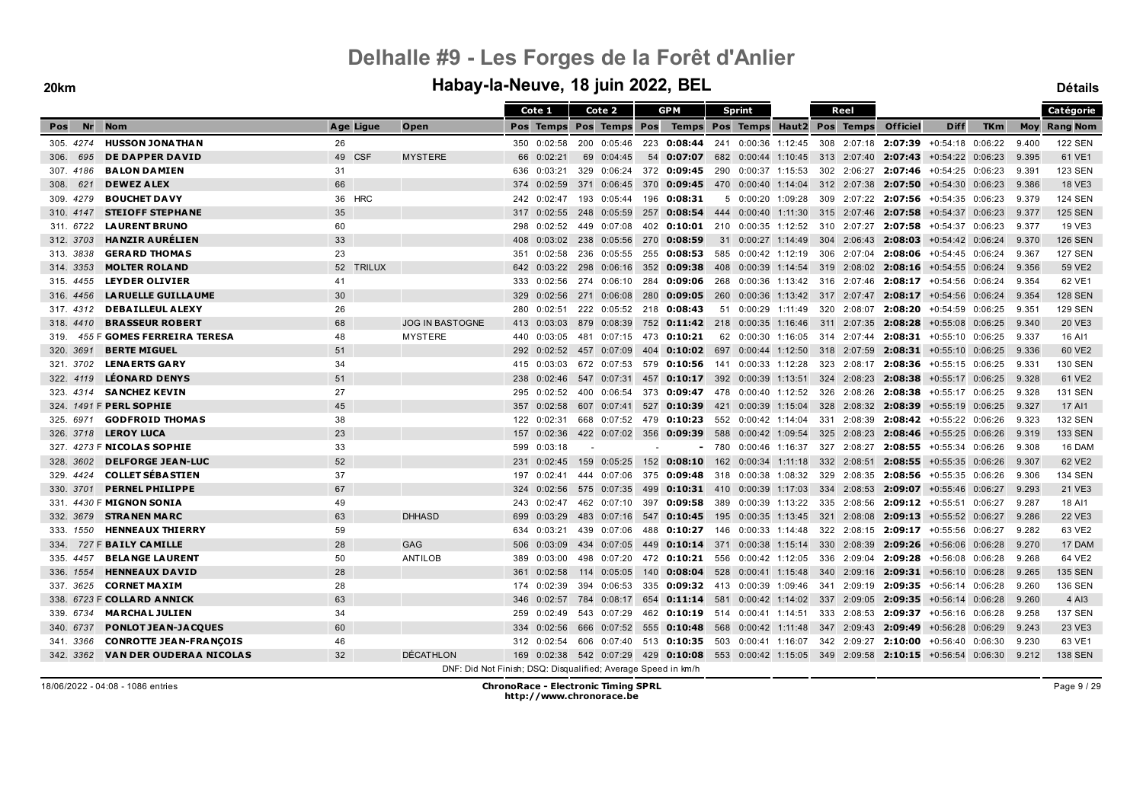|                  |                                    |    |           |                                                               |     | Cote 1      |     | Cote 2                  |      | <b>GPM</b>                                                                                                 |     | <b>Sprint</b>                   |  | Reel        |                                                        |                                                                                |            |       | <b>Catégorie</b>    |
|------------------|------------------------------------|----|-----------|---------------------------------------------------------------|-----|-------------|-----|-------------------------|------|------------------------------------------------------------------------------------------------------------|-----|---------------------------------|--|-------------|--------------------------------------------------------|--------------------------------------------------------------------------------|------------|-------|---------------------|
| <b>Nr</b><br>Pos | <b>Nom</b>                         |    | Age Ligue | Open                                                          |     |             |     | Pos Temps Pos Temps Pos |      |                                                                                                            |     | Temps Pos Temps Haut2 Pos Temps |  |             | <b>Officiel</b>                                        | <b>Diff</b>                                                                    | <b>TKm</b> |       | <b>Moy Rang Nom</b> |
| 305.4274         | <b>HUSSON JONATHAN</b>             | 26 |           |                                                               |     | 350 0:02:58 |     | 200 0:05:46             | 223  | 0:08:44                                                                                                    |     | 241 0:00:36 1:12:45             |  |             |                                                        | 308 2:07:18 2:07:39 +0:54:18 0:06:22                                           |            | 9.400 | <b>122 SEN</b>      |
| 695<br>306.      | <b>DE DAPPER DAVID</b>             |    | 49 CSF    | <b>MYSTERE</b>                                                | 66  | 0:02:21     | 69  | 0:04:45                 | 54   | 0:07:07                                                                                                    |     |                                 |  |             |                                                        | 682 0:00:44 1:10:45 313 2:07:40 2:07:43 +0:54:22 0:06:23                       |            | 9.395 | 61 VE1              |
| 307.4186         | <b>BALON DAMIEN</b>                | 31 |           |                                                               | 636 | 0:03:21     |     | 329 0:06:24             |      | 372 0:09:45 290 0:00:37 1:15:53                                                                            |     |                                 |  |             |                                                        | 302 2:06:27 2:07:46 +0:54:25 0:06:23                                           |            | 9.391 | <b>123 SEN</b>      |
| 621<br>308.      | <b>DEWEZ ALEX</b>                  | 66 |           |                                                               | 374 | 0:02:59     |     | 371 0:06:45             | 370  | 0:09:45                                                                                                    |     | 470 0:00:40 1:14:04             |  |             |                                                        | $312$ 2:07:38 <b>2:07:50</b> +0:54:30 0:06:23                                  |            | 9.386 | 18 VE3              |
| 309. 4279        | <b>BOUCHET DAVY</b>                |    | 36 HRC    |                                                               | 242 | 0:02:47     |     | 193 0:05:44             | 196  | 0:08:31                                                                                                    |     | 5 0:00:20 1:09:28               |  |             |                                                        | 309 2:07:22 2:07:56 +0:54:35 0:06:23                                           |            | 9.379 | <b>124 SEN</b>      |
| 310, 4147        | <b>STEIOFF STEPHANE</b>            | 35 |           |                                                               | 317 | 0:02:55     |     | 248 0:05:59             | 257  |                                                                                                            |     |                                 |  |             | <b>0:08:54</b> 444 0:00:40 1:11:30 315 2:07:46 2:07:58 | $+0.54.37$ 0.06:23                                                             |            | 9.377 | <b>125 SEN</b>      |
| 311. 6722        | <b>LAURENT BRUNO</b>               | 60 |           |                                                               | 298 | 0:02:52     |     | 449 0:07:08             | 402  | <b>0:10:01</b> 210 0:00:35 1:12:52                                                                         |     |                                 |  |             |                                                        | 310 2:07:27 2:07:58 +0:54:37 0:06:23                                           |            | 9.377 | 19 VE3              |
| 312. 3703        | <b>HANZIR AURELIEN</b>             | 33 |           |                                                               | 408 | 0:03:02     |     | 238 0:05:56             | 270  | 0:08:59                                                                                                    |     |                                 |  |             |                                                        | 31 0:00:27 1:14:49 304 2:06:43 2:08:03 +0:54:42 0:06:24                        |            | 9.370 | <b>126 SEN</b>      |
| 313. 3838        | <b>GERARD THOMAS</b>               | 23 |           |                                                               | 351 | 0:02:58     |     | 236 0:05:55             | 255  | 0:08:53                                                                                                    |     | 585 0:00:42 1:12:19             |  |             |                                                        | 306 2:07:04 2:08:06 +0:54:45 0:06:24                                           |            | 9.367 | <b>127 SEN</b>      |
| 314, 3353        | <b>MOLTER ROLAND</b>               |    | 52 TRILUX |                                                               | 642 | 0:03:22     |     | 298 0:06:16             |      | 352 0:09:38                                                                                                |     |                                 |  |             |                                                        | 408 0:00:39 1:14:54 319 2:08:02 2:08:16 +0:54:55 0:06:24                       |            | 9.356 | 59 VE2              |
| 315, 4455        | <b>LEYDER OLIVIER</b>              | 41 |           |                                                               | 333 | 0:02:56     |     | 274 0:06:10             | 284  | <b>0:09:06</b> 268 0:00:36 1:13:42 316 2:07:46 <b>2:08:17</b> +0:54:56 0:06:24                             |     |                                 |  |             |                                                        |                                                                                |            | 9.354 | 62 VE1              |
| 316, 4456        | <b>LA RUELLE GUILLA UME</b>        | 30 |           |                                                               | 329 | 0:02:56     |     | 271 0:06:08             | -280 | 0:09:05                                                                                                    |     |                                 |  |             |                                                        | 260 0:00:36 1:13:42 317 2:07:47 2:08:17 +0:54:56 0:06:24                       |            | 9.354 | <b>128 SEN</b>      |
| 317, 4312        | <b>DEBAILLEUL ALEXY</b>            | 26 |           |                                                               | 280 | 0:02:51     |     |                         |      | 222 0:05:52 218 0:08:43                                                                                    |     | 51 0:00:29 1:11:49              |  |             |                                                        | 320 2:08:07 2:08:20 +0:54:59 0:06:25                                           |            | 9.351 | <b>129 SEN</b>      |
| 318, 4410        | <b>BRASSEUR ROBERT</b>             | 68 |           | <b>JOG IN BASTOGNE</b>                                        | 413 | 0:03:03     |     | 879 0:08:39             |      | 752 0:11:42 218 0:00:35 1:16:46                                                                            |     |                                 |  |             | 311 2:07:35 2:08:28                                    | +0:55:08 0:06:25                                                               |            | 9.340 | 20 VE3              |
| 319.             | <b>455 F GOMES FERREIRA TERESA</b> | 48 |           | <b>MYSTERE</b>                                                | 440 | 0:03:05     | 481 | 0:07:15                 |      | 473 0:10:21                                                                                                |     | 62 0:00:30 1:16:05              |  |             |                                                        | 314 2:07:44 2:08:31 +0:55:10 0:06:25                                           |            | 9.337 | 16 AI1              |
| 320. 3691        | <b>BERTE MIGUEL</b>                | 51 |           |                                                               | 292 | 0:02:52     |     | 457 0:07:09             | 404  |                                                                                                            |     |                                 |  |             |                                                        | <b>0:10:02</b> 697 0:00:44 1:12:50 318 2:07:59 <b>2:08:31</b> +0:55:10 0:06:25 |            | 9.336 | 60 VE2              |
| 321, 3702        | <b>LENA ERTS GARY</b>              | 34 |           |                                                               | 415 | 0:03:03     |     | 672 0:07:53             | 579  | <b>0:10:56</b> 141 0:00:33 1:12:28                                                                         |     |                                 |  |             |                                                        | 323 2:08:17 2:08:36 +0:55:15 0:06:25                                           |            | 9.331 | 130 SEN             |
| 322. 4119        | <b>LÉONARD DENYS</b>               | 51 |           |                                                               | 238 | 0:02:46     |     | 547 0:07:31             | 457  | <b>0:10:17</b> 392 0:00:39 1:13:51 324 2:08:23 2:08:38 +0:55:17 0:06:25                                    |     |                                 |  |             |                                                        |                                                                                |            | 9.328 | 61 VE2              |
| 323.4314         | <b>SANCHEZ KEVIN</b>               | 27 |           |                                                               | 295 | 0:02:52     |     | 400 0:06:54             | 373  | 0:09:47                                                                                                    | 478 | $0:00:40$ 1:12:52               |  |             |                                                        | 326 2:08:26 2:08:38 +0:55:17 0:06:25                                           |            | 9.328 | 131 SEN             |
|                  | 324. 1491 F PERL SOPHIE            | 45 |           |                                                               | 357 | 0:02:58     |     | 607 0:07:41             |      | 527 0:10:39                                                                                                | 421 | $0:00:39$ 1:15:04               |  |             | 328 2:08:32 2:08:39                                    | +0:55:19 0:06:25                                                               |            | 9.327 | 17 AI1              |
| 325, 6971        | <b>GODFROID THOMAS</b>             | 38 |           |                                                               |     | 122 0:02:31 |     | 668 0:07:52             |      | 479 0:10:23                                                                                                |     | 552 0:00:42 1:14:04             |  |             |                                                        | 331 2:08:39 2:08:42 +0:55:22 0:06:26                                           |            | 9.323 | <b>132 SEN</b>      |
| 326. 3718        | <b>LEROY LUCA</b>                  | 23 |           |                                                               | 157 | 0:02:36     |     | 422 0:07:02 356         |      | $0:09:39$ 588                                                                                              |     | 0:00:42 1:09:54                 |  |             |                                                        | 325 2:08:23 2:08:46 +0:55:25 0:06:26                                           |            | 9.319 | <b>133 SEN</b>      |
|                  | 327. 4273 F NICOLAS SOPHIE         | 33 |           |                                                               | 599 | 0:03:18     |     |                         |      |                                                                                                            |     | $-780$ 0:00:46 1:16:37          |  |             |                                                        | 327 2:08:27 2:08:55 +0:55:34 0:06:26                                           |            | 9.308 | 16 DAM              |
| 328. 3602        | <b>DELFORGE JEAN-LUC</b>           | 52 |           |                                                               | 231 | 0:02:45     |     | 159 0:05:25             | 152  | $0:08:10$ 162                                                                                              |     | $0:00:34$ 1:11:18               |  | 332 2:08:51 | 2:08:55                                                | +0:55:35 0:06:26                                                               |            | 9.307 | 62 VE2              |
| 329. 4424        | <b>COLLET SÉBASTIEN</b>            | 37 |           |                                                               | 197 | 0:02:41     |     | 444 0:07:06             |      | 375 0:09:48                                                                                                | 318 | 0:00:38 1:08:32                 |  | 329 2:08:35 |                                                        | $2:08:56$ +0:55:35 0:06:26                                                     |            | 9.306 | 134 SEN             |
| 330, 3701        | <b>PERNEL PHILIPPE</b>             | 67 |           |                                                               | 324 | 0:02:56     |     | 575 0:07:35             | 499  | <b>0:10:31</b> 410 0:00:39 1:17:03 334 2:08:53 <b>2:09:07</b> +0:55:46 0:06:27                             |     |                                 |  |             |                                                        |                                                                                |            | 9.293 | 21 VE3              |
|                  | 331. 4430 F MIGNON SONIA           | 49 |           |                                                               | 243 | 0:02:47     |     | 462 0:07:10             | 397  | 0:09:58                                                                                                    |     | 389 0:00:39 1:13:22             |  |             |                                                        | 335 2:08:56 2:09:12 +0:55:51 0:06:27                                           |            | 9.287 | 18 AI1              |
| 332, 3679        | <b>STRANEN MARC</b>                | 63 |           | <b>DHHASD</b>                                                 | 699 | 0:03:29     |     | 483 0:07:16             | 547  | 0:10:45                                                                                                    |     | 195 0:00:35 1:13:45             |  |             |                                                        | 321 2:08:08 2:09:13 +0:55:52 0:06:27                                           |            | 9.286 | 22 VE3              |
| 333. 1550        | <b>HENNEAUX THIERRY</b>            | 59 |           |                                                               | 634 | 0:03:21     |     | 439 0:07:06             | 488  | $0:10:27$ 146                                                                                              |     | $0:00:33$ 1:14:48               |  |             |                                                        | 322 2:08:15 2:09:17 +0:55:56 0:06:27                                           |            | 9.282 | 63 VE2              |
| 334.             | 727 F BAILY CAMILLE                | 28 |           | <b>GAG</b>                                                    | 506 | 0:03:09     |     | 434 0:07:05             | 449  | $0:10:14$ 371                                                                                              |     |                                 |  |             | $0:00:38$ 1:15:14 330 2:08:39 2:09:26                  | +0:56:06 0:06:28                                                               |            | 9.270 | 17 DAM              |
| 335, 4457        | <b>BELANGE LAURENT</b>             | 50 |           | <b>ANTILOB</b>                                                | 389 | 0:03:00     |     | 498 0:07:20             |      | 472 0:10:21 556 0:00:42 1:12:05                                                                            |     |                                 |  |             |                                                        | 336 2:09:04 2:09:28 +0:56:08 0:06:28                                           |            | 9.268 | 64 VE2              |
| 336. 1554        | <b>HENNEAUX DAVID</b>              | 28 |           |                                                               | 361 | 0:02:58     |     | 114 0:05:05             | 140  | 0:08:04                                                                                                    | 528 | $0:00:41$ 1:15:48               |  |             |                                                        | 340 2:09:16 2:09:31 +0:56:10 0:06:28                                           |            | 9.265 | <b>135 SEN</b>      |
| 337. 3625        | <b>CORNET MAXIM</b>                | 28 |           |                                                               | 174 | 0:02:39     |     | 394 0:06:53             | 335  | $0:09:32$ 413 0:00:39 1:09:46                                                                              |     |                                 |  |             |                                                        | 341 2:09:19 2:09:35 +0:56:14 0:06:28                                           |            | 9.260 | <b>136 SEN</b>      |
|                  | 338. 6723 F COLLARD ANNICK         | 63 |           |                                                               | 346 | 0:02:57     |     | 784 0:08:17             | 654  | <b>0:11:14</b> 581 0:00:42 1:14:02 337 2:09:05 2:09:35                                                     |     |                                 |  |             |                                                        | $+0.56:14$ 0:06:28                                                             |            | 9.260 | 4 AI3               |
| 339. 6734        | <b>MARCHAL JULIEN</b>              | 34 |           |                                                               | 259 | 0:02:49     |     | 543 0:07:29             |      | 462 0:10:19                                                                                                |     | 514 0:00:41 1:14:51             |  |             |                                                        | 333 2:08:53 2:09:37 +0:56:16 0:06:28                                           |            | 9.258 | <b>137 SEN</b>      |
| 340. 6737        | <b>PONLOT JEAN-JACQUES</b>         | 60 |           |                                                               | 334 | 0:02:56     |     |                         |      | 666 0:07:52 555 0:10:48 568 0:00:42 1:11:48 347 2:09:43 2:09:49                                            |     |                                 |  |             |                                                        | +0:56:28 0:06:29                                                               |            | 9.243 | 23 VE3              |
| 341. 3366        | <b>CONROTTE JEAN-FRANÇOIS</b>      | 46 |           |                                                               | 312 | 0:02:54     |     | 606 0:07:40             |      | 513 0:10:35 503 0:00:41 1:16:07                                                                            |     |                                 |  |             |                                                        | 342 2:09:27 2:10:00 +0:56:40 0:06:30                                           |            | 9.230 | 63 VE1              |
| 342. 3362        | <b>VAN DER OUDERAA NICOLAS</b>     | 32 |           | <b>DÉCATHLON</b>                                              | 169 |             |     |                         |      | $0.02:38$ 542 $0.07:29$ 429 <b>0:10:08</b> 553 0:00:42 1:15:05 349 2:09:58 <b>2:10:15</b> +0:56:54 0:06:30 |     |                                 |  |             |                                                        |                                                                                |            | 9.212 | <b>138 SEN</b>      |
|                  |                                    |    |           | DNF: Did Not Finish; DSQ: Disqualified; Average Speed in km/h |     |             |     |                         |      |                                                                                                            |     |                                 |  |             |                                                        |                                                                                |            |       |                     |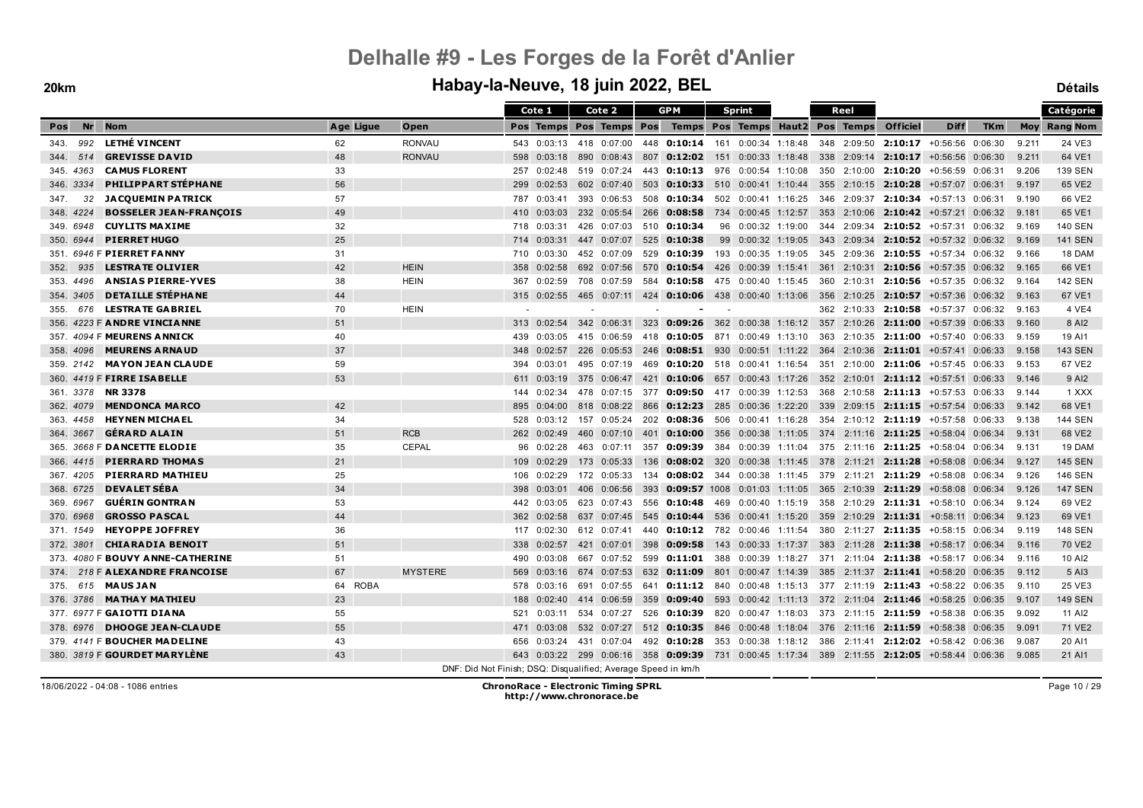|              |                                     |           |                                                               |     | Cote 1      |     | Cote 2                  |     | <b>GPM</b>                                                                                   |     | <b>Sprint</b>         |     | Reel        |                                                          |                                   |            |       | Catégorie           |
|--------------|-------------------------------------|-----------|---------------------------------------------------------------|-----|-------------|-----|-------------------------|-----|----------------------------------------------------------------------------------------------|-----|-----------------------|-----|-------------|----------------------------------------------------------|-----------------------------------|------------|-------|---------------------|
| Nr<br>Pos    | <b>Nom</b>                          | Age Ligue | Open                                                          |     |             |     | Pos Temps Pos Temps Pos |     | Temps Pos Temps Haut2 Pos Temps                                                              |     |                       |     |             | <b>Officiel</b>                                          | <b>Diff</b>                       | <b>TKm</b> |       | <b>Moy Rang Nom</b> |
| 992<br>343.  | <b>LETHÉ VINCENT</b>                | 62        | <b>RONVAU</b>                                                 |     | 543 0:03:13 |     | 418 0:07:00             |     | 448 0:10:14                                                                                  |     | 161 0:00:34 1:18:48   |     | 348 2:09:50 |                                                          | $2:10:17 + 0.56:56 0.06:30$       |            | 9.211 | 24 VE3              |
| 514<br>344.  | <b>GREVISSE DAVID</b>               | 48        | <b>RONVAU</b>                                                 | 598 | 0:03:18     |     | 890 0:08:43             |     | 807 0:12:02 151 0:00:33 1:18:48                                                              |     |                       |     |             | 338 2:09:14 2:10:17 +0:56:56 0:06:30                     |                                   |            | 9.211 | 64 VE1              |
| 345. 4363    | <b>CAMUS FLORENT</b>                | 33        |                                                               | 257 | 0:02:48     |     | 519 0:07:24             |     | 443 0:10:13 976 0:00:54 1:10:08                                                              |     |                       |     |             | 350 2:10:00 2:10:20 +0:56:59 0:06:31                     |                                   |            | 9.206 | <b>139 SEN</b>      |
| 3334<br>346. | PHILIPPART STÉPHANE                 | 56        |                                                               | 299 | 0:02:53     |     | 602 0:07:40             |     | 503 0:10:33 510 0:00:41 1:10:44                                                              |     |                       |     |             | 355 2:10:15 2:10:28                                      | +0:57:07 0:06:31                  |            | 9.197 | 65 VE2              |
| 32<br>347.   | <b>JACQUEMIN PATRICK</b>            | 57        |                                                               | 787 | 0:03:41     |     | 393 0:06:53             |     | 508 0:10:34                                                                                  |     | 502 0:00:41 1:16:25   |     |             | 346 2:09:37 2:10:34                                      | +0:57:13 0:06:31                  |            | 9.190 | 66 VE2              |
| 348. 4224    | <b>BOSSELER JEAN-FRANÇOIS</b>       | 49        |                                                               | 410 | 0:03:03     |     | 232 0:05:54             |     | 266 0:08:58                                                                                  |     | 734 0:00:45 1:12:57   |     |             | 353 2:10:06 2:10:42 +0:57:21 0:06:32                     |                                   |            | 9.181 | 65 VE1              |
| 349. 6948    | <b>CUYLITS MAXIME</b>               | 32        |                                                               | 718 | 0:03:31     |     | 426 0:07:03             |     | 510 0:10:34                                                                                  |     | 96 0:00:32 1:19:00    |     |             | 344 2:09:34 2:10:52 +0:57:31 0:06:32                     |                                   |            | 9.169 | <b>140 SEN</b>      |
| 350. 6944    | <b>PIERRET HUGO</b>                 | 25        |                                                               | 714 | 0:03:31     |     | 447 0:07:07             | 525 | 0:10:38                                                                                      |     | 99 0:00:32 1:19:05    |     |             | 343 2:09:34 2:10:52 +0:57:32 0:06:32                     |                                   |            | 9.169 | <b>141 SEN</b>      |
|              | 351. 6946 F PIERRET FANNY           | 31        |                                                               | 710 | 0:03:30     |     | 452 0:07:09             |     | 529 0:10:39                                                                                  |     | 193 0:00:35 1:19:05   |     |             | 345 2:09:36 2:10:55 +0:57:34 0:06:32                     |                                   |            | 9.166 | 18 DAM              |
| 352.<br>935  | <b>LESTRATE OLIVIER</b>             | 42        | <b>HEIN</b>                                                   | 358 | 0:02:58     |     | 692 0:07:56             |     | 570 0:10:54                                                                                  |     | 426 0:00:39 1:15:41   |     | 361 2:10:31 |                                                          | <b>2:10:56</b> $+0.57:35$ 0:06:32 |            | 9.165 | 66 VE1              |
| 4496<br>353. | <b>ANSIAS PIERRE-YVES</b>           | 38        | <b>HEIN</b>                                                   | 367 | 0:02:59     |     | 708 0:07:59             |     | 584 0:10:58                                                                                  |     | 475 0:00:40 1:15:45   |     | 360 2:10:31 |                                                          | $2:10:56$ +0:57:35 0:06:32        |            | 9.164 | <b>142 SEN</b>      |
| 354, 3405    | <b>DETAILLE STÉPHANE</b>            | 44        |                                                               |     | 315 0:02:55 |     |                         |     | 465 0:07:11 424 0:10:06 438 0:00:40 1:13:06                                                  |     |                       |     |             | 356 2:10:25 2:10:57 +0:57:36 0:06:32                     |                                   |            | 9.163 | 67 VE1              |
| 355.<br>676  | <b>LESTRATE GABRIEL</b>             | 70        | <b>HEIN</b>                                                   |     |             |     |                         |     |                                                                                              |     |                       |     |             | 362 2:10:33 2:10:58 +0:57:37 0:06:32                     |                                   |            | 9.163 | 4 VE4               |
|              | 356. 4223 F ANDRE VINCIANNE         | 51        |                                                               | 313 | 0:02:54     |     | 342 0:06:31             |     | 323 0:09:26 362 0:00:38 1:16:12 357 2:10:26 2:11:00 +0:57:39 0:06:33                         |     |                       |     |             |                                                          |                                   |            | 9.160 | 8 AI2               |
|              | 357. 4094 F MEURENS ANNICK          | 40        |                                                               | 439 | 0:03:05     |     | 415 0:06:59             |     | 418 0:10:05 871 0:00:49 1:13:10                                                              |     |                       |     |             | 363 2:10:35 2:11:00 +0:57:40 0:06:33                     |                                   |            | 9.159 | 19 AI1              |
| 358, 4096    | <b>MEURENS ARNAUD</b>               | 37        |                                                               | 348 | 0:02:57     |     | 226 0:05:53             |     | 246 0:08:51 930 0:00:51 1:11:22 364 2:10:36 2:11:01 +0:57:41 0:06:33                         |     |                       |     |             |                                                          |                                   |            | 9.158 | <b>143 SEN</b>      |
| 359, 2142    | <b>MAYON JEAN CLAUDE</b>            | 59        |                                                               | 394 | 0:03:01     |     | 495 0:07:19             |     | 469 0:10:20 518 0:00:41 1:16:54 351 2:10:00 2:11:06 +0:57:45 0:06:33                         |     |                       |     |             |                                                          |                                   |            | 9.153 | 67 VE2              |
|              | 360. 4419 F FIRRE ISABELLE          | 53        |                                                               | 611 | 0:03:19     |     | 375 0:06:47             | 421 | 0:10:06                                                                                      |     | 657 0:00:43 1:17:26   |     |             | 352 2:10:01 2:11:12 +0:57:51 0:06:33                     |                                   |            | 9.146 | 9 AI2               |
| 361. 3378    | <b>NR3378</b>                       |           |                                                               | 144 | 0:02:34     |     | 478 0:07:15             |     | 377 0:09:50 417 0:00:39 1:12:53                                                              |     |                       |     |             | 368 2:10:58 2:11:13 +0:57:53 0:06:33                     |                                   |            | 9.144 | 1 XXX               |
| 362. 4079    | <b>MENDONCA MARCO</b>               | 42        |                                                               | 895 | 0:04:00     |     | 818 0:08:22             | 866 | 0:12:23                                                                                      |     | 285 0:00:36 1:22:20   |     |             | 339 2:09:15 2:11:15                                      | $+0.57:54$ 0:06:33                |            | 9.142 | 68 VE1              |
| 363. 4458    | <b>HEYNEN MICHAEL</b>               | 34        |                                                               | 528 | 0:03:12     |     | 157 0:05:24             |     | 202 0:08:36                                                                                  |     | 506  0:00:41  1:16:28 |     |             | 354 2:10:12 2:11:19                                      | +0:57:58 0:06:33                  |            | 9.138 | <b>144 SEN</b>      |
| 364. 3667    | <b>GÉRARD ALAIN</b>                 | 51        | <b>RCB</b>                                                    |     | 262 0:02:49 |     | 460 0:07:10             | 401 | 0:10:00                                                                                      |     |                       |     |             | 356 0:00:38 1:11:05 374 2:11:16 2:11:25                  | $+0.58.04$ 0.06:34                |            | 9.131 | 68 VE2              |
|              | 365. 3668 F DANCETTE ELODIE         | 35        | <b>CEPAL</b>                                                  | 96  | 0:02:28     |     | 463 0:07:11             |     | 357 0:09:39 384 0:00:39 1:11:04 375 2:11:16 2:11:25 +0:58:04 0:06:34                         |     |                       |     |             |                                                          |                                   |            | 9.131 | 19 DAM              |
| 366, 4415    | <b>PIERRARD THOMAS</b>              | 21        |                                                               | 109 | 0:02:29     |     | 173 0:05:33             |     | 136 0:08:02 320 0:00:38 1:11:45 378 2:11:21 2:11:28 +0:58:08 0:06:34                         |     |                       |     |             |                                                          |                                   |            | 9.127 | <b>145 SEN</b>      |
| 367. 4205    | <b>PIERRARD MATHIEU</b>             | 25        |                                                               | 106 | 0:02:29     |     | 172 0:05:33             |     | 134 <b>0:08:02</b> 344 0:00:38 1:11:45 379 2:11:21 <b>2:11:29</b> +0:58:08 0:06:34           |     |                       |     |             |                                                          |                                   |            | 9.126 | <b>146 SEN</b>      |
| 368. 6725    | <b>DEVALET SÉBA</b>                 | 34        |                                                               | 398 | 0:03:01     |     | 406 0:06:56             | 393 | 0:09:57 1008 0:01:03 1:11:05 365 2:10:39 2:11:29 +0:58:08 0:06:34                            |     |                       |     |             |                                                          |                                   |            | 9.126 | <b>147 SEN</b>      |
| 369. 6967    | <b>GUERIN GONTRAN</b>               | 53        |                                                               | 442 | 0:03:05     |     | 623 0:07:43             |     | 556 0:10:48                                                                                  | 469 | $0:00:40$ 1:15:19     |     |             | 358 2:10:29 2:11:31 +0:58:10 0:06:34                     |                                   |            | 9.124 | 69 VE2              |
| 370. 6968    | <b>GROSSO PASCAL</b>                | 44        |                                                               | 362 | 0:02:58     |     | 637 0:07:45             | 545 | 0:10:44                                                                                      | 536 | 0:00:41 1:15:20       |     |             | 359 2:10:29 2:11:31 +0:58:11 0:06:34                     |                                   |            | 9.123 | 69 VE1              |
| 371. 1549    | <b>HEYOPPE JOFFREY</b>              | 36        |                                                               | 117 | 0:02:30     |     | 612 0:07:41             |     | 440 0:10:12 782 0:00:46 1:11:54                                                              |     |                       |     |             | 380 2:11:27 2:11:35 +0:58:15 0:06:34                     |                                   |            | 9.119 | <b>148 SEN</b>      |
| 372. 3801    | <b>CHIARADIA BENOIT</b>             | 51        |                                                               | 338 | 0:02:57     |     | 421 0:07:01             | 398 | 0:09:58                                                                                      | 143 | 0:00:33 1:17:37       | 383 |             | 2:11:28 2:11:38                                          | $+0.58:17$ 0:06:34                |            | 9.116 | 70 VE2              |
| 373.         | 4080 F BOUVY ANNE-CATHERINE         | 51        |                                                               | 490 | 0:03:08     | 667 | 0:07:52                 |     | 599 <b>0:11:01</b> 388                                                                       |     | 0:00:39 1:18:27       |     |             | 371  2:11:04 <b>2:11:38</b> +0:58:17  0:06:34            |                                   |            | 9.116 | 10 AI2              |
| 374.         | 218 F ALEXANDRE FRANCOISE           | 67        | <b>MYSTERE</b>                                                | 569 | 0:03:16     |     | 674 0:07:53             |     | 632 0:11:09                                                                                  |     | 801  0:00:47  1:14:39 |     |             | 385 2:11:37 2:11:41 +0:58:20 0:06:35                     |                                   |            | 9.112 | 5 AI3               |
| 375.         | 615 MAUS JAN                        | 64 ROBA   |                                                               | 578 | 0:03:16     |     | 691 0:07:55             |     | 641 <b>0:11:12</b> 840 0:00:48 1:15:13 377 2:11:19 <b>2:11:43</b> +0:58:22 0:06:35           |     |                       |     |             |                                                          |                                   |            | 9.110 | 25 VE3              |
| 376, 3786    | <b>MATHAY MATHIEU</b>               | 23        |                                                               | 188 | 0:02:40     |     | 414 0:06:59             | 359 | <b>0:09:40</b> 593 0:00:42 1:11:13 372 2:11:04 <b>2:11:46</b> +0:58:25 0:06:35               |     |                       |     |             |                                                          |                                   |            | 9.107 | <b>149 SEN</b>      |
|              | 377. 6977 F GAIOTTI DIANA           | 55        |                                                               | 521 | 0:03:11     |     | 534 0:07:27             |     | 526 0:10:39 820 0:00:47 1:18:03 373 2:11:15 2:11:59 +0:58:38 0:06:35                         |     |                       |     |             |                                                          |                                   |            | 9.092 | 11 AI2              |
| 378, 6976    | <b>DHOOGE JEAN-CLAUDE</b>           | 55        |                                                               | 471 | 0:03:08     |     | 532 0:07:27             |     | 512 0:10:35 846 0:00:48 1:18:04 376 2:11:16 2:11:59 +0:58:38 0:06:35                         |     |                       |     |             |                                                          |                                   |            | 9.091 | 71 VE2              |
|              | 379. 4141 F BOUCHER MADELINE        | 43        |                                                               | 656 | 0:03:24     |     | 431 0:07:04             |     | 492 0:10:28                                                                                  |     |                       |     |             | 353 0:00:38 1:18:12 386 2:11:41 2:12:02 +0:58:42 0:06:36 |                                   |            | 9.087 | 20 AI1              |
|              | 380. 3819 F <b>GOURDET MARYLENE</b> | 43        |                                                               | 643 |             |     |                         |     | $0.03:22$ 299 $0.06:16$ 358 0:09:39 731 0:00:45 1:17:34 389 2:11:55 2:12:05 +0:58:44 0:06:36 |     |                       |     |             |                                                          |                                   |            | 9.085 | 21 AI1              |
|              |                                     |           | DNF: Did Not Finish; DSQ: Disqualified; Average Speed in km/h |     |             |     |                         |     |                                                                                              |     |                       |     |             |                                                          |                                   |            |       |                     |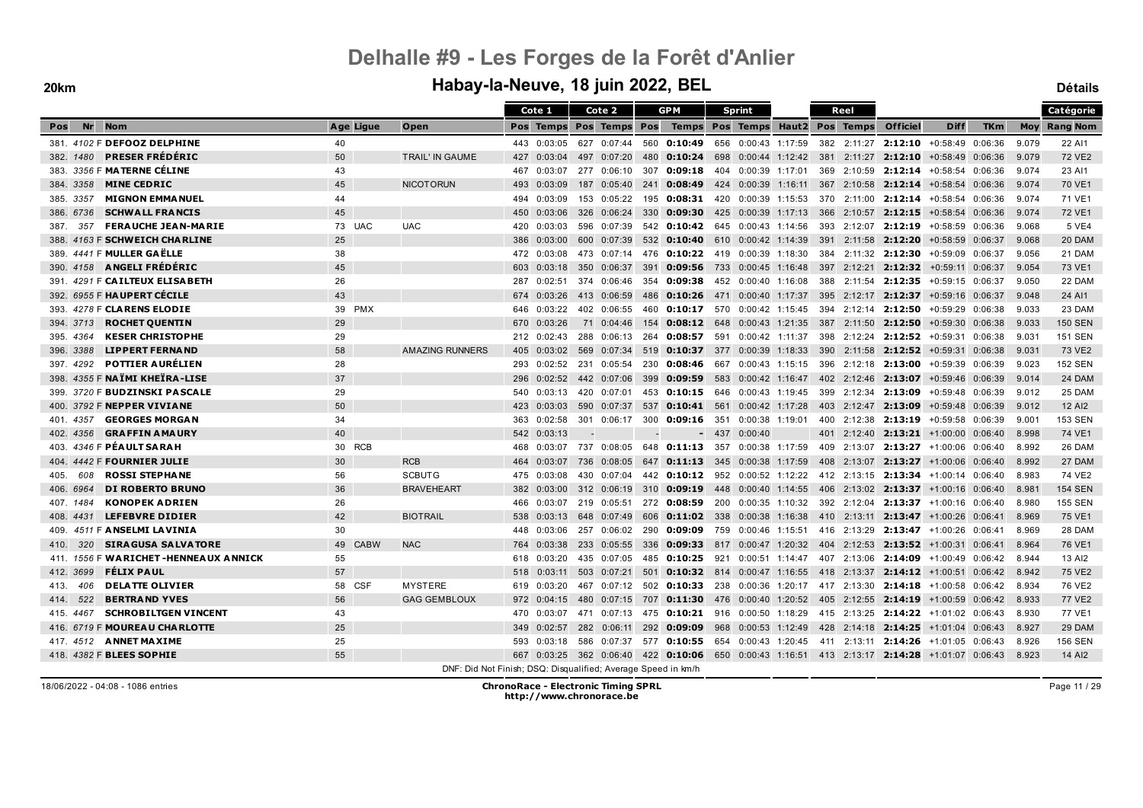|             |                                      |                   |                                                               |     | Cote 1      |     | Cote 2                  |     | <b>GPM</b>                                                                                         |        | <b>Sprint</b>       |  | Reel |                                                                                |                    |            |       | Catégorie           |
|-------------|--------------------------------------|-------------------|---------------------------------------------------------------|-----|-------------|-----|-------------------------|-----|----------------------------------------------------------------------------------------------------|--------|---------------------|--|------|--------------------------------------------------------------------------------|--------------------|------------|-------|---------------------|
| Nr<br>Pos   | <b>Nom</b>                           | Age Ligue         | Open                                                          |     |             |     | Pos Temps Pos Temps Pos |     | Temps Pos Temps Haut2 Pos Temps                                                                    |        |                     |  |      | <b>Officiel</b>                                                                | <b>Diff</b>        | <b>TKm</b> |       | <b>Moy</b> Rang Nom |
|             | 381. 4102 F DEFOOZ DELPHINE          | 40                |                                                               |     | 443 0:03:05 |     | 627 0:07:44             |     | 560 0:10:49                                                                                        |        |                     |  |      | 656 0:00:43 1:17:59 382 2:11:27 2:12:10 +0:58:49 0:06:36                       |                    |            | 9.079 | 22 AI1              |
| 382, 1480   | <b>PRESER FRÉDÉRIC</b>               | 50                | TRAIL' IN GAUME                                               | 427 | 0:03:04     |     | 497 0:07:20             | 480 |                                                                                                    |        |                     |  |      | <b>0:10:24</b> 698 0:00:44 1:12:42 381 2:11:27 <b>2:12:10</b> +0:58:49 0:06:36 |                    |            | 9.079 | 72 VE2              |
|             | 383. 3356 F MATERNE CÉLINE           | 43                |                                                               | 467 | 0:03:07     |     | 277 0:06:10             |     | 307 0:09:18                                                                                        | 404    | 0:00:39 1:17:01     |  |      | 369 2:10:59 2:12:14 +0:58:54 0:06:36                                           |                    |            | 9.074 | 23 AI1              |
| 384, 3358   | <b>MINE CEDRIC</b>                   | 45                | <b>NICOTORUN</b>                                              | 493 | 0:03:09     |     | 187 0:05:40             |     | 241 0:08:49 424 0:00:39 1:16:11 367 2:10:58 2:12:14 +0:58:54 0:06:36                               |        |                     |  |      |                                                                                |                    |            | 9.074 | 70 VE1              |
| 385. 3357   | <b>MIGNON EMMA NUEL</b>              | 44                |                                                               | 494 | 0:03:09     |     | 153 0:05:22             |     | 195 0:08:31 420 0:00:39 1:15:53                                                                    |        |                     |  |      | 370 2:11:00 2:12:14 +0:58:54 0:06:36                                           |                    |            | 9.074 | 71 VE1              |
| 386, 6736   | <b>SCHWALL FRANCIS</b>               | 45                |                                                               | 450 | 0:03:06     | 326 | 0:06:24                 | 330 | 0:09:30                                                                                            |        | 425 0:00:39 1:17:13 |  |      | 366 2:10:57 2:12:15                                                            | $+0.58.54$ 0:06:36 |            | 9.074 | 72 VE1              |
| 387.<br>357 | <b>FERAUCHE JEAN-MARIE</b>           | 73 UAC            | <b>UAC</b>                                                    | 420 | 0:03:03     |     | 596 0:07:39             |     | 542 0:10:42 645 0:00:43 1:14:56                                                                    |        |                     |  |      | 393 2:12:07 2:12:19 +0:58:59 0:06:36                                           |                    |            | 9.068 | 5 VE4               |
|             | 388. 4163 F SCHWEICH CHARLINE        | 25                |                                                               | 386 | 0:03:00     |     | 600 0:07:39             |     | 532 0:10:40 610 0:00:42 1:14:39 391 2:11:58 2:12:20 +0:58:59 0:06:37                               |        |                     |  |      |                                                                                |                    |            | 9.068 | 20 DAM              |
|             | 389. 4441 F MULLER GAËLLE            | 38                |                                                               | 472 | 0:03:08     |     | 473 0:07:14             |     | 476 0:10:22 419 0:00:39 1:18:30                                                                    |        |                     |  |      | 384 2:11:32 2:12:30 +0:59:09 0:06:37                                           |                    |            | 9.056 | 21 DAM              |
|             | 390. 4158 ANGELI FRÉDÉRIC            | 45                |                                                               | 603 | 0:03:18     |     | 350 0:06:37             | 391 |                                                                                                    |        |                     |  |      | <b>0:09:56</b> 733 0:00:45 1:16:48 397 2:12:21 <b>2:12:32</b> +0:59:11 0:06:37 |                    |            | 9.054 | 73 VE1              |
|             | 391. 4291 F CAILTEUX ELISABETH       | 26                |                                                               | 287 | 0:02:51     |     | 374 0:06:46             |     | 354 0:09:38                                                                                        |        |                     |  |      | 452 0:00:40 1:16:08 388 2:11:54 2:12:35 +0:59:15 0:06:37                       |                    |            | 9.050 | 22 DAM              |
|             | 392. 6955 F HAUPERT CÉCILE           | 43                |                                                               | 674 | 0:03:26     |     | 413 0:06:59             |     | 486 0:10:26 471 0:00:40 1:17:37 395 2:12:17 2:12:37 +0:59:16 0:06:37                               |        |                     |  |      |                                                                                |                    |            | 9.048 | 24 AI1              |
|             | 393. 4278 F CLARENS ELODIE           | 39 PMX            |                                                               | 646 | 0:03:22     |     | 402 0:06:55             |     | 460 0:10:17 570 0:00:42 1:15:45 394 2:12:14 2:12:50 +0:59:29 0:06:38                               |        |                     |  |      |                                                                                |                    |            | 9.033 | 23 DAM              |
| 394, 3713   | <b>ROCHET QUENTIN</b>                | 29                |                                                               | 670 | 0:03:26     |     | 71 0:04:46              |     | 154 0:08:12 648 0:00:43 1:21:35 387 2:11:50 2:12:50 +0:59:30 0:06:38                               |        |                     |  |      |                                                                                |                    |            | 9.033 | <b>150 SEN</b>      |
| 395.4364    | <b>KESER CHRISTOPHE</b>              | 29                |                                                               | 212 | 0:02:43     | 288 | 0:06:13                 | 264 | 0:08:57                                                                                            | 591    | 0:00:42 1:11:37     |  |      | 398 2:12:24 2:12:52 +0:59:31 0:06:38                                           |                    |            | 9.031 | <b>151 SEN</b>      |
| 396. 3388   | <b>LIPPERT FERNAND</b>               | 58                | <b>AMAZING RUNNERS</b>                                        | 405 | 0:03:02     |     | 569 0:07:34             | 519 | 0:10:37                                                                                            |        |                     |  |      | 377 0:00:39 1:18:33 390 2:11:58 2:12:52 +0:59:31 0:06:38                       |                    |            | 9.031 | 73 VE2              |
| 397.4292    | <b>POTTIER AURÉLIEN</b>              | 28                |                                                               | 293 | 0:02:52     |     | 231 0:05:54             |     | 230 0:08:46 667 0:00:43 1:15:15 396 2:12:18 2:13:00 +0:59:39 0:06:39                               |        |                     |  |      |                                                                                |                    |            | 9.023 | 152 SEN             |
|             | 398. 4355 F NAÏMI KHEÏRA-LISE        | 37                |                                                               | 296 | 0:02:52     |     | 442 0:07:06             | 399 | 0:09:59 583 0:00:42 1:16:47 402 2:12:46 2:13:07 +0:59:46 0:06:39                                   |        |                     |  |      |                                                                                |                    |            | 9.014 | 24 DAM              |
|             | 399. 3720 F BUDZINSKI PASCALE        | 29                |                                                               | 540 | 0:03:13     |     | 420 0:07:01             |     | 453 0:10:15 646 0:00:43 1:19:45 399 2:12:34 2:13:09 +0:59:48 0:06:39                               |        |                     |  |      |                                                                                |                    |            | 9.012 | 25 DAM              |
|             | 400. 3792 F NEPPER VIVIANE           | 50                |                                                               | 423 | 0:03:03     |     | 590 0:07:37             |     | 537 0:10:41 561 0:00:42 1:17:28                                                                    |        |                     |  |      | 403 2:12:47 2:13:09                                                            | $+0.59.48$ 0.06:39 |            | 9.012 | 12 AI2              |
|             | 401. 4357 GEORGES MORGAN             | 34                |                                                               | 363 | 0:02:58     |     | 301 0:06:17             |     | 300 0:09:16 351 0:00:38 1:19:01                                                                    |        |                     |  |      | 400 2:12:38 2:13:19 +0:59:58 0:06:39                                           |                    |            | 9.001 | 153 SEN             |
| 402. 4356   | <b>GRAFFIN AMAURY</b>                | 40                |                                                               | 542 | 0:03:13     |     |                         |     |                                                                                                    | $-437$ | 0:00:40             |  |      | 401 2:12:40 2:13:21 +1:00:00 0:06:40                                           |                    |            | 8.998 | 74 VE1              |
|             | 403. 4346 F PÉAULT SARAH             | 30 RCB            |                                                               | 468 | 0:03:07     |     | 737 0:08:05             |     | 648 0:11:13 357 0:00:38 1:17:59 409 2:13:07 2:13:27 +1:00:06 0:06:40                               |        |                     |  |      |                                                                                |                    |            | 8.992 | 26 DAM              |
|             | 404. 4442 F FOURNIER JULIE           | 30                | <b>RCB</b>                                                    | 464 | 0:03:07     |     | 736 0:08:05             |     | 647 0:11:13 345                                                                                    |        | $0:00:38$ 1:17:59   |  |      | 408 2:13:07 2:13:27 +1:00:06 0:06:40                                           |                    |            | 8.992 | 27 DAM              |
| 405.<br>608 | <b>ROSSI STEPHANE</b>                | 56                | <b>SCBUTG</b>                                                 | 475 | 0:03:08     | 430 | 0:07:04                 |     | 442 0:10:12                                                                                        |        | 952 0:00:52 1:12:22 |  |      | 412 2:13:15 2:13:34 +1:00:14 0:06:40                                           |                    |            | 8.983 | 74 VE2              |
| 406. 6964   | <b>DI ROBERTO BRUNO</b>              | 36                | <b>BRAVEHEART</b>                                             | 382 | 0:03:00     |     | 312 0:06:19             |     | 310 0:09:19 448 0:00:40 1:14:55 406 2:13:02 2:13:37 +1:00:16 0:06:40                               |        |                     |  |      |                                                                                |                    |            | 8.981 | <b>154 SEN</b>      |
| 407. 1484   | <b>KONOPEK ADRIEN</b>                | 26                |                                                               | 466 | 0:03:07     |     | 219 0:05:51             |     | 272 0:08:59                                                                                        |        |                     |  |      | 200 0:00:35 1:10:32 392 2:12:04 2:13:37 +1:00:16 0:06:40                       |                    |            | 8.980 | <b>155 SEN</b>      |
| 408. 4431   | <b>LEFEBVRE DIDIER</b>               | 42                | <b>BIOTRAIL</b>                                               | 538 | 0:03:13     |     | 648 0:07:49             | 606 |                                                                                                    |        |                     |  |      | <b>0:11:02</b> 338 0:00:38 1:16:38 410 2:13:11 <b>2:13:47</b> +1:00:26 0:06:41 |                    |            | 8.969 | 75 VE1              |
| 409.        | 4511 F ANSELMI LAVINIA               | 30                |                                                               | 448 | 0:03:06     |     | 257 0:06:02             | 290 | 0:09:09                                                                                            |        |                     |  |      | 759  0:00:46  1:15:51  416  2:13:29 <b>2:13:47</b> +1:00:26  0:06:41           |                    |            | 8.969 | 28 DAM              |
| 320<br>410. | <b>SIRAGUSA SALVATORE</b>            | 49<br><b>CABW</b> | <b>NAC</b>                                                    | 764 | 0:03:38     | 233 | 0:05:55                 | 336 | 0:09:33                                                                                            |        |                     |  |      | 817 0:00:47 1:20:32 404 2:12:53 2:13:52 +1:00:31 0:06:41                       |                    |            | 8.964 | 76 VE1              |
|             | 411. 1556 F WARICHET-HENNEAUX ANNICK | 55                |                                                               | 618 | 0:03:20     |     | 435 0:07:05             |     | 485 0:10:25                                                                                        |        |                     |  |      | 921 0:00:51 1:14:47 407 2:13:06 2:14:09 +1:00:49 0:06:42                       |                    |            | 8.944 | 13 AI2              |
| 412. 3699   | <b>FÉLIX PAUL</b>                    | 57                |                                                               | 518 | 0:03:11     |     | 503 0:07:21             | 501 |                                                                                                    |        |                     |  |      | <b>0:10:32</b> 814 0:00:47 1:16:55 418 2:13:37 2:14:12 +1:00:51 0:06:42        |                    |            | 8.942 | 75 VE2              |
| 413.<br>406 | <b>DELATTE OLIVIER</b>               | 58 CSF            | <b>MYSTERE</b>                                                | 619 | 0:03:20     |     | 467 0:07:12             |     | 502 <b>0:10:33</b> 238 0:00:36 1:20:17 417 2:13:30 <b>2:14:18</b> +1:00:58 0:06:42                 |        |                     |  |      |                                                                                |                    |            | 8.934 | 76 VE2              |
| 522<br>414. | <b>BERTRAND YVES</b>                 | 56                | <b>GAG GEMBLOUX</b>                                           | 972 | 0:04:15     |     | 480 0:07:15             |     | 707 <b>0:11:30</b> 476 0:00:40 1:20:52 405 2:12:55 <b>2:14:19</b> +1:00:59 0:06:42                 |        |                     |  |      |                                                                                |                    |            | 8.933 | <b>77 VE2</b>       |
| 415. 4467   | <b>SCHROBILTGEN VINCENT</b>          | 43                |                                                               | 470 | 0:03:07     |     | 471 0:07:13             |     | 475 0:10:21 916 0:00:50 1:18:29 415 2:13:25 2:14:22 +1:01:02 0:06:43                               |        |                     |  |      |                                                                                |                    |            | 8.930 | 77 VE1              |
|             | 416. 6719 F MOUREAU CHARLOTTE        | 25                |                                                               | 349 | 0:02:57     |     | 282 0:06:11             |     | 292 0:09:09 968 0:00:53 1:12:49 428 2:14:18 2:14:25 +1:01:04 0:06:43                               |        |                     |  |      |                                                                                |                    |            | 8.927 | 29 DAM              |
|             | 417. 4512 ANNET MAXIME               | 25                |                                                               | 593 | 0:03:18     |     | 586 0:07:37             |     | 577 0:10:55 654 0:00:43 1:20:45                                                                    |        |                     |  |      | 411 2:13:11 2:14:26 +1:01:05 0:06:43                                           |                    |            | 8.926 | <b>156 SEN</b>      |
|             | 418. 4382 F BLEES SOPHIE             | 55                |                                                               | 667 |             |     |                         |     | $0.03:25$ 362 $0.06:40$ 422 0:10:06 650 0:00:43 1:16:51 413 2:13:17 2:14:28 +1:01:07 0:06:43 8.923 |        |                     |  |      |                                                                                |                    |            |       | 14 AI2              |
|             |                                      |                   | DNF: Did Not Finish; DSQ: Disqualified; Average Speed in km/h |     |             |     |                         |     |                                                                                                    |        |                     |  |      |                                                                                |                    |            |       |                     |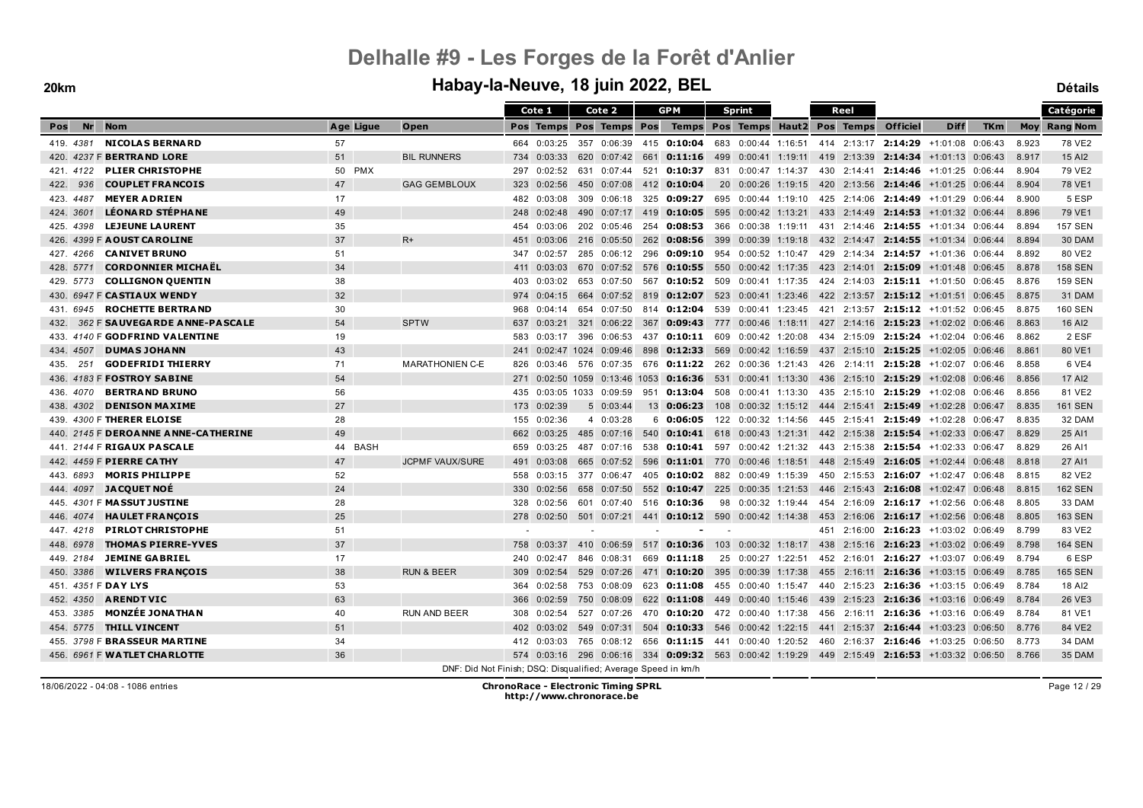### **20km Habay-la-Neuve, 18 juin 2022, BEL Détails**

|                                         |           |                                                               |     | Cote 1      |     | Cote 2                    |     | <b>GPM</b>                                                                                   |     | <b>Sprint</b>       |     | Reel        |                 |                                                                 |            |            | Catégorie       |
|-----------------------------------------|-----------|---------------------------------------------------------------|-----|-------------|-----|---------------------------|-----|----------------------------------------------------------------------------------------------|-----|---------------------|-----|-------------|-----------------|-----------------------------------------------------------------|------------|------------|-----------------|
| <b>Nr</b><br><b>Nom</b><br>Pos          | Age Ligue | Open                                                          |     | Pos Temps   |     | Pos Temps Pos             |     | Temps Pos Temps Haut2 Pos Temps                                                              |     |                     |     |             | <b>Officiel</b> | <b>Diff</b>                                                     | <b>TKm</b> | <b>Moy</b> | <b>Rang Nom</b> |
| <b>NICOLAS BERNARD</b><br>419. 4381     | 57        |                                                               |     | 664 0:03:25 |     | 357 0:06:39               |     | 415 <b>0:10:04</b>                                                                           |     | 683 0:00:44 1:16:51 |     |             |                 | 414 2:13:17 2:14:29 +1:01:08 0:06:43                            |            | 8.923      | 78 VE2          |
| 420. 4237 F BERTRAND LORE               | 51        | <b>BIL RUNNERS</b>                                            | 734 | 0:03:33     |     | 620 0:07:42               | 661 | <b>0:11:16</b> 499 0:00:41 1:19:11 419 2:13:39 <b>2:14:34</b> $+1:01:13$ 0:06:43             |     |                     |     |             |                 |                                                                 |            | 8.917      | 15 AI2          |
| <b>PLIER CHRISTOPHE</b><br>421.4122     | 50 PMX    |                                                               | 297 | 0:02:52     | 631 | 0:07:44                   | 521 | 0:10:37                                                                                      | 831 | 0:00:47 1:14:37     |     | 430 2:14:41 |                 | $2:14:46$ +1:01:25 0:06:44                                      |            | 8.904      | 79 VE2          |
| <b>COUPLET FRANCOIS</b><br>422.<br>936  | 47        | <b>GAG GEMBLOUX</b>                                           | 323 | 0:02:56     | 450 | 0:07:08                   |     | 412 0:10:04                                                                                  |     | 20 0:00:26 1:19:15  |     |             |                 | 420 2:13:56 2:14:46 +1:01:25 0:06:44                            |            | 8.904      | 78 VE1          |
| <b>MEYER ADRIEN</b><br>423. 4487        | 17        |                                                               | 482 | 0:03:08     |     | 309 0:06:18               | 325 | 0:09:27                                                                                      |     | 695 0:00:44 1:19:10 |     |             |                 | 425 2:14:06 2:14:49 +1:01:29 0:06:44                            |            | 8.900      | 5 ESP           |
| <b>LÉONARD STÉPHANE</b><br>424, 3601    | 49        |                                                               | 248 | 0:02:48     |     | 490 0:07:17               | 419 | 0:10:05                                                                                      | 595 | $0:00:42$ 1:13:21   |     |             |                 | 433 2:14:49 2:14:53 +1:01:32 0:06:44                            |            | 8.896      | 79 VE1          |
| <b>LEJEUNE LAURENT</b><br>425.4398      | 35        |                                                               | 454 | 0:03:06     |     | 202 0:05:46               | 254 | 0:08:53                                                                                      |     | 366 0:00:38 1:19:11 |     |             |                 | 431 2:14:46 2:14:55 +1:01:34 0:06:44                            |            | 8.894      | <b>157 SEN</b>  |
| 426. 4399 F AOUST CAROLINE              | 37        | $R+$                                                          | 451 | 0:03:06     |     | 216 0:05:50               | 262 | 0:08:56                                                                                      | 399 | $0:00:39$ 1:19:18   |     |             |                 | 432 2:14:47 2:14:55 +1:01:34 0:06:44                            |            | 8.894      | 30 DAM          |
| <b>CANIVET BRUNO</b><br>427.4266        | 51        |                                                               | 347 | 0:02:57     | 285 | 0:06:12                   | 296 | 0:09:10                                                                                      |     |                     |     |             |                 | 954  0:00:52  1:10:47  429  2:14:34  2:14:57  +1:01:36  0:06:44 |            | 8.892      | 80 VE2          |
| <b>CORDONNIER MICHAEL</b><br>428. 5771  | 34        |                                                               |     | 411 0:03:03 |     | 670 0:07:52               | 576 | $0:10:55$ 550                                                                                |     | 0:00:42 1:17:35     |     |             |                 | 423 2:14:01 2:15:09 +1:01:48 0:06:45                            |            | 8.878      | <b>158 SEN</b>  |
| <b>COLLIGNON QUENTIN</b><br>429. 5773   | 38        |                                                               | 403 | 0:03:02     |     | 653 0:07:50               | 567 | $0:10:52$ 509                                                                                |     | 0:00:41 1:17:35     |     |             |                 | 424 2:14:03 2:15:11 +1:01:50 0:06:45                            |            | 8.876      | <b>159 SEN</b>  |
| 430. 6947 F CASTIAUX WENDY              | 32        |                                                               | 974 | 0:04:15     |     | 664 0:07:52               | 819 | $0:12:07$ 523                                                                                |     | $0:00:41$ 1:23:46   |     |             |                 | 422 2:13:57 2:15:12 +1:01:51 0:06:45                            |            | 8.875      | 31 DAM          |
| <b>ROCHETTE BERTRAND</b><br>431.6945    | 30        |                                                               | 968 | 0:04:14     |     | 654 0:07:50               |     | 814 0:12:04 539 0:00:41 1:23:45                                                              |     |                     |     |             |                 | 421 2:13:57 2:15:12 +1:01:52 0:06:45                            |            | 8.875      | <b>160 SEN</b>  |
| 362 F SAUVEGARDE ANNE-PASCALE<br>432.   | 54        | <b>SPTW</b>                                                   | 637 | 0:03:21     |     | 321 0:06:22               | 367 | 0:09:43 777                                                                                  |     |                     |     |             |                 | $0:00:46$ 1:18:11 427 2:14:16 2:15:23 +1:02:02 0:06:46          |            | 8.863      | 16 AI2          |
| 433. 4140 F GODFRIND VALENTINE          | 19        |                                                               | 583 | 0:03:17     | 396 | 0:06:53                   | 437 | 0:10:11                                                                                      | 609 | $0:00:42$ 1:20:08   |     |             |                 | 434 2:15:09 2:15:24 +1:02:04 0:06:46                            |            | 8.862      | 2 ESF           |
| <b>DUMAS JOHANN</b><br>434, 4507        | 43        |                                                               | 241 |             |     | 0:02:47 1024 0:09:46      | 898 | $0:12:33$ 569                                                                                |     |                     |     |             |                 | $0:00:42$ 1:16:59 437 2:15:10 2:15:25 +1:02:05 0:06:46          |            | 8.861      | 80 VE1          |
| <b>GODEFRIDI THIERRY</b><br>251<br>435. | 71        | <b>MARATHONIEN C-E</b>                                        | 826 | 0:03:46     |     | 576 0:07:35               |     | 676 0:11:22 262 0:00:36 1:21:43                                                              |     |                     |     |             |                 | 426 2:14:11 2:15:28 +1:02:07 0:06:46                            |            | 8.858      | 6 VE4           |
| 436. 4183 F FOSTROY SABINE              | 54        |                                                               | 271 |             |     | 0:02:50 1059 0:13:46 1053 |     | 0:16:36                                                                                      |     | 531 0:00:41 1:13:30 |     |             |                 | 436 2:15:10 2:15:29 +1:02:08 0:06:46                            |            | 8.856      | 17 AI2          |
| <b>BERTRAND BRUNO</b><br>436. 4070      | 56        |                                                               | 435 |             |     | $0:03:05$ 1033 $0:09:59$  | 951 | 0:13:04                                                                                      | 508 |                     |     |             |                 | $0:00:41$ 1:13:30 435 2:15:10 2:15:29 +1:02:08 0:06:46          |            | 8.856      | 81 VE2          |
| <b>DENISON MAXIME</b><br>438, 4302      | 27        |                                                               | 173 | 0:02:39     |     | 50:03:44                  | 13  | 0:06:23                                                                                      | 108 | $0:00:32$ 1:15:12   |     |             |                 | 444 2:15:41 2:15:49 +1:02:28 0:06:47                            |            | 8.835      | <b>161 SEN</b>  |
| 439. 4300 F THERER ELOISE               | 28        |                                                               | 155 | 0:02:36     |     | 4 0:03:28                 | 6   | 0:06:05                                                                                      |     | 122 0:00:32 1:14:56 |     |             |                 | 445 2:15:41 2:15:49 +1:02:28 0:06:47                            |            | 8.835      | 32 DAM          |
| 440. 2145 F DEROANNE ANNE-CATHERINE     | 49        |                                                               | 662 | 0:03:25     |     | 485 0:07:16               | 540 | <b>0:10:41</b> 618 0:00:43 1:21:31 442 2:15:38 <b>2:15:54</b> +1:02:33 0:06:47               |     |                     |     |             |                 |                                                                 |            | 8.829      | 25 AI1          |
| 441. 2144 F RIGAUX PASCALE              | 44 BASH   |                                                               | 659 | 0:03:25     |     | 487 0:07:16               | 538 | 0:10:41 597                                                                                  |     |                     |     |             |                 | $0:00:42$ 1:21:32 443 2:15:38 2:15:54 +1:02:33 0:06:47          |            | 8.829      | 26 AI1          |
| 442. 4459 F PIERRE CATHY                | 47        | <b>JCPMF VAUX/SURE</b>                                        | 491 | 0:03:08     |     | 665 0:07:52               | 596 | 0:11:01 770 0:00:46 1:18:51 448 2:15:49 2:16:05 +1:02:44 0:06:48                             |     |                     |     |             |                 |                                                                 |            | 8.818      | 27 AI1          |
| <b>MORIS PHILIPPE</b><br>443.6893       | 52        |                                                               | 558 | 0:03:15     |     | 377 0:06:47               | 405 | <b>0:10:02</b> 882 0:00:49 1:15:39                                                           |     |                     |     |             |                 | 450 2:15:53 2:16:07 +1:02:47 0:06:48                            |            | 8.815      | 82 VE2          |
| <b>JACQUET NOĖ</b><br>444, 4097         | 24        |                                                               | 330 | 0:02:56     | 658 | 0:07:50                   |     | 552 0:10:47                                                                                  |     | 225 0:00:35 1:21:53 |     |             |                 | 446 2:15:43 2:16:08 +1:02:47 0:06:48                            |            | 8.815      | <b>162 SEN</b>  |
| 445. 4301 F MASSUT JUSTINE              | 28        |                                                               | 328 | 0:02:56     |     | 601 0:07:40               |     | 516 0:10:36                                                                                  |     | 98 0:00:32 1:19:44  |     |             |                 | 454 2:16:09 2:16:17 +1:02:56 0:06:48                            |            | 8.805      | 33 DAM          |
| <b>HAULET FRANÇOIS</b><br>446, 4074     | 25        |                                                               | 278 | 0:02:50     |     | 501 0:07:21               | 441 | $0:10:12$ 590 0:00:42 1:14:38                                                                |     |                     |     |             |                 | 453 2:16:06 2:16:17 +1:02:56 0:06:48                            |            | 8.805      | <b>163 SEN</b>  |
| <b>PIRLOT CHRISTOPHE</b><br>447.4218    | 51        |                                                               |     |             |     |                           |     |                                                                                              |     |                     | 451 |             |                 | $2:16:00$ <b>2:16:23</b> $+1:03:02$ 0:06:49                     |            | 8.799      | 83 VE2          |
| <b>THOMAS PIERRE-YVES</b><br>448. 6978  | 37        |                                                               | 758 | 0:03:37     | 410 | 0:06:59                   |     | 517 0:10:36                                                                                  | 103 |                     |     |             |                 | $0:00:32$ 1:18:17 438 2:15:16 2:16:23 +1:03:02 0:06:49          |            | 8.798      | <b>164 SEN</b>  |
| <b>JEMINE GABRIEL</b><br>449. 2184      | 17        |                                                               | 240 | 0:02:47     | 846 | 0:08:31                   | 669 | 0:11:18                                                                                      | 25  | 0:00:27 1:22:51     |     |             |                 | 452 2:16:01 2:16:27 +1:03:07 0:06:49                            |            | 8.794      | 6 ESP           |
| 450. 3386<br><b>WILVERS FRANÇOIS</b>    | 38        | <b>RUN &amp; BEER</b>                                         | 309 | 0:02:54     |     | 529 0:07:26               | 471 | 0:10:20                                                                                      |     | 395 0:00:39 1:17:38 |     | 455 2:16:11 | 2:16:36         | +1:03:15 0:06:49                                                |            | 8.785      | <b>165 SEN</b>  |
| 451. 4351 F DAY LYS                     | 53        |                                                               | 364 | 0:02:58     |     | 753 0:08:09               |     | 623 0:11:08 455 0:00:40 1:15:47 440 2:15:23 2:16:36 +1:03:15 0:06:49                         |     |                     |     |             |                 |                                                                 |            | 8.784      | 18 AI2          |
| <b>ARENDT VIC</b><br>452, 4350          | 63        |                                                               | 366 | 0:02:59     | 750 | 0:08:09                   | 622 | 0:11:08                                                                                      | 449 |                     |     |             |                 | $0.00:40$ 1:15:46 439 2:15:23 2:16:36 +1:03:16 0:06:49          |            | 8.784      | 26 VE3          |
| <b>MONZÉE JONATHAN</b><br>453. 3385     | 40        | <b>RUN AND BEER</b>                                           | 308 | 0:02:54     |     | 527 0:07:26               |     | 470 <b>0:10:20</b> 472 0:00:40 1:17:38 456 2:16:11 <b>2:16:36</b> +1:03:16 0:06:49           |     |                     |     |             |                 |                                                                 |            | 8.784      | 81 VE1          |
| <b>THILL VINCENT</b><br>454, 5775       | 51        |                                                               | 402 | 0:03:02     | 549 | 0:07:31                   | 504 | 0:10:33                                                                                      | 546 | $0:00:42$ 1:22:15   |     |             |                 | 441 2:15:37 2:16:44 +1:03:23 0:06:50                            |            | 8.776      | 84 VE2          |
| 455. 3798 F BRASSEUR MARTINE            | 34        |                                                               | 412 | 0:03:03     | 765 | 0:08:12                   |     | 656 0:11:15 441 0:00:40 1:20:52                                                              |     |                     |     | 460 2:16:37 |                 | $2:16:46$ +1:03:25 0:06:50                                      |            | 8.773      | 34 DAM          |
| 456. 6961 F WATLET CHARLOTTE            | 36        |                                                               |     |             |     |                           |     | 574 0:03:16 296 0:06:16 334 0:09:32 563 0:00:42 1:19:29 449 2:15:49 2:16:53 +1:03:32 0:06:50 |     |                     |     |             |                 |                                                                 |            | 8.766      | 35 DAM          |
|                                         |           | DNF: Did Not Finish; DSQ: Disqualified; Average Speed in km/h |     |             |     |                           |     |                                                                                              |     |                     |     |             |                 |                                                                 |            |            |                 |

18/06/2022 - 04:08 - 1086 entries **ChronoRace - Electronic Timing SPRL http://www.chronorace.be**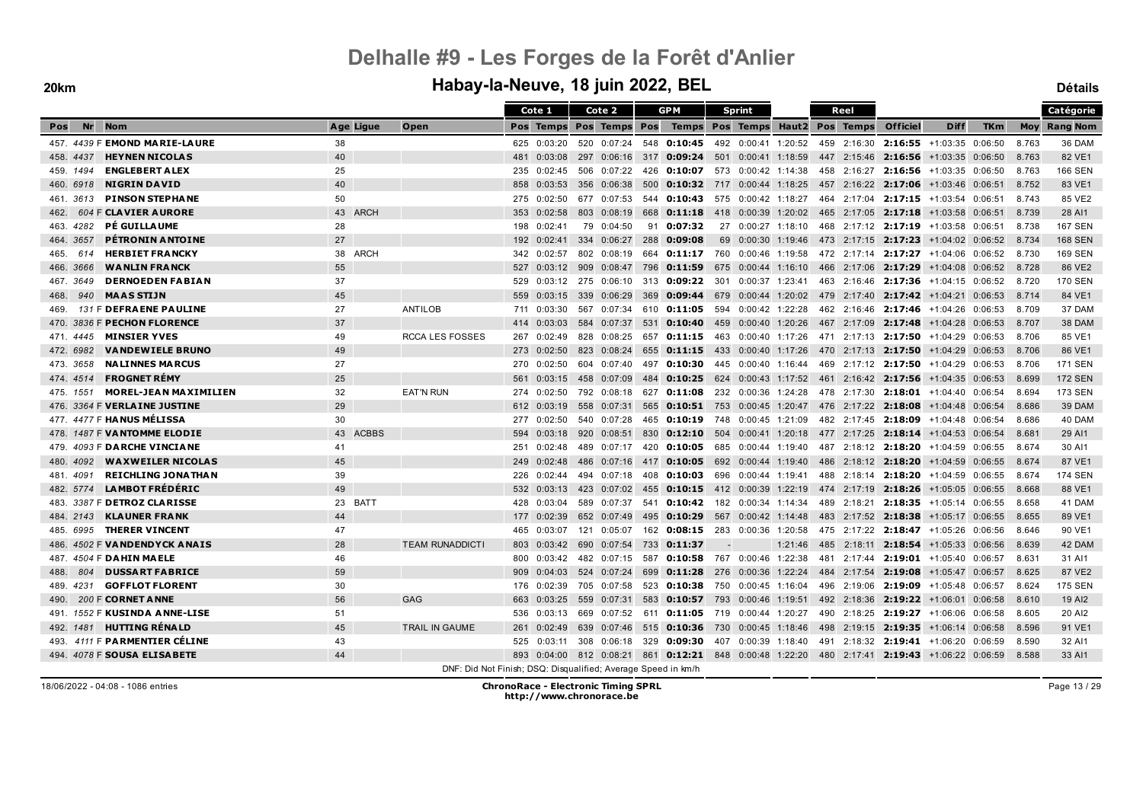### **20km Habay-la-Neuve, 18 juin 2022, BEL Détails**

|                                           |                    |                                                               |     | Cote 1      | Cote 2                  |     | <b>GPM</b>                                                                                   |                          | Sprint              |         |     | Reel            |                                                                                  |                            |            |       | Catégorie           |
|-------------------------------------------|--------------------|---------------------------------------------------------------|-----|-------------|-------------------------|-----|----------------------------------------------------------------------------------------------|--------------------------|---------------------|---------|-----|-----------------|----------------------------------------------------------------------------------|----------------------------|------------|-------|---------------------|
| <b>Nr</b><br><b>Nom</b><br>Pos            | Age Ligue          | Open                                                          |     |             | Pos Temps Pos Temps Pos |     | Temps Pos Temps                                                                              |                          |                     |         |     | Haut2 Pos Temps | <b>Officiel</b>                                                                  | <b>Diff</b>                | <b>TKm</b> |       | <b>Moy Rang Nom</b> |
| 457. 4439 F EMOND MARIE-LAURE             | 38                 |                                                               |     | 625 0:03:20 | 520 0:07:24             |     | 548 <b>0:10:45</b> 492 0:00:41 1:20:52 459 2:16:30                                           |                          |                     |         |     |                 |                                                                                  | $2:16:55$ +1:03:35 0:06:50 |            | 8.763 | 36 DAM              |
| 458.4437<br><b>HEYNEN NICOLAS</b>         | 40                 |                                                               | 481 | 0:03:08     |                         |     | 297  0:06:16  317  0:09:24  501  0:00:41  1:18:59                                            |                          |                     |         |     |                 | 447 2:15:46 2:16:56 +1:03:35 0:06:50                                             |                            |            | 8.763 | 82 VE1              |
| <b>ENGLEBERT A LEX</b><br>459, 1494       | 25                 |                                                               | 235 | 0:02:45     | 506 0:07:22             | 426 | <b>0:10:07</b> 573 0:00:42 1:14:38                                                           |                          |                     |         |     | 458 2:16:27     |                                                                                  | $2:16:56$ +1:03:35 0:06:50 |            | 8.763 | <b>166 SEN</b>      |
| <b>NIGRIN DAVID</b><br>460, 6918          | 40                 |                                                               | 858 | 0:03:53     | 356 0:06:38             | 500 |                                                                                              |                          |                     |         |     |                 | <b>0:10:32</b> 717 0:00:44 1:18:25 457 2:16:22 <b>2:17:06</b> $+1:03:46$ 0:06:51 |                            |            | 8.752 | 83 VE1              |
| <b>PINSON STEPHANE</b><br>461. 3613       | 50                 |                                                               | 275 | 0:02:50     | 677 0:07:53             |     | 544 0:10:43 575 0:00:42 1:18:27                                                              |                          |                     |         |     |                 | 464 2:17:04 2:17:15 +1:03:54 0:06:51                                             |                            |            | 8.743 | 85 VE2              |
| 604 F CLAVIER AURORE<br>462.              | 43 ARCH            |                                                               | 353 | 0:02:58     | 803 0:08:19             | 668 | 0:11:18                                                                                      |                          | 418 0:00:39 1:20:02 |         |     |                 | 465 2:17:05 2:17:18 +1:03:58 0:06:51                                             |                            |            | 8.739 | 28 AI1              |
| PÉ GUILLAUME<br>463.4282                  | 28                 |                                                               | 198 | 0:02:41     | 79 0:04:50              | 91  | 0:07:32                                                                                      |                          | 27 0:00:27 1:18:10  |         |     |                 | 468 2:17:12 2:17:19 +1:03:58 0:06:51                                             |                            |            | 8.738 | <b>167 SEN</b>      |
| <b>PÉTRONIN ANTOINE</b><br>464, 3657      | 27                 |                                                               | 192 | 0:02:41     | 334 0:06:27             | 288 | 0:09:08                                                                                      |                          | 69 0:00:30 1:19:46  |         |     |                 | 473 2:17:15 2:17:23 +1:04:02 0:06:52                                             |                            |            | 8.734 | <b>168 SEN</b>      |
| <b>HERBIET FRANCKY</b><br>465.<br>614     | 38 ARCH            |                                                               | 342 | 0:02:57     | 802 0:08:19             |     | 664 0:11:17 760 0:00:46 1:19:58                                                              |                          |                     |         |     |                 | 472 2:17:14 2:17:27 +1:04:06 0:06:52                                             |                            |            | 8.730 | <b>169 SEN</b>      |
| <b>WANLIN FRANCK</b><br>466. 3666         | 55                 |                                                               |     |             | 527 0:03:12 909 0:08:47 |     | 796 0:11:59 675 0:00:44 1:16:10                                                              |                          |                     |         |     |                 | 466 2:17:06 2:17:29 +1:04:08 0:06:52                                             |                            |            | 8.728 | 86 VE2              |
| <b>DERNOEDEN FABIAN</b><br>467. 3649      | 37                 |                                                               |     |             |                         |     | 529 0:03:12 275 0:06:10 313 0:09:22 301 0:00:37 1:23:41 463 2:16:46 2:17:36 +1:04:15 0:06:52 |                          |                     |         |     |                 |                                                                                  |                            |            | 8.720 | <b>170 SEN</b>      |
| 940<br><b>MAAS STIJN</b><br>468.          | 45                 |                                                               | 559 | 0:03:15     | 339 0:06:29             | 369 |                                                                                              |                          |                     |         |     |                 | <b>0:09:44</b> 679 0:00:44 1:20:02 479 2:17:40 <b>2:17:42</b> +1:04:21 0:06:53   |                            |            | 8.714 | 84 VE1              |
| 131 F DEFRAENE PAULINE<br>469.            | 27                 | ANTILOB                                                       |     | 711 0:03:30 | 567 0:07:34             |     | 610 0:11:05 594 0:00:42 1:22:28                                                              |                          |                     |         |     |                 | 462 2:16:46 2:17:46 +1:04:26 0:06:53                                             |                            |            | 8.709 | 37 DAM              |
| 3836 F PECHON FLORENCE<br>470.            | 37                 |                                                               | 414 | 0:03:03     | 584 0:07:37             | 531 | $0:10:40$ 459 0:00:40 1:20:26                                                                |                          |                     |         |     |                 | 467 2:17:09 2:17:48 +1:04:28 0:06:53                                             |                            |            | 8.707 | 38 DAM              |
| <b>MINSIER YVES</b><br>471 4445           | 49                 | <b>RCCA LES FOSSES</b>                                        | 267 | 0:02:49     | 828 0:08:25             | 657 | $0:11:15$ 463                                                                                |                          | 0:00:40 1:17:26     |         |     |                 | 471 2:17:13 2:17:50 +1:04:29 0:06:53                                             |                            |            | 8.706 | 85 VE1              |
| <b>VANDEWIELE BRUNO</b><br>472. 6982      | 49                 |                                                               | 273 | 0:02:50     | 823 0:08:24             |     | 655 0:11:15 433 0:00:40 1:17:26 470 2:17:13 2:17:50 +1:04:29 0:06:53                         |                          |                     |         |     |                 |                                                                                  |                            |            | 8.706 | 86 VE1              |
| <b>NALINNES MARCUS</b><br>473. 3658       | 27                 |                                                               | 270 | 0:02:50     | 604 0:07:40             | 497 | <b>0:10:30</b> 445 0:00:40 1:16:44                                                           |                          |                     |         |     |                 | 469 2:17:12 2:17:50 +1:04:29 0:06:53                                             |                            |            | 8.706 | <b>171 SEN</b>      |
| <b>FROGNET RÉMY</b><br>474, 4514          | 25                 |                                                               | 561 | 0:03:15     | 458 0:07:09             | 484 |                                                                                              |                          |                     |         |     |                 | <b>0:10:25</b> 624 0:00:43 1:17:52 461 2:16:42 2:17:56 +1:04:35 0:06:53          |                            |            | 8.699 | <b>172 SEN</b>      |
| <b>MOREL-JEAN MAXIMILIEN</b><br>475. 1551 | 32                 | <b>EAT'N RUN</b>                                              | 274 | 0:02:50     | 792 0:08:18             |     | 627 <b>0:11:08</b> 232 0:00:36 1:24:28 478 2:17:30 <b>2:18:01</b> +1:04:40 0:06:54           |                          |                     |         |     |                 |                                                                                  |                            |            | 8.694 | <b>173 SEN</b>      |
| 476. 3364 F VERLAINE JUSTINE              | 29                 |                                                               | 612 | 0:03:19     | 558 0:07:31             | 565 |                                                                                              |                          |                     |         |     |                 | <b>0:10:51</b> 753 0:00:45 1:20:47 476 2:17:22 <b>2:18:08</b> +1:04:48 0:06:54   |                            |            | 8.686 | 39 DAM              |
| 477. 4477 F HANUS MÉLISSA                 | 30                 |                                                               | 277 | 0:02:50     | 540 0:07:28             |     | 465 0:10:19 748 0:00:45 1:21:09                                                              |                          |                     |         |     |                 | 482 2:17:45 2:18:09 +1:04:48 0:06:54                                             |                            |            | 8.686 | 40 DAM              |
| 478. 1487 F VANTOMME ELODIE               | <b>ACBBS</b><br>43 |                                                               | 594 | 0:03:18     | 920 0:08:51             |     | 830 0:12:10 504 0:00:41 1:20:18 477 2:17:25 2:18:14 +1:04:53 0:06:54                         |                          |                     |         |     |                 |                                                                                  |                            |            | 8.681 | 29 AI1              |
| 479. 4093 F DARCHE VINCIANE               | 41                 |                                                               | 251 | 0:02:48     | 489 0:07:17             | 420 |                                                                                              |                          |                     |         |     |                 | <b>0:10:05</b> 685 0:00:44 1:19:40 487 2:18:12 2:18:20 +1:04:59 0:06:55          |                            |            | 8.674 | 30 AI1              |
| 480, 4092<br><b>WAXWEILER NICOLAS</b>     | 45                 |                                                               | 249 | 0:02:48     | 486 0:07:16             |     | 417 <b>0:10:05</b> 692 0:00:44 1:19:40 486 2:18:12 <b>2:18:20</b> +1:04:59 0:06:55           |                          |                     |         |     |                 |                                                                                  |                            |            | 8.674 | 87 VE1              |
| <b>REICHLING JONATHAN</b><br>481. 4091    | 39                 |                                                               | 226 | 0:02:44     | 494 0:07:18             | 408 | <b>0:10:03</b> 696 0:00:44 1:19:41                                                           |                          |                     |         |     |                 | 488 2:18:14 2:18:20 +1:04:59 0:06:55                                             |                            |            | 8.674 | <b>174 SEN</b>      |
| <b>LAMBOT FRÉDÉRIC</b><br>482. 5774       | 49                 |                                                               | 532 | 0:03:13     | 423 0:07:02             |     | 455 0:10:15 412 0:00:39 1:22:19 474 2:17:19 2:18:26 +1:05:05 0:06:55                         |                          |                     |         |     |                 |                                                                                  |                            |            | 8.668 | 88 VE1              |
| 483. 3387 F <b>DETROZ CLARISSE</b>        | 23 BATT            |                                                               | 428 | 0:03:04     | 589 0:07:37             | 541 | $0:10:42$ 182 0:00:34 1:14:34                                                                |                          |                     |         |     |                 | 489 2:18:21 2:18:35 +1:05:14 0:06:55                                             |                            |            | 8.658 | 41 DAM              |
| <b>KLAUNER FRANK</b><br>484, 2143         | 44                 |                                                               | 177 | 0:02:39     | 652 0:07:49             | 495 | 0:10:29                                                                                      |                          | 567 0:00:42 1:14:48 |         |     |                 | 483 2:17:52 2:18:38 +1:05:17 0:06:55                                             |                            |            | 8.655 | 89 VE1              |
| <b>THERER VINCENT</b><br>485.6995         | 47                 |                                                               | 465 | 0:03:07     | 121 0:05:07             | 162 | $0:08:15$ 283 0:00:36 1:20:58                                                                |                          |                     |         |     |                 | 475 2:17:22 2:18:47 +1:05:26 0:06:56                                             |                            |            | 8.646 | 90 VE1              |
| 486. 4502 F VANDENDYCK ANAIS              | 28                 | <b>TEAM RUNADDICTI</b>                                        | 803 |             | 0:03:42 690 0:07:54     | 733 | 0:11:37                                                                                      | $\overline{\phantom{a}}$ |                     | 1:21:46 | 485 |                 | 2:18:11 2:18:54 +1:05:33 0:06:56                                                 |                            |            | 8.639 | 42 DAM              |
| 487. 4504 F DAHIN MAELE                   | 46                 |                                                               | 800 | 0:03:42     | 482 0:07:15             | 587 | 0:10:58 767 0:00:46 1:22:38                                                                  |                          |                     |         |     |                 | 481 2:17:44 2:19:01 +1:05:40 0:06:57                                             |                            |            | 8.631 | 31 AI1              |
| <b>DUSSART FABRICE</b><br>804<br>488.     | 59                 |                                                               | 909 | 0:04:03     | 524 0:07:24             | 699 | <b>0:11:28</b> 276 0:00:36 1:22:24                                                           |                          |                     |         |     |                 | 484 2:17:54 2:19:08 +1:05:47 0:06:57                                             |                            |            | 8.625 | 87 VE2              |
| <b>GOFFLOT FLORENT</b><br>489. 4231       | 30                 |                                                               | 176 | 0:02:39     | 705 0:07:58             |     | 523 0:10:38 750 0:00:45 1:16:04                                                              |                          |                     |         |     |                 | 496 2:19:06 2:19:09 +1:05:48 0:06:57                                             |                            |            | 8.624 | <b>175 SEN</b>      |
| 200 F CORNET A NNE<br>490.                | 56                 | <b>GAG</b>                                                    | 663 | 0:03:25     | 559 0:07:31             | 583 | <b>0:10:57</b> 793 0:00:46 1:19:51                                                           |                          |                     |         |     |                 | 492 2:18:36 2:19:22 +1:06:01 0:06:58                                             |                            |            | 8.610 | 19 AI2              |
| 491. 1552 F KUSINDA ANNE-LISE             | 51                 |                                                               | 536 | 0:03:13     |                         |     | 669 0:07:52 611 0:11:05 719 0:00:44 1:20:27                                                  |                          |                     |         |     |                 | 490 2:18:25 2:19:27 +1:06:06 0:06:58                                             |                            |            | 8.605 | 20 AI2              |
| <b>HUTTING RÉNALD</b><br>492. 1481        | 45                 | TRAIL IN GAUME                                                | 261 | 0:02:49     | 639 0:07:46             | 515 | <b>0:10:36</b> 730 0:00:45 1:18:46                                                           |                          |                     |         |     |                 | 498 2:19:15 2:19:35 +1:06:14 0:06:58                                             |                            |            | 8.596 | 91 VE1              |
| 4111 F PARMENTIER CÉLINE<br>493.          | 43                 |                                                               | 525 | 0:03:11     | 308 0:06:18             | 329 | $0:09:30$ 407 0:00:39 1:18:40                                                                |                          |                     |         |     |                 | 491 2:18:32 2:19:41 +1:06:20 0:06:59                                             |                            |            | 8.590 | 32 AI1              |
| 494. 4078 F SOUSA ELISABETE               | 44                 |                                                               |     |             |                         |     | 893 0:04:00 812 0:08:21 861 0:12:21 848 0:00:48 1:22:20 480 2:17:41 2:19:43 +1:06:22 0:06:59 |                          |                     |         |     |                 |                                                                                  |                            |            | 8.588 | 33 AI1              |
|                                           |                    | DNF: Did Not Finish; DSQ: Disqualified; Average Speed in km/h |     |             |                         |     |                                                                                              |                          |                     |         |     |                 |                                                                                  |                            |            |       |                     |

18/06/2022 - 04:08 - 1086 entries **ChronoRace - Electronic Timing SPRL http://www.chronorace.be**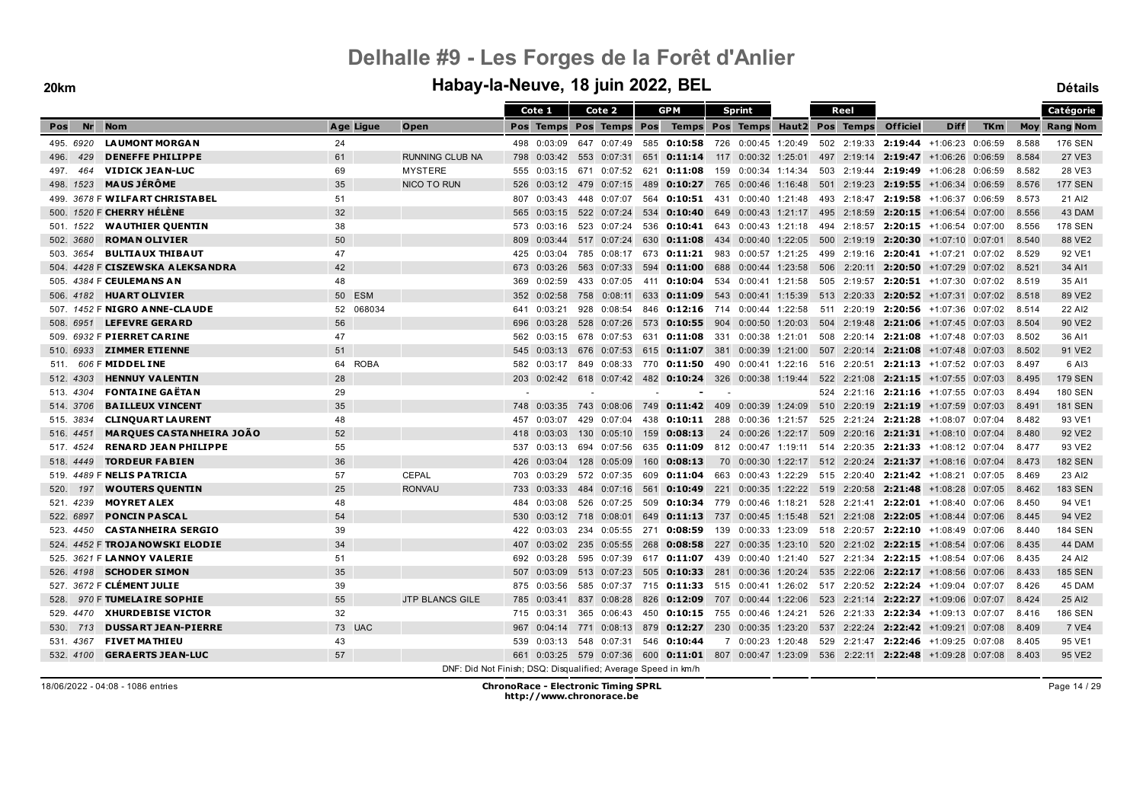|                  |                                         |           |                        | Cote 1                                                        | Cote 2                                                                                       |     | <b>GPM</b>         | <b>Sprint</b>                                                                      |                   | Reel        |                     |                                        |            |       | Catégorie           |
|------------------|-----------------------------------------|-----------|------------------------|---------------------------------------------------------------|----------------------------------------------------------------------------------------------|-----|--------------------|------------------------------------------------------------------------------------|-------------------|-------------|---------------------|----------------------------------------|------------|-------|---------------------|
| <b>Nr</b><br>Pos | <b>Nom</b>                              | Age Ligue | Open                   |                                                               | Pos Temps Pos Temps Pos                                                                      |     |                    | Temps Pos Temps Haut2 Pos Temps                                                    |                   |             | <b>Officiel</b>     | <b>Diff</b>                            | <b>TKm</b> |       | <b>Moy Rang Nom</b> |
| 495, 6920        | <b>LAUMONT MORGAN</b>                   | 24        |                        | 498 0:03:09                                                   | 647 0:07:49                                                                                  |     |                    | 585 <b>0:10:58</b> 726 0:00:45 1:20:49                                             |                   |             |                     | 502 2:19:33 2:19:44 +1:06:23 0:06:59   |            | 8.588 | <b>176 SEN</b>      |
| 429<br>496.      | <b>DENEFFE PHILIPPE</b>                 | 61        | <b>RUNNING CLUB NA</b> | 798                                                           | $0:03:42$ 553 0:07:31                                                                        |     |                    | 651 <b>0:11:14</b> 117 0:00:32 1:25:01 497 2:19:14 <b>2:19:47</b> +1:06:26 0:06:59 |                   |             |                     |                                        |            | 8.584 | 27 VE3              |
| 497.<br>464      | <b>VIDICK JEAN-LUC</b>                  | 69        | <b>MYSTERE</b>         | 0:03:15<br>555                                                | 671 0:07:52                                                                                  | 621 | 0:11:08            | 159 0:00:34 1:14:34                                                                |                   | 503 2:19:44 |                     | $2:19:49$ +1:06:28 0:06:59             |            | 8.582 | 28 VE3              |
| 498. 1523        | <b>MAUS JÉRÔME</b>                      | 35        | NICO TO RUN            | 526<br>0:03:12                                                | 479 0:07:15                                                                                  |     |                    | 489 0:10:27 765 0:00:46 1:16:48 501 2:19:23 2:19:55 +1:06:34 0:06:59               |                   |             |                     |                                        |            | 8.576 | <b>177 SEN</b>      |
|                  | 499. 3678 F <b>WILFART CHRISTA BEL</b>  | 51        |                        | 807<br>0:03:43                                                | 448 0:07:07                                                                                  |     |                    | 564 0:10:51 431 0:00:40 1:21:48 493 2:18:47 2:19:58 +1:06:37 0:06:59               |                   |             |                     |                                        |            | 8.573 | 21 AI2              |
|                  | 500. <i>1520</i> F <b>CHERRY HÉLÈNE</b> | 32        |                        | 0:03:15<br>565                                                | 522 0:07:24                                                                                  | 534 | 0:10:40            | 649 0:00:43 1:21:17 495 2:18:59 2:20:15                                            |                   |             |                     | +1:06:54 0:07:00                       |            | 8.556 | 43 DAM              |
| 501. 1522        | <b>WAUTHIER QUENTIN</b>                 | 38        |                        | 0:03:16<br>573                                                | 523 0:07:24                                                                                  |     |                    | 536 0:10:41 643 0:00:43 1:21:18                                                    |                   |             |                     | 494 2:18:57 2:20:15 +1:06:54 0:07:00   |            | 8.556 | <b>178 SEN</b>      |
| 502. 3680        | <b>ROMAN OLIVIER</b>                    | 50        |                        | 809<br>0:03:44                                                | 517 0:07:24                                                                                  |     |                    | 630 0:11:08 434 0:00:40 1:22:05 500 2:19:19 2:20:30 +1:07:10 0:07:01               |                   |             |                     |                                        |            | 8.540 | 88 VE2              |
| 503. 3654        | <b>BULTIAUX THIBAUT</b>                 | 47        |                        | 0:03:04<br>425                                                | 785 0:08:17                                                                                  |     | 673 0:11:21 983    |                                                                                    | 0:00:57 1:21:25   |             |                     | 499 2:19:16 2:20:41 +1:07:21 0:07:02   |            | 8.529 | 92 VE1              |
|                  | 504. 4428 F CISZEWSKA ALEKSANDRA        | 42        |                        | 673 0:03:26                                                   | 563 0:07:33                                                                                  |     |                    | 594 <b>0:11:00</b> 688 0:00:44 1:23:58 506 2:20:11 <b>2:20:50</b> +1:07:29 0:07:02 |                   |             |                     |                                        |            | 8.521 | 34 AI1              |
|                  | 505. 4384 F <b>CEULEMA NS A N</b>       | 48        |                        | 0:02:59<br>369                                                | 433 0:07:05                                                                                  |     | 411 <b>0:10:04</b> | 534 0:00:41 1:21:58                                                                |                   |             |                     | 505 2:19:57 2:20:51 +1:07:30 0:07:02   |            | 8.519 | 35 AI1              |
|                  | 506. 4182 <b>HUART OLIVIER</b>          | 50 ESM    |                        | 0:02:58<br>352                                                | 758 0:08:11                                                                                  | 633 |                    | <b>0:11:09</b> 543 0:00:41 1:15:39                                                 |                   |             |                     | 513 2:20:33 2:20:52 $+1:07:31$ 0:07:02 |            | 8.518 | 89 VE2              |
|                  | 507. 1452 F <b>NIGRO ANNE-CLAUDE</b>    | 52 068034 |                        | 0:03:21<br>641                                                | 928 0:08:54                                                                                  |     |                    | 846 0:12:16 714 0:00:44 1:22:58                                                    |                   |             |                     | 511 2:20:19 2:20:56 +1:07:36 0:07:02   |            | 8.514 | 22 AI2              |
| 508. 6951        | <b>LEFEVRE GERARD</b>                   | 56        |                        | 0:03:28<br>696                                                |                                                                                              |     |                    | 528 0:07:26 573 0:10:55 904 0:00:50 1:20:03                                        |                   |             |                     | 504 2:19:48 2:21:06 +1:07:45 0:07:03   |            | 8.504 | 90 VE2              |
| 509.             | 6932 F PIERRET CARINE                   | 47        |                        | 562<br>0:03:15                                                | 678 0:07:53                                                                                  |     |                    | 631 0:11:08 331 0:00:38 1:21:01                                                    |                   | 508 2:20:14 |                     | $2:21:08$ +1:07:48 0:07:03             |            | 8.502 | 36 AI1              |
| 510. 6933        | <b>ZIMMER ETIENNE</b>                   | 51        |                        | 0:03:13<br>545                                                | 676 0:07:53                                                                                  |     |                    | 615 0:11:07 381 0:00:39 1:21:00                                                    |                   |             |                     | 507 2:20:14 2:21:08 +1:07:48 0:07:03   |            | 8.502 | 91 VE2              |
| 511.             | 606 F MIDDEL INE                        | 64 ROBA   |                        | 0:03:17<br>582                                                |                                                                                              |     |                    | 849 0:08:33 770 0:11:50 490 0:00:41 1:22:16 516 2:20:51 2:21:13 +1:07:52 0:07:03   |                   |             |                     |                                        |            | 8.497 | 6 AI3               |
| 512, 4303        | <b>HENNUY VALENTIN</b>                  | 28        |                        | 203                                                           | $0:02:42$ 618 0:07:42 482 0:10:24 326 0:00:38 1:19:44 522 2:21:08 2:21:15 +1:07:55 0:07:03   |     |                    |                                                                                    |                   |             |                     |                                        |            | 8.495 | <b>179 SEN</b>      |
| 513. 4304        | <b>FONTAINE GAËTAN</b>                  | 29        |                        |                                                               |                                                                                              |     |                    |                                                                                    |                   |             |                     | 524 2:21:16 2:21:16 +1:07:55 0:07:03   |            | 8.494 | <b>180 SEN</b>      |
| 514, 3706        | <b>BAILLEUX VINCENT</b>                 | 35        |                        | 0:03:35<br>748                                                | 743<br>0:08:06                                                                               |     |                    | 749 0:11:42 409 0:00:39 1:24:09                                                    |                   |             | 510 2:20:19 2:21:19 | +1:07:59 0:07:03                       |            | 8.491 | <b>181 SEN</b>      |
| 515. 3834        | <b>CLINQUART LAURENT</b>                | 48        |                        | 0:03:07<br>457                                                | 429 0:07:04                                                                                  |     |                    | 438 0:10:11 288 0:00:36 1:21:57                                                    |                   |             |                     | 525 2:21:24 2:21:28 +1:08:07 0:07:04   |            | 8.482 | 93 VE1              |
| 516. 4451        | <b>MARQUES CASTANHEIRA JOAO</b>         | 52        |                        | 0:03:03<br>418                                                | 130 0:05:10                                                                                  |     | 159 0:08:13        | 24 0:00:26 1:22:17                                                                 |                   |             |                     | 509 2:20:16 2:21:31 +1:08:10 0:07:04   |            | 8.480 | 92 VE2              |
| 517. 4524        | <b>RENARD JEAN PHILIPPE</b>             | 55        |                        | 0:03:13<br>537                                                | 694 0:07:56                                                                                  |     |                    | 635 0:11:09 812 0:00:47 1:19:11 514 2:20:35 2:21:33 +1:08:12 0:07:04               |                   |             |                     |                                        |            | 8.477 | 93 VE2              |
| 518. 4449        | <b>TORDEUR FABIEN</b>                   | 36        |                        | 426<br>0:03:04                                                | 128 0:05:09                                                                                  |     | 160 0:08:13        | 70 0:00:30 1:22:17 512 2:20:24 2:21:37 +1:08:16 0:07:04                            |                   |             |                     |                                        |            | 8.473 | <b>182 SEN</b>      |
|                  | 519. 4489 F NELIS PATRICIA              | 57        | <b>CEPAL</b>           | 0:03:29<br>703                                                | 572 0:07:35                                                                                  |     | 609 0:11:04        | 663                                                                                | 0:00:43 1:22:29   |             |                     | 515 2:20:40 2:21:42 +1:08:21 0:07:05   |            | 8.469 | 23 AI2              |
| 197<br>520.      | <b>WOUTERS QUENTIN</b>                  | 25        | <b>RONVAU</b>          | 0:03:33<br>733                                                | 484 0:07:16                                                                                  |     |                    | 561 0:10:49 221 0:00:35 1:22:22 519 2:20:58 2:21:48 +1:08:28 0:07:05               |                   |             |                     |                                        |            | 8.462 | <b>183 SEN</b>      |
| 521. 4239        | <b>MOYRET ALEX</b>                      | 48        |                        | 0:03:08<br>484                                                | 526 0:07:25                                                                                  |     |                    | 509 0:10:34 779 0:00:46 1:18:21                                                    |                   |             |                     | 528 2:21:41 2:22:01 +1:08:40 0:07:06   |            | 8.450 | 94 VE1              |
| 522. 6897        | <b>PONCIN PASCAL</b>                    | 54        |                        | 530<br>0:03:12                                                | 718 0:08:01                                                                                  | 649 |                    | <b>0:11:13</b> 737 0:00:45 1:15:48                                                 |                   |             |                     | 521 2:21:08 2:22:05 +1:08:44 0:07:06   |            | 8.445 | 94 VE2              |
| 523. 4450        | <b>CASTANHEIRA SERGIO</b>               | 39        |                        | 0:03:03<br>422                                                |                                                                                              |     |                    | 234  0:05:55  271  0:08:59  139  0:00:33  1:23:09                                  |                   |             |                     | 518 2:20:57 2:22:10 +1:08:49 0:07:06   |            | 8.440 | <b>184 SEN</b>      |
|                  | 524. 4452 F <b>TROJA NOWSKI ELODIE</b>  | 34        |                        | 0:03:02<br>407                                                | 235 0:05:55                                                                                  | 268 | 0:08:58            | 227                                                                                | $0:00:35$ 1:23:10 |             | 520 2:21:02 2:22:15 | +1:08:54 0:07:06                       |            | 8.435 | 44 DAM              |
| 525.             | 3621 F LANNOY VALERIE                   | 51        |                        | 692<br>0:03:28                                                | 595 0:07:39                                                                                  |     | 617 0:11:07        | 439                                                                                | 0:00:40 1:21:40   |             |                     | 527 2:21:34 2:22:15 +1:08:54 0:07:06   |            | 8.435 | 24 AI2              |
|                  | 526. 4198 <b>SCHODER SIMON</b>          | 35        |                        | 507 0:03:09                                                   | 513 0:07:23                                                                                  |     |                    | 505 <b>0:10:33</b> 281 0:00:36 1:20:24 535 2:22:06 2:22:17 +1:08:56 0:07:06        |                   |             |                     |                                        |            | 8.433 | <b>185 SEN</b>      |
|                  | 527. 3672 F CLÉMENT JULIE               | 39        |                        | 0:03:56<br>875                                                |                                                                                              |     |                    | 585 0:07:37 715 0:11:33 515 0:00:41 1:26:02 517 2:20:52 2:22:24 +1:09:04 0:07:07   |                   |             |                     |                                        |            | 8.426 | 45 DAM              |
| 528.             | 970 F TUMELAIRE SOPHIE                  | 55        | <b>JTP BLANCS GILE</b> | 785<br>0:03:41                                                | 837 0:08:28                                                                                  | 826 |                    | $0:12:09$ 707 0:00:44 1:22:06                                                      |                   |             |                     | 523 2:21:14 2:22:27 +1:09:06 0:07:07   |            | 8.424 | 25 AI2              |
|                  | 529. 4470 XHURDEBISE VICTOR             | 32        |                        | 0:03:31<br>715                                                | 365 0:06:43                                                                                  |     |                    | 450 <b>0:10:15</b> 755 0:00:46 1:24:21 526 2:21:33 <b>2:22:34</b> +1:09:13 0:07:07 |                   |             |                     |                                        |            | 8.416 | <b>186 SEN</b>      |
| 713<br>530.      | <b>DUSSART JEAN-PIERRE</b>              | 73 UAC    |                        | 967<br>0:04:14                                                | 771 0:08:13                                                                                  |     |                    | 879 0:12:27 230 0:00:35 1:23:20                                                    |                   |             |                     | 537 2:22:24 2:22:42 +1:09:21 0:07:08   |            | 8.409 | <b>7 VE4</b>        |
| 531. 4367        | <b>FIVET MATHIEU</b>                    | 43        |                        | 539<br>0:03:13                                                | 548 0:07:31                                                                                  |     | 546 0:10:44        | 7 0:00:23 1:20:48                                                                  |                   |             |                     | 529 2:21:47 2:22:46 +1:09:25 0:07:08   |            | 8.405 | 95 VE1              |
| 532, 4100        | <b>GERAERTS JEAN-LUC</b>                | 57        |                        |                                                               | 661 0:03:25 579 0:07:36 600 0:11:01 807 0:00:47 1:23:09 536 2:22:11 2:22:48 +1:09:28 0:07:08 |     |                    |                                                                                    |                   |             |                     |                                        |            | 8.403 | 95 VE2              |
|                  |                                         |           |                        | DNF: Did Not Finish; DSQ: Disqualified; Average Speed in km/h |                                                                                              |     |                    |                                                                                    |                   |             |                     |                                        |            |       |                     |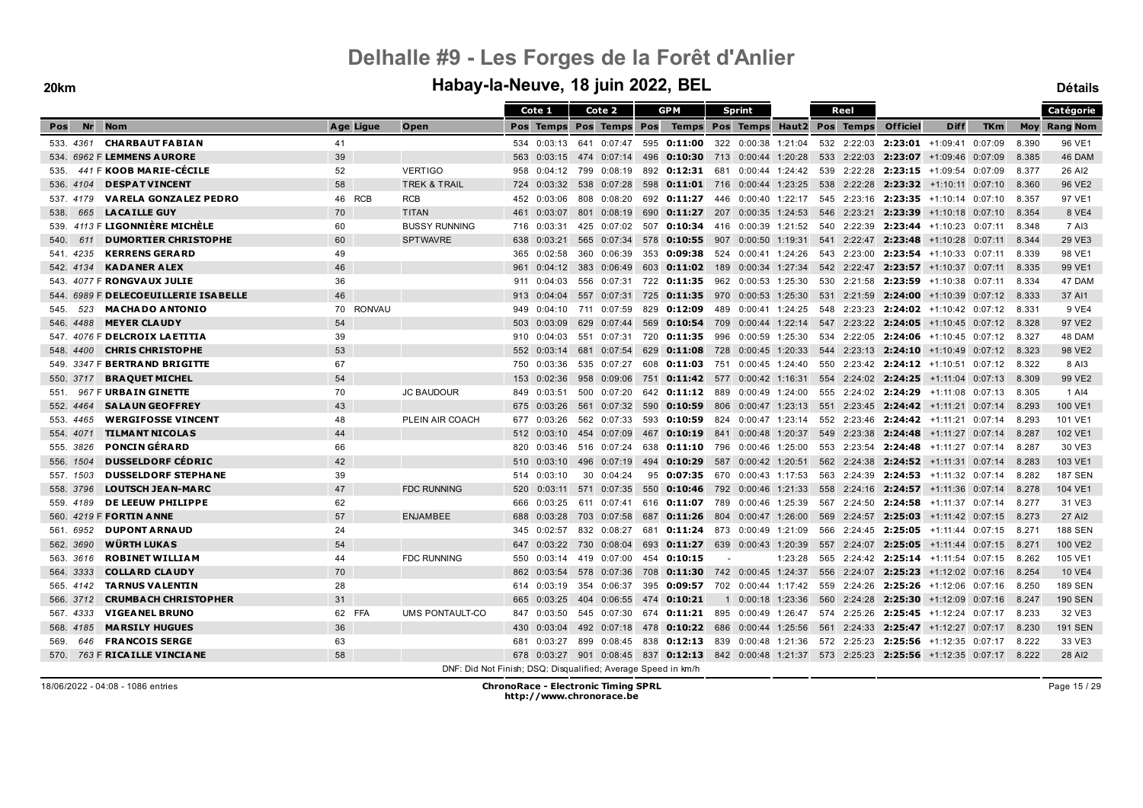#### **20km Habay-la-Neuve, 18 juin 2022, BEL Détails**

|                                            |           |                                                               |     | Cote 1      |     | Cote 2                  |     | <b>GPM</b>                                                                                         |     | <b>Sprint</b>       |         | Reel        |                     |                                                 |            |       | Catégorie           |
|--------------------------------------------|-----------|---------------------------------------------------------------|-----|-------------|-----|-------------------------|-----|----------------------------------------------------------------------------------------------------|-----|---------------------|---------|-------------|---------------------|-------------------------------------------------|------------|-------|---------------------|
| <b>Nr</b><br><b>Nom</b><br>Pos             | Age Ligue | Open                                                          |     |             |     | Pos Temps Pos Temps Pos |     | Temps Pos Temps Haut2 Pos Temps                                                                    |     |                     |         |             | <b>Officiel</b>     | <b>Diff</b>                                     | <b>TKm</b> |       | <b>Moy Rang Nom</b> |
| <b>CHARBAUT FABIAN</b><br>533.4361         | 41        |                                                               |     | 534 0:03:13 |     |                         |     | 641  0:07:47  595 <b>0:11:00</b>                                                                   |     | 322 0:00:38 1:21:04 |         |             |                     | 532 2:22:03 2:23:01 +1:09:41 0:07:09            |            | 8.390 | 96 VE1              |
| 534. 6962 F LEMMENS AURORE                 | 39        |                                                               | 563 | 0:03:15     |     | 474 0:07:14             | 496 | <b>0:10:30</b> 713 0:00:44 1:20:28                                                                 |     |                     |         |             |                     | 533 2:22:03 2:23:07 +1:09:46 0:07:09            |            | 8.385 | 46 DAM              |
| 441 F KOOB MARIE-CECILE<br>535.            | 52        | <b>VERTIGO</b>                                                | 958 | 0:04:12     |     | 799 0:08:19             |     | 892 0:12:31 681                                                                                    |     | 0:00:44 1:24:42     |         |             |                     | 539 2:22:28 2:23:15 +1:09:54 0:07:09            |            | 8.377 | 26 AI2              |
| <b>DESPATVINCENT</b><br>536, 4104          | 58        | <b>TREK &amp; TRAIL</b>                                       | 724 | 0:03:32     |     | 538 0:07:28             |     | 598 0:11:01 716 0:00:44 1:23:25                                                                    |     |                     |         |             |                     | 538 2:22:28 2:23:32 +1:10:11 0:07:10            |            | 8.360 | 96 VE2              |
| <b>VARELA GONZALEZ PEDRO</b><br>537.4179   | 46 RCB    | <b>RCB</b>                                                    | 452 | 0:03:06     |     | 808 0:08:20             |     | 692 0:11:27                                                                                        | 446 | 0:00:40 1:22:17     |         |             | 545 2:23:16 2:23:35 | +1:10:14 0:07:10                                |            | 8.357 | 97 VE1              |
| <b>LA CAILLE GUY</b><br>665<br>538.        | 70        | <b>TITAN</b>                                                  | 461 | 0:03:07     |     | 801 0:08:19             | 690 | <b>0:11:27</b> 207 0:00:35 1:24:53                                                                 |     |                     |         | 546 2:23:21 | 2:23:39             | $+1:10:18$ 0:07:10                              |            | 8.354 | 8 VE4               |
| 539. 4113 F LIGONNIÈRE MICHÈLE             | 60        | <b>BUSSY RUNNING</b>                                          | 716 | 0:03:31     |     | 425 0:07:02             | 507 | $0:10:34$ 416                                                                                      |     | 0:00:39 1:21:52     |         |             |                     | 540 2:22:39 2:23:44 +1:10:23 0:07:11            |            | 8.348 | 7 AI3               |
| <b>DUMORTIER CHRISTOPHE</b><br>540.<br>611 | 60        | <b>SPTWAVRE</b>                                               | 638 | 0:03:21     |     | 565 0:07:34             | 578 | $0:10:55$ 907 0:00:50 1:19:31                                                                      |     |                     |         |             |                     | 541 2:22:47 2:23:48 +1:10:28 0:07:11            |            | 8.344 | 29 VE3              |
| <b>KERRENS GERARD</b><br>541, 4235         | 49        |                                                               | 365 | 0:02:58     |     | 360 0:06:39             | 353 | 0:09:38                                                                                            | 524 | 0:00:41 1:24:26     |         |             |                     | 543 2:23:00 2:23:54 +1:10:33 0:07:11            |            | 8.339 | 98 VE1              |
| <b>KADANER ALEX</b><br>542.4134            | 46        |                                                               | 961 | 0:04:12     | 383 | 0:06:49                 | 603 | 0:11:02                                                                                            | 189 | 0:00:34 1:27:34     |         |             |                     | 542 2:22:47 2:23:57 +1:10:37 0:07:11            |            | 8.335 | 99 VE1              |
| 543. 4077 F RONGVAUX JULIE                 | 36        |                                                               | 911 | 0:04:03     |     |                         |     | 556 0:07:31 722 0:11:35                                                                            |     | 962 0:00:53 1:25:30 |         |             |                     | 530 2:21:58 2:23:59 +1:10:38 0:07:11            |            | 8.334 | 47 DAM              |
| 544. 6989 F DELECOEUILLERIE ISABELLE       | 46        |                                                               | 913 | 0:04:04     |     | 557 0:07:31             |     | 725 0:11:35 970 0:00:53 1:25:30                                                                    |     |                     |         |             |                     | 531 2:21:59 2:24:00 +1:10:39 0:07:12            |            | 8.333 | 37 AI1              |
| <b>MACHADO ANTONIO</b><br>523<br>545.      | 70 RONVAU |                                                               | 949 | 0:04:10     |     | 711 0:07:59             |     | 829 0:12:09                                                                                        |     | 489 0:00:41 1:24:25 |         |             |                     | 548 2:23:23 2:24:02 +1:10:42 0:07:12            |            | 8.331 | 9 VE4               |
| <b>MEYER CLAUDY</b><br>546, 4488           | 54        |                                                               | 503 | 0:03:09     |     | 629 0:07:44             | 569 | $0:10:54$ 709                                                                                      |     | $0:00:44$ 1:22:14   |         |             |                     | 547 2:23:22 2:24:05 +1:10:45 0:07:12            |            | 8.328 | 97 VE2              |
| 547. 4076 F DELCROIX LAETITIA              | 39        |                                                               | 910 | 0:04:03     |     | 551 0:07:31             | 720 | 0:11:35                                                                                            | 996 | 0:00:59 1:25:30     |         |             |                     | 534 2:22:05 2:24:06 +1:10:45 0:07:12            |            | 8.327 | 48 DAM              |
| <b>CHRIS CHRISTOPHE</b><br>548.4400        | 53        |                                                               | 552 | 0:03:14     |     | 681 0:07:54             |     | 629 0:11:08 728 0:00:45 1:20:33                                                                    |     |                     |         |             |                     | $544$ 2:23:13 <b>2:24:10</b> $+1:10:49$ 0:07:12 |            | 8.323 | 98 VE2              |
| 549. 3347 F BERTRAND BRIGITTE              | 67        |                                                               | 750 | 0:03:36     |     | 535 0:07:27             |     | 608 0:11:03                                                                                        | 751 | 0:00:45 1:24:40     |         |             |                     | 550  2:23:42  2:24:12  +1:10:51  0:07:12        |            | 8.322 | 8 AI3               |
| <b>BRAQUET MICHEL</b><br>550. 3717         | 54        |                                                               | 153 | 0:02:36     |     | 958 0:09:06             | 751 | <b>0:11:42</b> 577  0:00:42  1:16:31                                                               |     |                     |         |             | 554 2:24:02 2:24:25 | +1:11:04 0:07:13                                |            | 8.309 | 99 VE2              |
| 967 F URBAIN GINETTE<br>551.               | 70        | <b>JC BAUDOUR</b>                                             | 849 | 0:03:51     |     | 500 0:07:20             |     | 642 <b>0:11:12</b> 889 0:00:49 1:24:00 555 2:24:02 <b>2:24:29</b> +1:11:08 0:07:13                 |     |                     |         |             |                     |                                                 |            | 8.305 | 1 AI4               |
| <b>SALAUN GEOFFREY</b><br>552.4464         | 43        |                                                               | 675 | 0:03:26     |     | 561 0:07:32             | 590 | 0:10:59                                                                                            | 806 | $0:00:47$ 1:23:13   |         |             |                     | 551 2:23:45 2:24:42 +1:11:21 0:07:14            |            | 8.293 | 100 VE1             |
| <b>WERGIFOSSE VINCENT</b><br>553.4465      | 48        | PLEIN AIR COACH                                               | 677 | 0:03:26     |     | 562 0:07:33             | 593 | 0:10:59                                                                                            | 824 | 0:00:47 1:23:14     |         |             |                     | 552 2:23:46 2:24:42 +1:11:21 0:07:14            |            | 8.293 | 101 VE1             |
| <b>TILMANT NICOLAS</b><br>554. 4071        | 44        |                                                               |     | 512 0:03:10 |     | 454 0:07:09             |     | 467 0:10:19 841 0:00:48 1:20:37                                                                    |     |                     |         |             |                     | 549 2:23:38 2:24:48 +1:11:27 0:07:14            |            | 8.287 | 102 VE1             |
| <b>PONCIN GÉRARD</b><br>555. 3826          | 66        |                                                               | 820 | 0:03:46     |     | 516 0:07:24             |     | 638 0:11:10 796 0:00:46 1:25:00                                                                    |     |                     |         |             |                     | 553 2:23:54 2:24:48 +1:11:27 0:07:14            |            | 8.287 | 30 VE3              |
| <b>DUSSELDORF CÉDRIC</b><br>556, 1504      | 42        |                                                               | 510 | 0:03:10     |     | 496 0:07:19             |     | 494 0:10:29                                                                                        |     | 587 0:00:42 1:20:51 |         |             |                     | 562 2:24:38 2:24:52 +1:11:31 0:07:14            |            | 8.283 | 103 VE1             |
| <b>DUSSELDORF STEPHANE</b><br>557. 1503    | 39        |                                                               | 514 | 0:03:10     |     | $30 \quad 0:04:24$      | 95  | 0:07:35 670                                                                                        |     | $0:00:43$ 1:17:53   |         |             |                     | 563 2:24:39 2:24:53 +1:11:32 0:07:14            |            | 8.282 | <b>187 SEN</b>      |
| <b>LOUTSCH JEAN-MARC</b><br>558, 3796      | 47        | <b>FDC RUNNING</b>                                            | 520 | 0:03:11     |     | 571 0:07:35             | 550 | $0:10:46$ 792 0:00:46 1:21:33                                                                      |     |                     |         |             |                     | 558 2:24:16 2:24:57 +1:11:36 0:07:14            |            | 8.278 | 104 VE1             |
| DE LEEUW PHILIPPE<br>559. 4189             | 62        |                                                               | 666 | 0:03:25     |     | 611 0:07:41             |     | 616 0:11:07                                                                                        | 789 | 0:00:46 1:25:39     |         |             | 567 2:24:50 2:24:58 | +1:11:37 0:07:14                                |            | 8.277 | 31 VE3              |
| 560. 4219 F <b>FORTIN ANNE</b>             | 57        | <b>ENJAMBEE</b>                                               | 688 | 0:03:28     |     | 703 0:07:58             | 687 | $0:11:26$ 804                                                                                      |     | 0:00:47 1:26:00     |         | 569 2:24:57 |                     | $2:25:03$ +1:11:42 0:07:15                      |            | 8.273 | 27 AI2              |
| <b>DUPONT ARNAUD</b><br>561, 6952          | 24        |                                                               | 345 | 0:02:57     |     | 832 0:08:27             | 681 | <b>0:11:24</b> 873 0:00:49 1:21:09                                                                 |     |                     |         |             |                     | 566 2:24:45 2:25:05 +1:11:44 0:07:15            |            | 8.271 | <b>188 SEN</b>      |
| WÜRTH LUKAS<br>562, 3690                   | 54        |                                                               | 647 | 0:03:22     |     | 730 0:08:04             | 693 | 0:11:27                                                                                            |     | 639 0:00:43 1:20:39 |         |             |                     | 557 2:24:07 2:25:05 +1:11:44 0:07:15            |            | 8.271 | 100 VE2             |
| <b>ROBINET WILLIAM</b><br>563. 3616        | 44        | <b>FDC RUNNING</b>                                            | 550 | 0:03:14     |     | 419 0:07:00             | 454 | 0:10:15                                                                                            |     |                     | 1:23:28 |             |                     | 565 2:24:42 2:25:14 +1:11:54 0:07:15            |            | 8.262 | 105 VE1             |
| <b>COLLARD CLAUDY</b><br>564. 3333         | 70        |                                                               | 862 | 0:03:54     |     | 578 0:07:36             | 708 | 0:11:30                                                                                            |     | 742 0:00:45 1:24:37 |         |             | 556 2:24:07 2:25:23 | $+1:12:02$ 0:07:16                              |            | 8.254 | <b>10 VE4</b>       |
| <b>TARNUS VALENTIN</b><br>565.4142         | 28        |                                                               | 614 | 0:03:19     |     | 354 0:06:37             | 395 | $0:09:57$ 702 0:00:44 1:17:42                                                                      |     |                     |         |             |                     | 559 2:24:26 2:25:26 +1:12:06 0:07:16            |            | 8.250 | <b>189 SEN</b>      |
| <b>CRUMBACH CHRISTOPHER</b><br>566. 3712   | 31        |                                                               | 665 | 0:03:25     |     | 404 0:06:55             | 474 | 0:10:21                                                                                            |     | 1 0:00:18 1:23:36   |         |             |                     | 560 2:24:28 2:25:30 +1:12:09 0:07:16            |            | 8.247 | <b>190 SEN</b>      |
| <b>VIGEANEL BRUNO</b><br>567.4333          | 62 FFA    | UMS PONTAULT-CO                                               | 847 | 0:03:50     |     | 545 0:07:30             |     | 674 0:11:21 895 0:00:49 1:26:47 574 2:25:26 2:25:45 +1:12:24 0:07:17                               |     |                     |         |             |                     |                                                 |            | 8.233 | 32 VE3              |
| <b>MARSILY HUGUES</b><br>568. 4185         | 36        |                                                               | 430 | 0:03:04     |     | 492 0:07:18             | 478 | $0:10:22$ 686                                                                                      |     | 0:00:44 1:25:56     |         |             |                     | 561 2:24:33 2:25:47 +1:12:27 0:07:17            |            | 8.230 | <b>191 SEN</b>      |
| <b>FRANCOIS SERGE</b><br>569.<br>646       | 63        |                                                               | 681 | 0:03:27     | 899 | 0:08:45                 |     | 838 0:12:13 839 0:00:48 1:21:36                                                                    |     |                     |         |             |                     | 572 2:25:23 2:25:56 +1:12:35 0:07:17            |            | 8.222 | 33 VE3              |
| 763 F RICAILLE VINCIANE<br>570.            | 58        |                                                               |     |             |     |                         |     | 678 0:03:27 901 0:08:45 837 0:12:13 842 0:00:48 1:21:37 573 2:25:23 2:25:56 +1:12:35 0:07:17 8.222 |     |                     |         |             |                     |                                                 |            |       | 28 AI2              |
|                                            |           | DNF: Did Not Finish; DSQ: Disqualified; Average Speed in km/h |     |             |     |                         |     |                                                                                                    |     |                     |         |             |                     |                                                 |            |       |                     |

Page 15 / 29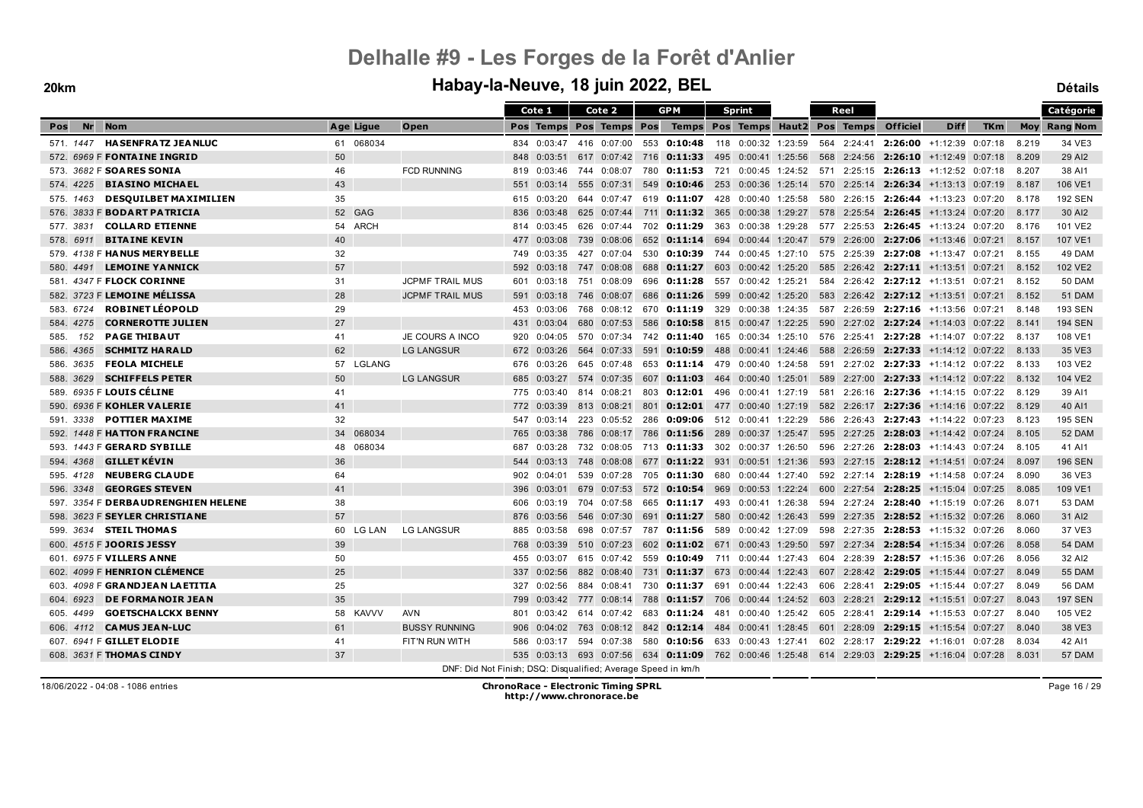#### **20km Habay-la-Neuve, 18 juin 2022, BEL Détails**

|                                           |           |                                                               |     | Cote 1                  | Cote 2                  |     | <b>GPM</b>                                                                                     |     | <b>Sprint</b>       |  | Reel        |                     |                                      |            |       | Catégorie           |
|-------------------------------------------|-----------|---------------------------------------------------------------|-----|-------------------------|-------------------------|-----|------------------------------------------------------------------------------------------------|-----|---------------------|--|-------------|---------------------|--------------------------------------|------------|-------|---------------------|
| <b>Nr</b><br><b>Nom</b><br>Pos            | Age Ligue | Open                                                          |     | Pos Temps Pos Temps Pos |                         |     | Temps Pos Temps Haut2 Pos Temps                                                                |     |                     |  |             | <b>Officiel</b>     | <b>Diff</b>                          | <b>TKm</b> |       | <b>Moy Rang Nom</b> |
| <b>HASENFRATZ JEANLUC</b><br>571, 1447    | 61 068034 |                                                               |     |                         |                         |     | 834 0:03:47 416 0:07:00 553 0:10:48 118 0:00:32 1:23:59 564 2:24:41 2:26:00 +1:12:39 0:07:18   |     |                     |  |             |                     |                                      |            | 8.219 | 34 VE3              |
| 572. 6969 F FONTAINE INGRID               | 50        |                                                               | 848 | 0:03:51                 |                         |     | 617 0:07:42 716 0:11:33 495 0:00:41 1:25:56                                                    |     |                     |  |             |                     | 568 2:24:56 2:26:10 +1:12:49 0:07:18 |            | 8.209 | 29 AI2              |
| 573. 3682 F SOARES SONIA                  | 46        | <b>FCD RUNNING</b>                                            | 819 | 0:03:46                 | 744 0:08:07             |     | 780 <b>0:11:53</b> 721 0:00:45 1:24:52 571 2:25:15 <b>2:26:13</b> +1:12:52 0:07:18             |     |                     |  |             |                     |                                      |            | 8.207 | 38 AI1              |
| <b>BIASINO MICHAEL</b><br>574, 4225       | 43        |                                                               | 551 | 0:03:14                 | 555 0:07:31             | 549 | <b>0:10:46</b> 253 0:00:36 1:25:14 570 2:25:14 <b>2:26:34</b> +1:13:13 0:07:19                 |     |                     |  |             |                     |                                      |            | 8.187 | 106 VE1             |
| <b>DESQUILBET MAXIMILIEN</b><br>575. 1463 | 35        |                                                               | 615 | 0:03:20                 | 644 0:07:47             |     | 619 0:11:07                                                                                    | 428 | 0:00:40 1:25:58     |  |             | 580 2:26:15 2:26:44 | +1:13:23 0:07:20                     |            | 8.178 | <b>192 SEN</b>      |
| 576. 3833 F <b>BODART PATRICIA</b>        | 52 GAG    |                                                               | 836 | 0:03:48                 | 625 0:07:44             | 711 | $0:11:32$ 365                                                                                  |     | $0:00:38$ 1:29:27   |  | 578 2:25:54 | 2:26:45             | +1:13:24 0:07:20                     |            | 8.177 | 30 AI2              |
| <b>COLLARD ETIENNE</b><br>577.3831        | 54 ARCH   |                                                               | 814 | 0:03:45                 | 626 0:07:44             |     | 702 0:11:29                                                                                    | 363 | 0:00:38 1:29:28     |  |             |                     | 577 2:25:53 2:26:45 +1:13:24 0:07:20 |            | 8.176 | 101 VE2             |
| <b>BITAINE KEVIN</b><br>578. 6911         | 40        |                                                               | 477 | 0:03:08                 | 739 0:08:06             |     | 652 0:11:14 694 0:00:44 1:20:47 579 2:26:00 2:27:06 +1:13:46 0:07:21                           |     |                     |  |             |                     |                                      |            | 8.157 | 107 VE1             |
| 579. 4138 F HANUS MERYBELLE               | 32        |                                                               | 749 | 0:03:35                 | 427 0:07:04             |     | 530 0:10:39 744 0:00:45 1:27:10 575 2:25:39 2:27:08 +1:13:47 0:07:21                           |     |                     |  |             |                     |                                      |            | 8.155 | 49 DAM              |
| <b>LEMOINE YANNICK</b><br>580, 4491       | 57        |                                                               | 592 | 0:03:18                 | 747 0:08:08             |     | 688 0:11:27                                                                                    |     | 603 0:00:42 1:25:20 |  |             |                     | 585 2:26:42 2:27:11 +1:13:51 0:07:21 |            | 8.152 | 102 VE2             |
| 581. 4347 F FLOCK CORINNE                 | 31        | <b>JCPMF TRAIL MUS</b>                                        |     | 601 0:03:18 751 0:08:09 |                         |     | 696 0:11:28                                                                                    |     | 557 0:00:42 1:25:21 |  |             |                     | 584 2:26:42 2:27:12 +1:13:51 0:07:21 |            | 8.152 | <b>50 DAM</b>       |
| 582. 3723 F LEMOINE MÉLISSA               | 28        | <b>JCPMF TRAIL MUS</b>                                        | 591 |                         | 0:03:18 746 0:08:07     |     | 686 0:11:26 599                                                                                |     | $0:00:42$ 1:25:20   |  |             |                     | 583 2:26:42 2:27:12 +1:13:51 0:07:21 |            | 8.152 | 51 DAM              |
| <b>ROBINET LÉOPOLD</b><br>583. 6724       | 29        |                                                               | 453 | 0:03:06                 |                         |     | 768 0:08:12 670 <b>0:11:19</b> 329 0:00:38 1:24:35 587 2:26:59 <b>2:27:16</b> +1:13:56 0:07:21 |     |                     |  |             |                     |                                      |            | 8.148 | <b>193 SEN</b>      |
| 584, 4275<br><b>CORNEROTTE JULIEN</b>     | 27        |                                                               | 431 | 0:03:04                 | 680 0:07:53             | 586 | <b>0:10:58</b> 815 0:00:47 1:22:25                                                             |     |                     |  |             |                     | 590 2:27:02 2:27:24 +1:14:03 0:07:22 |            | 8.141 | <b>194 SEN</b>      |
| <b>PAGE THIBAUT</b><br>585.<br>152        | 41        | JE COURS A INCO                                               | 920 | 0:04:05                 | 570 0:07:34             |     | 742 0:11:40                                                                                    | 165 | 0:00:34 1:25:10     |  |             |                     | 576 2:25:41 2:27:28 +1:14:07 0:07:22 |            | 8.137 | 108 VE1             |
| <b>SCHMITZ HARALD</b><br>586, 4365        | 62        | <b>LG LANGSUR</b>                                             |     | 672 0:03:26             | 564 0:07:33             |     | 591 0:10:59                                                                                    |     | 488 0:00:41 1:24:46 |  |             |                     | 588 2:26:59 2:27:33 +1:14:12 0:07:22 |            | 8.133 | 35 VE3              |
| <b>FEOLA MICHELE</b><br>586. 3635         | 57 LGLANG |                                                               | 676 | 0:03:26                 | 645 0:07:48             |     | 653 0:11:14 479 0:00:40 1:24:58                                                                |     |                     |  |             |                     | 591 2:27:02 2:27:33 +1:14:12 0:07:22 |            | 8.133 | 103 VE2             |
| <b>SCHIFFELS PETER</b><br>588, 3629       | 50        | <b>LG LANGSUR</b>                                             | 685 | 0:03:27                 | 574 0:07:35             |     | 607 0:11:03 464 0:00:40 1:25:01                                                                |     |                     |  |             |                     | 589 2:27:00 2:27:33 +1:14:12 0:07:22 |            | 8.132 | 104 VE2             |
| 589. 6935 F LOUIS CÉLINE                  | 41        |                                                               | 775 | 0:03:40                 |                         |     | 814 0:08:21 803 0:12:01 496 0:00:41 1:27:19 581 2:26:16 2:27:36 +1:14:15 0:07:22               |     |                     |  |             |                     |                                      |            | 8.129 | 39 AI1              |
| 590. 6936 F KOHLER VALERIE                | 41        |                                                               | 772 | 0:03:39                 | 813 0:08:21             | 801 | $0:12:01$ 477                                                                                  |     | $0:00:40$ 1:27:19   |  |             |                     | 582 2:26:17 2:27:36 +1:14:16 0:07:22 |            | 8.129 | 40 AI1              |
| <b>POTTIER MAXIME</b><br>591.3338         | 32        |                                                               | 547 | 0:03:14                 |                         |     | 223 0:05:52 286 0:09:06 512 0:00:41 1:22:29                                                    |     |                     |  |             |                     | 586 2:26:43 2:27:43 +1:14:22 0:07:23 |            | 8.123 | <b>195 SEN</b>      |
| 592. 1448 F <b>HATTON FRANCINE</b>        | 34 068034 |                                                               | 765 | 0:03:38                 |                         |     | 786 0:08:17 786 0:11:56 289 0:00:37 1:25:47                                                    |     |                     |  |             |                     | 595 2:27:25 2:28:03 +1:14:42 0:07:24 |            | 8.105 | 52 DAM              |
| 593. 1443 F GERARD SYBILLE                | 48 068034 |                                                               | 687 | 0:03:28                 |                         |     | 732 0:08:05 713 0:11:33 302 0:00:37 1:26:50                                                    |     |                     |  |             |                     | 596 2:27:26 2:28:03 +1:14:43 0:07:24 |            | 8.105 | 41 AI1              |
| GILLET KÉVIN<br>594.4368                  | 36        |                                                               | 544 | 0:03:13                 | 748 0:08:08             |     | 677 0:11:22 931 0:00:51 1:21:36 593 2:27:15 2:28:12 +1:14:51 0:07:24                           |     |                     |  |             |                     |                                      |            | 8.097 | <b>196 SEN</b>      |
| <b>NEUBERG CLAUDE</b><br>595. 4128        | 64        |                                                               | 902 | 0:04:01                 | 539 0:07:28             | 705 | 0:11:30                                                                                        | 680 | 0:00:44 1:27:40     |  |             |                     | 592 2:27:14 2:28:19 +1:14:58 0:07:24 |            | 8.090 | 36 VE3              |
| <b>GEORGES STEVEN</b><br>596, 3348        | 41        |                                                               | 396 | 0:03:01                 | 679 0:07:53             |     | 572 0:10:54 969 0:00:53 1:22:24                                                                |     |                     |  |             |                     | 600 2:27:54 2:28:25 +1:15:04 0:07:25 |            | 8.085 | 109 VE1             |
| 597. 3354 F DERBAUDRENGHIEN HELENE        | 38        |                                                               | 606 | 0:03:19                 | 704 0:07:58             |     | 665 0:11:17 493 0:00:41 1:26:38                                                                |     |                     |  |             |                     | 594 2:27:24 2:28:40 +1:15:19 0:07:26 |            | 8.071 | 53 DAM              |
| 598. 3623 F SEYLER CHRISTIANE             | 57        |                                                               | 876 | 0:03:56                 | 546 0:07:30             | 691 | 0:11:27                                                                                        |     | 580 0:00:42 1:26:43 |  |             |                     | 599 2:27:35 2:28:52 +1:15:32 0:07:26 |            | 8.060 | 31 AI2              |
| 599. 3634 STEIL THOMAS                    | 60 LG LAN | <b>LG LANGSUR</b>                                             | 885 | 0:03:58                 | 698 0:07:57             |     | 787 0:11:56 589 0:00:42 1:27:09                                                                |     |                     |  |             |                     | 598 2:27:35 2:28:53 +1:15:32 0:07:26 |            | 8.060 | 37 VE3              |
| 600. 4515 F JOORIS JESSY                  | 39        |                                                               | 768 | 0:03:39                 | 510 0:07:23             | 602 | <b>0:11:02</b> 671 0:00:43 1:29:50                                                             |     |                     |  |             |                     | 597 2:27:34 2:28:54 +1:15:34 0:07:26 |            | 8.058 | <b>54 DAM</b>       |
| 601. 6975 F VILLERS ANNE                  | 50        |                                                               | 455 | 0:03:07                 | 615 0:07:42             | 559 | 0:10:49                                                                                        |     | 711 0:00:44 1:27:43 |  | 604 2:28:39 |                     | $2:28:57$ +1:15:36 0:07:26           |            | 8.056 | 32 AI2              |
| 602. 4099 F HENRION CLÉMENCE              | 25        |                                                               | 337 | 0:02:56                 | 882 0:08:40             |     | 731 0:11:37 673 0:00:44 1:22:43                                                                |     |                     |  |             |                     | 607 2:28:42 2:29:05 +1:15:44 0:07:27 |            | 8.049 | <b>55 DAM</b>       |
| 603. 4098 F GRANDJEAN LAETITIA            | 25        |                                                               | 327 | 0:02:56                 |                         |     | 884 0:08:41 730 0:11:37 691 0:00:44 1:22:43                                                    |     |                     |  |             |                     | 606 2:28:41 2:29:05 +1:15:44 0:07:27 |            | 8.049 | <b>56 DAM</b>       |
| <b>DE FORMANOIR JEAN</b><br>604, 6923     | 35        |                                                               | 799 |                         | 0:03:42 777 0:08:14     | 788 | <b>0:11:57</b> 706 0:00:44 1:24:52                                                             |     |                     |  |             |                     | 603 2:28:21 2:29:12 +1:15:51 0:07:27 |            | 8.043 | <b>197 SEN</b>      |
| <b>GOETSCHALCKX BENNY</b><br>605.4499     | 58 KAVVV  | <b>AVN</b>                                                    | 801 |                         | 0:03:42 614 0:07:42 683 |     | 0:11:24 481 0:00:40 1:25:42 605 2:28:41 2:29:14 +1:15:53 0:07:27                               |     |                     |  |             |                     |                                      |            | 8.040 | 105 VE2             |
| 606. 4112 <b>CAMUS JEAN-LUC</b>           | 61        | <b>BUSSY RUNNING</b>                                          | 906 | 0:04:02                 | 763 0:08:12             |     | 842 0:12:14 484 0:00:41 1:28:45                                                                |     |                     |  |             | 601 2:28:09 2:29:15 | +1:15:54 0:07:27                     |            | 8.040 | 38 VE3              |
| 607. 6941 F GILLET ELODIE                 | 41        | FIT'N RUN WITH                                                | 586 | 0:03:17                 | 594 0:07:38             |     | 580 0:10:56 633 0:00:43 1:27:41                                                                |     |                     |  |             |                     | 602 2:28:17 2:29:22 +1:16:01 0:07:28 |            | 8.034 | 42 AI1              |
| 608. 3631 F THOMAS CINDY                  | 37        |                                                               |     |                         |                         |     | 535 0:03:13 693 0:07:56 634 0:11:09 762 0:00:46 1:25:48 614 2:29:03 2:29:25 +1:16:04 0:07:28   |     |                     |  |             |                     |                                      |            | 8.031 | 57 DAM              |
|                                           |           | DNF: Did Not Finish; DSQ: Disqualified; Average Speed in km/h |     |                         |                         |     |                                                                                                |     |                     |  |             |                     |                                      |            |       |                     |

18/06/2022 - 04:08 - 1086 entries **ChronoRace - Electronic Timing SPRL http://www.chronorace.be**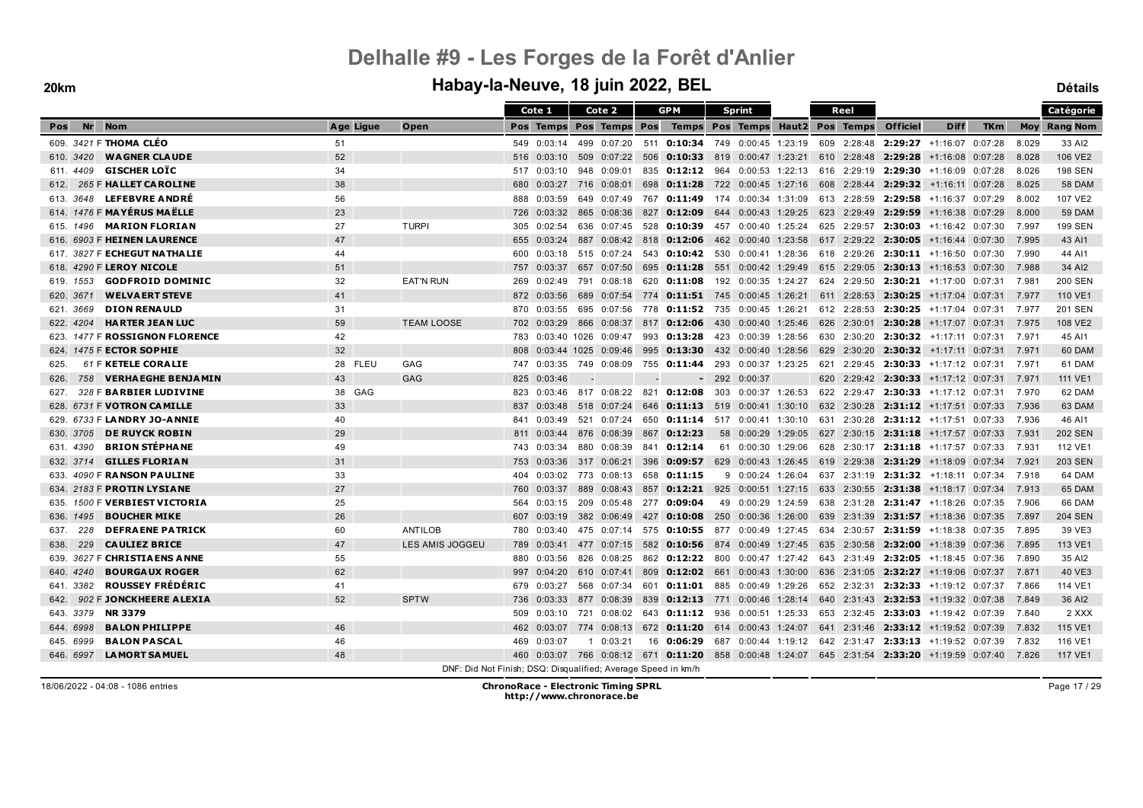|                                        |           |                   | Cote 1                                                        | Cote 2                                                                                       | <b>GPM</b>  |                 | Sprint                                                                             |  | Reel        |                 |                                               |            |       | Catégorie           |
|----------------------------------------|-----------|-------------------|---------------------------------------------------------------|----------------------------------------------------------------------------------------------|-------------|-----------------|------------------------------------------------------------------------------------|--|-------------|-----------------|-----------------------------------------------|------------|-------|---------------------|
| Nr<br><b>Nom</b><br>Pos                | Age Ligue | Open              |                                                               | Pos Temps Pos Temps Pos                                                                      |             |                 | Temps Pos Temps Haut2 Pos Temps                                                    |  |             | <b>Officiel</b> | <b>Diff</b>                                   | <b>TKm</b> |       | <b>Moy</b> Rang Nom |
| 609. 3421 F THOMA CLÉO                 | 51        |                   | 549 0:03:14                                                   | 499 0:07:20                                                                                  |             |                 | 511 0:10:34 749 0:00:45 1:23:19 609 2:28:48 2:29:27 +1:16:07 0:07:28               |  |             |                 |                                               |            | 8.029 | 33 AI2              |
| 610. 3420<br><b>WAGNER CLAUDE</b>      | 52        |                   | 0:03:10<br>516                                                | 509 0:07:22                                                                                  |             |                 | 506 <b>0:10:33</b> 819 0:00:47 1:23:21 610 2:28:48 <b>2:29:28</b> +1:16:08 0:07:28 |  |             |                 |                                               |            | 8.028 | 106 VE2             |
| <b>GISCHER LOÏC</b><br>611. 4409       | 34        |                   | 0:03:10<br>517                                                | 948 0:09:01                                                                                  | 835         |                 | <b>0:12:12</b> 964 0:00:53 1:22:13                                                 |  |             |                 | 616 2:29:19 2:29:30 +1:16:09 0:07:28          |            | 8.026 | <b>198 SEN</b>      |
| 265 F HALLET CAROLINE<br>612.          | 38        |                   | 680<br>0:03:27                                                | 716  0:08:01                                                                                 |             |                 | 698 0:11:28 722 0:00:45 1:27:16                                                    |  |             |                 | 608 2:28:44 2:29:32 +1:16:11 0:07:28          |            | 8.025 | <b>58 DAM</b>       |
| 613. 3648 LEFEBVRE ANDRÉ               | 56        |                   | 0:03:59<br>888                                                | 649 0:07:49                                                                                  |             |                 | 767 0:11:49 174 0:00:34 1:31:09 613 2:28:59 2:29:58 +1:16:37 0:07:29               |  |             |                 |                                               |            | 8.002 | 107 VE2             |
| 614. 1476 F MAYÉRUS MAËLLE             | 23        |                   | 0:03:32<br>726                                                | 865 0:08:36                                                                                  | 827         | 0:12:09         | 644 0:00:43 1:29:25                                                                |  | 623 2:29:49 |                 | 2:29:59 +1:16:38 0:07:29                      |            | 8.000 | <b>59 DAM</b>       |
| <b>MARION FLORIAN</b><br>615. 1496     | 27        | <b>TURPI</b>      | 0:02:54<br>305                                                | 636 0:07:45                                                                                  | 528         |                 | $0:10:39$ 457 0:00:40 1:25:24                                                      |  | 625 2:29:57 |                 | $2:30:03$ +1:16:42 0:07:30                    |            | 7.997 | <b>199 SEN</b>      |
| 616. 6903 F HEINEN LAURENCE            | 47        |                   | 655<br>0:03:24                                                | 887 0:08:42                                                                                  | 818         | 0:12:06         | 462 0:00:40 1:23:58                                                                |  |             |                 | $617$ 2:29:22 <b>2:30:05</b> +1:16:44 0:07:30 |            | 7.995 | 43 AI1              |
| 617. 3827 F <b>ECHEGUT NATHALIE</b>    | 44        |                   | 0:03:18<br>600                                                | 515 0:07:24                                                                                  |             |                 | 543 0:10:42 530 0:00:41 1:28:36                                                    |  | 618 2:29:26 |                 | $2:30:11$ +1:16:50 0:07:30                    |            | 7.990 | 44 AI1              |
| 618. 4290 F LEROY NICOLE               | 51        |                   | 757 0:03:37                                                   | 657 0:07:50                                                                                  |             |                 | 695 <b>0:11:28</b> 551 0:00:42 1:29:49 615 2:29:05 <b>2:30:13</b> +1:16:53 0:07:30 |  |             |                 |                                               |            | 7.988 | 34 AI2              |
| <b>GODFROID DOMINIC</b><br>619. 1553   | 32        | <b>EAT'N RUN</b>  | 269<br>0:02:49                                                | 791 0:08:18                                                                                  |             |                 | 620 0:11:08 192 0:00:35 1:24:27                                                    |  |             |                 | 624 2:29:50 2:30:21 +1:17:00 0:07:31          |            | 7.981 | <b>200 SEN</b>      |
| <b>WELVAERT STEVE</b><br>620, 3671     | 41        |                   | 872<br>0:03:56                                                | 689 0:07:54                                                                                  |             |                 | 774 <b>0:11:51</b> 745 0:00:45 1:26:21                                             |  |             |                 | 611 2:28:53 2:30:25 +1:17:04 0:07:31 7.977    |            |       | 110 VE1             |
| 621. 3669<br><b>DION RENAULD</b>       | 31        |                   | 0:03:55<br>870                                                | 695 0:07:56                                                                                  |             |                 | 778 0:11:52 735 0:00:45 1:26:21                                                    |  |             |                 | 612 2:28:53 2:30:25 +1:17:04 0:07:31          |            | 7.977 | <b>201 SEN</b>      |
| 622. 4204<br><b>HARTER JEAN LUC</b>    | 59        | <b>TEAM LOOSE</b> | 0:03:29<br>702                                                | 866 0:08:37                                                                                  |             |                 | 817 0:12:06 430 0:00:40 1:25:46                                                    |  |             |                 | 626 2:30:01 2:30:28 +1:17:07 0:07:31          |            | 7.975 | 108 VE2             |
| 1477 F ROSSIGNON FLORENCE<br>623.      | 42        |                   | 783<br>0:03:40 1026                                           | 0:09:47                                                                                      | 993 0:13:28 |                 | 423 0:00:39 1:28:56                                                                |  | 630 2:30:20 |                 | $2:30:32$ +1:17:11 0:07:31                    |            | 7.971 | 45 AI1              |
| 624. 1475 F ECTOR SOPHIE               | 32        |                   | 808                                                           | 0:03:44 1025 0:09:46                                                                         |             |                 | 995 0:13:30 432 0:00:40 1:28:56                                                    |  |             |                 | 629 2:30:20 2:30:32 +1:17:11 0:07:31          |            | 7.971 | 60 DAM              |
| 61 F KETELE CORALIE<br>625.            | 28 FLEU   | GAG               | 0:03:35<br>747                                                | 749<br>0:08:09                                                                               | 755         |                 | <b>0:11:44</b> 293 0:00:37 1:23:25                                                 |  |             |                 | 621 2:29:45 2:30:33 +1:17:12 0:07:31          |            | 7.971 | 61 DAM              |
| 758 VERHAEGHE BENJAMIN<br>626.         | 43        | <b>GAG</b>        | 825<br>0:03:46                                                |                                                                                              |             |                 | $-2920:000:37$                                                                     |  |             |                 | 620 2:29:42 2:30:33 +1:17:12 0:07:31          |            | 7.971 | 111 VE1             |
| 328 F BARBIER LUDIVINE<br>627.         | 38 GAG    |                   | 0:03:46<br>823                                                | 817 0:08:22 821 0:12:08 303 0:00:37 1:26:53                                                  |             |                 |                                                                                    |  | 622 2:29:47 |                 | $2:30:33$ +1:17:12 0:07:31                    |            | 7.970 | 62 DAM              |
| 628. 6731 F <b>VOTRON CAMILLE</b>      | 33        |                   | 837<br>0:03:48                                                | 518 0:07:24                                                                                  |             |                 | 646 0:11:13 519 0:00:41 1:30:10                                                    |  | 632 2:30:28 |                 | $2:31:12$ +1:17:51 0:07:33                    |            | 7.936 | 63 DAM              |
| 629. 6733 F LANDRY JO-ANNIE            | 40        |                   | 841<br>0:03:49                                                | 521 0:07:24                                                                                  |             |                 | 650 0:11:14 517 0:00:41 1:30:10                                                    |  |             |                 | 631 2:30:28 2:31:12 +1:17:51 0:07:33          |            | 7.936 | 46 AI1              |
| <b>DE RUYCK ROBIN</b><br>630. 3705     | 29        |                   | 811 0:03:44                                                   | 876 0:08:39                                                                                  | 867         | 0:12:23         | 58 0:00:29 1:29:05                                                                 |  |             |                 | 627 2:30:15 2:31:18 +1:17:57 0:07:33          |            | 7.931 | <b>202 SEN</b>      |
| <b>BRION STÈPHANE</b><br>631. 4390     | 49        |                   | 0:03:34<br>743                                                | 880 0:08:39                                                                                  | 841         | 0:12:14         | 61 0:00:30 1:29:06                                                                 |  |             |                 | 628 2:30:17 2:31:18 +1:17:57 0:07:33          |            | 7.931 | 112 VE1             |
| <b>GILLES FLORIAN</b><br>632. 3714     | 31        |                   | 753<br>0:03:36                                                | 317 0:06:21                                                                                  | 396         |                 | <b>0:09:57</b> 629 0:00:43 1:26:45                                                 |  |             |                 | 619 2:29:38 2:31:29 +1:18:09 0:07:34          |            | 7.921 | <b>203 SEN</b>      |
| 4090 F RANSON PAULINE<br>633.          | 33        |                   | 0:03:02<br>404                                                | 773 0:08:13                                                                                  | 658         | 0:11:15         | 9 0:00:24 1:26:04                                                                  |  |             |                 | 637 2:31:19 2:31:32 +1:18:11 0:07:34          |            | 7.918 | 64 DAM              |
| 634. 2183 F PROTIN LYSIANE             | 27        |                   | 0:03:37<br>760                                                | 889 0:08:43                                                                                  |             |                 | 857 0:12:21 925 0:00:51 1:27:15                                                    |  |             |                 | 633 2:30:55 2:31:38 +1:18:17 0:07:34          |            | 7.913 | 65 DAM              |
| 635. 1500 F <b>VERBIEST VICTORIA</b>   | 25        |                   | 564<br>0:03:15                                                | 209 0:05:48                                                                                  | 277 0:09:04 |                 | 49 0:00:29 1:24:59                                                                 |  |             |                 | 638 2:31:28 2:31:47 +1:18:26 0:07:35          |            | 7.906 | 66 DAM              |
| <b>BOUCHER MIKE</b><br>636, 1495       | 26        |                   | 607<br>0:03:19                                                | 382 0:06:49                                                                                  | 427         |                 | <b>0:10:08</b> 250 0:00:36 1:26:00                                                 |  |             |                 | 639 2:31:39 2:31:57 +1:18:36 0:07:35          |            | 7.897 | <b>204 SEN</b>      |
| <b>DEFRAENE PATRICK</b><br>228<br>637. | 60        | <b>ANTILOB</b>    | 0:03:40<br>780                                                | 475 0:07:14                                                                                  |             |                 | 575 0:10:55 877 0:00:49 1:27:45                                                    |  |             |                 | 634 2:30:57 2:31:59 +1:18:38 0:07:35          |            | 7.895 | 39 VE3              |
| 229<br><b>CAULIEZ BRICE</b><br>638.    | 47        | LES AMIS JOGGEU   | 0:03:41<br>789                                                | 477 0:07:15                                                                                  |             |                 | 582 0:10:56 874 0:00:49 1:27:45                                                    |  |             |                 | 635 2:30:58 2:32:00 +1:18:39 0:07:36          |            | 7.895 | 113 VE1             |
| 3627 F CHRISTIA ENS A NNE<br>639.      | 55        |                   | 0:03:56<br>880                                                | 826<br>0:08:25                                                                               |             | 862 0:12:22 800 | 0:00:47 1:27:42                                                                    |  |             |                 | 643 2:31:49 2:32:05 +1:18:45 0:07:36          |            | 7.890 | 35 AI2              |
| <b>BOURGAUX ROGER</b><br>640. 4240     | 62        |                   | 997<br>0:04:20                                                | 610 0:07:41                                                                                  | 809         |                 | $0:12:02$ 661 0:00:43 1:30:00                                                      |  |             |                 | 636 2:31:05 2:32:27 +1:19:06 0:07:37          |            | 7.871 | 40 VE3              |
| <b>ROUSSEY FRÉDÉRIC</b><br>641.3382    | 41        |                   | 0:03:27<br>679                                                | 568 0:07:34                                                                                  | 601         |                 | <b>0:11:01</b> 885 0:00:49 1:29:26                                                 |  |             |                 | 652 2:32:31 2:32:33 +1:19:12 0:07:37 7.866    |            |       | 114 VE1             |
| 902 F JONCKHEERE ALEXIA<br>642.        | 52        | <b>SPTW</b>       | 0:03:33<br>736                                                | 877 0:08:39                                                                                  |             |                 | 839 0:12:13 771 0:00:46 1:28:14                                                    |  |             |                 | 640 2:31:43 2:32:53 +1:19:32 0:07:38          |            | 7.849 | 36 AI2              |
| <b>NR 3379</b><br>643.3379             |           |                   | 0:03:10<br>509                                                | 721  0:08:02  643 <b>0:11:12</b> 936  0:00:51  1:25:33                                       |             |                 |                                                                                    |  |             |                 | 653 2:32:45 2:33:03 +1:19:42 0:07:39          |            | 7.840 | 2 XXX               |
| 644, 6998<br><b>BALON PHILIPPE</b>     | 46        |                   | 462<br>0:03:07                                                | 774 0:08:13                                                                                  |             |                 | 672 0:11:20 614 0:00:43 1:24:07                                                    |  |             |                 | 641 2:31:46 2:33:12 +1:19:52 0:07:39          |            | 7.832 | 115 VE1             |
| <b>BALON PASCAL</b><br>645. 6999       | 46        |                   | 469<br>0:03:07                                                | $1 \quad 0:03:21$                                                                            |             |                 | 16 0:06:29 687 0:00:44 1:19:12                                                     |  |             |                 | 642 2:31:47 2:33:13 +1:19:52 0:07:39          |            | 7.832 | 116 VE1             |
| <b>LAMORT SAMUEL</b><br>646, 6997      | 48        |                   |                                                               | 460 0:03:07 766 0:08:12 671 0:11:20 858 0:00:48 1:24:07 645 2:31:54 2:33:20 +1:19:59 0:07:40 |             |                 |                                                                                    |  |             |                 |                                               |            | 7.826 | <b>117 VE1</b>      |
|                                        |           |                   | DNF: Did Not Finish; DSQ: Disqualified; Average Speed in km/h |                                                                                              |             |                 |                                                                                    |  |             |                 |                                               |            |       |                     |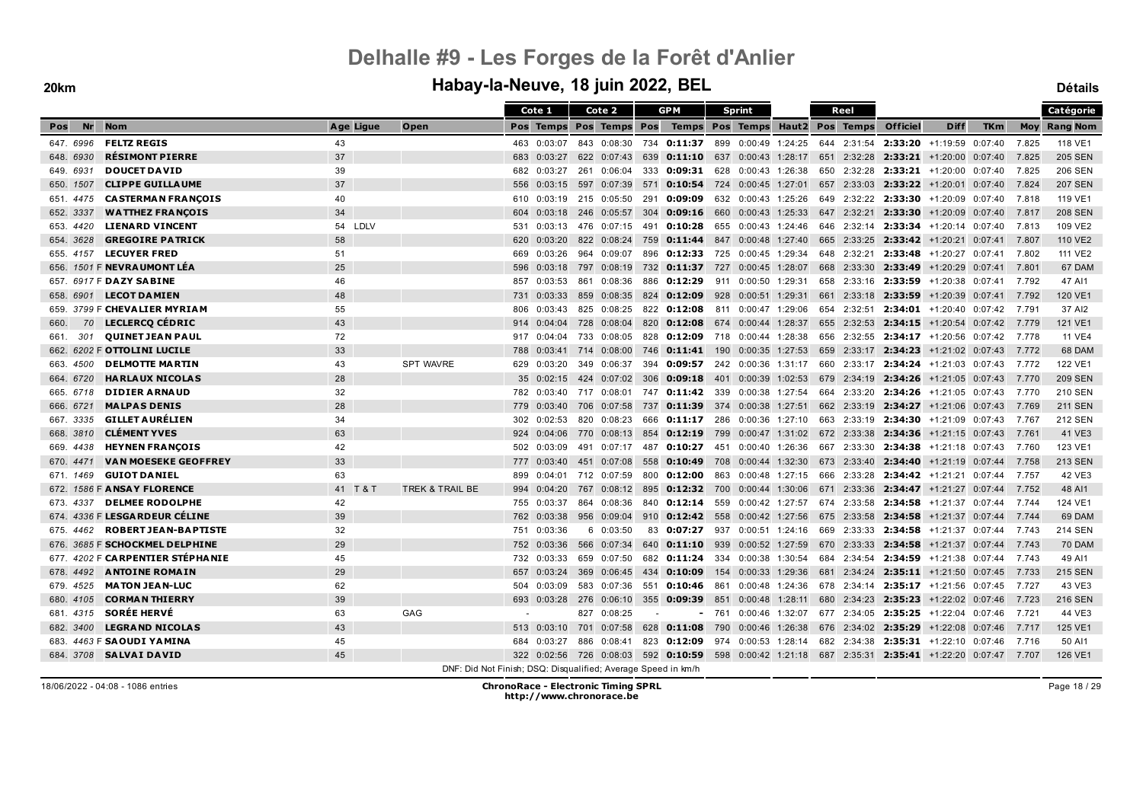#### **20km Habay-la-Neuve, 18 juin 2022, BEL Détails**

|             |                                    |           |                                                               |     | Cote 1      |     | Cote 2                  |        | <b>GPM</b>                                                                                         |      | <b>Sprint</b>       |  | Reel        |                 |                                                               |            |       | Catégorie           |
|-------------|------------------------------------|-----------|---------------------------------------------------------------|-----|-------------|-----|-------------------------|--------|----------------------------------------------------------------------------------------------------|------|---------------------|--|-------------|-----------------|---------------------------------------------------------------|------------|-------|---------------------|
| Nr<br>Pos   | <b>Nom</b>                         | Age Ligue | Open                                                          |     |             |     | Pos Temps Pos Temps Pos |        | Temps Pos Temps Haut2 Pos Temps                                                                    |      |                     |  |             | <b>Officiel</b> | <b>Diff</b>                                                   | <b>TKm</b> |       | <b>Moy Rang Nom</b> |
| 647.6996    | <b>FELTZ REGIS</b>                 | 43        |                                                               |     | 463 0:03:07 |     |                         |        | 843 0:08:30 734 0:11:37 899 0:00:49 1:24:25 644 2:31:54 2:33:20 +1:19:59 0:07:40                   |      |                     |  |             |                 |                                                               |            | 7.825 | 118 VE1             |
| 648. 6930   | <b>RÉSIMONT PIERRE</b>             | 37        |                                                               | 683 | 0:03:27     |     | 622 0:07:43             | 639    | 0:11:10 637 0:00:43 1:28:17                                                                        |      |                     |  |             |                 | 651 2:32:28 2:33:21 +1:20:00 0:07:40                          |            | 7.825 | <b>205 SEN</b>      |
| 649. 6931   | <b>DOUCET DAVID</b>                | 39        |                                                               | 682 | 0:03:27     |     | 261 0:06:04             | 333    | $0:09:31$ 628                                                                                      |      | 0:00:43 1:26:38     |  |             |                 | 650 2:32:28 2:33:21 +1:20:00 0:07:40                          |            | 7.825 | <b>206 SEN</b>      |
| 650, 1507   | <b>CLIPPE GUILLAUME</b>            | 37        |                                                               | 556 | 0:03:15     |     | 597 0:07:39             |        | 571 0:10:54 724 0:00:45 1:27:01                                                                    |      |                     |  |             |                 | 657 2:33:03 2:33:22 +1:20:01 0:07:40                          |            | 7.824 | <b>207 SEN</b>      |
| 651, 4475   | <b>CASTERMAN FRANÇOIS</b>          | 40        |                                                               | 610 | 0:03:19     |     | 215 0:05:50             | 291    | 0:09:09                                                                                            |      | 632 0:00:43 1:25:26 |  |             |                 | 649 2:32:22 2:33:30 +1:20:09 0:07:40                          |            | 7.818 | 119 VE1             |
| 652. 3337   | <b>WATTHEZ FRANCOIS</b>            | 34        |                                                               | 604 | 0:03:18     |     | 246 0:05:57             | 304    | 0:09:16                                                                                            | 660  | $0:00:43$ 1:25:33   |  | 647 2:32:21 |                 | $2:33:30$ +1:20:09 0:07:40                                    |            | 7.817 | <b>208 SEN</b>      |
| 653.4420    | <b>LIENARD VINCENT</b>             | 54 LDLV   |                                                               | 531 | 0:03:13     |     | 476 0:07:15             | 491    | 0:10:28                                                                                            | 655  | 0:00:43 1:24:46     |  |             |                 | 646 2:32:14 2:33:34 +1:20:14 0:07:40                          |            | 7.813 | 109 VE2             |
| 654, 3628   | <b>GREGOIRE PATRICK</b>            | 58        |                                                               | 620 | 0:03:20     |     | 822 0:08:24             | 759    | <b>0:11:44</b> 847 0:00:48 1:27:40                                                                 |      |                     |  |             |                 | 665 2:33:25 2:33:42 +1:20:21 0:07:41                          |            | 7.807 | 110 VE2             |
| 655.4157    | <b>LECUYER FRED</b>                | 51        |                                                               | 669 | 0:03:26     |     | 964 0:09:07             |        | 896 0:12:33 725 0:00:45 1:29:34                                                                    |      |                     |  |             |                 | 648 2:32:21 2:33:48 +1:20:27 0:07:41                          |            | 7.802 | 111 VE2             |
|             | 656. 1501 F <b>NEVRA UMONT LÉA</b> | 25        |                                                               | 596 | 0:03:18     |     | 797 0:08:19             |        | 732 0:11:37                                                                                        |      | 727 0:00:45 1:28:07 |  |             |                 | 668 2:33:30 2:33:49 +1:20:29 0:07:41                          |            | 7.801 | 67 DAM              |
|             | 657. 6917 F DAZY SABINE            | 46        |                                                               | 857 | 0:03:53     | 861 | 0:08:36                 |        | 886 0:12:29                                                                                        |      | 911 0:00:50 1:29:31 |  |             |                 | 658 2:33:16 2:33:59 +1:20:38 0:07:41                          |            | 7.792 | 47 AI1              |
| 658. 6901   | <b>LECOT DAMIEN</b>                | 48        |                                                               | 731 | 0:03:33     |     | 859 0:08:35             |        | 824 0:12:09                                                                                        |      | 928 0:00:51 1:29:31 |  |             |                 | 661 2:33:18 2:33:59 +1:20:39 0:07:41                          |            | 7.792 | 120 VE1             |
| 659.        | 3799 F CHEVALIER MYRIAM            | 55        |                                                               | 806 | 0:03:43     |     | 825 0:08:25             |        | 822 0:12:08                                                                                        |      | 811 0:00:47 1:29:06 |  |             |                 | 654 2:32:51 2:34:01 +1:20:40 0:07:42                          |            | 7.791 | 37 AI2              |
| 70<br>660.  | LECLERCQ CÉDRIC                    | 43        |                                                               | 914 | 0:04:04     |     | 728 0:08:04             |        | 820 0:12:08 674 0:00:44 1:28:37                                                                    |      |                     |  |             |                 | 655 2:32:53 2:34:15 +1:20:54 0:07:42                          |            | 7.779 | 121 VE1             |
| 301<br>661. | <b>QUINET JEAN PAUL</b>            | 72        |                                                               | 917 | 0:04:04     | 733 | 0:08:05                 |        | 828 0:12:09                                                                                        | 718  | 0:00:44 1:28:38     |  |             |                 | 656 2:32:55 2:34:17 +1:20:56 0:07:42                          |            | 7.778 | <b>11 VE4</b>       |
|             | 662. 6202 F OTTOLINI LUCILE        | 33        |                                                               | 788 | 0:03:41     |     | 714 0:08:00             |        | 746 0:11:41 190                                                                                    |      | $0:00:35$ 1:27:53   |  |             |                 | 659 2:33:17 2:34:23 +1:21:02 0:07:43                          |            | 7.772 | 68 DAM              |
| 663.4500    | <b>DELMOTTE MARTIN</b>             | 43        | <b>SPT WAVRE</b>                                              | 629 | 0:03:20     |     | 349 0:06:37             |        | 394 0:09:57 242 0:00:36 1:31:17                                                                    |      |                     |  |             |                 | 660 2:33:17 2:34:24 +1:21:03 0:07:43                          |            | 7.772 | 122 VE1             |
| 664. 6720   | <b>HARLAUX NICOLAS</b>             | 28        |                                                               | 35  | 0:02:15     |     | 424 0:07:02             | 306    | 0:09:18                                                                                            |      | 401 0:00:39 1:02:53 |  |             |                 | 679 2:34:19 2:34:26 +1:21:05 0:07:43                          |            | 7.770 | <b>209 SEN</b>      |
| 665. 6718   | <b>DIDIER ARNAUD</b>               | 32        |                                                               |     | 782 0:03:40 |     | 717 0:08:01             |        | 747 0:11:42 339 0:00:38 1:27:54 664 2:33:20 2:34:26 +1:21:05 0:07:43                               |      |                     |  |             |                 |                                                               |            | 7.770 | <b>210 SEN</b>      |
| 666, 6721   | <b>MALPAS DENIS</b>                | 28        |                                                               | 779 | 0:03:40     | 706 | 0:07:58                 | 737    | 0:11:39                                                                                            | 374  | 0:00:38 1:27:51     |  |             |                 | 662 2:33:19 2:34:27 +1:21:06 0:07:43                          |            | 7.769 | <b>211 SEN</b>      |
| 667.3335    | <b>GILLET AURÉLIEN</b>             | 34        |                                                               | 302 | 0:02:53     |     | 820 0:08:23             |        | 666 0:11:17 286 0:00:36 1:27:10                                                                    |      |                     |  |             |                 | 663 2:33:19 2:34:30 +1:21:09 0:07:43                          |            | 7.767 | <b>212 SEN</b>      |
| 668. 3810   | <b>CLÉMENT YVES</b>                | 63        |                                                               |     | 924 0:04:06 |     |                         |        | 770  0:08:13  854 <b>0:12:19</b>                                                                   | 799  |                     |  |             |                 | $0.00:47$ 1:31:02 672 2:33:38 <b>2:34:36</b> +1:21:15 0:07:43 |            | 7.761 | 41 VE3              |
| 669.4438    | <b>HEYNEN FRANÇOIS</b>             | 42        |                                                               | 502 | 0:03:09     |     | 491 0:07:17             |        | 487 0:10:27                                                                                        | -451 |                     |  |             |                 | $0:00:40$ 1:26:36 667 2:33:30 2:34:38 +1:21:18 0:07:43 7.760  |            |       | 123 VE1             |
| 670. 4471   | <b>VAN MOESEKE GEOFFREY</b>        | 33        |                                                               | 777 | 0:03:40     |     | 451 0:07:08             | 558    | 0:10:49 708 0:00:44 1:32:30 673 2:33:40 2:34:40 +1:21:19 0:07:44                                   |      |                     |  |             |                 |                                                               |            | 7.758 | <b>213 SEN</b>      |
| 671. 1469   | <b>GUIOT DANIEL</b>                | 63        |                                                               | 899 | 0:04:01     |     | 712 0:07:59             | 800    | 0:12:00                                                                                            | 863  | 0:00:48 1:27:15     |  |             |                 | 666 2:33:28 2:34:42 +1:21:21 0:07:44                          |            | 7.757 | 42 VE3              |
|             | 672. 1586 F ANSAY FLORENCE         | 41 T & T  | TREK & TRAIL BE                                               | 994 | 0:04:20     |     |                         |        | 767 0:08:12 895 0:12:32 700 0:00:44 1:30:06                                                        |      |                     |  |             |                 | 671 2:33:36 2:34:47 +1:21:27 0:07:44                          |            | 7.752 | 48 AI1              |
| 673. 4337   | <b>DELMEE RODOLPHE</b>             | 42        |                                                               | 755 | 0:03:37     |     | 864 0:08:36             |        | 840 0:12:14 559                                                                                    |      | 0:00:42 1:27:57     |  |             |                 | 674 2:33:58 2:34:58 +1:21:37 0:07:44                          |            | 7.744 | 124 VE1             |
|             | 674. 4336 F LESGA RDEUR CÉLINE     | 39        |                                                               | 762 | 0:03:38     |     | 956 0:09:04             | 910    | $0:12:42$ 558                                                                                      |      | 0:00:42 1:27:56     |  |             |                 | 675 2:33:58 2:34:58 +1:21:37 0:07:44                          |            | 7.744 | 69 DAM              |
| 675.4462    | <b>ROBERT JEAN-BAPTISTE</b>        | 32        |                                                               | 751 | 0:03:36     |     | 60:03:50                | 83     | 0:07:27                                                                                            |      | 937 0:00:51 1:24:16 |  |             |                 | 669 2:33:33 2:34:58 +1:21:37 0:07:44                          |            | 7.743 | <b>214 SEN</b>      |
|             | 676. 3685 F SCHOCKMEL DELPHINE     | 29        |                                                               | 752 | 0:03:36     |     | 566 0:07:34             |        | 640 0:11:10 939                                                                                    |      | 0:00:52 1:27:59     |  |             |                 | 670 2:33:33 2:34:58 +1:21:37 0:07:44                          |            | 7.743 | 70 DAM              |
|             | 677. 4202 F CARPENTIER STÉPHANIE   | 45        |                                                               | 732 | 0:03:33     |     | 659 0:07:50             |        | 682 0:11:24 334 0:00:38 1:30:54                                                                    |      |                     |  |             |                 | 684 2:34:54 2:34:59 +1:21:38 0:07:44                          |            | 7.743 | 49 AI1              |
| 678.4492    | <b>ANTOINE ROMAIN</b>              | 29        |                                                               | 657 | 0:03:24     | 369 | 0:06:45                 | 434    | 0:10:09                                                                                            | 154  | $0:00:33$ 1:29:36   |  |             |                 | 681 2:34:24 2:35:11 +1:21:50 0:07:45                          |            | 7.733 | <b>215 SEN</b>      |
| 679.4525    | <b>MATON JEAN-LUC</b>              | 62        |                                                               | 504 | 0:03:09     |     | 583 0:07:36             | 551    | 0:10:46 861                                                                                        |      | 0:00:48 1:24:36     |  |             |                 | 678 2:34:14 2:35:17 +1:21:56 0:07:45                          |            | 7.727 | 43 VE3              |
| 680, 4105   | <b>CORMAN THIERRY</b>              | 39        |                                                               | 693 | 0:03:28     |     | 276 0:06:10             | 355    | 0:09:39                                                                                            | 851  |                     |  |             |                 | $0.00:48$ 1:28:11 680 2:34:23 2:35:23 +1:22:02 0:07:46        |            | 7.723 | <b>216 SEN</b>      |
| 681. 4315   | <b>SORÉE HERVÉ</b>                 | 63        | GAG                                                           |     |             |     | 827 0:08:25             | $\sim$ |                                                                                                    |      |                     |  |             |                 | $-761$ 0:00:46 1:32:07 677 2:34:05 2:35:25 +1:22:04 0:07:46   |            | 7.721 | 44 VE3              |
| 682, 3400   | <b>LEGRAND NICOLAS</b>             | 43        |                                                               | 513 | 0:03:10     |     | 701 0:07:58             | 628    | 0:11:08                                                                                            | 790  | $0:00:46$ 1:26:38   |  |             |                 | 676 2:34:02 2:35:29 +1:22:08 0:07:46                          |            | 7.717 | 125 VE1             |
|             | 683. 4463 F SAOUDI YAMINA          | 45        |                                                               | 684 | 0:03:27     | 886 | 0:08:41                 |        | 823 0:12:09                                                                                        |      | 974 0:00:53 1:28:14 |  |             |                 | 682 2:34:38 2:35:31 +1:22:10                                  | 0:07:46    | 7.716 | 50 AI1              |
|             | 684. 3708 SALVAI DAVID             | 45        |                                                               |     |             |     |                         |        | 322 0:02:56 726 0:08:03 592 0:10:59 598 0:00:42 1:21:18 687 2:35:31 2:35:41 +1:22:20 0:07:47 7.707 |      |                     |  |             |                 |                                                               |            |       | 126 VE1             |
|             |                                    |           | DNF: Did Not Finish; DSQ: Disqualified; Average Speed in km/h |     |             |     |                         |        |                                                                                                    |      |                     |  |             |                 |                                                               |            |       |                     |

18/06/2022 - 04:08 - 1086 entries **ChronoRace - Electronic Timing SPRL http://www.chronorace.be**

Page 18 / 29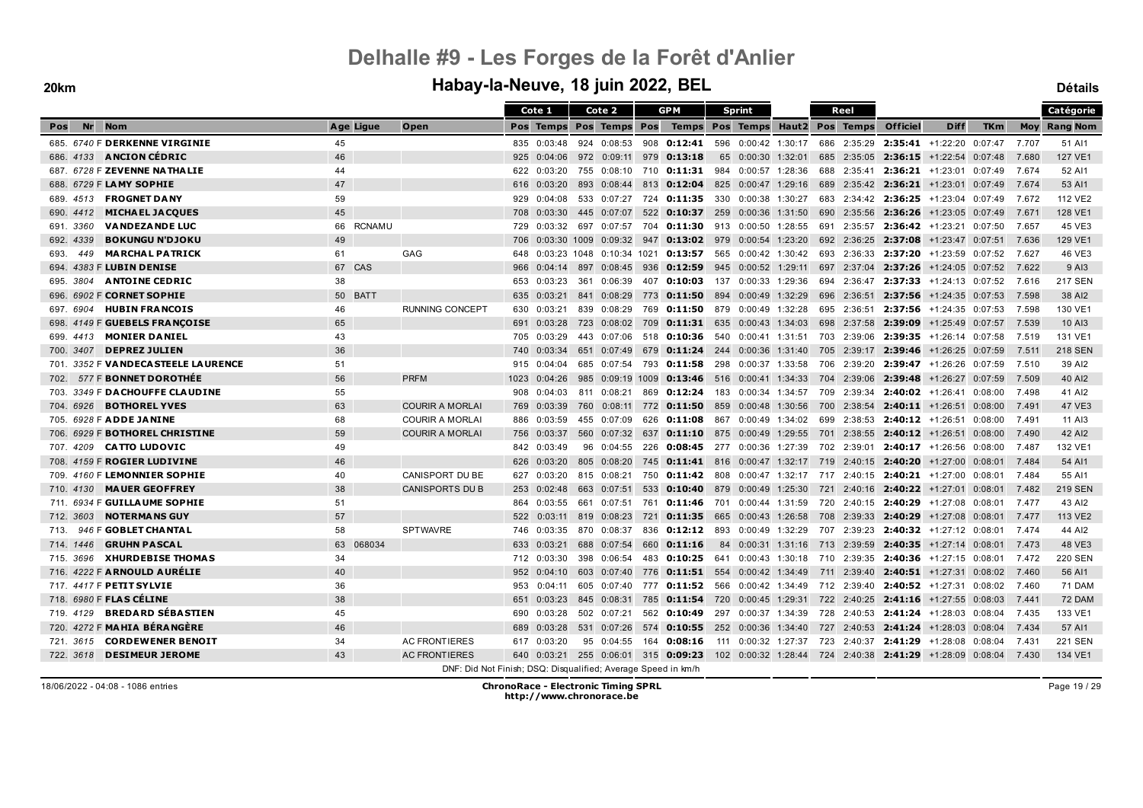### **20km Habay-la-Neuve, 18 juin 2022, BEL Détails**

|                                       |              |                        | Cote 1                                                        | Cote 2                                                                                       | <b>GPM</b> |               | Sprint                                                                             |  | Reel        |                                      |                            |            |       | Catégorie           |
|---------------------------------------|--------------|------------------------|---------------------------------------------------------------|----------------------------------------------------------------------------------------------|------------|---------------|------------------------------------------------------------------------------------|--|-------------|--------------------------------------|----------------------------|------------|-------|---------------------|
| <b>Nr</b><br><b>Nom</b><br>Pos        | Age Ligue    | Open                   |                                                               | Pos Temps Pos Temps Pos                                                                      |            |               | Temps Pos Temps Haut2 Pos Temps                                                    |  |             | <b>Officiel</b>                      | <b>Diff</b>                | <b>TKm</b> |       | <b>Moy Rang Nom</b> |
| 685. 6740 F DERKENNE VIRGINIE         | 45           |                        | 835 0:03:48                                                   | 924 0:08:53                                                                                  | 908        | 0:12:41       | 596  0:00:42  1:30:17                                                              |  | 686 2:35:29 |                                      | $2:35:41$ +1:22:20 0:07:47 |            | 7.707 | 51 AI1              |
| 686. 4133 <b>ANCION CEDRIC</b>        | 46           |                        | 925<br>0:04:06                                                | 972 0:09:11                                                                                  | 979        | 0:13:18       | 65 0:00:30 1:32:01                                                                 |  |             | 685 2:35:05 2:36:15 +1:22:54 0:07:48 |                            |            | 7.680 | 127 VE1             |
| 687. 6728 F ZEVENNE NATHALIE          | 44           |                        | 0:03:20<br>622                                                | 755 0:08:10                                                                                  | 710        | $0:11:31$ 984 | 0:00:57 1:28:36                                                                    |  | 688 2:35:41 |                                      | $2:36:21$ +1:23:01 0:07:49 |            | 7.674 | 52 AI1              |
| 688. 6729 F LAMY SOPHIE               | 47           |                        | 616<br>0:03:20                                                | 893<br>0:08:44                                                                               |            |               | 813 0:12:04 825 0:00:47 1:29:16                                                    |  |             | 689 2:35:42 2:36:21 +1:23:01 0:07:49 |                            |            | 7.674 | 53 AI1              |
| 689. 4513 <b>FROGNET DANY</b>         | 59           |                        | 0:04:08<br>929                                                | 533 0:07:27                                                                                  |            |               | 724 0:11:35 330 0:00:38 1:30:27                                                    |  |             | 683 2:34:42 2:36:25 +1:23:04 0:07:49 |                            |            | 7.672 | 112 VE2             |
| <b>MICHAEL JACQUES</b><br>690. 4412   | 45           |                        | 0:03:30<br>708                                                | 445 0:07:07                                                                                  | 522        | $0:10:37$ 259 | 0:00:36 1:31:50                                                                    |  | 690 2:35:56 |                                      | $2:36:26$ +1:23:05 0:07:49 |            | 7.671 | 128 VE1             |
| <b>VANDEZANDE LUC</b><br>691. 3360    | 66 RCNAMU    |                        | 0:03:32<br>729                                                | 697 0:07:57                                                                                  |            |               | 704 0:11:30 913 0:00:50 1:28:55                                                    |  | 691 2:35:57 |                                      | $2:36:42$ +1:23:21 0:07:50 |            | 7.657 | 45 VE3              |
| <b>BOKUNGU N'DJOKU</b><br>692. 4339   | 49           |                        | 706                                                           | 0:03:30 1009 0:09:32                                                                         | 947        |               | $0:13:02$ 979 0:00:54 1:23:20                                                      |  |             | 692 2:36:25 2:37:08                  | +1:23:47 0:07:51           |            | 7.636 | 129 VE1             |
| <b>MARCHAL PATRICK</b><br>693.<br>449 | 61           | GAG                    | 648                                                           | 0:03:23 1048 0:10:34 1021                                                                    |            |               | <b>0:13:57</b> 565    0:00:42    1:30:42                                           |  |             | 693 2:36:33 2:37:20 +1:23:59 0:07:52 |                            |            | 7.627 | 46 VE3              |
| 694. 4383 F LUBIN DENISE              | 67 CAS       |                        | 966<br>0:04:14                                                | 897 0:08:45                                                                                  |            |               | 936 0:12:59 945 0:00:52 1:29:11                                                    |  |             | 697 2:37:04 2:37:26 +1:24:05 0:07:52 |                            |            | 7.622 | 9 AI3               |
| <b>ANTOINE CEDRIC</b><br>695. 3804    | 38           |                        | 0:03:23<br>653                                                | 0:06:39<br>361                                                                               |            |               | 407 0:10:03 137 0:00:33 1:29:36                                                    |  |             | 694 2:36:47 2:37:33 +1:24:13 0:07:52 |                            |            | 7.616 | <b>217 SEN</b>      |
| 696. 6902 F CORNET SOPHIE             | 50 BATT      |                        | 0:03:21<br>635                                                | 841 0:08:29                                                                                  | 773        |               | <b>0:11:50</b> 894 0:00:49 1:32:29                                                 |  |             | 696 2:36:51 2:37:56 +1:24:35 0:07:53 |                            |            | 7.598 | 38 AI2              |
| <b>HUBIN FRANCOIS</b><br>697. 6904    | 46           | <b>RUNNING CONCEPT</b> | 0:03:21<br>630                                                | 839 0:08:29                                                                                  |            |               | 769 0:11:50 879 0:00:49 1:32:28                                                    |  |             | 695 2:36:51 2:37:56 +1:24:35 0:07:53 |                            |            | 7.598 | 130 VE1             |
| 4149 F GUEBELS FRANCOISE<br>698.      | 65           |                        | 691<br>0:03:28                                                | 723 0:08:02                                                                                  | 709        |               | <b>0:11:31</b> 635 0:00:43 1:34:03                                                 |  |             | 698 2:37:58 2:39:09 +1:25:49 0:07:57 |                            |            | 7.539 | 10 AI3              |
| <b>MONIER DANIEL</b><br>699.<br>4413  | 43           |                        | 705<br>0:03:29                                                | 443<br>0:07:06                                                                               | 518        | $0:10:36$ 540 | 0:00:41 1:31:51                                                                    |  | 703 2:39:06 |                                      | $2:39:35$ +1:26:14 0:07:58 |            | 7.519 | 131 VE1             |
| <b>DEPREZ JULIEN</b><br>700, 3407     | 36           |                        | 740<br>0:03:34                                                | 651 0:07:49                                                                                  | 679        |               | $0:11:24$ 244 0:00:36 1:31:40                                                      |  |             | 705 2:39:17 2:39:46 +1:26:25 0:07:59 |                            |            | 7.511 | <b>218 SEN</b>      |
| 701. 3352 F VANDECASTEELE LAURENCE    | 51           |                        | 0:04:04<br>915                                                | 685 0:07:54                                                                                  | 793        |               | $0:11:58$ 298 0:00:37 1:33:58                                                      |  |             | 706 2:39:20 2:39:47 +1:26:26 0:07:59 |                            |            | 7.510 | 39 AI2              |
| 577 F BONNET DOROTHÉE<br>702.         | 56           | <b>PRFM</b>            | 1023<br>0:04:26                                               | 985 0:09:19 1009                                                                             |            |               | $0:13:46$ 516 0:00:41 1:34:33                                                      |  |             | 704 2:39:06 2:39:48 +1:26:27 0:07:59 |                            |            | 7.509 | 40 AI2              |
| 3349 F DA CHOUFFE CLAUDINE<br>703.    | 55           |                        | 0:04:03<br>908                                                | 811 0:08:21                                                                                  | 869        |               | $0:12:24$ 183 0:00:34 1:34:57                                                      |  | 709 2:39:34 |                                      | $2:40:02$ +1:26:41 0:08:00 |            | 7.498 | 41 AI2              |
| <b>BOTHOREL YVES</b><br>704. 6926     | 63           | <b>COURIR A MORLAI</b> | 0:03:39<br>769                                                | 760<br>0:08:11                                                                               | 772        |               | <b>0:11:50</b> 859 0:00:48 1:30:56                                                 |  | 700 2:38:54 |                                      | $2:40:11$ +1:26:51 0:08:00 |            | 7.491 | 47 VE3              |
| 705. 6928 F ADDE JANINE               | 68           | <b>COURIR A MORLAI</b> | 0:03:59<br>886                                                | 455 0:07:09                                                                                  |            |               | 626 0:11:08 867 0:00:49 1:34:02 699 2:38:53 2:40:12 +1:26:51 0:08:00               |  |             |                                      |                            |            | 7.491 | 11 AI3              |
| 706. 6929 F BOTHOREL CHRISTINE        | 59           | <b>COURIR A MORLAI</b> | 0:03:37<br>756                                                | 560 0:07:32                                                                                  | 637        |               | <b>0:11:10</b> 875 0:00:49 1:29:55                                                 |  |             | 701 2:38:55 2:40:12 +1:26:51 0:08:00 |                            |            | 7.490 | 42 AI2              |
| 707. 4209 CATTO LUDOVIC               | 49           |                        | 0:03:49<br>842                                                | 96<br>0:04:55                                                                                | 226        |               | <b>0:08:45</b> 277 0:00:36 1:27:39 702 2:39:01 <b>2:40:17</b> +1:26:56 0:08:00     |  |             |                                      |                            |            | 7.487 | 132 VE1             |
| 708. 4159 F ROGIER LUDIVINE           | 46           |                        | 0:03:20<br>626                                                | 805 0:08:20                                                                                  |            |               | 745 0:11:41 816 0:00:47 1:32:17 719 2:40:15 2:40:20 +1:27:00 0:08:01               |  |             |                                      |                            |            | 7.484 | 54 AI1              |
| 709. 4160 F LEMONNIER SOPHIE          | 40           | <b>CANISPORT DU BE</b> | 0:03:20<br>627                                                | 815 0:08:21                                                                                  | 750        |               | <b>0:11:42</b> 808 0:00:47 1:32:17 717 2:40:15 2:40:21 +1:27:00 0:08:01            |  |             |                                      |                            |            | 7.484 | 55 AI1              |
| <b>MAUER GEOFFREY</b><br>710, 4130    | 38           | <b>CANISPORTS DU B</b> | 0:02:48<br>253                                                | 663 0:07:51                                                                                  |            |               | 533 0:10:40 879 0:00:49 1:25:30                                                    |  |             | 721 2:40:16 2:40:22 +1:27:01 0:08:01 |                            |            | 7.482 | <b>219 SEN</b>      |
| 711. 6934 F GUILLAUME SOPHIE          | 51           |                        | 0:03:55<br>864                                                | 661 0:07:51                                                                                  | 761        |               | $0:11:46$ 701 0:00:44 1:31:59                                                      |  |             | 720 2:40:15 2:40:29 +1:27:08 0:08:01 |                            |            | 7.477 | 43 AI2              |
| <b>NOTERMANS GUY</b><br>712. 3603     | 57           |                        | 522<br>0:03:11                                                | 819 0:08:23                                                                                  | 721        |               | <b>0:11:35</b> 665 0:00:43 1:26:58                                                 |  |             | 708 2:39:33 2:40:29 +1:27:08 0:08:01 |                            |            | 7.477 | 113 VE2             |
| 946 F GOBLET CHANTAL<br>713.          | 58           | <b>SPTWAVRE</b>        | 0:03:35<br>746                                                | 870 0:08:37                                                                                  |            |               | 836 0:12:12 893 0:00:49 1:32:29 707 2:39:23 2:40:32 +1:27:12 0:08:01               |  |             |                                      |                            |            | 7.474 | 44 AI2              |
| <b>GRUHN PASCAL</b><br>714, 1446      | 068034<br>63 |                        | 0:03:21<br>633                                                | 688 0:07:54                                                                                  | 660        | 0:11:16       | 84 0:00:31 1:31:16                                                                 |  |             | 713 2:39:59 <b>2:40:35</b>           | +1:27:14 0:08:01           |            | 7.473 | 48 VE3              |
| <b>XHURDEBISE THOMAS</b><br>715.3696  | 34           |                        | 712<br>0:03:30                                                | 398 0:06:54                                                                                  | 483        |               | <b>0:10:25</b> 641 0:00:43 1:30:18                                                 |  |             | 710 2:39:35 2:40:36 +1:27:15 0:08:01 |                            |            | 7.472 | <b>220 SEN</b>      |
| 716. 4222 F ARNOULD AURÉLIE           | 40           |                        | 952<br>0:04:10                                                | 603 0:07:40                                                                                  | 776        |               | <b>0:11:51</b> 554  0:00:42  1:34:49                                               |  |             | 711 2:39:40 2:40:51 +1:27:31 0:08:02 |                            |            | 7.460 | 56 AI1              |
| 717. 4417 F PETIT SYLVIE              | 36           |                        | 0:04:11<br>953                                                | 605 0:07:40                                                                                  |            |               | 777 <b>0:11:52</b> 566 0:00:42 1:34:49 712 2:39:40 <b>2:40:52</b> +1:27:31 0:08:02 |  |             |                                      |                            |            | 7.460 | <b>71 DAM</b>       |
| 718. 6980 F FLAS CÉLINE               | 38           |                        | 0:03:23<br>651                                                | 845 0:08:31                                                                                  |            |               | 785 0:11:54 720 0:00:45 1:29:31 722 2:40:25 2:41:16 +1:27:55 0:08:03               |  |             |                                      |                            |            | 7.441 | 72 DAM              |
| 719. 4129 BREDARD SÉBASTIEN           | 45           |                        | 0:03:28<br>690                                                | 502 0:07:21                                                                                  |            |               | 562 0:10:49 297 0:00:37 1:34:39 728 2:40:53 2:41:24 +1:28:03 0:08:04               |  |             |                                      |                            |            | 7.435 | 133 VE1             |
| 720. 4272 F MAHIA BÉRANGÈRE           | 46           |                        | 0:03:28<br>689                                                | 531 0:07:26                                                                                  | 574        |               | <b>0:10:55</b> 252 0:00:36 1:34:40 727 2:40:53 2:41:24 +1:28:03 0:08:04            |  |             |                                      |                            |            | 7.434 | 57 AI1              |
| <b>CORDEWENER BENOIT</b><br>721.3615  | 34           | <b>AC FRONTIERES</b>   | 617<br>0:03:20                                                | 95<br>0:04:55                                                                                | 164        | 0:08:16       | 111 0:00:32 1:27:37                                                                |  |             | 723 2:40:37 2:41:29 +1:28:08 0:08:04 |                            |            | 7.431 | <b>221 SEN</b>      |
| <b>DESIMEUR JEROME</b><br>722. 3618   | 43           | <b>AC FRONTIERES</b>   |                                                               | 640 0:03:21 255 0:06:01 315 0:09:23 102 0:00:32 1:28:44 724 2:40:38 2:41:29 +1:28:09 0:08:04 |            |               |                                                                                    |  |             |                                      |                            |            | 7.430 | 134 VE1             |
|                                       |              |                        | DNF: Did Not Finish; DSQ: Disqualified; Average Speed in km/h |                                                                                              |            |               |                                                                                    |  |             |                                      |                            |            |       |                     |

Page 19 / 29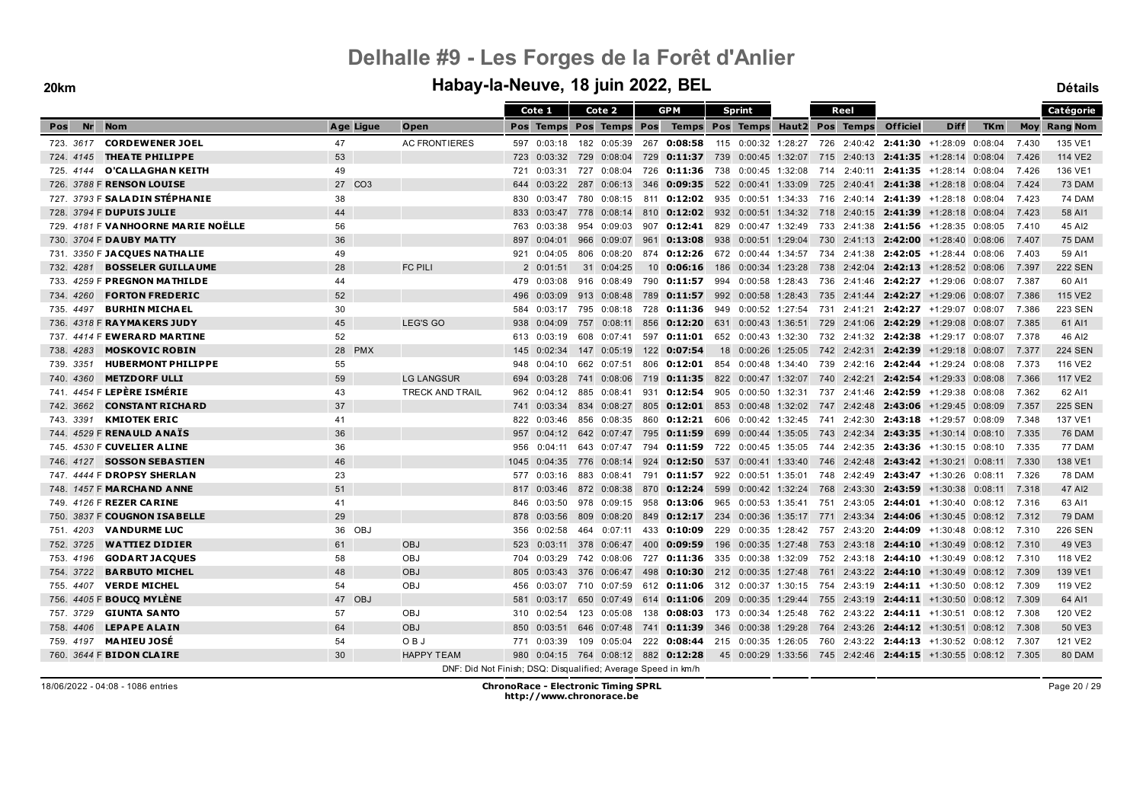#### **20km Habay-la-Neuve, 18 juin 2022, BEL Détails**

| <b>TKm</b><br><b>Nr</b><br><b>Nom</b><br>Age Ligue<br>Open<br>Pos Temps Pos Temps Pos<br>Temps Pos Temps Haut2 Pos Temps<br><b>Officiel</b><br><b>Diff</b><br><b>Moy Rang Nom</b><br>Pos<br>723. 3617 CORDEWENER JOEL<br><b>AC FRONTIERES</b><br>47<br>597 0:03:18 182 0:05:39 267 0:08:58 115 0:00:32 1:28:27 726 2:40:42 2:41:30 +1:28:09 0:08:04<br>7.430<br>135 VE1<br>724. 4145 THEATE PHILIPPE<br>53<br>729<br>0:11:37 739 0:00:45 1:32:07 715 2:40:13 2:41:35 +1:28:14 0:08:04<br>114 VE2<br>723<br>0:03:32 729 0:08:04<br>7.426<br>O'CA LLA GHA N KEITH<br>49<br>0:03:31<br>727 0:08:04<br>726 0:11:36 738 0:00:45 1:32:08 714 2:40:11 2:41:35 +1:28:14 0:08:04<br>7.426<br>136 VE1<br>725.4144<br>721<br>726. 3788 F RENSON LOUISE<br>27 CO <sub>3</sub><br>73 DAM<br>0:03:22<br>287 0:06:13<br>346 0:09:35 522 0:00:41 1:33:09<br>725 2:40:41 2:41:38 +1:28:18 0:08:04<br>7.424<br>644<br>727. 3793 F SALADIN STÉPHANIE<br>38<br>716 2:40:14 2:41:39<br>74 DAM<br>0:03:47<br>780 0:08:15<br>811 0:12:02 935 0:00:51 1:34:33<br>+1:28:18 0:08:04<br>7.423<br>830<br>728. 3794 F DUPUIS JULIE<br>44<br>0:12:02 932 0:00:51 1:34:32 718 2:40:15 2:41:39 +1:28:18 0:08:04<br>0:03:47<br>778 0:08:14 810<br>7.423<br>58 AI1<br>833<br>729. 4181 F VANHOORNE MARIE NOËLLE<br>56<br>$0:12:41$ 829<br>$0:00:47$ 1:32:49 733 2:41:38 2:41:56 +1:28:35 0:08:05<br>45 AI2<br>0:03:38<br>954 0:09:03<br>907<br>7.410<br>763<br>730. 3704 F DAUBY MATTY<br>36<br>966 0:09:07<br>961<br><b>0:13:08</b> 938 0:00:51 1:29:04 730 2:41:13 <b>2:42:00</b> +1:28:40 0:08:06<br>75 DAM<br>897<br>0:04:01<br>7.407<br>731. 3350 F JACQUES NATHALIE<br>49<br>0:04:05<br>806 0:08:20<br>874 0:12:26 672 0:00:44 1:34:57<br>734 2:41:38 2:42:05 +1:28:44 0:08:06<br>59 AI1<br>921<br>7.403<br><b>FC PILI</b><br>28<br><b>222 SEN</b><br><b>BOSSELER GUILLAUME</b><br>2 0:01:51<br>31 0:04:25<br>10 0:06:16<br>186 0:00:34 1:23:28<br>738 2:42:04 2:42:13 +1:28:52 0:08:06<br>732.4281<br>7.397<br>733. 4259 F PREGNON MATHILDE<br>994 0:00:58 1:28:43<br>736 2:41:46 2:42:27 +1:29:06 0:08:07<br>60 AI1<br>44<br>479 0:03:08<br>916 0:08:49<br>790 0:11:57<br>7.387<br><b>FORTON FREDERIC</b><br>52<br>992 0:00:58 1:28:43<br>735 2:41:44 2:42:27 +1:29:06 0:08:07<br>7.386<br>115 VE2<br>734, 4260<br>0:03:09<br>913 0:08:48<br>789 0:11:57<br>496<br><b>BURHIN MICHAEL</b><br>735, 4497<br>30<br>728 <b>0:11:36</b> 949 0:00:52 1:27:54 731 2:41:21 <b>2:42:27</b> +1:29:07 0:08:07<br>7.386<br>223 SEN<br>0:03:17<br>795 0:08:18<br>584 |
|------------------------------------------------------------------------------------------------------------------------------------------------------------------------------------------------------------------------------------------------------------------------------------------------------------------------------------------------------------------------------------------------------------------------------------------------------------------------------------------------------------------------------------------------------------------------------------------------------------------------------------------------------------------------------------------------------------------------------------------------------------------------------------------------------------------------------------------------------------------------------------------------------------------------------------------------------------------------------------------------------------------------------------------------------------------------------------------------------------------------------------------------------------------------------------------------------------------------------------------------------------------------------------------------------------------------------------------------------------------------------------------------------------------------------------------------------------------------------------------------------------------------------------------------------------------------------------------------------------------------------------------------------------------------------------------------------------------------------------------------------------------------------------------------------------------------------------------------------------------------------------------------------------------------------------------------------------------------------------------------------------------------------------------------------------------------------------------------------------------------------------------------------------------------------------------------------------------------------------------------------------------------------------------------------------------------------------------------------------------------------------------------------------------------------------------------------------------------------------------------------------------------------|
|                                                                                                                                                                                                                                                                                                                                                                                                                                                                                                                                                                                                                                                                                                                                                                                                                                                                                                                                                                                                                                                                                                                                                                                                                                                                                                                                                                                                                                                                                                                                                                                                                                                                                                                                                                                                                                                                                                                                                                                                                                                                                                                                                                                                                                                                                                                                                                                                                                                                                                                              |
|                                                                                                                                                                                                                                                                                                                                                                                                                                                                                                                                                                                                                                                                                                                                                                                                                                                                                                                                                                                                                                                                                                                                                                                                                                                                                                                                                                                                                                                                                                                                                                                                                                                                                                                                                                                                                                                                                                                                                                                                                                                                                                                                                                                                                                                                                                                                                                                                                                                                                                                              |
|                                                                                                                                                                                                                                                                                                                                                                                                                                                                                                                                                                                                                                                                                                                                                                                                                                                                                                                                                                                                                                                                                                                                                                                                                                                                                                                                                                                                                                                                                                                                                                                                                                                                                                                                                                                                                                                                                                                                                                                                                                                                                                                                                                                                                                                                                                                                                                                                                                                                                                                              |
|                                                                                                                                                                                                                                                                                                                                                                                                                                                                                                                                                                                                                                                                                                                                                                                                                                                                                                                                                                                                                                                                                                                                                                                                                                                                                                                                                                                                                                                                                                                                                                                                                                                                                                                                                                                                                                                                                                                                                                                                                                                                                                                                                                                                                                                                                                                                                                                                                                                                                                                              |
|                                                                                                                                                                                                                                                                                                                                                                                                                                                                                                                                                                                                                                                                                                                                                                                                                                                                                                                                                                                                                                                                                                                                                                                                                                                                                                                                                                                                                                                                                                                                                                                                                                                                                                                                                                                                                                                                                                                                                                                                                                                                                                                                                                                                                                                                                                                                                                                                                                                                                                                              |
|                                                                                                                                                                                                                                                                                                                                                                                                                                                                                                                                                                                                                                                                                                                                                                                                                                                                                                                                                                                                                                                                                                                                                                                                                                                                                                                                                                                                                                                                                                                                                                                                                                                                                                                                                                                                                                                                                                                                                                                                                                                                                                                                                                                                                                                                                                                                                                                                                                                                                                                              |
|                                                                                                                                                                                                                                                                                                                                                                                                                                                                                                                                                                                                                                                                                                                                                                                                                                                                                                                                                                                                                                                                                                                                                                                                                                                                                                                                                                                                                                                                                                                                                                                                                                                                                                                                                                                                                                                                                                                                                                                                                                                                                                                                                                                                                                                                                                                                                                                                                                                                                                                              |
|                                                                                                                                                                                                                                                                                                                                                                                                                                                                                                                                                                                                                                                                                                                                                                                                                                                                                                                                                                                                                                                                                                                                                                                                                                                                                                                                                                                                                                                                                                                                                                                                                                                                                                                                                                                                                                                                                                                                                                                                                                                                                                                                                                                                                                                                                                                                                                                                                                                                                                                              |
|                                                                                                                                                                                                                                                                                                                                                                                                                                                                                                                                                                                                                                                                                                                                                                                                                                                                                                                                                                                                                                                                                                                                                                                                                                                                                                                                                                                                                                                                                                                                                                                                                                                                                                                                                                                                                                                                                                                                                                                                                                                                                                                                                                                                                                                                                                                                                                                                                                                                                                                              |
|                                                                                                                                                                                                                                                                                                                                                                                                                                                                                                                                                                                                                                                                                                                                                                                                                                                                                                                                                                                                                                                                                                                                                                                                                                                                                                                                                                                                                                                                                                                                                                                                                                                                                                                                                                                                                                                                                                                                                                                                                                                                                                                                                                                                                                                                                                                                                                                                                                                                                                                              |
|                                                                                                                                                                                                                                                                                                                                                                                                                                                                                                                                                                                                                                                                                                                                                                                                                                                                                                                                                                                                                                                                                                                                                                                                                                                                                                                                                                                                                                                                                                                                                                                                                                                                                                                                                                                                                                                                                                                                                                                                                                                                                                                                                                                                                                                                                                                                                                                                                                                                                                                              |
|                                                                                                                                                                                                                                                                                                                                                                                                                                                                                                                                                                                                                                                                                                                                                                                                                                                                                                                                                                                                                                                                                                                                                                                                                                                                                                                                                                                                                                                                                                                                                                                                                                                                                                                                                                                                                                                                                                                                                                                                                                                                                                                                                                                                                                                                                                                                                                                                                                                                                                                              |
|                                                                                                                                                                                                                                                                                                                                                                                                                                                                                                                                                                                                                                                                                                                                                                                                                                                                                                                                                                                                                                                                                                                                                                                                                                                                                                                                                                                                                                                                                                                                                                                                                                                                                                                                                                                                                                                                                                                                                                                                                                                                                                                                                                                                                                                                                                                                                                                                                                                                                                                              |
|                                                                                                                                                                                                                                                                                                                                                                                                                                                                                                                                                                                                                                                                                                                                                                                                                                                                                                                                                                                                                                                                                                                                                                                                                                                                                                                                                                                                                                                                                                                                                                                                                                                                                                                                                                                                                                                                                                                                                                                                                                                                                                                                                                                                                                                                                                                                                                                                                                                                                                                              |
| 45<br><b>LEG'S GO</b><br>736. 4318 F RAYMAKERS JUDY<br>757 0:08:11 856<br><b>0:12:20</b> 631 0:00:43 1:36:51 729 2:41:06 <b>2:42:29</b> +1:29:08 0:08:07<br>61 AI1<br>938<br>0:04:09<br>7.385                                                                                                                                                                                                                                                                                                                                                                                                                                                                                                                                                                                                                                                                                                                                                                                                                                                                                                                                                                                                                                                                                                                                                                                                                                                                                                                                                                                                                                                                                                                                                                                                                                                                                                                                                                                                                                                                                                                                                                                                                                                                                                                                                                                                                                                                                                                                |
| 737. 4414 F EWERARD MARTINE<br>52<br>46 AI2<br>0:03:19<br>608 0:07:41<br>597 0:11:01<br>652 0:00:43 1:32:30<br>732  2:41:32  2:42:38  +1:29:17  0:08:07<br>7.378<br>613                                                                                                                                                                                                                                                                                                                                                                                                                                                                                                                                                                                                                                                                                                                                                                                                                                                                                                                                                                                                                                                                                                                                                                                                                                                                                                                                                                                                                                                                                                                                                                                                                                                                                                                                                                                                                                                                                                                                                                                                                                                                                                                                                                                                                                                                                                                                                      |
| <b>MOSKOVIC ROBIN</b><br>28 PMX<br>18 0:00:26 1:25:05 742 2:42:31 2:42:39 +1:29:18 0:08:07<br><b>224 SEN</b><br>738.4283<br>147 0:05:19<br>122 0:07:54<br>7.377<br>145<br>0:02:34                                                                                                                                                                                                                                                                                                                                                                                                                                                                                                                                                                                                                                                                                                                                                                                                                                                                                                                                                                                                                                                                                                                                                                                                                                                                                                                                                                                                                                                                                                                                                                                                                                                                                                                                                                                                                                                                                                                                                                                                                                                                                                                                                                                                                                                                                                                                            |
| <b>HUBERMONT PHILIPPE</b><br>55<br>662 0:07:51<br>806 0:12:01 854 0:00:48 1:34:40 739 2:42:16 2:42:44 +1:29:24 0:08:08<br>7.373<br>116 VE2<br>739. 3351<br>0:04:10<br>948                                                                                                                                                                                                                                                                                                                                                                                                                                                                                                                                                                                                                                                                                                                                                                                                                                                                                                                                                                                                                                                                                                                                                                                                                                                                                                                                                                                                                                                                                                                                                                                                                                                                                                                                                                                                                                                                                                                                                                                                                                                                                                                                                                                                                                                                                                                                                    |
| <b>METZDORF ULLI</b><br><b>LG LANGSUR</b><br>59<br><b>0:11:35</b> 822 0:00:47 1:32:07 740 2:42:21 <b>2:42:54</b> +1:29:33 0:08:08<br><b>117 VE2</b><br>740, 4360<br>694<br>0:03:28<br>741 0:08:06<br>719<br>7.366                                                                                                                                                                                                                                                                                                                                                                                                                                                                                                                                                                                                                                                                                                                                                                                                                                                                                                                                                                                                                                                                                                                                                                                                                                                                                                                                                                                                                                                                                                                                                                                                                                                                                                                                                                                                                                                                                                                                                                                                                                                                                                                                                                                                                                                                                                            |
| 741. 4454 F LEPÈRE ISMÉRIE<br>43<br><b>TRECK AND TRAIL</b><br>962 0:04:12 885 0:08:41 931 0:12:54 905 0:00:50 1:32:31<br>737 2:41:46 2:42:59 +1:29:38 0:08:08<br>7.362<br>62 AI1                                                                                                                                                                                                                                                                                                                                                                                                                                                                                                                                                                                                                                                                                                                                                                                                                                                                                                                                                                                                                                                                                                                                                                                                                                                                                                                                                                                                                                                                                                                                                                                                                                                                                                                                                                                                                                                                                                                                                                                                                                                                                                                                                                                                                                                                                                                                             |
| <b>CONSTANT RICHARD</b><br>37<br><b>225 SEN</b><br>742. 3662<br>0:03:34<br>834 0:08:27<br>805 0:12:01 853<br>$0:00:48$ 1:32:02 747 2:42:48 2:43:06<br>+1:29:45 0:08:09<br>7.357<br>741                                                                                                                                                                                                                                                                                                                                                                                                                                                                                                                                                                                                                                                                                                                                                                                                                                                                                                                                                                                                                                                                                                                                                                                                                                                                                                                                                                                                                                                                                                                                                                                                                                                                                                                                                                                                                                                                                                                                                                                                                                                                                                                                                                                                                                                                                                                                       |
| <b>KMIOTEK ERIC</b><br>137 VE1<br>743. 3391<br>41<br>860 0:12:21<br>606 0:00:42 1:32:45 741 2:42:30 2:43:18 +1:29:57 0:08:09<br>7.348<br>822<br>0:03:46<br>856 0:08:35                                                                                                                                                                                                                                                                                                                                                                                                                                                                                                                                                                                                                                                                                                                                                                                                                                                                                                                                                                                                                                                                                                                                                                                                                                                                                                                                                                                                                                                                                                                                                                                                                                                                                                                                                                                                                                                                                                                                                                                                                                                                                                                                                                                                                                                                                                                                                       |
| 744. 4529 F RENAULD ANAIS<br>36<br>957 0:04:12 642 0:07:47<br>795 <b>0:11:59</b> 699 0:00:44 1:35:05 743 2:42:34 <b>2:43:35</b> +1:30:14 0:08:10<br>7.335<br><b>76 DAM</b>                                                                                                                                                                                                                                                                                                                                                                                                                                                                                                                                                                                                                                                                                                                                                                                                                                                                                                                                                                                                                                                                                                                                                                                                                                                                                                                                                                                                                                                                                                                                                                                                                                                                                                                                                                                                                                                                                                                                                                                                                                                                                                                                                                                                                                                                                                                                                   |
| 745. 4530 F CUVELIER ALINE<br>36<br>77 DAM<br>0:04:11<br>643 0:07:47 794 <b>0:11:59</b> 722 0:00:45 1:35:05 744 2:42:35 <b>2:43:36</b> +1:30:15 0:08:10 7.335<br>956                                                                                                                                                                                                                                                                                                                                                                                                                                                                                                                                                                                                                                                                                                                                                                                                                                                                                                                                                                                                                                                                                                                                                                                                                                                                                                                                                                                                                                                                                                                                                                                                                                                                                                                                                                                                                                                                                                                                                                                                                                                                                                                                                                                                                                                                                                                                                         |
| 746. 4127 SOSSON SEBASTIEN<br>46<br>0:04:35<br>776 0:08:14 924 <b>0:12:50</b> 537 0:00:41 1:33:40 746 2:42:48 <b>2:43:42</b> +1:30:21 0:08:11<br>138 VE1<br>1045<br>7.330                                                                                                                                                                                                                                                                                                                                                                                                                                                                                                                                                                                                                                                                                                                                                                                                                                                                                                                                                                                                                                                                                                                                                                                                                                                                                                                                                                                                                                                                                                                                                                                                                                                                                                                                                                                                                                                                                                                                                                                                                                                                                                                                                                                                                                                                                                                                                    |
| 747. 4444 F DROPSY SHERLAN<br>23<br><b>78 DAM</b><br>0:03:16<br>883 0:08:41 791 0:11:57 922 0:00:51 1:35:01<br>748 2:42:49 2:43:47 +1:30:26 0:08:11<br>7.326<br>577                                                                                                                                                                                                                                                                                                                                                                                                                                                                                                                                                                                                                                                                                                                                                                                                                                                                                                                                                                                                                                                                                                                                                                                                                                                                                                                                                                                                                                                                                                                                                                                                                                                                                                                                                                                                                                                                                                                                                                                                                                                                                                                                                                                                                                                                                                                                                          |
| 748. 1457 F MARCHAND ANNE<br>51<br>872 0:08:38<br>870 0:12:24 599 0:00:42 1:32:24<br>768 2:43:30 2:43:59 +1:30:38 0:08:11<br>7.318<br>47 AI2<br>817<br>0:03:46                                                                                                                                                                                                                                                                                                                                                                                                                                                                                                                                                                                                                                                                                                                                                                                                                                                                                                                                                                                                                                                                                                                                                                                                                                                                                                                                                                                                                                                                                                                                                                                                                                                                                                                                                                                                                                                                                                                                                                                                                                                                                                                                                                                                                                                                                                                                                               |
| 749. 4126 F REZER CARINE<br>41<br>958 0:13:06 965 0:00:53 1:35:41<br>63 AI1<br>0:03:50<br>978 0:09:15<br>751 2:43:05 2:44:01 +1:30:40 0:08:12<br>7.316<br>846                                                                                                                                                                                                                                                                                                                                                                                                                                                                                                                                                                                                                                                                                                                                                                                                                                                                                                                                                                                                                                                                                                                                                                                                                                                                                                                                                                                                                                                                                                                                                                                                                                                                                                                                                                                                                                                                                                                                                                                                                                                                                                                                                                                                                                                                                                                                                                |
| 29<br>750. 3837 F COUGNON ISABELLE<br>849 0:12:17 234 0:00:36 1:35:17<br>771 2:43:34 <b>2:44:06</b> +1:30:45 0:08:12<br>79 DAM<br>878<br>0:03:56<br>809 0:08:20<br>7.312                                                                                                                                                                                                                                                                                                                                                                                                                                                                                                                                                                                                                                                                                                                                                                                                                                                                                                                                                                                                                                                                                                                                                                                                                                                                                                                                                                                                                                                                                                                                                                                                                                                                                                                                                                                                                                                                                                                                                                                                                                                                                                                                                                                                                                                                                                                                                     |
| <b>VANDURME LUC</b><br><b>226 SEN</b><br>36 OBJ<br>0:10:09<br>229<br>$0.00:35$ 1:28:42 757 2:43:20 2:44:09 +1:30:48 0:08:12<br>751, 4203<br>356<br>0:02:58<br>464 0:07:11<br>433<br>7.310                                                                                                                                                                                                                                                                                                                                                                                                                                                                                                                                                                                                                                                                                                                                                                                                                                                                                                                                                                                                                                                                                                                                                                                                                                                                                                                                                                                                                                                                                                                                                                                                                                                                                                                                                                                                                                                                                                                                                                                                                                                                                                                                                                                                                                                                                                                                    |
| 752, 3725<br><b>WATTIEZ DIDIER</b><br>61<br><b>OBJ</b><br>378 0:06:47<br>0:09:59<br>196 0:00:35 1:27:48 753 2:43:18 2:44:10 +1:30:49 0:08:12<br>49 VE3<br>523<br>0:03:11<br>400<br>7.310                                                                                                                                                                                                                                                                                                                                                                                                                                                                                                                                                                                                                                                                                                                                                                                                                                                                                                                                                                                                                                                                                                                                                                                                                                                                                                                                                                                                                                                                                                                                                                                                                                                                                                                                                                                                                                                                                                                                                                                                                                                                                                                                                                                                                                                                                                                                     |
| 58<br><b>GODART JACQUES</b><br><b>OBJ</b><br>0:03:29<br>742 0:08:06<br>727 0:11:36<br>335 0:00:38 1:32:09<br>752 2:43:18 2:44:10 +1:30:49 0:08:12<br>7.310<br>118 VE2<br>753, 4196<br>704                                                                                                                                                                                                                                                                                                                                                                                                                                                                                                                                                                                                                                                                                                                                                                                                                                                                                                                                                                                                                                                                                                                                                                                                                                                                                                                                                                                                                                                                                                                                                                                                                                                                                                                                                                                                                                                                                                                                                                                                                                                                                                                                                                                                                                                                                                                                    |
| <b>BARBUTO MICHEL</b><br>48<br><b>OBJ</b><br>139 VE1<br>754, 3722<br>376 0:06:47<br>498<br>0:10:30<br>212 0:00:35 1:27:48<br>761 2:43:22 2:44:10<br>$+1:30:49$ 0:08:12<br>805<br>0:03:43<br>7.309                                                                                                                                                                                                                                                                                                                                                                                                                                                                                                                                                                                                                                                                                                                                                                                                                                                                                                                                                                                                                                                                                                                                                                                                                                                                                                                                                                                                                                                                                                                                                                                                                                                                                                                                                                                                                                                                                                                                                                                                                                                                                                                                                                                                                                                                                                                            |
| <b>VERDE MICHEL</b><br>OBJ<br>119 VE2<br>755, 4407<br>54<br>$0.03.07$ 710 $0.07.59$ 612 0:11:06 312 0:00:37 1:30:15 754 2:43:19 2:44:11 +1:30:50 0:08:12 7.309<br>456                                                                                                                                                                                                                                                                                                                                                                                                                                                                                                                                                                                                                                                                                                                                                                                                                                                                                                                                                                                                                                                                                                                                                                                                                                                                                                                                                                                                                                                                                                                                                                                                                                                                                                                                                                                                                                                                                                                                                                                                                                                                                                                                                                                                                                                                                                                                                        |
| 756. 4405 F BOUCQ MYLENE<br>47 OBJ<br>614 0:11:06 209 0:00:35 1:29:44 755 2:43:19 2:44:11 +1:30:50 0:08:12<br>64 AI1<br>0:03:17<br>650 0:07:49<br>7.309<br>581                                                                                                                                                                                                                                                                                                                                                                                                                                                                                                                                                                                                                                                                                                                                                                                                                                                                                                                                                                                                                                                                                                                                                                                                                                                                                                                                                                                                                                                                                                                                                                                                                                                                                                                                                                                                                                                                                                                                                                                                                                                                                                                                                                                                                                                                                                                                                               |
| 757. 3729 GIUNTA SANTO<br>57<br><b>OBJ</b><br>0:02:54<br>138 0:08:03 173 0:00:34 1:25:48 762 2:43:22 2:44:11 +1:30:51 0:08:12 7.308<br>120 VE2<br>123 0:05:08<br>310                                                                                                                                                                                                                                                                                                                                                                                                                                                                                                                                                                                                                                                                                                                                                                                                                                                                                                                                                                                                                                                                                                                                                                                                                                                                                                                                                                                                                                                                                                                                                                                                                                                                                                                                                                                                                                                                                                                                                                                                                                                                                                                                                                                                                                                                                                                                                         |
| <b>LEPAPE ALAIN</b><br>64<br><b>OBJ</b><br>346 0:00:38 1:29:28<br>50 VE3<br>758, 4406<br>0:03:51<br>646 0:07:48<br>0:11:39<br>764 2:43:26 2:44:12 +1:30:51 0:08:12<br>850<br>741<br>7.308                                                                                                                                                                                                                                                                                                                                                                                                                                                                                                                                                                                                                                                                                                                                                                                                                                                                                                                                                                                                                                                                                                                                                                                                                                                                                                                                                                                                                                                                                                                                                                                                                                                                                                                                                                                                                                                                                                                                                                                                                                                                                                                                                                                                                                                                                                                                    |
| <b>MAHIEU JOSÉ</b><br>54<br>OBJ<br>121 VE2<br>759, 4197<br>109<br>0:05:04<br>222 0:08:44<br>215 0:00:35 1:26:05<br>760 2:43:22 2:44:13 +1:30:52 0:08:12<br>7.307<br>771<br>0:03:39                                                                                                                                                                                                                                                                                                                                                                                                                                                                                                                                                                                                                                                                                                                                                                                                                                                                                                                                                                                                                                                                                                                                                                                                                                                                                                                                                                                                                                                                                                                                                                                                                                                                                                                                                                                                                                                                                                                                                                                                                                                                                                                                                                                                                                                                                                                                           |
| 760. 3644 F BIDON CLAIRE<br>30<br><b>HAPPY TEAM</b><br>980 0:04:15 764 0:08:12 882 0:12:28<br>45 0:00:29 1:33:56 745 2:42:46 2:44:15 +1:30:55 0:08:12 7.305<br>80 DAM<br>DNF: Did Not Finish; DSQ: Disqualified; Average Speed in km/h                                                                                                                                                                                                                                                                                                                                                                                                                                                                                                                                                                                                                                                                                                                                                                                                                                                                                                                                                                                                                                                                                                                                                                                                                                                                                                                                                                                                                                                                                                                                                                                                                                                                                                                                                                                                                                                                                                                                                                                                                                                                                                                                                                                                                                                                                       |

Page 20 / 29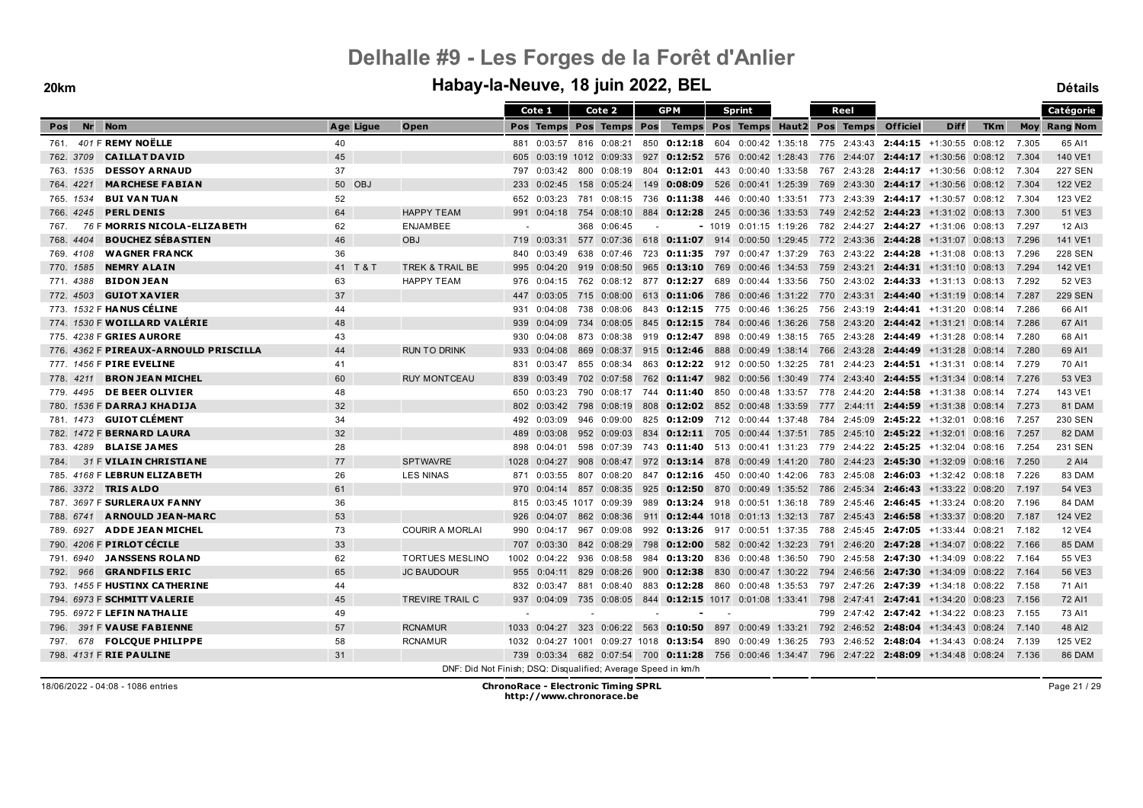#### **20km Habay-la-Neuve, 18 juin 2022, BEL Détails**

|                                       |           |                                                               |      | Cote 1                   |     | Cote 2                 |     | <b>GPM</b>                                                                                      |     | <b>Sprint</b>       |  | Reel |                                                                       |             |            |       | <b>Catégorie</b>    |
|---------------------------------------|-----------|---------------------------------------------------------------|------|--------------------------|-----|------------------------|-----|-------------------------------------------------------------------------------------------------|-----|---------------------|--|------|-----------------------------------------------------------------------|-------------|------------|-------|---------------------|
| <b>Nom</b><br><b>Nr</b><br>Pos        | Age Ligue | Open                                                          |      | Pos Temps Pos Temps Pos  |     |                        |     | Temps Pos Temps Haut2 Pos Temps                                                                 |     |                     |  |      | <b>Officiel</b>                                                       | <b>Diff</b> | <b>TKm</b> |       | <b>Moy Rang Nom</b> |
| 401 F REMY NOËLLE<br>761.             | 40        |                                                               |      | 881 0:03:57 816 0:08:21  |     |                        |     | 850 0:12:18 604 0:00:42 1:35:18 775 2:43:43 2:44:15 +1:30:55 0:08:12                            |     |                     |  |      |                                                                       |             |            | 7.305 | 65 AI1              |
| <b>CAILLAT DAVID</b><br>762. 3709     | 45        |                                                               | 605  |                          |     | $0:03:19$ 1012 0:09:33 |     | 927 0:12:52 576 0:00:42 1:28:43 776 2:44:07 2:44:17 +1:30:56 0:08:12                            |     |                     |  |      |                                                                       |             |            | 7.304 | 140 VE1             |
| <b>DESSOY ARNAUD</b><br>763. 1535     | 37        |                                                               | 797  |                          |     | 0:03:42 800 0:08:19    |     | 804 0:12:01 443 0:00:40 1:33:58                                                                 |     |                     |  |      | 767 2:43:28 2:44:17 +1:30:56 0:08:12                                  |             |            | 7.304 | <b>227 SEN</b>      |
| 764, 4221<br><b>MARCHESE FABIAN</b>   | 50 OBJ    |                                                               | 233  | 0:02:45                  |     | 158 0:05:24            |     | 149 0:08:09                                                                                     |     | 526 0:00:41 1:25:39 |  |      | 769 2:43:30 2:44:17 +1:30:56 0:08:12                                  |             |            | 7.304 | 122 VE2             |
| <b>BUI VAN TUAN</b><br>765. 1534      | 52        |                                                               | 652  | 0:03:23                  |     | 781 0:08:15            |     | 736 0:11:38                                                                                     |     | 446 0:00:40 1:33:51 |  |      | 773  2:43:39 <b>2:44:17</b> +1:30:57  0:08:12                         |             |            | 7.304 | 123 VE2             |
| <b>PERL DENIS</b><br>766, 4245        | 64        | <b>HAPPY TEAM</b>                                             |      | 991 0:04:18              |     | 754 0:08:10            |     | 884 0:12:28 245 0:00:36 1:33:53 749 2:42:52 2:44:23 +1:31:02 0:08:13                            |     |                     |  |      |                                                                       |             |            | 7.300 | 51 VE3              |
| 76 F MORRIS NICOLA-ELIZA BETH<br>767. | 62        | <b>ENJAMBEE</b>                                               |      |                          |     | 368 0:06:45            |     |                                                                                                 |     |                     |  |      | $-$ 1019 0:01:15 1:19:26 782 2:44:27 2:44:27 +1:31:06 0:08:13 7.297   |             |            |       | 12 AI3              |
| <b>BOUCHEZ SÉBASTIEN</b><br>768.4404  | 46        | <b>OBJ</b>                                                    |      | 719 0:03:31              |     | 577 0:07:36            |     | 618 0:11:07 914 0:00:50 1:29:45 772 2:43:36 2:44:28 +1:31:07 0:08:13                            |     |                     |  |      |                                                                       |             |            | 7.296 | 141 VE1             |
| <b>WAGNER FRANCK</b><br>769. 4108     | 36        |                                                               | 840  | 0:03:49                  |     | 638 0:07:46            |     | 723 0:11:35 797 0:00:47 1:37:29                                                                 |     |                     |  |      | 763 2:43:22 2:44:28 +1:31:08 0:08:13                                  |             |            | 7.296 | <b>228 SEN</b>      |
| <b>NEMRY ALAIN</b><br>770. 1585       | 41 T & T  | TREK & TRAIL BE                                               | 995  | 0:04:20                  |     | 919 0:08:50            |     | 965 0:13:10 769 0:00:46 1:34:53                                                                 |     |                     |  |      | 759 2:43:21 2:44:31 +1:31:10 0:08:13                                  |             |            | 7.294 | 142 VE1             |
| <b>BIDON JEAN</b><br>771, 4388        | 63        | <b>HAPPY TEAM</b>                                             | 976  | 0:04:15                  |     |                        |     | 762  0:08:12  877 <b>0:12:27</b>                                                                |     | 689 0:00:44 1:33:56 |  |      | 750 2:43:02 2:44:33 +1:31:13 0:08:13                                  |             |            | 7.292 | 52 VE3              |
| <b>GUIOT XAVIER</b><br>772.4503       | 37        |                                                               |      | 447 0:03:05              |     |                        |     | 715 0:08:00 613 <b>0:11:06</b> 786 0:00:46 1:31:22 770 2:43:31 <b>2:44:40</b> +1:31:19 0:08:14  |     |                     |  |      |                                                                       |             |            | 7.287 | <b>229 SEN</b>      |
| 773. 1532 F HANUS CÉLINE              | 44        |                                                               | 931  | 0:04:08                  |     | 738 0:08:06            |     | 843 0:12:15 775 0:00:46 1:36:25 756 2:43:19 2:44:41 +1:31:20 0:08:14 7.286                      |     |                     |  |      |                                                                       |             |            |       | 66 AI1              |
| 774. 1530 F WOILLARD VALERIE          | 48        |                                                               | 939  | 0:04:09                  |     |                        |     | 734 0:08:05 845 <b>0:12:15</b> 784 0:00:46 1:36:26 758 2:43:20 <b>2:44:42</b> +1:31:21 0:08:14  |     |                     |  |      |                                                                       |             |            | 7.286 | 67 AI1              |
| 775. 4238 F GRIES AURORE              | 43        |                                                               | 930  | 0:04:08                  |     | 873 0:08:38            |     | 919 0:12:47                                                                                     | 898 |                     |  |      | $0:00:49$ 1:38:15 765 2:43:28 2:44:49 +1:31:28 0:08:14                |             |            | 7.280 | 68 AI1              |
| 776. 4362 F PIREAUX-ARNOULD PRISCILLA | 44        | <b>RUN TO DRINK</b>                                           | 933  | 0:04:08                  |     |                        |     | 869 0:08:37 915 0:12:46 888 0:00:49 1:38:14 766 2:43:28 2:44:49 +1:31:28 0:08:14                |     |                     |  |      |                                                                       |             |            | 7.280 | 69 A11              |
| 777. 1456 F PIRE EVELINE              | 41        |                                                               | 831  | 0:03:47                  |     | 855 0:08:34            |     | 863 0:12:22 912 0:00:50 1:32:25                                                                 |     |                     |  |      | 781 2:44:23 2:44:51 +1:31:31 0:08:14                                  |             |            | 7.279 | 70 AI1              |
| <b>BRON JEAN MICHEL</b><br>778, 4211  | 60        | <b>RUY MONTCEAU</b>                                           | 839  | 0:03:49                  |     | 702 0:07:58            |     | 762 0:11:47 982 0:00:56 1:30:49 774 2:43:40 2:44:55 +1:31:34 0:08:14 7.276                      |     |                     |  |      |                                                                       |             |            |       | 53 VE3              |
| 779. 4495 DE BEER OLIVIER             | 48        |                                                               | 650  | 0:03:23                  |     |                        |     | 790  0:08:17  744 <b>0:11:40</b>                                                                |     |                     |  |      | 850 0:00:48 1:33:57 778 2:44:20 <b>2:44:58</b> +1:31:38 0:08:14 7.274 |             |            |       | 143 VE1             |
| 780. 1536 F DARRAJ KHADIJA            | 32        |                                                               | 802  | 0:03:42                  |     |                        |     | 798 0:08:19 808 <b>0:12:02</b> 852 0:00:48 1:33:59 777 2:44:11 <b>2:44:59</b> +1:31:38 0:08:14  |     |                     |  |      |                                                                       |             |            | 7.273 | 81 DAM              |
| 781. 1473 <b>GUIOT CLÉMENT</b>        | 34        |                                                               | 492  | 0:03:09                  |     | 946 0:09:00            |     | 825 0:12:09 712 0:00:44 1:37:48 784 2:45:09 2:45:22 +1:32:01 0:08:16                            |     |                     |  |      |                                                                       |             |            | 7.257 | 230 SEN             |
| 782. 1472 F BERNARD LAURA             | 32        |                                                               | 489  | 0:03:08                  |     | 952 0:09:03            |     | 834 0:12:11 705 0:00:44 1:37:51 785 2:45:10 2:45:22 +1:32:01 0:08:16                            |     |                     |  |      |                                                                       |             |            | 7.257 | 82 DAM              |
| 783. 4289 BLAISE JAMES                | 28        |                                                               |      | 898 0:04:01              |     | 598 0:07:39            |     | 743 <b>0:11:40</b> 513 0:00:41 1:31:23 779 2:44:22 <b>2:45:25</b> +1:32:04 0:08:16              |     |                     |  |      |                                                                       |             |            | 7.254 | 231 SEN             |
| 31 F VILAIN CHRISTIANE<br>784.        | 77        | <b>SPTWAVRE</b>                                               | 1028 | 0:04:27                  |     |                        |     | 908 0:08:47 972 0:13:14 878 0:00:49 1:41:20 780 2:44:23 2:45:30 +1:32:09 0:08:16                |     |                     |  |      |                                                                       |             |            | 7.250 | 2 Al4               |
| 785. 4168 F LEBRUN ELIZA BETH         | 26        | <b>LES NINAS</b>                                              | 871  | 0:03:55                  |     | 807 0:08:20            |     | 847 0:12:16 450 0:00:40 1:42:06 783 2:45:08 2:46:03 +1:32:42 0:08:18                            |     |                     |  |      |                                                                       |             |            | 7.226 | 83 DAM              |
| 786. 3372 TRIS ALDO                   | 61        |                                                               | 970  | 0:04:14                  |     | 857 0:08:35            |     | 925 <b>0:12:50</b> 870 0:00:49 1:35:52 786 2:45:34 <b>2:46:43</b> +1:33:22 0:08:20              |     |                     |  |      |                                                                       |             |            | 7.197 | 54 VE3              |
| 787. 3697 F SURLERAUX FANNY           | 36        |                                                               | 815  |                          |     | 0:03:45 1017 0:09:39   | 989 | $0:13:24$ 918 0:00:51 1:36:18                                                                   |     |                     |  |      | 789 2:45:46 2:46:45 +1:33:24 0:08:20                                  |             |            | 7.196 | 84 DAM              |
| <b>ARNOULD JEAN-MARC</b><br>788. 6741 | 53        |                                                               | 926  | 0:04:07                  |     | 862 0:08:36            |     | 911 <b>0:12:44</b> 1018 0:01:13 1:32:13 787 2:45:43 <b>2:46:58</b> +1:33:37 0:08:20             |     |                     |  |      |                                                                       |             |            | 7.187 | 124 VE2             |
| <b>ADDE JEAN MICHEL</b><br>789. 6927  | 73        | <b>COURIR A MORLAI</b>                                        | 990  | 0:04:17                  |     | 967 0:09:08            |     | 992 0:13:26 917 0:00:51 1:37:35 788 2:45:45 2:47:05 +1:33:44 0:08:21 7.182                      |     |                     |  |      |                                                                       |             |            |       | <b>12 VE4</b>       |
| 790. 4206 F PIRLOT CÉCILE             | 33        |                                                               | 707  | 0:03:30                  |     | 842 0:08:29            | 798 | <b>0:12:00</b> 582 0:00:42 1:32:23                                                              |     |                     |  |      | 791 2:46:20 2:47:28 +1:34:07 0:08:22                                  |             |            | 7.166 | 85 DAM              |
| 791. 6940 JANSSENS ROLAND             | 62        | <b>TORTUES MESLINO</b>                                        |      | 1002 0:04:22 936 0:08:58 |     |                        |     | 984 0:13:20 836 0:00:48 1:36:50 790 2:45:58 2:47:30 +1:34:09 0:08:22                            |     |                     |  |      |                                                                       |             |            | 7.164 | 55 VE3              |
| 966<br><b>GRANDFILS ERIC</b><br>792.  | 65        | <b>JC BAUDOUR</b>                                             | 955  | 0:04:11                  |     | 829 0:08:26            |     | 900 0:12:38                                                                                     | 830 |                     |  |      | $0.00:47$ 1:30:22 794 2:46:56 2:47:30 +1:34:09 0:08:22                |             |            | 7.164 | 56 VE3              |
| 793. 1455 F HUSTINX CATHERINE         | 44        |                                                               | 832  | 0:03:47                  | 881 | 0:08:40                |     | 883 0:12:28                                                                                     |     | 860 0:00:48 1:35:53 |  |      | 797 2:47:26 2:47:39 +1:34:18 0:08:22                                  |             |            | 7.158 | 71 AI1              |
| 794. 6973 F SCHMITT VALERIE           | 45        | TREVIRE TRAIL C                                               |      | 937 0:04:09              |     |                        |     | 735 0:08:05 844 <b>0:12:15</b> 1017 0:01:08 1:33:41 798 2:47:41 <b>2:47:41</b> +1:34:20 0:08:23 |     |                     |  |      |                                                                       |             |            | 7.156 | 72 AI1              |
| 795. 6972 F LEFIN NATHALIE            | 49        |                                                               |      |                          |     |                        |     |                                                                                                 |     |                     |  |      | 799 2:47:42 2:47:42 +1:34:22 0:08:23                                  |             |            | 7.155 | 73 AI1              |
| 391 F VAUSE FABIENNE<br>796.          | 57        | <b>RCNAMUR</b>                                                |      |                          |     |                        |     | 1033 0:04:27 323 0:06:22 563 0:10:50 897 0:00:49 1:33:21 792 2:46:52 2:48:04 +1:34:43 0:08:24   |     |                     |  |      |                                                                       |             |            | 7.140 | 48 AI2              |
| 678 FOLCOUE PHILIPPE<br>797.          | 58        | <b>RCNAMUR</b>                                                |      |                          |     |                        |     | 1032 0:04:27 1001 0:09:27 1018 0:13:54 890 0:00:49 1:36:25 793 2:46:52 2:48:04 +1:34:43 0:08:24 |     |                     |  |      |                                                                       |             |            | 7.139 | 125 VE2             |
| 798. 4131 F RIE PAULINE               | 31        |                                                               |      |                          |     |                        |     | 739 0:03:34 682 0:07:54 700 0:11:28 756 0:00:46 1:34:47 796 2:47:22 2:48:09 +1:34:48 0:08:24    |     |                     |  |      |                                                                       |             |            | 7.136 | 86 DAM              |
|                                       |           | DNF: Did Not Finish: DSO: Disqualified: Average Speed in km/h |      |                          |     |                        |     |                                                                                                 |     |                     |  |      |                                                                       |             |            |       |                     |

DNF: Did Not Finish; DSQ: Disqualified; Average Speed in km/h

18/06/2022 - 04:08 - 1086 entries **ChronoRace - Electronic Timing SPRL http://www.chronorace.be**

Page 21 / 29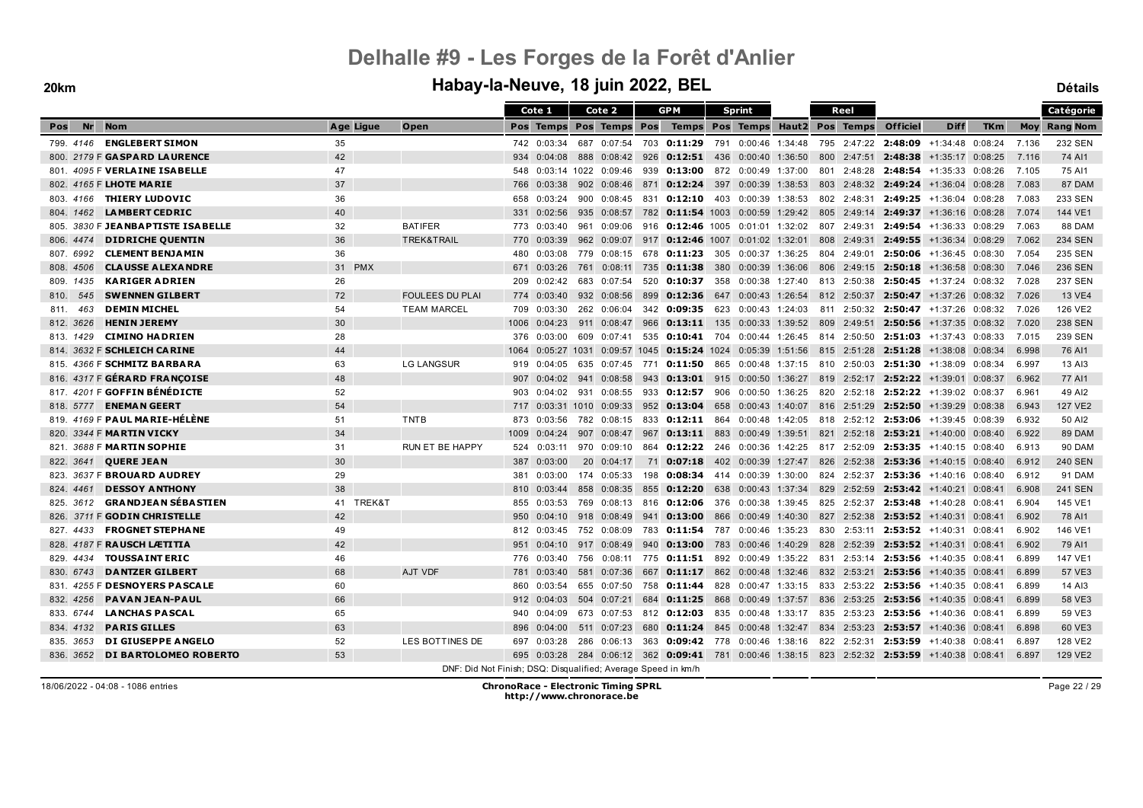#### **20km Habay-la-Neuve, 18 juin 2022, BEL Détails**

|                                         |           |                                                               |      | Cote 1         |     | Cote 2                  |     | <b>GPM</b>                                                                                    |     | <b>Sprint</b>                   |  | Reel        |                     |                                                                                  |            |       | Catégorie           |
|-----------------------------------------|-----------|---------------------------------------------------------------|------|----------------|-----|-------------------------|-----|-----------------------------------------------------------------------------------------------|-----|---------------------------------|--|-------------|---------------------|----------------------------------------------------------------------------------|------------|-------|---------------------|
| <b>Nr</b><br><b>Nom</b><br><b>Pos</b>   | Age Ligue | Open                                                          |      |                |     | Pos Temps Pos Temps Pos |     |                                                                                               |     | Temps Pos Temps Haut2 Pos Temps |  |             | <b>Officiel</b>     | <b>Diff</b>                                                                      | <b>TKm</b> |       | <b>Moy</b> Rang Nom |
| 799. 4146 <b>ENGLEBERT SIMON</b>        | 35        |                                                               |      | 742 0:03:34    |     | 687 0:07:54             | 703 | 0:11:29                                                                                       |     | 791 0:00:46 1:34:48             |  |             |                     | 795 2:47:22 2:48:09 +1:34:48 0:08:24                                             |            | 7.136 | <b>232 SEN</b>      |
| 800. 2179 F GASPARD LAURENCE            | 42        |                                                               | 934  | 0:04:08        | 888 | 0:08:42                 | 926 | $0:12:51$ 436                                                                                 |     | 0:00:40 1:36:50                 |  | 800 2:47:51 | 2:48:38             | +1:35:17 0:08:25                                                                 |            | 7.116 | 74 AI1              |
| 801. 4095 F VERLAINE ISABELLE           | 47        |                                                               | 548  |                |     | 0:03:14 1022 0:09:46    | 939 | <b>0:13:00</b> 872 0:00:49 1:37:00                                                            |     |                                 |  |             |                     | 801 2:48:28 2:48:54 +1:35:33 0:08:26                                             |            | 7.105 | 75 AI1              |
| 802. 4165 F LHOTE MARIE                 | 37        |                                                               | 766  | 0:03:38        |     | 902 0:08:46             | 871 | <b>0:12:24</b> 397 0:00:39 1:38:53                                                            |     |                                 |  |             |                     | 803 2:48:32 2:49:24 +1:36:04 0:08:28                                             |            | 7.083 | 87 DAM              |
| <b>THIERY LUDOVIC</b><br>803. 4166      | 36        |                                                               | 658  | 0:03:24        |     | $900 \quad 0:08:45$     |     | 831 0:12:10                                                                                   |     | 403 0:00:39 1:38:53             |  |             | 802 2:48:31 2:49:25 | +1:36:04 0:08:28                                                                 |            | 7.083 | 233 SEN             |
| <b>LAMBERT CEDRIC</b><br>804, 1462      | 40        |                                                               | 331  | 0:02:56        |     | 935 0:08:57             | 782 | $0:11:54$ 1003                                                                                |     | 0:00:59 1:29:42                 |  | 805 2:49:14 | 2:49:37             | +1:36:16 0:08:28                                                                 |            | 7.074 | 144 VE1             |
| 805. 3830 F JEANBAPTISTE ISABELLE       | 32        | <b>BATIFER</b>                                                | 773  | 0:03:40        |     | 961 0:09:06             | 916 | $0:12:46$ 1005 0:01:01 1:32:02                                                                |     |                                 |  | 807 2:49:31 |                     | $2:49:54$ +1:36:33 0:08:29                                                       |            | 7.063 | 88 DAM              |
| <b>DIDRICHE QUENTIN</b><br>806, 4474    | 36        | TREK&TRAIL                                                    | 770  | 0:03:39        |     | 962 0:09:07             |     | 917 0:12:46 1007 0:01:02 1:32:01                                                              |     |                                 |  |             |                     | 808 2:49:31 2:49:55 +1:36:34 0:08:29                                             |            | 7.062 | <b>234 SEN</b>      |
| <b>CLEMENT BENJAMIN</b><br>807.6992     | 36        |                                                               | 480  | 0:03:08        |     | 779 0:08:15             |     | 678 0:11:23                                                                                   | 305 | 0:00:37 1:36:25                 |  |             |                     | 804 2:49:01 2:50:06 +1:36:45 0:08:30                                             |            | 7.054 | 235 SEN             |
| <b>CLAUSSE ALEXANDRE</b><br>808.4506    | 31 PMX    |                                                               | 671  | 0:03:26        |     | 761 0:08:11             | 735 | 0:11:38                                                                                       | 380 | 0:00:39 1:36:06                 |  |             | 806 2:49:15 2:50:18 | +1:36:58 0:08:30                                                                 |            | 7.046 | <b>236 SEN</b>      |
| <b>KARIGER ADRIEN</b><br>809. 1435      | 26        |                                                               | 209  | 0:02:42        |     | 683 0:07:54             |     | 520 0:10:37                                                                                   | 358 | $0:00:38$ 1:27:40               |  |             |                     | 813 2:50:38 2:50:45 +1:37:24 0:08:32                                             |            | 7.028 | <b>237 SEN</b>      |
| <b>SWENNEN GILBERT</b><br>810.<br>545   | 72        | <b>FOULEES DU PLAI</b>                                        | 774  | 0:03:40        |     | 932 0:08:56             | 899 | 0:12:36                                                                                       | 647 | 0:00:43 1:26:54                 |  | 812 2:50:37 |                     | $2:50:47$ +1:37:26 0:08:32                                                       |            | 7.026 | <b>13 VE4</b>       |
| <b>DEMIN MICHEL</b><br>463<br>811.      | 54        | <b>TEAM MARCEL</b>                                            | 709  | 0:03:30        |     |                         |     | 262 0:06:04 342 0:09:35 623 0:00:43 1:24:03                                                   |     |                                 |  |             |                     | 811 2:50:32 2:50:47 +1:37:26 0:08:32                                             |            | 7.026 | 126 VE2             |
| <b>HENIN JEREMY</b><br>812. 3626        | 30        |                                                               | 1006 | 0:04:23        |     | 911 0:08:47             |     | 966 0:13:11 135                                                                               |     | $0:00:33$ 1:39:52               |  |             |                     | 809 2:49:51 2:50:56 +1:37:35 0:08:32                                             |            | 7.020 | <b>238 SEN</b>      |
| <b>CIMINO HADRIEN</b><br>813. 1429      | 28        |                                                               | 376  | 0:03:00        | 609 | 0:07:41                 | 535 | 0:10:41                                                                                       | 704 | 0:00:44 1:26:45                 |  |             | 814 2:50:50 2:51:03 | +1:37:43 0:08:33                                                                 |            | 7.015 | 239 SEN             |
| 814. 3632 F SCHLEICH CARINE             | 44        |                                                               | 1064 |                |     |                         |     | $0.05:27$ 1031 0:09:57 1045 0:15:24 1024 0:05:39 1:51:56 815 2:51:28 2:51:28 +1:38:08 0:08:34 |     |                                 |  |             |                     |                                                                                  |            | 6.998 | 76 AI1              |
| 815. 4366 F SCHMITZ BARBARA             | 63        | <b>LG LANGSUR</b>                                             | 919  | 0:04:05        |     |                         |     | 635 0:07:45 771 0:11:50                                                                       | 865 |                                 |  |             |                     | $0:00:48$ 1:37:15 810 2:50:03 2:51:30 +1:38:09 0:08:34                           |            | 6.997 | 13 AI3              |
| 816. 4317 F GÉRARD FRANÇOISE            | 48        |                                                               | 907  | 0:04:02        |     | 941 0:08:58             | 943 | <b>0:13:01</b> 915 0:00:50 1:36:27                                                            |     |                                 |  |             |                     | 819 2:52:17 2:52:22 +1:39:01 0:08:37                                             |            | 6.962 | 77 AI1              |
| 817. 4201 F GOFFIN BÉNÉDICTE            | 52        |                                                               | 903  | 0:04:02        |     | 931 0:08:55             | 933 | 0:12:57                                                                                       | 906 | 0:00:50 1:36:25                 |  |             |                     | 820 2:52:18 2:52:22 +1:39:02 0:08:37                                             |            | 6.961 | 49 AI2              |
| 818. 5777 ENEMAN GEERT                  | 54        |                                                               | 717  | $0:03:31$ 1010 |     | 0:09:33                 | 952 | 0:13:04                                                                                       | 658 | 0:00:43 1:40:07                 |  |             |                     | 816 2:51:29 2:52:50 +1:39:29 0:08:38                                             |            | 6.943 | <b>127 VE2</b>      |
| 819. 4169 F <b>PAUL MARIE-HÉLÈNE</b>    | 51        | TNTB                                                          | 873  | 0:03:56        |     | 782 0:08:15             |     | 833 0:12:11 864 0:00:48 1:42:05                                                               |     |                                 |  |             |                     | 818 2:52:12 2:53:06 +1:39:45 0:08:39                                             |            | 6.932 | 50 AI2              |
| 820. 3344 F MARTIN VICKY                | 34        |                                                               | 1009 | 0:04:24        |     | 907 0:08:47             | 967 | $0:13:11$ 883                                                                                 |     | 0:00:49 1:39:51                 |  |             |                     | 821 2:52:18 2:53:21 +1:40:00 0:08:40                                             |            | 6.922 | 89 DAM              |
| 821. 3688 F MARTIN SOPHIE               | 31        | RUN ET BE HAPPY                                               | 524  | 0:03:11        |     | 970 0:09:10             | 864 | 0:12:22 246 0:00:36 1:42:25 817 2:52:09 2:53:35 +1:40:15 0:08:40                              |     |                                 |  |             |                     |                                                                                  |            | 6.913 | <b>90 DAM</b>       |
| <b>QUERE JEAN</b><br>822. 3641          | 30        |                                                               | 387  | 0:03:00        |     | 20 0:04:17              | 71  |                                                                                               |     |                                 |  |             |                     | <b>0:07:18</b> 402 0:00:39 1:27:47 826 2:52:38 <b>2:53:36</b> $+1:40:15$ 0:08:40 |            | 6.912 | <b>240 SEN</b>      |
| 823. 3637 F BROUARD AUDREY              | 29        |                                                               | 381  | 0:03:00        |     | 174 0:05:33             | 198 | $0:08:34$ 414                                                                                 |     | 0:00:39 1:30:00                 |  |             |                     | 824 2:52:37 2:53:36 +1:40:16 0:08:40                                             |            | 6.912 | <b>91 DAM</b>       |
| <b>DESSOY ANTHONY</b><br>824, 4461      | 38        |                                                               | 810  | 0:03:44        |     | 858 0:08:35             | 855 | $0:12:20$ 638 0:00:43 1:37:34                                                                 |     |                                 |  |             |                     | 829 2:52:59 2:53:42 +1:40:21 0:08:41                                             |            | 6.908 | <b>241 SEN</b>      |
| <b>GRANDJEAN SÉBASTIEN</b><br>825. 3612 | 41 TREK&T |                                                               | 855  | 0:03:53        |     | 769 0:08:13             |     | 816 0:12:06                                                                                   |     | 376 0:00:38 1:39:45             |  |             |                     | 825 2:52:37 2:53:48 +1:40:28 0:08:41                                             |            | 6.904 | 145 VE1             |
| 826. 3711 F GODIN CHRISTELLE            | 42        |                                                               | 950  | 0:04:10        |     | $918 \quad 0:08:49$     | 941 | 0:13:00                                                                                       | 866 | 0:00:49 1:40:30                 |  |             |                     | 827 2:52:38 2:53:52 +1:40:31 0:08:41                                             |            | 6.902 | 78 AI1              |
| <b>FROGNET STEPHANE</b><br>827. 4433    | 49        |                                                               | 812  | 0:03:45        |     | 752 0:08:09             |     | 783 0:11:54 787 0:00:46 1:35:23                                                               |     |                                 |  |             |                     | 830 2:53:11 2:53:52 +1:40:31 0:08:41                                             |            | 6.902 | 146 VE1             |
| 828. 4187 F RAUSCH LÆTITIA              | 42        |                                                               | 951  | 0:04:10        |     | 917 0:08:49             | 940 | 0:13:00                                                                                       | 783 | 0:00:46 1:40:29                 |  |             |                     | 828 2:52:39 2:53:52 +1:40:31 0:08:41                                             |            | 6.902 | 79 AI1              |
| <b>TOUSSAINT ERIC</b><br>829. 4434      | 46        |                                                               | 776  | 0:03:40        |     | 756 0:08:11             |     | 775 0:11:51                                                                                   |     | 892 0:00:49 1:35:22             |  |             |                     | 831 2:53:14 2:53:56 +1:40:35 0:08:41                                             |            | 6.899 | 147 VE1             |
| <b>DANTZER GILBERT</b><br>830. 6743     | 68        | <b>AJT VDF</b>                                                | 781  | 0:03:40        |     | 581 0:07:36             | 667 | $0:11:17$ 862                                                                                 |     | 0:00:48 1:32:46                 |  | 832 2:53:21 |                     | 2:53:56 +1:40:35 0:08:41                                                         |            | 6.899 | 57 VE3              |
| 831. 4255 F DESNOYERS PASCALE           | 60        |                                                               | 860  | 0:03:54        |     | 655 0:07:50             | 758 | $0:11:44$ 828                                                                                 |     | 0:00:47 1:33:15                 |  |             |                     | 833 2:53:22 2:53:56 +1:40:35 0:08:41                                             |            | 6.899 | 14 AI3              |
| <b>PAVAN JEAN-PAUL</b><br>832.4256      | 66        |                                                               | 912  | 0:04:03        |     | 504 0:07:21             | 684 | $0:11:25$ 868                                                                                 |     |                                 |  |             |                     | $0.00:49$ 1:37:57 836 2:53:25 2:53:56 +1:40:35 0:08:41                           |            | 6.899 | 58 VE3              |
| <b>LANCHAS PASCAL</b><br>833. 6744      | 65        |                                                               | 940  | 0:04:09        |     | 673 0:07:53             |     | 812 0:12:03                                                                                   | 835 | 0:00:48 1:33:17                 |  |             |                     | 835 2:53:23 2:53:56 +1:40:36 0:08:41                                             |            | 6.899 | 59 VE3              |
| <b>PARIS GILLES</b><br>834, 4132        | 63        |                                                               | 896  | 0:04:00        |     | 511 0:07:23             |     | 680 0:11:24 845 0:00:48 1:32:47                                                               |     |                                 |  |             |                     | 834 2:53:23 2:53:57 +1:40:36 0:08:41                                             |            | 6.898 | 60 VE3              |
| <b>DI GIUSEPPE ANGELO</b><br>835. 3653  | 52        | LES BOTTINES DE                                               | 697  | 0:03:28        |     | 286 0:06:13             | 363 | $0:09:42$ 778 0:00:46 1:38:16                                                                 |     |                                 |  |             |                     | 822 2:52:31 2:53:59 +1:40:38 0:08:41                                             |            | 6.897 | 128 VE2             |
| DI BARTOLOMEO ROBERTO<br>836, 3652      | 53        |                                                               | 695  | 0:03:28        |     |                         |     | 284 0:06:12 362 0:09:41 781 0:00:46 1:38:15 823 2:52:32 2:53:59 +1:40:38 0:08:41              |     |                                 |  |             |                     |                                                                                  |            | 6.897 | 129 VE2             |
|                                         |           | DNF: Did Not Finish; DSQ: Disqualified; Average Speed in km/h |      |                |     |                         |     |                                                                                               |     |                                 |  |             |                     |                                                                                  |            |       |                     |

Page 22 / 29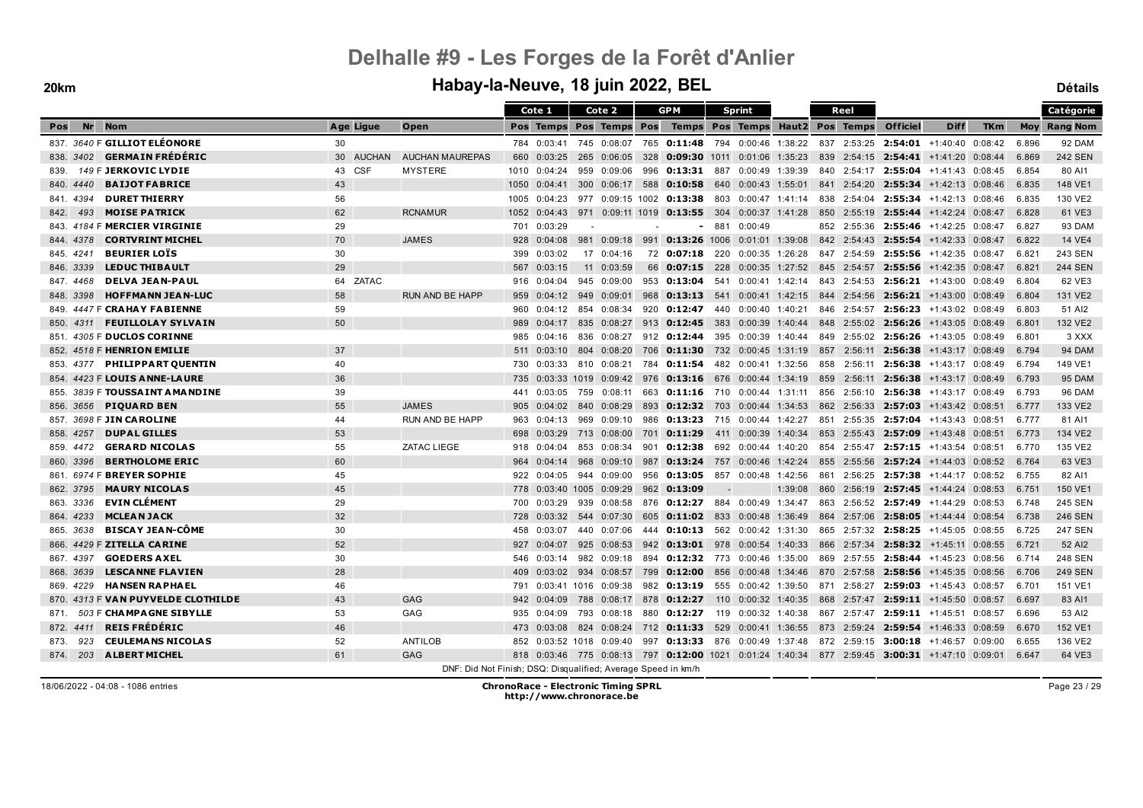#### **20km Habay-la-Neuve, 18 juin 2022, BEL Détails**

|                                         |           |                                                                             |      | Cote 1           |     | Cote 2                   |     | <b>GPM</b>                                   |                          | <b>Sprint</b>                   |         |     | Reel        |                     |                                                                                               |            |       | Catégorie           |
|-----------------------------------------|-----------|-----------------------------------------------------------------------------|------|------------------|-----|--------------------------|-----|----------------------------------------------|--------------------------|---------------------------------|---------|-----|-------------|---------------------|-----------------------------------------------------------------------------------------------|------------|-------|---------------------|
| Nr<br><b>Nom</b><br>Pos                 | Age Ligue | Open                                                                        |      | <b>Pos Temps</b> |     | Pos Temps Pos            |     |                                              |                          | Temps Pos Temps Haut2 Pos Temps |         |     |             | <b>Officiel</b>     | <b>Diff</b>                                                                                   | <b>TKm</b> |       | <b>Moy Rang Nom</b> |
| 837. 3640 F GILLIOT ELÉONORE            | 30        |                                                                             |      | 784 0:03:41      |     |                          |     | 745 0:08:07 765 0:11:48 794 0:00:46 1:38:22  |                          |                                 |         |     |             |                     | 837 2:53:25 2:54:01 +1:40:40 0:08:42                                                          |            | 6.896 | 92 DAM              |
| <b>GERMAIN FRÉDÉRIC</b><br>838. 3402    | 30 AUCHAN | <b>AUCHAN MAUREPAS</b>                                                      | 660  | 0:03:25          | 265 | 0:06:05                  | 328 | $0:09:30$ 1011 0:01:06 1:35:23               |                          |                                 |         |     |             |                     | 839 2:54:15 2:54:41 +1:41:20 0:08:44                                                          |            | 6.869 | <b>242 SEN</b>      |
| 149 F JERKOVIC LYDIE<br>839.            | 43 CSF    | <b>MYSTERE</b>                                                              | 1010 | 0:04:24          |     | 959 0:09:06              |     | 996 0:13:31 887 0:00:49 1:39:39              |                          |                                 |         |     |             |                     | 840 2:54:17 2:55:04 +1:41:43 0:08:45                                                          |            | 6.854 | 80 AI1              |
| <b>BAIJOT FABRICE</b><br>840, 4440      | 43        |                                                                             | 1050 | 0:04:41          |     |                          |     | 300 0:06:17 588 0:10:58 640 0:00:43 1:55:01  |                          |                                 |         |     |             |                     | 841 2:54:20 2:55:34 +1:42:13 0:08:46                                                          |            | 6.835 | 148 VE1             |
| <b>DURET THIERRY</b><br>841.4394        | 56        |                                                                             | 1005 | 0:04:23          |     |                          |     | 977 0:09:15 1002 0:13:38                     | 803                      | 0:00:47 1:41:14                 |         |     | 838 2:54:04 |                     | $2:55:34$ +1:42:13 0:08:46                                                                    |            | 6.835 | 130 VE2             |
| <b>MOISE PATRICK</b><br>842.<br>493     | 62        | <b>RCNAMUR</b>                                                              | 1052 | 0:04:43          |     |                          |     | 971 0:09:11 1019 0:13:55 304 0:00:37 1:41:28 |                          |                                 |         |     |             |                     | 850 2:55:19 2:55:44 +1:42:24 0:08:47                                                          |            | 6.828 | 61 VE3              |
| 843. 4184 F MERCIER VIRGINIE            | 29        |                                                                             | 701  | 0:03:29          |     |                          |     |                                              | 881                      | 0:00:49                         |         |     |             |                     | 852 2:55:36 2:55:46 +1:42:25 0:08:47                                                          |            | 6.827 | 93 DAM              |
| <b>CORTVRINT MICHEL</b><br>844, 4378    | 70        | <b>JAMES</b>                                                                | 928  | 0:04:08          |     | 981 0:09:18              | 991 | 0:13:26 1006 0:01:01 1:39:08                 |                          |                                 |         |     |             |                     | 842 2:54:43 2:55:54 +1:42:33 0:08:47                                                          |            | 6.822 | <b>14 VE4</b>       |
| <b>BEURIER LOTS</b><br>845.4241         | 30        |                                                                             | 399  | 0:03:02          |     | 17 0:04:16               |     | 72 0:07:18 220 0:00:35 1:26:28               |                          |                                 |         |     |             |                     | 847 2:54:59 2:55:56 +1:42:35 0:08:47                                                          |            | 6.821 | 243 SEN             |
| <b>LEDUC THIBAULT</b><br>846. 3339      | 29        |                                                                             | 567  | 0:03:15          |     | 11 0:03:59               |     | 66 0:07:15                                   | 228                      | 0:00:35 1:27:52                 |         |     | 845 2:54:57 |                     | 2:55:56 +1:42:35 0:08:47                                                                      |            | 6.821 | <b>244 SEN</b>      |
| <b>DELVA JEAN-PAUL</b><br>847.4468      | 64 ZATAC  |                                                                             | 916  | 0:04:04          | 945 | 0:09:00                  |     | 953 0:13:04                                  | 541                      | $0:00:41$ 1:42:14               |         |     | 843 2:54:53 |                     | $2:56:21$ +1:43:00 0:08:49                                                                    |            | 6.804 | 62 VE3              |
| <b>HOFFMANN JEAN-LUC</b><br>848. 3398   | 58        | <b>RUN AND BE HAPP</b>                                                      | 959  |                  |     | $0:04:12$ 949 0:09:01    |     | 968 0:13:13 541 0:00:41 1:42:15              |                          |                                 |         |     |             |                     | 844 2:54:56 2:56:21 +1:43:00 0:08:49                                                          |            | 6.804 | 131 VE2             |
| 849. 4447 F CRAHAY FABIENNE             | 59        |                                                                             | 960  | 0:04:12          |     | 854 0:08:34              |     | 920 0:12:47 440 0:00:40 1:40:21              |                          |                                 |         |     |             |                     | 846 2:54:57 2:56:23 +1:43:02 0:08:49                                                          |            | 6.803 | 51 AI2              |
| <b>FEUILLOLAY SYLVAIN</b><br>850.4311   | 50        |                                                                             | 989  | 0:04:17          |     | 835 0:08:27              |     | 913 0:12:45 383 0:00:39 1:40:44              |                          |                                 |         |     |             |                     | 848 2:55:02 2:56:26 +1:43:05 0:08:49                                                          |            | 6.801 | 132 VE2             |
| 851. 4305 F DUCLOS CORINNE              |           |                                                                             | 985  | 0:04:16          |     | 836 0:08:27              |     | 912 0:12:44 395 0:00:39 1:40:44              |                          |                                 |         |     |             |                     | 849 2:55:02 2:56:26 +1:43:05 0:08:49                                                          |            | 6.801 | 3 XXX               |
| 852. 4518 F HENRION EMILIE              | 37        |                                                                             | 511  | 0:03:10          |     | 804 0:08:20              |     | 706 0:11:30                                  |                          | 732 0:00:45 1:31:19             |         |     |             | 857 2:56:11 2:56:38 | +1:43:17 0:08:49                                                                              |            | 6.794 | 94 DAM              |
| <b>PHILIPPART QUENTIN</b><br>853.4377   | 40        |                                                                             | 730  | 0:03:33          |     | 810 0:08:21              |     | 784 <b>0:11:54</b>                           | 482                      | 0:00:41 1:32:56                 |         | 858 | 2:56:11     | 2:56:38             | +1:43:17 0:08:49                                                                              |            | 6.794 | 149 VE1             |
| 854. 4423 F LOUIS ANNE-LAURE            | 36        |                                                                             | 735  |                  |     | $0:03:33$ 1019 0:09:42   |     | 976 0:13:16 676 0:00:44 1:34:19              |                          |                                 |         |     | 859 2:56:11 |                     | $2:56:38$ +1:43:17 0:08:49                                                                    |            | 6.793 | <b>95 DAM</b>       |
| 855. 3839 F TOUSSAINT AMANDINE          | 39        |                                                                             | 441  | 0:03:05          |     | 759 0:08:11              |     | 663 0:11:16 710 0:00:44 1:31:11              |                          |                                 |         |     |             |                     | 856 2:56:10 2:56:38 +1:43:17 0:08:49                                                          |            | 6.793 | <b>96 DAM</b>       |
| <b>PIQUARD BEN</b><br>856, 3656         | 55        | <b>JAMES</b>                                                                | 905  | 0:04:02          |     | 840 0:08:29              | 893 | $0:12:32$ 703                                |                          | $0:00:44$ 1:34:53               |         |     |             |                     | 862 2:56:33 2:57:03 +1:43:42 0:08:51                                                          |            | 6.777 | 133 VE2             |
| 857. 3698 F JIN CAROLINE                | 44        | <b>RUN AND BE HAPP</b>                                                      | 963  | 0:04:13          |     | 969 0:09:10              |     | 986 0:13:23 715 0:00:44 1:42:27              |                          |                                 |         |     |             |                     | 851 2:55:35 2:57:04 +1:43:43 0:08:51                                                          |            | 6.777 | 81 AI1              |
| <b>DUPAL GILLES</b><br>858, 4257        | 53        |                                                                             | 698  | 0:03:29          | 713 | 0:08:00                  | 701 | 0:11:29                                      | 411                      | $0:00:39$ 1:40:34               |         |     |             | 853 2:55:43 2:57:09 | $+1:43:48$ 0:08:51                                                                            |            | 6.773 | 134 VE2             |
| <b>GERARD NICOLAS</b><br>859. 4472      | 55        | <b>ZATAC LIEGE</b>                                                          | 918  | 0:04:04          |     | 853 0:08:34              |     | 901 0:12:38                                  |                          | 692 0:00:44 1:40:20             |         |     |             |                     | 854 2:55:47 2:57:15 +1:43:54 0:08:51                                                          |            | 6.770 | 135 VE2             |
| <b>BERTHOLOME ERIC</b><br>860. 3396     | 60        |                                                                             | 964  | 0:04:14          |     | 968 0:09:10              |     | 987 0:13:24 757 0:00:46 1:42:24              |                          |                                 |         |     |             |                     | 855 2:55:56 2:57:24 +1:44:03 0:08:52                                                          |            | 6.764 | 63 VE3              |
| 861. 6974 F BREYER SOPHIE               | 45        |                                                                             | 922  | 0:04:05          |     | 944 0:09:00              |     | 956 0:13:05                                  | 857                      | 0:00:48 1:42:56                 |         |     |             |                     | 861 2:56:25 2:57:38 +1:44:17 0:08:52                                                          |            | 6.755 | 82 AI1              |
| <b>MAURY NICOLAS</b><br>862, 3795       | 45        |                                                                             | 778  |                  |     | $0:03:40$ 1005 $0:09:29$ |     | 962 0:13:09                                  | $\overline{\phantom{a}}$ |                                 | 1:39:08 |     |             |                     | 860 2:56:19 2:57:45 +1:44:24 0:08:53                                                          |            | 6.751 | 150 VE1             |
| <b>EVIN CLÉMENT</b><br>863. 3336        | 29        |                                                                             | 700  | 0:03:29          |     | 939 0:08:58              |     | 876 0:12:27                                  |                          | 884 0:00:49 1:34:47             |         |     |             |                     | 863 2:56:52 2:57:49 +1:44:29 0:08:53                                                          |            | 6.748 | <b>245 SEN</b>      |
| <b>MCLEAN JACK</b><br>864, 4233         | 32        |                                                                             | 728  | 0:03:32          |     | 544 0:07:30              |     | 605 0:11:02 833                              |                          | $0:00:48$ 1:36:49               |         |     |             |                     | 864 2:57:06 2:58:05 +1:44:44 0:08:54                                                          |            | 6.738 | <b>246 SEN</b>      |
| <b>BISCAY JEAN-CÔME</b><br>865. 3638    | 30        |                                                                             | 458  | 0:03:07          |     | 440 0:07:06              |     | 444 0:10:13                                  |                          | 562 0:00:42 1:31:30             |         |     |             | 865 2:57:32 2:58:25 | +1:45:05 0:08:55                                                                              |            | 6.725 | <b>247 SEN</b>      |
| 866. 4429 F ZITELLA CARINE              | 52        |                                                                             | 927  | 0:04:07          |     | 925 0:08:53              |     | 942 0:13:01 978                              |                          | 0:00:54 1:40:33                 |         |     |             |                     | 866 2:57:34 2:58:32 +1:45:11 0:08:55                                                          |            | 6.721 | 52 AI2              |
| <b>GOEDERS AXEL</b><br>867. 4397        | 30        |                                                                             | 546  | 0:03:14          |     | 982 0:09:18              |     | 894 0:12:32 773                              |                          | 0:00:46 1:35:00                 |         |     |             |                     | 869 2:57:55 2:58:44 +1:45:23 0:08:56                                                          |            | 6.714 | 248 SEN             |
| <b>LESCANNE FLAVIEN</b><br>868, 3639    | 28        |                                                                             | 409  | 0:03:02          |     | 934 0:08:57              |     | 799 0:12:00                                  |                          | 856 0:00:48 1:34:46             |         |     |             |                     | 870 2:57:58 2:58:56 +1:45:35 0:08:56                                                          |            | 6.706 | <b>249 SEN</b>      |
| <b>HANSEN RAPHAEL</b><br>869. 4229      | 46        |                                                                             | 791  |                  |     | 0:03:41 1016 0:09:38     |     | 982 0:13:19 555 0:00:42 1:39:50              |                          |                                 |         |     |             |                     | 871 2:58:27 2:59:03 +1:45:43 0:08:57                                                          |            | 6.701 | 151 VE1             |
| 870. 4313 F VAN PUYVELDE CLOTHILDE      | 43        | <b>GAG</b>                                                                  | 942  | 0:04:09          | 788 | 0:08:17                  | 878 | 0:12:27                                      | 110                      | 0:00:32 1:40:35                 |         |     |             |                     | 868 2:57:47 2:59:11 +1:45:50 0:08:57                                                          |            | 6.697 | 83 AI1              |
| 503 F CHAMPAGNE SIBYLLE<br>871.         | 53        | GAG                                                                         | 935  | 0:04:09          |     | 793 0:08:18              |     | 880 0:12:27                                  |                          | 119 0:00:32 1:40:38             |         |     | 867 2:57:47 |                     | $2:59:11$ +1:45:51 0:08:57                                                                    |            | 6.696 | 53 AI2              |
| <b>REIS FRÉDÉRIC</b><br>872. 4411       | 46        |                                                                             | 473  | 0:03:08          |     | 824 0:08:24              |     | 712 0:11:33 529                              |                          | 0:00:41 1:36:55                 |         |     |             |                     | 873 2:59:24 2:59:54 +1:46:33 0:08:59                                                          |            | 6.670 | 152 VE1             |
| <b>CEULEMANS NICOLAS</b><br>873.<br>923 | 52        | ANTILOB                                                                     | 852  |                  |     | 0:03:52 1018 0:09:40     |     | 997 0:13:33 876 0:00:49 1:37:48              |                          |                                 |         |     |             |                     | 872 2:59:15 3:00:18 +1:46:57 0:09:00                                                          |            | 6.655 | 136 VE2             |
| 874. 203 ALBERT MICHEL                  | 61        | <b>GAG</b><br>DNE: Did Not Einigh: DRO: Digunalified: Average Speed in Im/h |      |                  |     |                          |     |                                              |                          |                                 |         |     |             |                     | 818 0:03:46 775 0:08:13 797 0:12:00 1021 0:01:24 1:40:34 877 2:59:45 3:00:31 +1:47:10 0:09:01 |            | 6.647 | 64 VE3              |

DNF: Did Not Finish; DSQ: Disqualified; Average Speed in km/h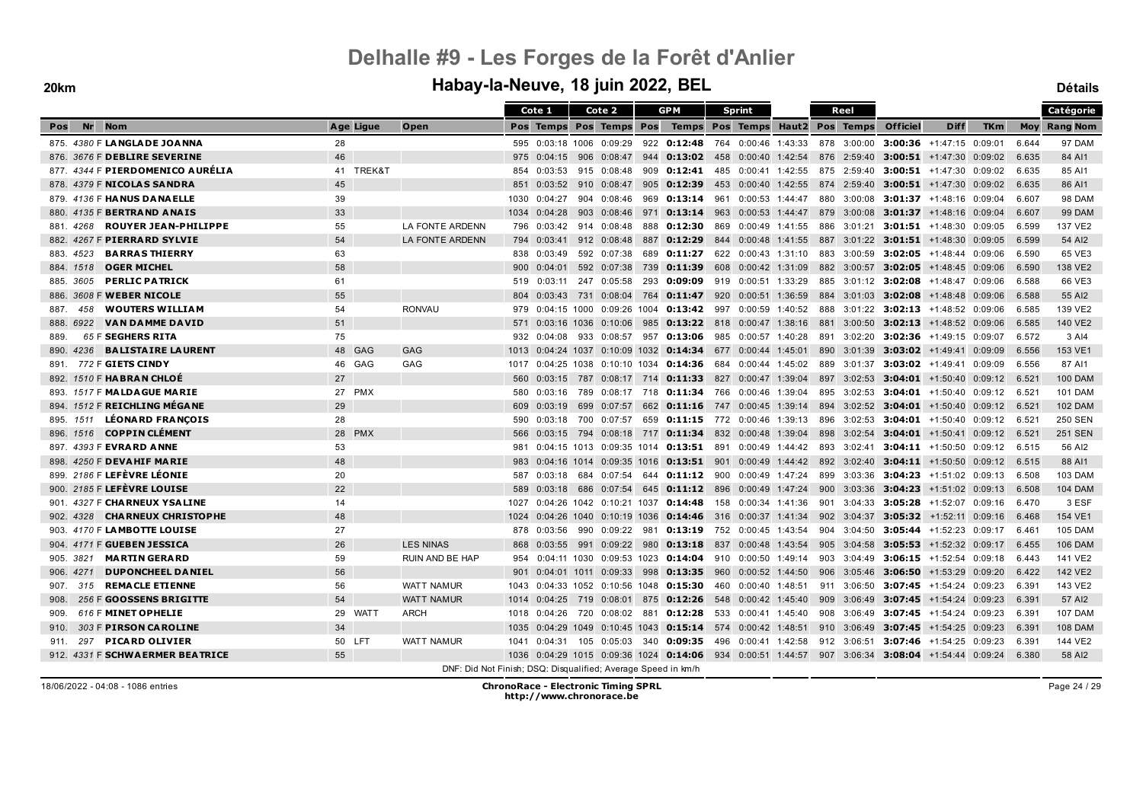#### **20km Habay-la-Neuve, 18 juin 2022, BEL Détails**

|                                         |           |                        | Cote 1                                                        | Cote 2                                                                                                       |     | <b>GPM</b>  | Sprint                                                 |     | Reel        |                                             |                                   |            |       | Catégorie           |
|-----------------------------------------|-----------|------------------------|---------------------------------------------------------------|--------------------------------------------------------------------------------------------------------------|-----|-------------|--------------------------------------------------------|-----|-------------|---------------------------------------------|-----------------------------------|------------|-------|---------------------|
| Nr<br><b>Nom</b><br>Pos                 | Age Ligue | Open                   |                                                               | Pos Temps Pos Temps Pos                                                                                      |     |             | Temps Pos Temps Haut2 Pos Temps                        |     |             | <b>Officiel</b>                             | <b>Diff</b>                       | <b>TKm</b> |       | <b>Moy Rang Nom</b> |
| 875. 4380 F LANGLADE JOANNA             | 28        |                        |                                                               | 595 0:03:18 1006 0:09:29                                                                                     |     |             | 922 0:12:48 764 0:00:46 1:43:33                        |     | 878 3:00:00 |                                             | 3:00:36 $+1:47:15$ 0:09:01        |            | 6.644 | 97 DAM              |
| 876. 3676 F DEBLIRE SEVERINE            | 46        |                        | 975<br>0:04:15                                                |                                                                                                              |     |             | 906 0:08:47 944 0:13:02 458 0:00:40 1:42:54            |     |             | 876 2:59:40 <b>3:00:51</b> +1:47:30 0:09:02 |                                   |            | 6.635 | 84 AI1              |
| 877. 4344 F PIERDOMENICO AURÉLIA        | 41 TREK&T |                        | 0:03:53<br>854                                                | 915 0:08:48                                                                                                  | 909 |             | <b>0:12:41</b> 485 0:00:41 1:42:55                     |     | 875 2:59:40 |                                             | <b>3:00:51</b> $+1:47:30$ 0:09:02 |            | 6.635 | 85 AI1              |
| 878. 4379 F NICOLAS SANDRA              | 45        |                        | 0:03:52<br>851                                                | 910 0:08:47                                                                                                  |     |             | 905 0:12:39 453 0:00:40 1:42:55                        |     |             | 874 2:59:40 3:00:51 +1:47:30 0:09:02        |                                   |            | 6.635 | 86 AI1              |
| 879. 4136 F HANUS DANAELLE              | 39        |                        | 0:04:27<br>1030                                               | 904 0:08:46                                                                                                  |     |             | 969 0:13:14 961 0:00:53 1:44:47                        |     |             | 880 3:00:08 3:01:37 +1:48:16 0:09:04        |                                   |            | 6.607 | 98 DAM              |
| 880. 4135 F BERTRAND ANAIS              | 33        |                        | 1034<br>0:04:28                                               | 903 0:08:46                                                                                                  | 971 |             | <b>0:13:14</b> 963 0:00:53 1:44:47                     |     | 879 3:00:08 |                                             | 3:01:37 +1:48:16 0:09:04          |            | 6.607 | <b>99 DAM</b>       |
| <b>ROUYER JEAN-PHILIPPE</b><br>881.4268 | 55        | <b>LA FONTE ARDENN</b> | 796<br>0:03:42                                                | 914 0:08:48                                                                                                  |     |             | 888 0:12:30 869 0:00:49 1:41:55                        |     |             | 886 3:01:21 3:01:51 +1:48:30 0:09:05        |                                   |            | 6.599 | 137 VE2             |
| 882. 4267 F PIERRARD SYLVIE             | 54        | <b>LA FONTE ARDENN</b> | 794<br>0:03:41                                                | 912 0:08:48                                                                                                  |     | 887 0:12:29 | 844 0:00:48 1:41:55                                    |     |             | 887 3:01:22 3:01:51 +1:48:30 0:09:05        |                                   |            | 6.599 | 54 AI2              |
| <b>BARRAS THIERRY</b><br>883.4523       | 63        |                        | 838<br>0:03:49                                                | 592 0:07:38                                                                                                  |     |             | 689 0:11:27 622 0:00:43 1:31:10                        |     |             | 883 3:00:59 3:02:05 +1:48:44 0:09:06        |                                   |            | 6.590 | 65 VE3              |
| <b>OGER MICHEL</b><br>884, 1518         | 58        |                        | $900 \quad 0:04:01$                                           | 592 0:07:38                                                                                                  |     |             | 739 0:11:39 608 0:00:42 1:31:09                        |     |             | 882 3:00:57 3:02:05 +1:48:45 0:09:06        |                                   |            | 6.590 | 138 VE2             |
| <b>PERLIC PATRICK</b><br>885, 3605      | 61        |                        | 519 0:03:11                                                   | 247 0:05:58                                                                                                  |     |             | 293 0:09:09 919 0:00:51 1:33:29                        |     |             | 885 3:01:12 3:02:08 +1:48:47 0:09:06        |                                   |            | 6.588 | 66 VE3              |
| 886. 3608 F WEBER NICOLE                | 55        |                        | 804                                                           | $0.03:43$ 731 0:08:04 764 0:11:47 920 0:00:51 1:36:59                                                        |     |             |                                                        |     |             | 884 3:01:03 3:02:08 +1:48:48 0:09:06        |                                   |            | 6.588 | 55 AI2              |
| <b>WOUTERS WILLIAM</b><br>887.<br>458   | 54        | <b>RONVAU</b>          | 979                                                           | $0:04:15$ 1000 $0:09:26$ 1004 <b>0:13:42</b> 997 0:00:59 1:40:52                                             |     |             |                                                        |     |             | 888 3:01:22 3:02:13 +1:48:52 0:09:06        |                                   |            | 6.585 | 139 VE2             |
| <b>VAN DAMME DAVID</b><br>888.6922      | 51        |                        |                                                               | 571 0:03:16 1036 0:10:06                                                                                     |     |             | 985 0:13:22 818 0:00:47 1:38:16                        |     |             | 881 3:00:50 3:02:13 +1:48:52 0:09:06        |                                   |            | 6.585 | 140 VE2             |
| 65 F SEGHERS RITA<br>889.               | 75        |                        | 932<br>0:04:08                                                | 933 0:08:57                                                                                                  |     | 957 0:13:06 | 985<br>$0:00:57$ 1:40:28                               | 891 | 3:02:20     |                                             | 3:02:36 $+1:49:15$ 0:09:07        |            | 6.572 | 3 AI4               |
| <b>BALISTAIRE LAURENT</b><br>890. 4236  | 48 GAG    | <b>GAG</b>             | 1013                                                          | $0:04:24$ 1037 $0:10:09$ 1032 0:14:34 677 0:00:44 1:45:01                                                    |     |             |                                                        |     |             | 890 3:01:39 3:03:02 +1:49:41 0:09:09        |                                   |            | 6.556 | 153 VE1             |
| 772 F <b>GIETS CINDY</b><br>891.        | 46 GAG    | GAG                    | 1017                                                          | 0:04:25 1038 0:10:10 1034 0:14:36 684 0:00:44 1:45:02                                                        |     |             |                                                        |     | 889 3:01:37 |                                             | $3:03:02$ +1:49:41 0:09:09        |            | 6.556 | 87 AI1              |
| 892. 1510 F HABRAN CHLOE                | 27        |                        | 560                                                           | $0:03:15$ 787 $0:08:17$ 714 <b>0:11:33</b> 827 0:00:47 1:39:04                                               |     |             |                                                        |     |             | 897 3:02:53 3:04:01 +1:50:40 0:09:12        |                                   |            | 6.521 | <b>100 DAM</b>      |
| 893. 1517 F MALDAGUE MARIE              | 27 PMX    |                        | 0:03:16<br>580                                                |                                                                                                              |     |             | 789 0:08:17 718 0:11:34 766 0:00:46 1:39:04            | 895 |             | $3:02:53$ 3:04:01 +1:50:40 0:09:12          |                                   |            | 6.521 | <b>101 DAM</b>      |
| 894. 1512 F REICHLING MÉGANE            | 29        |                        | 609<br>0:03:19                                                | 699<br>0:07:57                                                                                               |     |             | 662 0:11:16 747 0:00:45 1:39:14                        |     |             | 894 3:02:52 3:04:01 +1:50:40 0:09:12        |                                   |            | 6.521 | <b>102 DAM</b>      |
| <b>LÉONARD FRANCOIS</b><br>895. 1511    | 28        |                        | 0:03:18<br>590                                                | 700 0:07:57                                                                                                  |     |             | 659 0:11:15 772 0:00:46 1:39:13                        |     |             | 896 3:02:53 3:04:01 +1:50:40 0:09:12        |                                   |            | 6.521 | <b>250 SEN</b>      |
| 896. 1516 <b>COPPIN CLÉMENT</b>         | 28 PMX    |                        | 566                                                           | $0.03:15$ 794 $0.08:18$ 717 0:11:34 832 0:00:48 1:39:04                                                      |     |             |                                                        |     | 898 3:02:54 |                                             | <b>3:04:01</b> +1:50:41 0:09:12   |            | 6.521 | <b>251 SEN</b>      |
| 897. 4393 F EVRARD ANNE                 | 53        |                        | 981                                                           | $0:04:15$ 1013 0:09:35 1014 0:13:51 891 0:00:49 1:44:42                                                      |     |             |                                                        |     |             | 893 3:02:41 3:04:11 +1:50:50 0:09:12        |                                   |            | 6.515 | 56 AI2              |
| 898. 4250 F DEVAHIF MARIE               | 48        |                        | 983                                                           | $0.04:16$ 1014 $0.09:35$ 1016 0:13:51 901 0:00:49 1:44:42 892 3:02:40 3:04:11 +1:50:50 0:09:12               |     |             |                                                        |     |             |                                             |                                   |            | 6.515 | 88 AI1              |
| 899. 2186 F LEFÈVRE LÉONIE              | 20        |                        | 0:03:18<br>587                                                | 0:07:54<br>684                                                                                               |     |             | 644 <b>0:11:12</b> 900 0:00:49 1:47:24                 |     |             | 899 3:03:36 3:04:23 +1:51:02 0:09:13        |                                   |            | 6.508 | <b>103 DAM</b>      |
| 900. 2185 F LEFÈVRE LOUISE              | 22        |                        | 589                                                           | 0:03:18 686 0:07:54                                                                                          |     |             | 645 0:11:12 896 0:00:49 1:47:24                        |     |             | 900 3:03:36 <b>3:04:23</b> +1:51:02 0:09:13 |                                   |            | 6.508 | <b>104 DAM</b>      |
| 901. 4327 F CHARNEUX YSALINE            | 14        |                        | 1027                                                          | $0:04:26$ 1042 $0:10:21$ 1037 <b>0:14:48</b> 158 0:00:34 1:41:36                                             |     |             |                                                        |     |             | 901 3:04:33 3:05:28 +1:52:07 0:09:16        |                                   |            | 6.470 | 3 ESF               |
| 902. 4328<br><b>CHARNEUX CHRISTOPHE</b> | 48        |                        | 1024                                                          | $0:04:26$ 1040 $0:10:19$ 1036 <b>0:14:46</b> 316 0:00:37 1:41:34                                             |     |             |                                                        |     | 902 3:04:37 |                                             | $3:05:32$ +1:52:11 0:09:16        |            | 6.468 | 154 VE1             |
| 903. 4170 F LAMBOTTE LOUISE             | 27        |                        | 0:03:56<br>878                                                |                                                                                                              |     |             | 990 0:09:22 981 0:13:19 752 0:00:45 1:43:54            |     |             | 904 3:04:50 <b>3:05:44</b> +1:52:23 0:09:17 |                                   |            | 6.461 | <b>105 DAM</b>      |
| 904. 4171 F GUEBEN JESSICA              | 26        | <b>LES NINAS</b>       | 868<br>0:03:55                                                | 991 0:09:22                                                                                                  | 980 |             | $0:13:18$ 837 0:00:48 1:43:54                          |     |             | 905 3:04:58 3:05:53 +1:52:32 0:09:17        |                                   |            | 6.455 | <b>106 DAM</b>      |
| <b>MARTIN GERARD</b><br>905. 3821       | 59        | <b>RUIN AND BE HAP</b> | 954<br>0:04:11 1030                                           | 0:09:53 1023                                                                                                 |     |             | $0:14:04$ 910 0:00:50 1:49:14                          |     |             | 903 3:04:49 3:06:15 +1:52:54 0:09:18        |                                   |            | 6.443 | 141 VE2             |
| <b>DUPONCHEEL DANIEL</b><br>906. 4271   | 56        |                        |                                                               | 901 0:04:01 1011 0:09:33                                                                                     | 998 |             | $0:13:35$ 960 0:00:52 1:44:50                          |     |             | 906 3:05:46 <b>3:06:50</b> +1:53:29 0:09:20 |                                   |            | 6.422 | 142 VE2             |
| 315 REMACLE ETIENNE<br>907.             | 56        | <b>WATT NAMUR</b>      | 1043                                                          | $0.04:33$ 1052 0:10:56 1048 0:15:30 460 0:00:40 1:48:51                                                      |     |             |                                                        |     |             | 911 3:06:50 3:07:45 +1:54:24 0:09:23        |                                   |            | 6.391 | 143 VE2             |
| 256 F GOOSSENS BRIGITTE<br>908.         | 54        | <b>WATT NAMUR</b>      | 0:04:25<br>1014                                               |                                                                                                              |     |             | 719 0:08:01 875 0:12:26 548 0:00:42 1:45:40            |     |             | 909 3:06:49 3:07:45 +1:54:24 0:09:23        |                                   |            | 6.391 | 57 AI2              |
| 616 F MINET OPHELIE<br>909.             | 29 WATT   | <b>ARCH</b>            | 1018<br>0:04:26                                               |                                                                                                              |     |             | 720  0:08:02  881 <b>0:12:28</b> 533  0:00:41  1:45:40 |     |             | 908 3:06:49 3:07:45 +1:54:24 0:09:23        |                                   |            | 6.391 | <b>107 DAM</b>      |
| 303 F PIRSON CAROLINE<br>910.           | 34        |                        | 1035                                                          | $0.04:29$ 1049 $0.10:45$ 1043 <b>0:15:14</b> 574 0:00:42 1:48:51                                             |     |             |                                                        |     |             | 910 3:06:49 3:07:45 +1:54:25 0:09:23        |                                   |            | 6.391 | <b>108 DAM</b>      |
| <b>PICARD OLIVIER</b><br>297<br>911.    | 50 LFT    | <b>WATT NAMUR</b>      | 1041<br>0:04:31                                               |                                                                                                              |     |             | 105  0:05:03  340  0:09:35  496  0:00:41  1:42:58      |     | 912 3:06:51 |                                             | $3:07:46$ +1:54:25 0:09:23        |            | 6.391 | 144 VE2             |
| 912. 4331 F SCHWAERMER BEATRICE         | 55        |                        | 1036                                                          | $0.04:29$ 1015 $0.09:36$ 1024 <b>0:14:06</b> 934 0:00:51 1:44:57 907 3:06:34 <b>3:08:04</b> +1:54:44 0:09:24 |     |             |                                                        |     |             |                                             |                                   |            | 6.380 | 58 AI2              |
|                                         |           |                        | DNF: Did Not Finish; DSQ: Disqualified; Average Speed in km/h |                                                                                                              |     |             |                                                        |     |             |                                             |                                   |            |       |                     |

18/06/2022 - 04:08 - 1086 entries **ChronoRace - Electronic Timing SPRL http://www.chronorace.be**

Page 24 / 29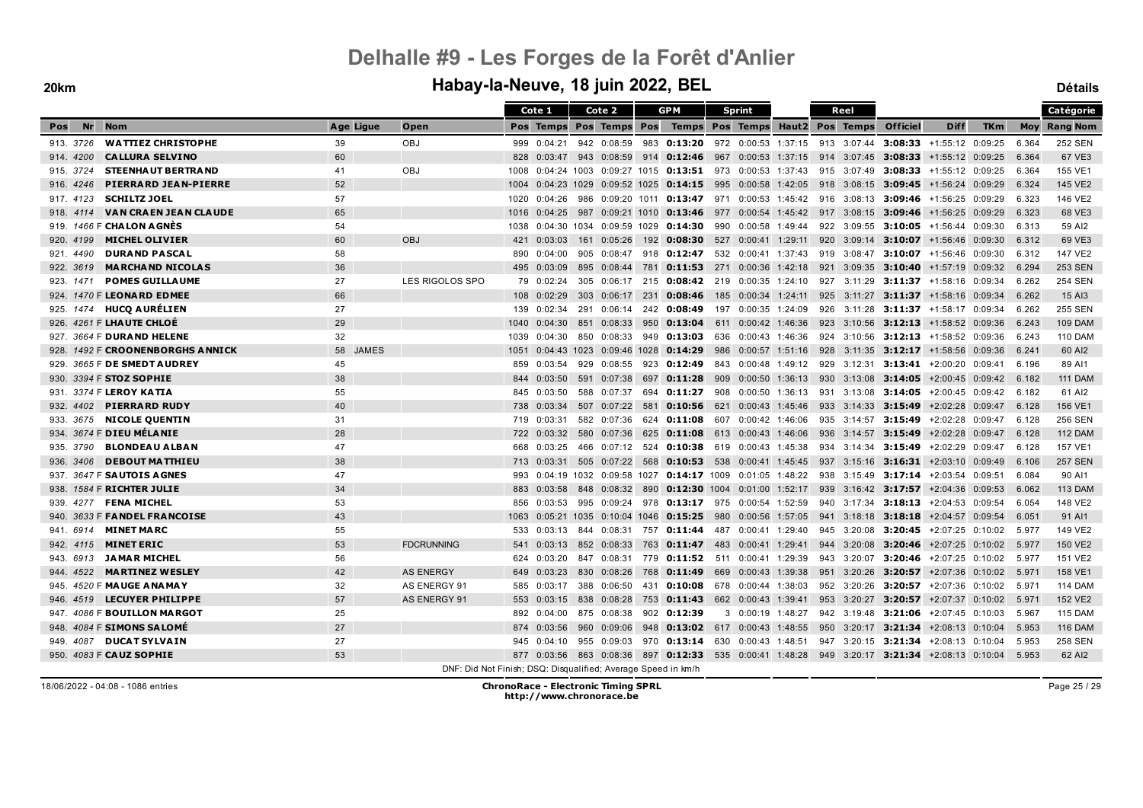|           |                                     |           |                                                               |      | Cote 1                  | Cote 2 |                 |     | <b>GPM</b>                                                                                                   |     | <b>Sprint</b>     |  | Reel |                     |                                                                 |            |       | Catégorie           |
|-----------|-------------------------------------|-----------|---------------------------------------------------------------|------|-------------------------|--------|-----------------|-----|--------------------------------------------------------------------------------------------------------------|-----|-------------------|--|------|---------------------|-----------------------------------------------------------------|------------|-------|---------------------|
| Nr<br>Pos | <b>Nom</b>                          | Age Ligue | Open                                                          |      | Pos Temps Pos Temps Pos |        |                 |     | Temps Pos Temps Haut2 Pos Temps                                                                              |     |                   |  |      | <b>Officiel</b>     | <b>Diff</b>                                                     | <b>TKm</b> |       | <b>Moy Rang Nom</b> |
| 913. 3726 | <b>WATTIEZ CHRISTOPHE</b>           | 39        | OBJ                                                           |      | 999 0:04:21             |        |                 |     | 942 0:08:59 983 0:13:20 972 0:00:53 1:37:15 913 3:07:44 3:08:33 +1:55:12 0:09:25                             |     |                   |  |      |                     |                                                                 |            | 6.364 | 252 SEN             |
| 914, 4200 | <b>CALLURA SELVINO</b>              | 60        |                                                               | 828  | 0:03:47                 |        |                 |     | 943 0:08:59 914 0:12:46 967 0:00:53 1:37:15 914 3:07:45 3:08:33 +1:55:12 0:09:25                             |     |                   |  |      |                     |                                                                 |            | 6.364 | 67 VE3              |
| 915. 3724 | <b>STEENHAUT BERTRAND</b>           | 41        | OBJ                                                           | 1008 |                         |        |                 |     | $0.04:24$ 1003 $0.09:27$ 1015 <b>0:13:51</b> 973 0:00:53 1:37:43 915 3:07:49 <b>3:08:33</b> +1:55:12 0:09:25 |     |                   |  |      |                     |                                                                 |            | 6.364 | 155 VE1             |
| 916. 4246 | <b>PIERRARD JEAN-PIERRE</b>         | 52        |                                                               | 1004 |                         |        |                 |     | 0:04:23 1029 0:09:52 1025 0:14:15 995 0:00:58 1:42:05 918 3:08:15 3:09:45 +1:56:24 0:09:29                   |     |                   |  |      |                     |                                                                 |            | 6.324 | 145 VE2             |
| 917. 4123 | <b>SCHILTZ JOEL</b>                 | 57        |                                                               | 1020 | 0:04:26                 |        |                 |     | 986 0:09:20 1011 0:13:47 971 0:00:53 1:45:42 916 3:08:13 3:09:46 +1:56:25 0:09:29                            |     |                   |  |      |                     |                                                                 |            | 6.323 | 146 VE2             |
| 918. 4114 | <b>VAN CRAEN JEAN CLAUDE</b>        | 65        |                                                               | 1016 | 0:04:25                 |        |                 |     | 987 0:09:21 1010 0:13:46 977 0:00:54 1:45:42 917 3:08:15 3:09:46                                             |     |                   |  |      |                     | +1:56:25 0:09:29                                                |            | 6.323 | 68 VE3              |
|           | 919. 1466 F CHALON AGNES            | 54        |                                                               | 1038 |                         |        |                 |     | $0:04:30$ 1034 0:09:59 1029 0:14:30                                                                          |     |                   |  |      |                     | 990 0:00:58 1:49:44 922 3:09:55 3:10:05 +1:56:44 0:09:30        |            | 6.313 | 59 AI2              |
| 920, 4199 | <b>MICHEL OLIVIER</b>               | 60        | OBJ                                                           | 421  | 0:03:03                 |        | 161 0:05:26     |     | 192 <b>0:08:30</b> 527 0:00:41 1:29:11 920 3:09:14 <b>3:10:07</b> +1:56:46 0:09:30                           |     |                   |  |      |                     |                                                                 |            | 6.312 | 69 VE3              |
| 921, 4490 | <b>DURAND PASCAL</b>                | 58        |                                                               | 890  | 0:04:00                 |        | 905 0:08:47     |     | 918 0:12:47 532 0:00:41 1:37:43 919 3:08:47 3:10:07 +1:56:46 0:09:30                                         |     |                   |  |      |                     |                                                                 |            | 6.312 | 147 VE2             |
| 922. 3619 | <b>MARCHAND NICOLAS</b>             | 36        |                                                               |      | 495 0:03:09             |        | 895 0:08:44     |     | 781 0:11:53 271 0:00:36 1:42:18 921 3:09:35 3:10:40 +1:57:19 0:09:32                                         |     |                   |  |      |                     |                                                                 |            | 6.294 | <b>253 SEN</b>      |
| 923. 1471 | <b>POMES GUILLAUME</b>              | 27        | LES RIGOLOS SPO                                               |      | 79 0:02:24              |        |                 |     | 305 0:06:17 215 0:08:42 219 0:00:35 1:24:10 927 3:11:29 3:11:37 +1:58:16 0:09:34                             |     |                   |  |      |                     |                                                                 |            | 6.262 | <b>254 SEN</b>      |
|           | 924. 1470 F LEONARD EDMEE           | 66        |                                                               |      | 108 0:02:29             |        | 303 0:06:17 231 |     | 0:08:46                                                                                                      |     |                   |  |      |                     | 185 0:00:34 1:24:11 925 3:11:27 3:11:37 +1:58:16 0:09:34        |            | 6.262 | 15 AI3              |
|           | 925. 1474 HUCQ AURÉLIEN             | 27        |                                                               | 139  | 0:02:34                 |        |                 |     | 291 0:06:14 242 0:08:49                                                                                      |     |                   |  |      |                     | 197  0:00:35  1:24:09  926  3:11:28  3:11:37  +1:58:17  0:09:34 |            | 6.262 | <b>255 SEN</b>      |
|           | 926. 4261 F LHAUTE CHLOE            | 29        |                                                               | 1040 | 0:04:30                 |        | 851 0:08:33     |     | 950 0:13:04 611 0:00:42 1:46:36 923 3:10:56 3:12:13 +1:58:52 0:09:36                                         |     |                   |  |      |                     |                                                                 |            | 6.243 | <b>109 DAM</b>      |
|           | 927. 3664 F DURAND HELENE           | 32        |                                                               | 1039 | 0:04:30                 | 850    | 0:08:33         |     | 949 0:13:03                                                                                                  | 636 | 0:00:43 1:46:36   |  |      |                     | 924 3:10:56 3:12:13 +1:58:52 0:09:36                            |            | 6.243 | <b>110 DAM</b>      |
|           | 928. 1492 F CROONENBORGHS ANNICK    | 58 JAMES  |                                                               | 1051 |                         |        |                 |     | $0.04:43$ 1023 0:09:46 1028 0:14:29 986 0:00:57 1:51:16 928 3:11:35 3:12:17 +1:58:56 0:09:36                 |     |                   |  |      |                     |                                                                 |            | 6.241 | 60 AI2              |
|           | 929. 3665 F DE SMEDT AUDREY         | 45        |                                                               | 859  | 0:03:54                 |        | 929 0:08:55     |     | 923 0:12:49                                                                                                  |     |                   |  |      |                     | 843 0:00:48 1:49:12 929 3:12:31 3:13:41 +2:00:20 0:09:41        |            | 6.196 | 89 AI1              |
|           | 930. 3394 F STOZ SOPHIE             | 38        |                                                               | 844  | 0:03:50                 |        | 591 0:07:38     |     | 697 0:11:28 909 0:00:50 1:36:13 930 3:13:08 3:14:05 +2:00:45 0:09:42                                         |     |                   |  |      |                     |                                                                 |            | 6.182 | <b>111 DAM</b>      |
|           | 931. 3374 F LEROY KATIA             | 55        |                                                               | 845  | 0:03:50                 |        | 588 0:07:37     |     | 694 0:11:27                                                                                                  | 908 |                   |  |      |                     | $0:00:50$ 1:36:13 931 3:13:08 3:14:05 +2:00:45 0:09:42          |            | 6.182 | 61 AI2              |
| 932, 4402 | <b>PIERRARD RUDY</b>                | 40        |                                                               | 738  | 0:03:34                 |        | 507 0:07:22     |     | 581 0:10:56 621 0:00:43 1:45:46                                                                              |     |                   |  |      |                     | 933 3:14:33 3:15:49 +2:02:28 0:09:47                            |            | 6.128 | 156 VE1             |
| 933. 3675 | <b>NICOLE QUENTIN</b>               | 31        |                                                               | 719  | 0:03:31                 |        | 582 0:07:36     |     | 624 0:11:08 607 0:00:42 1:46:06                                                                              |     |                   |  |      |                     | 935 3:14:57 3:15:49 +2:02:28 0:09:47                            |            | 6.128 | 256 SEN             |
|           | 934. 3674 F DIEU MÉLANIE            | 28        |                                                               | 722  | 0:03:32                 |        | 580 0:07:36     |     | 625 0:11:08 613 0:00:43 1:46:06                                                                              |     |                   |  |      |                     | 936 3:14:57 3:15:49 +2:02:28 0:09:47                            |            | 6.128 | <b>112 DAM</b>      |
| 935. 3790 | <b>BLONDEAU ALBAN</b>               | 47        |                                                               | 668  | 0:03:25                 |        | 466 0:07:12     |     | 524 0:10:38 619 0:00:43 1:45:38 934 3:14:34 3:15:49 +2:02:29 0:09:47                                         |     |                   |  |      |                     |                                                                 |            | 6.128 | 157 VE1             |
| 936. 3406 | <b>DEBOUT MATTHIEU</b>              | 38        |                                                               | 713  | 0:03:31                 |        |                 |     | 505 0:07:22 568 0:10:53 538 0:00:41 1:45:45 937 3:15:16 3:16:31 +2:03:10 0:09:49                             |     |                   |  |      |                     |                                                                 |            | 6.106 | <b>257 SEN</b>      |
|           | 937. 3647 F SAUTOIS AGNES           | 47        |                                                               | 993  |                         |        |                 |     | $0.04:19$ 1032 0:09:58 1027 0:14:17 1009 0:01:05 1:48:22 938 3:15:49 3:17:14 +2:03:54 0:09:51                |     |                   |  |      |                     |                                                                 |            | 6.084 | 90 AI1              |
|           | 938. 1584 F RICHTER JULIE           | 34        |                                                               | 883  | 0:03:58                 |        |                 |     | 848 0:08:32 890 0:12:30 1004 0:01:00 1:52:17 939 3:16:42 3:17:57 +2:04:36 0:09:53                            |     |                   |  |      |                     |                                                                 |            | 6.062 | <b>113 DAM</b>      |
|           | 939. 4277 FENA MICHEL               | 53        |                                                               | 856  | 0:03:53                 |        |                 |     | 995  0:09:24  978  0:13:17  975  0:00:54  1:52:59                                                            |     |                   |  |      |                     | 940 3:17:34 3:18:13 +2:04:53 0:09:54                            |            | 6.054 | 148 VE2             |
|           | 940. 3633 F <b>FANDEL FRANCOISE</b> | 43        |                                                               | 1063 |                         |        |                 |     | 0:05:21 1035 0:10:04 1046 0:15:25 980 0:00:56 1:57:05                                                        |     |                   |  |      |                     | 941 3:18:18 3:18:18 +2:04:57 0:09:54                            |            | 6.051 | 91 AI1              |
| 941.6914  | <b>MINET MARC</b>                   | 55        |                                                               | 533  | 0:03:13                 |        |                 |     | 844 0:08:31 757 <b>0:11:44</b> 487 0:00:41 1:29:40 945 3:20:08 <b>3:20:45</b> +2:07:25 0:10:02               |     |                   |  |      |                     |                                                                 |            | 5.977 | 149 VE2             |
| 942. 4115 | <b>MINET ERIC</b>                   | 53        | <b>FDCRUNNING</b>                                             | 541  | 0:03:13                 |        | 852 0:08:33     |     | 763 0:11:47                                                                                                  | 483 | 0:00:41 1:29:41   |  |      |                     | 944 3:20:08 3:20:46 +2:07:25 0:10:02                            |            | 5.977 | 150 VE2             |
| 943.6913  | <b>JAMAR MICHEL</b>                 | 56        |                                                               | 624  | 0:03:20                 |        | 847 0:08:31     |     | 779 <b>0:11:52</b> 511 0:00:41 1:29:39                                                                       |     |                   |  |      |                     | 943 3:20:07 3:20:46 +2:07:25 0:10:02                            |            | 5.977 | 151 VE2             |
| 944, 4522 | <b>MARTINEZ WESLEY</b>              | 42        | <b>AS ENERGY</b>                                              |      | 649 0:03:23             |        | 830 0:08:26     |     | 768 0:11:49 669 0:00:43 1:39:38                                                                              |     |                   |  |      |                     | 951 3:20:26 3:20:57 +2:07:36 0:10:02                            |            | 5.971 | 158 VE1             |
|           | 945. 4520 F MAUGE ANAMAY            | 32        | AS ENERGY 91                                                  | 585  | 0:03:17                 |        | 388 0:06:50     | 431 | $0:10:08$ 678 0:00:44 1:38:03                                                                                |     |                   |  |      |                     | 952 3:20:26 3:20:57 +2:07:36 0:10:02                            |            | 5.971 | <b>114 DAM</b>      |
|           | 946. 4519 LECUYER PHILIPPE          | 57        | <b>AS ENERGY 91</b>                                           | 553  | 0:03:15                 |        |                 |     | 838 0:08:28 753 0:11:43 662 0:00:43 1:39:41 953 3:20:27 3:20:57 +2:07:37 0:10:02                             |     |                   |  |      |                     |                                                                 |            | 5.971 | 152 VE2             |
|           | 947. 4086 F BOUILLON MARGOT         | 25        |                                                               | 892  | 0:04:00                 |        | 875 0:08:38     |     | 902 0:12:39                                                                                                  |     | 3 0:00:19 1:48:27 |  |      |                     | 942 3:19:48 3:21:06 +2:07:45 0:10:03                            |            | 5.967 | <b>115 DAM</b>      |
|           | 948. 4084 F SIMONS SALOMÉ           | 27        |                                                               | 874  | 0:03:56                 |        | 960 0:09:06     |     | 948 0:13:02 617 0:00:43 1:48:55 950 3:20:17 3:21:34 +2:08:13 0:10:04                                         |     |                   |  |      |                     |                                                                 |            | 5.953 | <b>116 DAM</b>      |
|           | 949. 4087 DUCAT SYLVAIN             | 27        |                                                               | 945  | 0:04:10                 |        | 955 0:09:03     |     | 970 0:13:14 630 0:00:43 1:48:51                                                                              |     |                   |  |      | 947 3:20:15 3:21:34 | +2:08:13 0:10:04                                                |            | 5.953 | <b>258 SEN</b>      |
|           | 950. 4083 F CAUZ SOPHIE             | 53        |                                                               |      |                         |        |                 |     | 877 0:03:56 863 0:08:36 897 0:12:33 535 0:00:41 1:48:28 949 3:20:17 3:21:34 +2:08:13 0:10:04                 |     |                   |  |      |                     |                                                                 |            | 5.953 | 62 AI2              |
|           |                                     |           | DNF: Did Not Finish: DSQ: Disqualified: Average Speed in km/h |      |                         |        |                 |     |                                                                                                              |     |                   |  |      |                     |                                                                 |            |       |                     |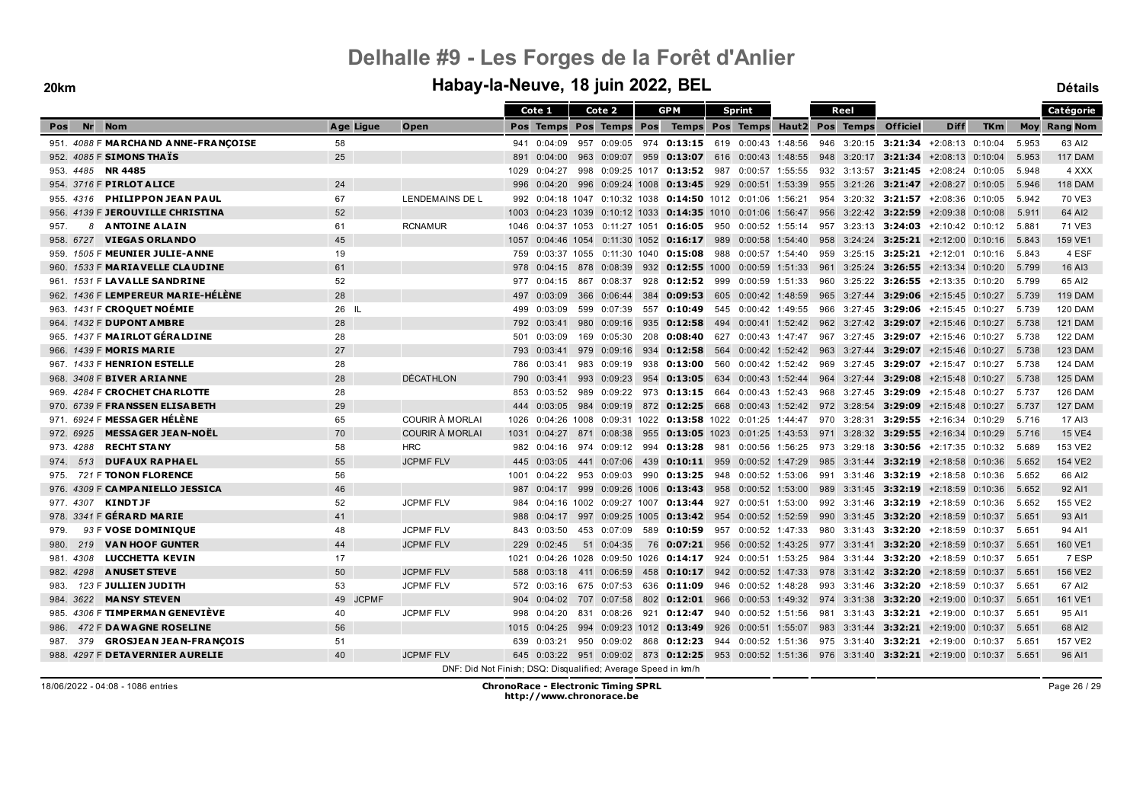|                                        |           |                        | Cote 1                                                        | Cote 2                       | <b>GPM</b>                 |               | <b>Sprint</b>                                                                                 |  | Reel        |                                               |                            |            |       | Catégorie           |
|----------------------------------------|-----------|------------------------|---------------------------------------------------------------|------------------------------|----------------------------|---------------|-----------------------------------------------------------------------------------------------|--|-------------|-----------------------------------------------|----------------------------|------------|-------|---------------------|
| Nr<br><b>Nom</b><br>Pos                | Age Ligue | Open                   |                                                               | Pos Temps Pos Temps Pos      |                            |               | Temps Pos Temps Haut2 Pos Temps                                                               |  |             | <b>Officiel</b>                               | <b>Diff</b>                | <b>TKm</b> |       | <b>Moy Rang Nom</b> |
| 951. 4088 F MARCHAND ANNE-FRANCOISE    | 58        |                        | 0:04:09<br>941                                                |                              |                            |               | 957 0:09:05 974 0:13:15 619 0:00:43 1:48:56                                                   |  |             | 946 3:20:15 3:21:34 +2:08:13 0:10:04          |                            |            | 5.953 | 63 AI2              |
| 952. 4085 F SIMONS THATS               | 25        |                        | 891<br>0:04:00                                                |                              |                            |               | 963 0:09:07 959 0:13:07 616 0:00:43 1:48:55                                                   |  |             | 948 3:20:17 3:21:34 +2:08:13 0:10:04          |                            |            | 5.953 | <b>117 DAM</b>      |
| 953. 4485 NR 4485                      |           |                        | 1029<br>0:04:27                                               | 998 0:09:25 1017 0:13:52 987 |                            |               | 0:00:57 1:55:55                                                                               |  | 932 3:13:57 |                                               | $3:21:45$ +2:08:24 0:10:05 |            | 5.948 | 4 XXX               |
| 954. 3716 F PIRLOT ALICE               | 24        |                        | 996<br>0:04:20                                                |                              |                            |               | 996 0:09:24 1008 0:13:45 929 0:00:51 1:53:39                                                  |  |             | 955 3:21:26 3:21:47 +2:08:27 0:10:05          |                            |            | 5.946 | <b>118 DAM</b>      |
| 955. 4316 PHILIPPON JEAN PAUL          | 67        | <b>LENDEMAINS DE L</b> | 992                                                           |                              |                            |               | $0:04:18$ 1047 0:10:32 1038 0:14:50 1012 0:01:06 1:56:21                                      |  |             | 954 3:20:32 3:21:57 +2:08:36 0:10:05          |                            |            | 5.942 | 70 VE3              |
| 956. 4139 F JEROUVILLE CHRISTINA       | 52        |                        | 1003                                                          |                              |                            |               | $0.04:23$ 1039 0:10:12 1033 0:14:35 1010 0:01:06 1:56:47                                      |  |             | 956 3:22:42 3:22:59                           | +2:09:38 0:10:08           |            | 5.911 | 64 AI2              |
| 8 ANTOINE ALAIN<br>957.                | 61        | <b>RCNAMUR</b>         | 1046                                                          |                              |                            |               | $0.04:37$ 1053 $0.11:27$ 1051 <b>0:16:05</b> 950 0:00:52 1:55:14                              |  |             | 957 3:23:13 3:24:03 +2:10:42 0:10:12          |                            |            | 5.881 | 71 VE3              |
| <b>VIEGAS ORLANDO</b><br>958. 6727     | 45        |                        | 1057<br>0:04:46 1054                                          |                              | $0:11:30$ 1052 0:16:17 989 |               | 0:00:58 1:54:40                                                                               |  |             | 958 3:24:24 <b>3:25:21</b> $+2:12:00$ 0:10:16 |                            |            | 5.843 | 159 VE1             |
| 959. 1505 F MEUNIER JULIE-ANNE         | 19        |                        | 759<br>0:03:37 1055                                           |                              | $0:11:30$ 1040 0:15:08 988 |               | 0:00:57 1:54:40                                                                               |  |             | 959 3:25:15 3:25:21 +2:12:01 0:10:16          |                            |            | 5.843 | 4 ESF               |
| 960. 1533 F MARIAVELLE CLAUDINE        | 61        |                        |                                                               |                              |                            |               | 978 0:04:15 878 0:08:39 932 0:12:55 1000 0:00:59 1:51:33 961 3:25:24 3:26:55 +2:13:34 0:10:20 |  |             |                                               |                            |            | 5.799 | 16 AI3              |
| 961. 1531 F LAVALLE SANDRINE           | 52        |                        | 0:04:15<br>977                                                | 867 0:08:37                  |                            |               | 928 0:12:52 999 0:00:59 1:51:33                                                               |  |             | 960 3:25:22 3:26:55 +2:13:35 0:10:20          |                            |            | 5.799 | 65 AI2              |
| 962. 1436 F LEMPEREUR MARIE-HÉLÈNE     | 28        |                        | 0:03:09<br>497                                                | 366 0:06:44                  |                            |               | 384 0:09:53 605 0:00:42 1:48:59                                                               |  |             | 965 3:27:44 3:29:06 +2:15:45 0:10:27          |                            |            | 5.739 | <b>119 DAM</b>      |
| 963. 1431 F CROQUET NOÉMIE             | 26 IL     |                        | 0:03:09<br>499                                                | 599 0:07:39                  |                            |               | 557 <b>0:10:49</b> 545 0:00:42 1:49:55                                                        |  |             | 966 3:27:45 3:29:06 +2:15:45 0:10:27          |                            |            | 5.739 | <b>120 DAM</b>      |
| 964. 1432 F DUPONT AMBRE               | 28        |                        | 792<br>0:03:41                                                | 980 0:09:16                  |                            |               | 935 0:12:58 494 0:00:41 1:52:42 962 3:27:42 3:29:07 +2:15:46 0:10:27                          |  |             |                                               |                            |            | 5.738 | <b>121 DAM</b>      |
| 1437 F MAIRLOT GÉRALDINE               | 28        |                        | 0:03:09<br>501                                                | 169 0:05:30                  |                            | 208 0:08:40   | 627<br>0:00:43 1:47:47                                                                        |  |             | 967 3:27:45 3:29:07 +2:15:46 0:10:27          |                            |            | 5.738 | <b>122 DAM</b>      |
| 966. 1439 F MORIS MARIE                | 27        |                        | 793<br>0:03:41                                                | 979 0:09:16                  |                            |               | 934 0:12:58 564 0:00:42 1:52:42 963 3:27:44 3:29:07 +2:15:46 0:10:27                          |  |             |                                               |                            |            | 5.738 | <b>123 DAM</b>      |
| 967. 1433 F HENRION ESTELLE            | 28        |                        | 786<br>0:03:41                                                | 983 0:09:19                  |                            |               | 938 0:13:00 560 0:00:42 1:52:42                                                               |  |             | 969 3:27:45 3:29:07 +2:15:47 0:10:27          |                            |            | 5.738 | <b>124 DAM</b>      |
| 968. 3408 F BIVER ARIANNE              | 28        | <b>DÉCATHLON</b>       | 790<br>0:03:41                                                | 993 0:09:23                  |                            |               | 954 0:13:05 634 0:00:43 1:52:44                                                               |  |             | 964 3:27:44 3:29:08 +2:15:48 0:10:27          |                            |            | 5.738 | <b>125 DAM</b>      |
| 969. 4284 F CROCHET CHARLOTTE          | 28        |                        | 0:03:52<br>853                                                |                              |                            |               | 989 0:09:22 973 0:13:15 664 0:00:43 1:52:43                                                   |  |             | 968 3:27:45 3:29:09 +2:15:48 0:10:27          |                            |            | 5.737 | <b>126 DAM</b>      |
| 970. 6739 F FRANSSEN ELISABETH         | 29        |                        | 444<br>0:03:05                                                | 984 0:09:19                  |                            |               | 872 0:12:25 668 0:00:43 1:52:42 972 3:28:54 3:29:09                                           |  |             |                                               | +2:15:48 0:10:27           |            | 5.737 | <b>127 DAM</b>      |
| 971. 6924 F MESSAGER HÉLÈNE            | 65        | COURIR À MORLAI        | 1026                                                          |                              |                            |               | $0.04:26$ 1008 0:09:31 1022 0:13:58 1022 0:01:25 1:44:47                                      |  | 970 3:28:31 |                                               | 3:29:55 $+2:16:34$ 0:10:29 |            | 5.716 | 17 AI3              |
| <b>MESSAGER JEAN-NOËL</b><br>972. 6925 | 70        | <b>COURIR À MORLAI</b> | 1031                                                          | 0:04:27 871 0:08:38          |                            |               | 955 0:13:05 1023 0:01:25 1:43:53 971 3:28:32 3:29:55 +2:16:34 0:10:29                         |  |             |                                               |                            |            | 5.716 | <b>15 VE4</b>       |
| <b>RECHT STANY</b><br>973. 4288        | 58        | <b>HRC</b>             | 982<br>0:04:16                                                |                              |                            |               | 974 0:09:12 994 0:13:28 981 0:00:56 1:56:25                                                   |  |             | 973 3:29:18 3:30:56 +2:17:35 0:10:32          |                            |            | 5.689 | 153 VE2             |
| 513 DUFAUX RAPHAEL<br>974.             | 55        | <b>JCPMF FLV</b>       | 0:03:05<br>445                                                |                              |                            |               | 441 0:07:06 439 0:10:11 959 0:00:52 1:47:29 985 3:31:44 3:32:19 +2:18:58 0:10:36              |  |             |                                               |                            |            | 5.652 | 154 VE2             |
| 721 F TONON FLORENCE<br>975.           | 56        |                        | 0:04:22<br>1001                                               | 953 0:09:03                  |                            |               | 990 0:13:25 948 0:00:52 1:53:06                                                               |  |             | 991 3:31:46 3:32:19 +2:18:58 0:10:36          |                            |            | 5.652 | 66 AI2              |
| 976. 4309 F CAMPANIELLO JESSICA        | 46        |                        | 987<br>0:04:17                                                |                              |                            |               | 999 0:09:26 1006 0:13:43 958 0:00:52 1:53:00                                                  |  |             | 989 3:31:45 3:32:19 +2:18:59 0:10:36          |                            |            | 5.652 | 92 AI1              |
| 977. 4307 KINDTJF                      | 52        | <b>JCPMF FLV</b>       | 984                                                           |                              |                            |               | $0:04:16$ 1002 0:09:27 1007 0:13:44 927 0:00:51 1:53:00                                       |  |             | 992 3:31:46 3:32:19 +2:18:59 0:10:36          |                            |            | 5.652 | 155 VE2             |
| 978. 3341 F GÉRARD MARIE               | 41        |                        | 0:04:17<br>988                                                |                              |                            |               | 997 0:09:25 1005 0:13:42 954 0:00:52 1:52:59                                                  |  | 990 3:31:45 |                                               | 3:32:20 +2:18:59 0:10:37   |            | 5.651 | 93 AI1              |
| 93 F VOSE DOMINIOUE<br>979.            | 48        | <b>JCPMF FLV</b>       | 0:03:50<br>843                                                |                              |                            |               | 453 0:07:09 589 0:10:59 957 0:00:52 1:47:33                                                   |  |             | 980 3:31:43 3:32:20 +2:18:59 0:10:37          |                            |            | 5.651 | 94 AI1              |
| 219 VAN HOOF GUNTER<br>980.            | 44        | <b>JCPMF FLV</b>       | 229<br>0:02:45                                                | 51 0:04:35                   | 76                         | $0:07:21$ 956 | 0:00:52 1:43:25                                                                               |  | 977 3:31:41 |                                               | $3:32:20 +2:18:59 0:10:37$ |            | 5.651 | 160 VE1             |
| <b>LUCCHETTA KEVIN</b><br>981.4308     | 17        |                        | 0:04:26 1028<br>1021                                          |                              | 0:09:50 1026 0:14:17 924   |               | 0:00:51 1:53:25                                                                               |  |             | 984 3:31:44 3:32:20 +2:18:59 0:10:37          |                            |            | 5.651 | 7 ESP               |
| 982. 4298 ANUSET STEVE                 | 50        | <b>JCPMF FLV</b>       | 588 0:03:18                                                   | 411 0:06:59                  |                            |               | 458 0:10:17 942 0:00:52 1:47:33                                                               |  |             | 978 3:31:42 3:32:20 +2:18:59 0:10:37          |                            |            | 5.651 | 156 VE2             |
| 123 F JULLIEN JUDITH<br>983.           | 53        | <b>JCPMF FLV</b>       |                                                               | 572 0:03:16 675 0:07:53      |                            |               | 636 0:11:09 946 0:00:52 1:48:28                                                               |  |             | 993 3:31:46 3:32:20 +2:18:59 0:10:37          |                            |            | 5.651 | 67 AI2              |
| 984. 3622 MANSY STEVEN                 | 49 JCPMF  |                        | 904<br>0:04:02                                                | 707 0:07:58                  |                            |               | 802 0:12:01 966 0:00:53 1:49:32 974 3:31:38 3:32:20 +2:19:00 0:10:37                          |  |             |                                               |                            |            | 5.651 | 161 VE1             |
| 985. 4306 F TIMPERMAN GENEVIÈVE        | 40        | <b>JCPMF FLV</b>       | 0:04:20<br>998                                                |                              |                            |               | 831 0:08:26 921 0:12:47 940 0:00:52 1:51:56                                                   |  |             | 981 3:31:43 3:32:21 +2:19:00 0:10:37          |                            |            | 5.651 | 95 AI1              |
| 472 F DAWAGNE ROSELINE<br>986.         | 56        |                        | 0:04:25<br>1015                                               |                              |                            |               | 994 0:09:23 1012 0:13:49 926 0:00:51 1:55:07                                                  |  |             | 983 3:31:44 3:32:21 +2:19:00 0:10:37          |                            |            | 5.651 | 68 AI2              |
| 379 GROSJEAN JEAN-FRANCOIS<br>987.     | 51        |                        | 639<br>0:03:21                                                |                              |                            |               | 950 0:09:02 868 0:12:23 944 0:00:52 1:51:36                                                   |  |             | 975 3:31:40 3:32:21 +2:19:00 0:10:37          |                            |            | 5.651 | 157 VE2             |
| 988. 4297 F DETAVERNIER AURELIE        | 40        | <b>JCPMF FLV</b>       |                                                               |                              |                            |               | 645 0:03:22 951 0:09:02 873 0:12:25 953 0:00:52 1:51:36 976 3:31:40 3:32:21 +2:19:00 0:10:37  |  |             |                                               |                            |            | 5.651 | 96 AI1              |
|                                        |           |                        | DNF: Did Not Finish; DSQ: Disqualified; Average Speed in km/h |                              |                            |               |                                                                                               |  |             |                                               |                            |            |       |                     |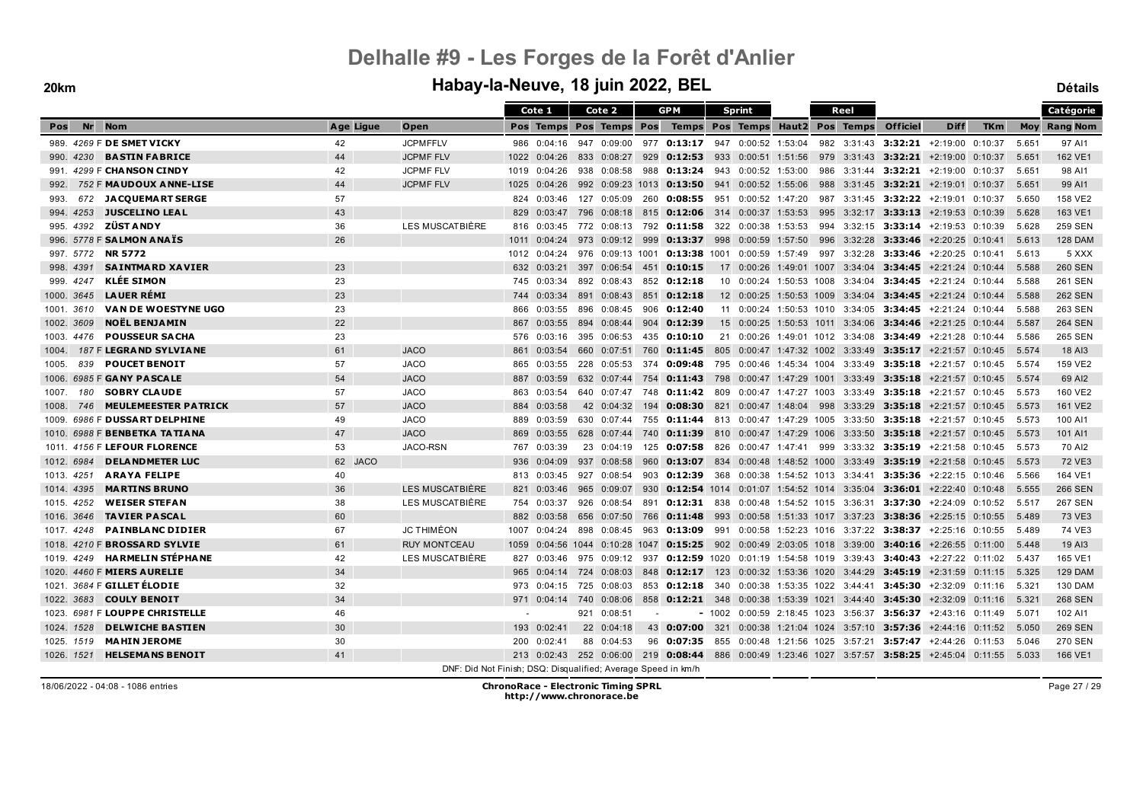#### **20km Habay-la-Neuve, 18 juin 2022, BEL Détails**

|            |            |                                      |           |                                                               |      | Cote 1      |     | Cote 2                    | <b>GPM</b>     |                                              | <b>Sprint</b> |                                 |     | Reel                         |                                                                                               |                                   |            |       | Catégorie           |
|------------|------------|--------------------------------------|-----------|---------------------------------------------------------------|------|-------------|-----|---------------------------|----------------|----------------------------------------------|---------------|---------------------------------|-----|------------------------------|-----------------------------------------------------------------------------------------------|-----------------------------------|------------|-------|---------------------|
| Pos        | <b>Nr</b>  | <b>Nom</b>                           | Age Ligue | Open                                                          |      |             |     | Pos Temps Pos Temps Pos   |                |                                              |               | Temps Pos Temps Haut2 Pos Temps |     |                              | <b>Officiel</b>                                                                               | <b>Diff</b>                       | <b>TKm</b> |       | <b>Moy Rang Nom</b> |
|            |            | 989. 4269 F DE SMET VICKY            | 42        | <b>JCPMFFLV</b>                                               |      | 986 0:04:16 |     |                           |                | 947 0:09:00 977 0:13:17 947 0:00:52 1:53:04  |               |                                 |     |                              | 982 3:31:43 3:32:21 +2:19:00 0:10:37                                                          |                                   |            | 5.651 | 97 AI1              |
|            | 990. 4230  | <b>BASTIN FABRICE</b>                | 44        | <b>JCPMF FLV</b>                                              | 1022 | 0:04:26     |     | 833 0:08:27               | 929            | 0:12:53 933 0:00:51 1:51:56                  |               |                                 |     |                              | 979 3:31:43 3:32:21 +2:19:00 0:10:37                                                          |                                   |            | 5.651 | 162 VE1             |
| 991.       |            | 4299 F CHANSON CINDY                 | 42        | <b>JCPMF FLV</b>                                              | 1019 | 0:04:26     |     | 938 0:08:58               |                | 988 0:13:24                                  | 943           | 0:00:52 1:53:00                 | 986 | 3:31:44                      |                                                                                               | $3:32:21 +2:19:00 0:10:37$        |            | 5.651 | 98 AI1              |
| 992.       |            | 752 F MAUDOUX ANNE-LISE              | 44        | <b>JCPMF FLV</b>                                              | 1025 | 0:04:26     |     |                           |                | 992 0:09:23 1013 0:13:50 941 0:00:52 1:55:06 |               |                                 |     |                              | 988 3:31:45 3:32:21 +2:19:01 0:10:37                                                          |                                   |            | 5.651 | 99 AI1              |
| 993.       |            | 672 JACQUEMART SERGE                 | 57        |                                                               | 824  | 0:03:46     |     | 127 0:05:09               | 260            | $0:08:55$ 951                                |               | 0:00:52 1:47:20                 | 987 |                              | 3:31:45 3:32:22 +2:19:01 0:10:37                                                              |                                   |            | 5.650 | 158 VE2             |
|            | 994. 4253  | <b>JUSCELINO LEAL</b>                | 43        |                                                               | 829  | 0:03:47     | 796 | 0:08:18                   | 815            | $0:12:06$ 314                                |               | $0:00:37$ 1:53:53               | 995 | 3:32:17                      |                                                                                               | 3:33:13 +2:19:53 0:10:39          |            | 5.628 | 163 VE1             |
|            | 995. 4392  | <b>ZÜST ANDY</b>                     | 36        | LES MUSCATBIÈRE                                               | 816  | 0:03:45     |     |                           |                | 772  0:08:13  792 <b>0:11:58</b> 322         |               | 0:00:38 1:53:53                 |     |                              | 994 3:32:15 3:33:14 +2:19:53 0:10:39                                                          |                                   |            | 5.628 | <b>259 SEN</b>      |
|            |            | 996. 5778 F SALMON ANAIS             | 26        |                                                               | 1011 | 0:04:24     |     | 973 0:09:12 999           |                | <b>0:13:37</b> 998 0:00:59 1:57:50           |               |                                 |     |                              | 996 3:32:28 3:33:46 +2:20:25 0:10:41                                                          |                                   |            | 5.613 | <b>128 DAM</b>      |
|            | 997. 5772  | <b>NR 5772</b>                       |           |                                                               | 1012 | 0:04:24     |     | 976 0:09:13 1001          |                | 0:13:38 1001 0:00:59 1:57:49                 |               |                                 |     | 997 3:32:28                  |                                                                                               | $3:33:46$ +2:20:25 0:10:41        |            | 5.613 | 5 XXX               |
|            | 998. 4391  | <b>SAINTMARD XAVIER</b>              | 23        |                                                               | 632  | 0:03:21     |     | 397 0:06:54               | 451            | 0:10:15                                      |               | 17 0:00:26 1:49:01 1007 3:34:04 |     |                              |                                                                                               | $3:34:45$ +2:21:24 0:10:44        |            | 5.588 | <b>260 SEN</b>      |
|            | 999. 4247  | <b>KLÉE SIMON</b>                    | 23        |                                                               |      | 745 0:03:34 |     | 892 0:08:43               |                | 852 0:12:18                                  |               | 10 0:00:24 1:50:53 1008         |     | 3:34:04                      |                                                                                               | <b>3:34:45</b> $+2:21:24$ 0:10:44 |            | 5.588 | 261 SEN             |
|            | 1000. 3645 | <b>LAUER RÉMI</b>                    | 23        |                                                               | 744  | 0:03:34     |     | 891 0:08:43               | 851            | 0:12:18                                      |               |                                 |     |                              | 12 0:00:25 1:50:53 1009 3:34:04 3:34:45 +2:21:24 0:10:44                                      |                                   |            | 5.588 | <b>262 SEN</b>      |
|            | 1001. 3610 | <b>VAN DE WOESTYNE UGO</b>           | 23        |                                                               | 866  | 0:03:55     |     | 896 0:08:45               |                | 906 0:12:40                                  |               |                                 |     |                              | 11  0:00:24  1:50:53  1010  3:34:05  3:34:45  +2:21:24  0:10:44                               |                                   |            | 5.588 | 263 SEN             |
| 1002. 3609 |            | <b>NOËL BENJAMIN</b>                 | 22        |                                                               | 867  | 0:03:55     |     | 894 0:08:44               | 904            | 0:12:39                                      |               |                                 |     |                              | 15 0:00:25 1:50:53 1011 3:34:06 3:34:46 +2:21:25 0:10:44                                      |                                   |            | 5.587 | <b>264 SEN</b>      |
| 1003.      | 4476       | <b>POUSSEUR SACHA</b>                | 23        |                                                               | 576  | 0:03:16     |     | 395 0:06:53               |                | 435 0:10:10                                  |               | 21 0:00:26 1:49:01 1012 3:34:08 |     |                              |                                                                                               | $3:34:49$ +2:21:28 0:10:44        |            | 5.586 | 265 SEN             |
| 1004.      |            | 187 F LEGRAND SYLVIANE               | 61        | <b>JACO</b>                                                   | 861  | 0:03:54     |     | 660 0:07:51               | 760            | 0:11:45                                      |               |                                 |     |                              | 805 0:00:47 1:47:32 1002 3:33:49 3:35:17 +2:21:57 0:10:45                                     |                                   |            | 5.574 | 18 AI3              |
| 1005.      | 839        | <b>POUCET BENOIT</b>                 | 57        | <b>JACO</b>                                                   | 865  | 0:03:55     |     | 228 0:05:53               | -374           | 0:09:48                                      |               |                                 |     |                              | 795 0:00:46 1:45:34 1004 3:33:49 3:35:18 +2:21:57 0:10:45                                     |                                   |            | 5.574 | 159 VE2             |
|            |            | 1006. 6985 F GANY PASCALE            | 54        | <b>JACO</b>                                                   | 887  | 0:03:59     |     | 632 0:07:44               | 754            | 0:11:43                                      | 798           | 0:00:47 1:47:29 1001            |     |                              | $3:33:49$ 3:35:18 +2:21:57 0:10:45                                                            |                                   |            | 5.574 | 69 AI2              |
| 1007.      | 180        | <b>SOBRY CLAUDE</b>                  | 57        | <b>JACO</b>                                                   | 863  | 0:03:54     |     | 640 0:07:47               |                |                                              |               |                                 |     |                              | 748 0:11:42 809 0:00:47 1:47:27 1003 3:33:49 3:35:18 +2:21:57 0:10:45                         |                                   |            | 5.573 | 160 VE2             |
| 1008.      | 746        | <b>MEULEMEESTER PATRICK</b>          | 57        | <b>JACO</b>                                                   | 884  | 0:03:58     |     | 42 0:04:32                | 194            | 0:08:30                                      | 821           | 0:00:47 1:48:04                 | 998 |                              | 3:33:29 3:35:18                                                                               | +2:21:57 0:10:45                  |            | 5.573 | 161 VE2             |
| 1009.      |            | 6986 F DUSSART DELPHINE              | 49        | <b>JACO</b>                                                   | 889  | 0:03:59     |     | 630 0:07:44               |                | 755 <b>0:11:44</b>                           |               |                                 |     |                              | 813 0:00:47 1:47:29 1005 3:33:50 3:35:18 +2:21:57 0:10:45                                     |                                   |            | 5.573 | 100 AI1             |
|            |            | 1010. 6988 F <b>BENBETKA TATIANA</b> | 47        | <b>JACO</b>                                                   | 869  | 0:03:55     |     | 628 0:07:44               | 740            | 0:11:39                                      |               |                                 |     |                              | 810 0:00:47 1:47:29 1006 3:33:50 <b>3:35:18</b> +2:21:57 0:10:45                              |                                   |            | 5.573 | 101 AI1             |
|            |            | 1011. 4156 F LEFOUR FLORENCE         | 53        | JACO-RSN                                                      | 767  | 0:03:39     |     | 23 0:04:19                |                | 125 <b>0:07:58</b> 826                       |               |                                 |     |                              | $0:00:47$ 1:47:41 999 3:33:32 3:35:19 +2:21:58 0:10:45                                        |                                   |            | 5.573 | 70 AI2              |
|            | 1012. 6984 | <b>DELANDMETER LUC</b>               | 62 JACO   |                                                               | 936  | 0:04:09     |     | 937 0:08:58               |                |                                              |               |                                 |     |                              | 960 0:13:07 834 0:00:48 1:48:52 1000 3:33:49 3:35:19 +2:21:58 0:10:45                         |                                   |            | 5.573 | 72 VE3              |
| 1013. 4251 |            | <b>ARAYA FELIPE</b>                  | 40        |                                                               | 813  | 0:03:45     |     | 927 0:08:54               | 903            | $0:12:39$ 368                                |               |                                 |     |                              | $0:00:38$ 1:54:52 1013 3:34:41 3:35:36 +2:22:15 0:10:46                                       |                                   |            | 5.566 | 164 VE1             |
| 1014, 4395 |            | <b>MARTINS BRUNO</b>                 | 36        | LES MUSCATBIÈRE                                               | 821  | 0:03:46     |     | 965 0:09:07               |                |                                              |               |                                 |     |                              | 930 0:12:54 1014 0:01:07 1:54:52 1014 3:35:04 3:36:01 +2:22:40 0:10:48                        |                                   |            | 5.555 | <b>266 SEN</b>      |
|            | 1015, 4252 | <b>WEISER STEFAN</b>                 | 38        | LES MUSCATBIERE                                               |      | 754 0:03:37 |     | 926 0:08:54               |                | 891 0:12:31 838                              |               |                                 |     | 0:00:48 1:54:52 1015 3:36:31 |                                                                                               | $3:37:30 +2:24:09$ 0:10:52        |            | 5.517 | <b>267 SEN</b>      |
|            | 1016, 3646 | <b>TAVIER PASCAL</b>                 | 60        |                                                               | 882  | 0:03:58     |     | 656 0:07:50               | 766            | 0:11:48                                      | 993           |                                 |     |                              | $0:00:58$ 1:51:33 1017 3:37:23 3:38:36                                                        | $+2:25:15$ 0:10:55                |            | 5.489 | 73 VE3              |
|            | 1017, 4248 | <b>PAINBLANC DIDIER</b>              | 67        | <b>JC THIMÉON</b>                                             | 1007 | 0:04:24     |     | 898 0:08:45               | 963            | 0:13:09                                      | 991           |                                 |     |                              | $0:00:58$ 1:52:23 1016 3:37:22 3:38:37 +2:25:16 0:10:55                                       |                                   |            | 5.489 | 74 VE3              |
|            |            | 1018. 4210 F BROSSARD SYLVIE         | 61        | <b>RUY MONTCEAU</b>                                           | 1059 |             |     | 0:04:56 1044 0:10:28 1047 |                |                                              |               |                                 |     |                              | <b>0:15:25</b> 902 0:00:49 2:03:05 1018 3:39:00 <b>3:40:16</b> $\pm$ 2:26:55 0:11:00          |                                   |            | 5.448 | 19 AI3              |
|            | 1019, 4249 | HA RMELIN STÉPHA NE                  | 42        | LES MUSCATBIÈRE                                               | 827  | 0:03:46     |     | 975 0:09:12               |                |                                              |               |                                 |     |                              | 937 0:12:59 1020 0:01:19 1:54:58 1019 3:39:43 3:40:43 +2:27:22 0:11:02                        |                                   |            | 5.437 | 165 VE1             |
|            |            | 1020. 4460 F MIERS AURELIE           | 34        |                                                               | 965  | 0:04:14     | 724 | 0:08:03                   | 848            | 0:12:17                                      | 123           |                                 |     |                              | $0:00:32$ 1:53:36 1020 3:44:29 3:45:19                                                        | $+2:31:59$ 0:11:15                |            | 5.325 | <b>129 DAM</b>      |
|            |            | 1021. 3684 F GILLET ÉLODIE           | 32        |                                                               |      | 973 0:04:15 |     | 725 0:08:03               |                |                                              |               |                                 |     |                              | 853 <b>0:12:18</b> 340 0:00:38 1:53:35 1022 3:44:41 <b>3:45:30</b> +2:32:09 0:11:16           |                                   |            | 5.321 | <b>130 DAM</b>      |
|            | 1022. 3683 | <b>COULY BENOIT</b>                  | 34        |                                                               |      |             |     | 971 0:04:14 740 0:08:06   |                |                                              |               |                                 |     |                              | 858 0:12:21 348 0:00:38 1:53:39 1021 3:44:40 3:45:30 +2:32:09 0:11:16                         |                                   |            | 5.321 | <b>268 SEN</b>      |
|            |            | 1023. 6981 F LOUPPE CHRISTELLE       | 46        |                                                               |      |             |     | 921 0:08:51               | $\overline{a}$ |                                              |               |                                 |     |                              | $-1002$ 0:00:59 2:18:45 1023 3:56:37 3:56:37 +2:43:16 0:11:49                                 |                                   |            | 5.071 | 102 AI1             |
|            | 1024, 1528 | <b>DELWICHE BASTIEN</b>              | 30        |                                                               | 193  | 0:02:41     |     | 22 0:04:18                | 43             | $0:07:00$ 321                                |               |                                 |     |                              | $0:00:38$ 1:21:04 1024 3:57:10 3:57:36 +2:44:16 0:11:52                                       |                                   |            | 5.050 | <b>269 SEN</b>      |
|            | 1025, 1519 | <b>MAHIN JEROME</b>                  | 30        |                                                               | 200  | 0:02:41     |     | 88 0:04:53                |                | 96 0:07:35 855                               |               | 0:00:48 1:21:56 1025            |     |                              | $3:57:21$ 3:57:47 +2:44:26 0:11:53                                                            |                                   |            | 5.046 | <b>270 SEN</b>      |
| 1026, 1521 |            | <b>HELSEMANS BENOIT</b>              | 41        |                                                               |      |             |     |                           |                |                                              |               |                                 |     |                              | 213 0:02:43 252 0:06:00 219 0:08:44 886 0:00:49 1:23:46 1027 3:57:57 3:58:25 +2:45:04 0:11:55 |                                   |            | 5.033 | 166 VE1             |
|            |            |                                      |           | DNF: Did Not Finish; DSQ: Disqualified; Average Speed in km/h |      |             |     |                           |                |                                              |               |                                 |     |                              |                                                                                               |                                   |            |       |                     |

18/06/2022 - 04:08 - 1086 entries **ChronoRace - Electronic Timing SPRL http://www.chronorace.be**

Page 27 / 29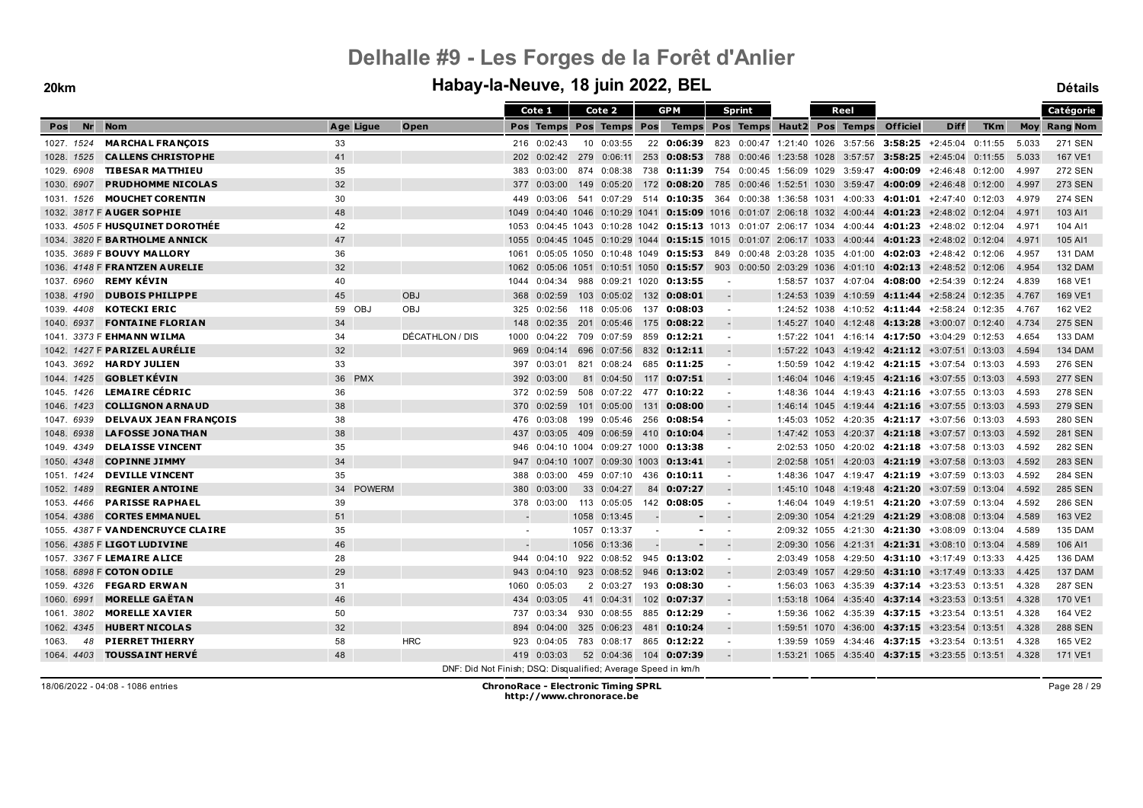#### **20km Habay-la-Neuve, 18 juin 2022, BEL Détails**

|                  |                                   |                  |               |                                                               |      | Cote 1      | Cote 2                    |     | <b>GPM</b>                                                                                       | <b>Sprint</b>            |  | Reel         |      |         |                                                           |                          |            |       | Catégorie           |
|------------------|-----------------------------------|------------------|---------------|---------------------------------------------------------------|------|-------------|---------------------------|-----|--------------------------------------------------------------------------------------------------|--------------------------|--|--------------|------|---------|-----------------------------------------------------------|--------------------------|------------|-------|---------------------|
| <b>Nr</b><br>Pos | <b>Nom</b>                        | Age Ligue        |               | Open                                                          |      |             | Pos Temps Pos Temps Pos   |     | Temps Pos Temps Haut2 Pos Temps                                                                  |                          |  |              |      |         | <b>Officiel</b>                                           | <b>Diff</b>              | <b>TKm</b> |       | <b>Moy Rang Nom</b> |
| 1027. 1524       | <b>MARCHAL FRANÇOIS</b>           | 33               |               |                                                               |      | 216 0:02:43 | 10 0:03:55                |     | 22 0:06:39 823 0:00:47 1:21:40 1026 3:57:56 3:58:25 +2:45:04 0:11:55                             |                          |  |              |      |         |                                                           |                          |            | 5.033 | <b>271 SEN</b>      |
| 1028. 1525       | <b>CALLENS CHRISTOPHE</b>         | 41               |               |                                                               | 202  |             | $0.02:42$ 279 $0.06:11$   | 253 | 0:08:53 788 0:00:46 1:23:58 1028 3:57:57 3:58:25                                                 |                          |  |              |      |         |                                                           | +2:45:04 0:11:55         |            | 5.033 | 167 VE1             |
| 1029. 6908       | <b>TIBESAR MATTHIEU</b>           | 35               |               |                                                               | 383  | 0:03:00     |                           |     | 874 0:08:38 738 0:11:39 754 0:00:45 1:56:09 1029 3:59:47 4:00:09 +2:46:48 0:12:00                |                          |  |              |      |         |                                                           |                          |            | 4.997 | <b>272 SEN</b>      |
| 1030. 6907       | <b>PRUDHOMME NICOLAS</b>          | 32               |               |                                                               | 377  | 0:03:00     | 149 0:05:20               |     | 172 0:08:20 785 0:00:46 1:52:51 1030 3:59:47 4:00:09 +2:46:48 0:12:00                            |                          |  |              |      |         |                                                           |                          |            | 4.997 | <b>273 SEN</b>      |
| 1031, 1526       | <b>MOUCHET CORENTIN</b>           | 30               |               |                                                               | 449  | 0:03:06     | 541 0:07:29               |     | 514 <b>0:10:35</b> 364 0:00:38 1:36:58 1031 4:00:33 4:01:01 +2:47:40 0:12:03                     |                          |  |              |      |         |                                                           |                          |            | 4.979 | <b>274 SEN</b>      |
|                  | 1032. 3817 F AUGER SOPHIE         | 48               |               |                                                               | 1049 |             | 0:04:40 1046 0:10:29 1041 |     | 0:15:09 1016 0:01:07 2:06:18 1032 4:00:44                                                        |                          |  |              |      |         | 4:01:23                                                   | $+2:48:02$ 0:12:04       |            | 4.971 | 103 AI1             |
|                  | 1033. 4505 F HUSQUINET DOROTHÉE   | 42               |               |                                                               | 1053 |             |                           |     | $0.04:45$ 1043 $0.10:28$ 1042 0:15:13 1013 0:01:07 2:06:17 1034 4:00:44 4:01:23 +2:48:02 0:12:04 |                          |  |              |      |         |                                                           |                          |            | 4.971 | 104 AI1             |
|                  | 1034. 3820 F BARTHOLME ANNICK     | 47               |               |                                                               | 1055 |             |                           |     | $0.04:45$ 1045 0:10:29 1044 0:15:15 1015 0:01:07 2:06:17 1033 4:00:44 4:01:23 +2:48:02 0:12:04   |                          |  |              |      |         |                                                           |                          |            | 4.971 | 105 AI1             |
|                  | 1035. 3689 F <b>BOUVY MALLORY</b> | 36               |               |                                                               | 1061 |             |                           |     | $0.05.05$ 1050 $0.10.48$ 1049 <b>0:15:53</b> 849 0.00:48 2:03:28 1035 4:01:00 <b>4:02:03</b>     |                          |  |              |      |         |                                                           | +2:48:42 0:12:06         |            | 4.957 | <b>131 DAM</b>      |
|                  | 1036. 4148 F FRANTZEN AURELIE     | 32               |               |                                                               | 1062 |             |                           |     | $0:05:06$ 1051 0:10:51 1050 0:15:57                                                              |                          |  |              |      |         | 903 0:00:50 2:03:29 1036 4:01:10 4:02:13 +2:48:52 0:12:06 |                          |            | 4.954 | <b>132 DAM</b>      |
| 1037. 6960       | <b>REMY KÉVIN</b>                 | 40               |               |                                                               | 1044 |             |                           |     | 0:04:34 988 0:09:21 1020 0:13:55                                                                 | $\sim$                   |  |              |      |         | 1:58:57 1037 4:07:04 4:08:00 +2:54:39 0:12:24             |                          |            | 4.839 | 168 VE1             |
| 1038. 4190       | <b>DUBOIS PHILIPPE</b>            | 45               |               | <b>OBJ</b>                                                    | 368  | 0:02:59     |                           |     | 103 0:05:02 132 0:08:01                                                                          |                          |  | 1:24:53 1039 |      |         | 4:10:59  4:11:44  +2:58:24  0:12:35                       |                          |            | 4.767 | 169 VE1             |
| 1039, 4408       | <b>KOTECKI ERIC</b>               | 59 OBJ           |               | <b>OBJ</b>                                                    | 325  | 0:02:56     |                           |     | 118  0:05:06  137  0:08:03                                                                       | $\sim$                   |  | 1:24:52 1038 |      |         | 4:10:52 4:11:44 +2:58:24 0:12:35                          |                          |            | 4.767 | 162 VE2             |
| 1040, 6937       | <b>FONTAINE FLORIAN</b>           | 34               |               |                                                               | 148  | 0:02:35     | 201 0:05:46 175           |     | 0:08:22                                                                                          |                          |  |              |      |         | $1:45:27$ 1040 $4:12:48$ 4:13:28 $+3:00:07$ 0:12:40       |                          |            | 4.734 | <b>275 SEN</b>      |
|                  | 1041. 3373 F EHMA NN WILMA        | 34               |               | DÉCATHLON / DIS                                               | 1000 | 0:04:22     | 709 0:07:59               |     | 859 0:12:21                                                                                      | $\sim$                   |  | 1:57:22 1041 |      |         | 4:16:14 4:17:50 +3:04:29 0:12:53                          |                          |            | 4.654 | 133 DAM             |
|                  | 1042. 1427 F PARIZEL AURELIE      | 32               |               |                                                               | 969  | 0:04:14     |                           |     | 696 0:07:56 832 0:12:11                                                                          |                          |  |              |      |         | $1:57:22$ 1043 4:19:42 4:21:12 +3:07:51 0:13:03           |                          |            | 4.594 | <b>134 DAM</b>      |
| 1043.3692        | <b>HARDY JULIEN</b>               | 33               |               |                                                               | 397  | 0:03:01     | 821 0:08:24               |     | 685 0:11:25                                                                                      |                          |  |              |      |         | $1:50:59$ 1042 4:19:42 4:21:15 +3:07:54 0:13:03           |                          |            | 4.593 | 276 SEN             |
| 1044, 1425       | <b>GOBLET KEVIN</b>               | <b>PMX</b><br>36 |               |                                                               | 392  | 0:03:00     | 81 0:04:50                | 117 | 0:07:51                                                                                          |                          |  | 1:46:04 1046 |      |         | 4:19:45 4:21:16 +3:07:55 0:13:03                          |                          |            | 4.593 | <b>277 SEN</b>      |
| 1045, 1426       | <b>LEMAIRE CÉDRIC</b>             | 36               |               |                                                               |      | 372 0:02:59 |                           |     | 508  0:07:22  477  0:10:22                                                                       | $\overline{\phantom{a}}$ |  | 1:48:36 1044 |      |         | 4:19:43 4:21:16 +3:07:55 0:13:03                          |                          |            | 4.593 | <b>278 SEN</b>      |
| 1046, 1423       | <b>COLLIGNON ARNAUD</b>           | 38               |               |                                                               | 370  | 0:02:59     | 101 0:05:00               | 131 | 0:08:00                                                                                          |                          |  | 1:46:14 1045 |      |         | 4:19:44 4:21:16 +3:07:55 0:13:03                          |                          |            | 4.593 | <b>279 SEN</b>      |
| 1047.6939        | <b>DELVAUX JEAN FRANÇOIS</b>      | 38               |               |                                                               | 476  | 0:03:08     |                           |     | 199  0:05:46  256  0:08:54                                                                       |                          |  | 1:45:03 1052 |      |         | 4:20:35 4:21:17 +3:07:56 0:13:03                          |                          |            | 4.593 | 280 SEN             |
| 1048, 6938       | <b>LAFOSSE JONATHAN</b>           | 38               |               |                                                               | 437  |             |                           |     | $0:03:05$ 409 0:06:59 410 0:10:04                                                                |                          |  | 1:47:42 1053 |      |         | $4:20:37$ 4:21:18 $+3:07:57$ 0:13:03                      |                          |            | 4.592 | <b>281 SEN</b>      |
| 1049. 4349       | <b>DELAISSE VINCENT</b>           | 35               |               |                                                               | 946  |             |                           |     | 0:04:10 1004 0:09:27 1000 0:13:38                                                                | $\sim$                   |  | 2:02:53 1050 |      |         | 4:20:02 4:21:18 +3:07:58 0:13:03                          |                          |            | 4.592 | <b>282 SEN</b>      |
| 1050. 4348       | <b>COPINNE JIMMY</b>              | 34               |               |                                                               | 947  |             | 0:04:10 1007 0:09:30 1003 |     | 0:13:41                                                                                          |                          |  |              |      |         | 2:02:58 1051 4:20:03 4:21:19 +3:07:58 0:13:03             |                          |            | 4.592 | 283 SEN             |
| 1051, 1424       | <b>DEVILLE VINCENT</b>            | 35               |               |                                                               | 388  | 0:03:00     | 459 0:07:10               | 436 | 0:10:11                                                                                          |                          |  |              |      |         | 1:48:36 1047 4:19:47 4:21:19 +3:07:59 0:13:03             |                          |            | 4.592 | <b>284 SEN</b>      |
| 1052, 1489       | <b>REGNIER ANTOINE</b>            | 34               | <b>POWERM</b> |                                                               | 380  | 0:03:00     | 33 0:04:27                | 84  | 0:07:27                                                                                          |                          |  | 1:45:10 1048 |      |         | 4:19:48 4:21:20 +3:07:59 0:13:04                          |                          |            | 4.592 | <b>285 SEN</b>      |
| 1053, 4466       | <b>PARISSE RAPHAEL</b>            | 39               |               |                                                               |      | 378 0:03:00 | 113 0:05:05               |     | 142 0:08:05                                                                                      | $\overline{\phantom{a}}$ |  | 1:46:04 1049 |      |         | 4:19:51 4:21:20 +3:07:59 0:13:04                          |                          |            | 4.592 | 286 SEN             |
| 1054, 4386       | <b>CORTES EMMANUEL</b>            | 51               |               |                                                               |      |             | 1058 0:13:45              |     |                                                                                                  |                          |  | 2:09:30 1054 |      |         | 4:21:29 4:21:29 +3:08:08 0:13:04                          |                          |            | 4.589 | 163 VE2             |
|                  | 1055. 4387 F VANDENCRUYCE CLAIRE  | 35               |               |                                                               |      |             | 1057 0:13:37              |     |                                                                                                  |                          |  | 2:09:32 1055 |      |         | 4:21:30 4:21:30 +3:08:09 0:13:04                          |                          |            | 4.589 | <b>135 DAM</b>      |
|                  | 1056. 4385 F LIGOT LUDIVINE       | 46               |               |                                                               |      |             | 1056 0:13:36              |     |                                                                                                  |                          |  | 2:09:30 1056 |      | 4:21:31 |                                                           | 4:21:31 +3:08:10 0:13:04 |            | 4.589 | 106 AI1             |
|                  | 1057. 3367 F LEMAIRE ALICE        | 28               |               |                                                               |      | 944 0:04:10 |                           |     | 922 0:08:52 945 0:13:02                                                                          |                          |  | 2:03:49      | 1058 |         | $4:29:50$ 4:31:10 $+3:17:49$ 0:13:33                      |                          |            | 4.425 | <b>136 DAM</b>      |
|                  | 1058. 6898 F COTON ODILE          | 29               |               |                                                               |      | 943 0:04:10 |                           |     | 923 0:08:52 946 0:13:02                                                                          |                          |  |              |      |         | $2:03:49$ 1057 4:29:50 4:31:10 +3:17:49 0:13:33           |                          |            | 4.425 | <b>137 DAM</b>      |
| 1059, 4326       | <b>FEGARD ERWAN</b>               | 31               |               |                                                               | 1060 | 0:05:03     | 2 0:03:27                 |     | 193 0:08:30                                                                                      | $\sim$                   |  | 1:56:03 1063 |      |         | 4:35:39 4:37:14 +3:23:53 0:13:51                          |                          |            | 4.328 | <b>287 SEN</b>      |
| 1060. 6991       | <b>MORELLE GAËTAN</b>             | 46               |               |                                                               | 434  | 0:03:05     |                           |     | 41 0:04:31 102 0:07:37                                                                           |                          |  | 1:53:18 1064 |      |         | $4:35:40$ 4:37:14 $+3:23:53$ 0:13:51                      |                          |            | 4.328 | 170 VE1             |
| 1061.3802        | <b>MORELLE XAVIER</b>             | 50               |               |                                                               | 737  | 0:03:34     | 930 0:08:55               |     | 885 0:12:29                                                                                      | $\overline{\phantom{a}}$ |  | 1:59:36 1062 |      |         | 4:35:39 4:37:15 +3:23:54 0:13:51                          |                          |            | 4.328 | 164 VE2             |
| 1062, 4345       | <b>HUBERT NICOLAS</b>             | 32               |               |                                                               | 894  | 0:04:00     | 325 0:06:23               |     | 481 0:10:24                                                                                      |                          |  | 1:59:51 1070 |      |         | 4:36:00 4:37:15 +3:23:54 0:13:51                          |                          |            | 4.328 | <b>288 SEN</b>      |
| 48<br>1063.      | <b>PIERRET THIERRY</b>            | 58               |               | <b>HRC</b>                                                    | 923  | 0:04:05     | 783 0:08:17               |     | 865 0:12:22                                                                                      | $\overline{\phantom{a}}$ |  | 1:39:59      | 1059 |         | 4:34:46 4:37:15 +3:23:54 0:13:51                          |                          |            | 4.328 | 165 VE2             |
| 1064. 4403       | <b>TOUSSAINT HERVÉ</b>            | 48               |               |                                                               |      | 419 0:03:03 |                           |     | 52 0:04:36 104 0:07:39                                                                           |                          |  |              |      |         | $1:53:21$ 1065 $4:35:40$ 4:37:15 $+3:23:55$ 0:13:51       |                          |            | 4.328 | 171 VE1             |
|                  |                                   |                  |               | DNF: Did Not Finish; DSQ: Disqualified; Average Speed in km/h |      |             |                           |     |                                                                                                  |                          |  |              |      |         |                                                           |                          |            |       |                     |

18/06/2022 - 04:08 - 1086 entries **ChronoRace - Electronic Timing SPRL http://www.chronorace.be**

Page 28 / 29